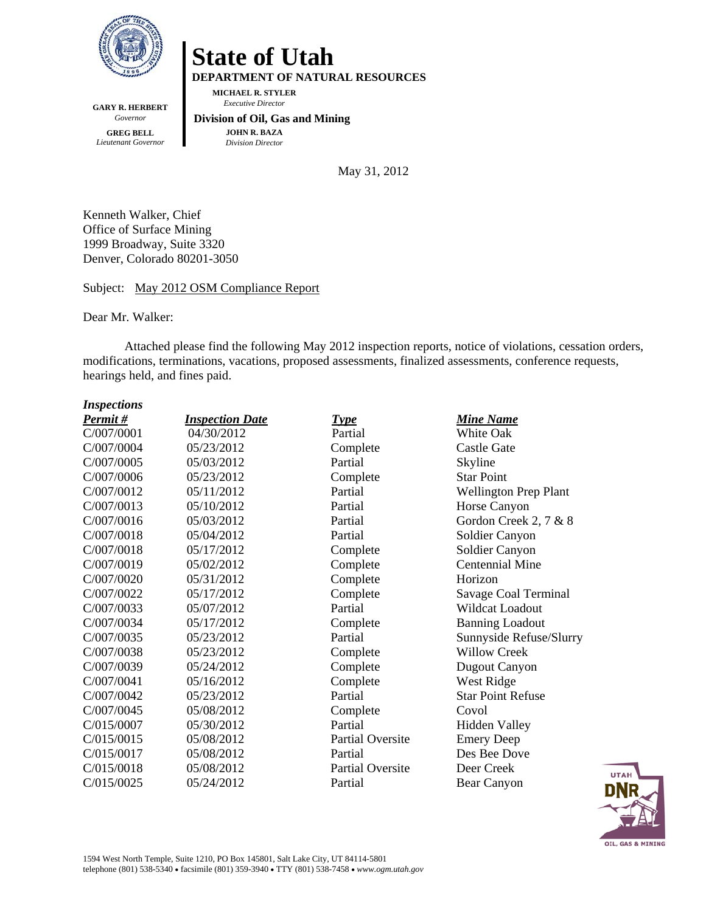

**State of Utah DEPARTMENT OF NATURAL RESOURCES** 

**GARY R. HERBERT**  *Governor*  **GREG BELL**  *Lieutenant Governor* 

 *Executive Director*   **Division of Oil, Gas and Mining JOHN R. BAZA** 

*Division Director*

**MICHAEL R. STYLER** 

May 31, 2012

Kenneth Walker, Chief Office of Surface Mining 1999 Broadway, Suite 3320 Denver, Colorado 80201-3050

Subject: May 2012 OSM Compliance Report

Dear Mr. Walker:

Attached please find the following May 2012 inspection reports, notice of violations, cessation orders, modifications, terminations, vacations, proposed assessments, finalized assessments, conference requests, hearings held, and fines paid.

#### *Inspections*

| <b>Inspection Date</b> | <b>Type</b>             | <b>Mine Name</b>             |
|------------------------|-------------------------|------------------------------|
| 04/30/2012             | Partial                 | White Oak                    |
| 05/23/2012             | Complete                | Castle Gate                  |
| 05/03/2012             | Partial                 | Skyline                      |
| 05/23/2012             | Complete                | <b>Star Point</b>            |
| 05/11/2012             | Partial                 | <b>Wellington Prep Plant</b> |
| 05/10/2012             | Partial                 | Horse Canyon                 |
| 05/03/2012             | Partial                 | Gordon Creek 2, 7 & 8        |
| 05/04/2012             | Partial                 | Soldier Canyon               |
| 05/17/2012             | Complete                | Soldier Canyon               |
| 05/02/2012             | Complete                | <b>Centennial Mine</b>       |
| 05/31/2012             | Complete                | Horizon                      |
| 05/17/2012             | Complete                | Savage Coal Terminal         |
| 05/07/2012             | Partial                 | Wildcat Loadout              |
| 05/17/2012             | Complete                | <b>Banning Loadout</b>       |
| 05/23/2012             | Partial                 | Sunnyside Refuse/Slurry      |
| 05/23/2012             | Complete                | <b>Willow Creek</b>          |
| 05/24/2012             | Complete                | Dugout Canyon                |
| 05/16/2012             | Complete                | West Ridge                   |
| 05/23/2012             | Partial                 | <b>Star Point Refuse</b>     |
| 05/08/2012             | Complete                | Covol                        |
| 05/30/2012             | Partial                 | <b>Hidden Valley</b>         |
| 05/08/2012             | <b>Partial Oversite</b> | <b>Emery Deep</b>            |
| 05/08/2012             | Partial                 | Des Bee Dove                 |
| 05/08/2012             | <b>Partial Oversite</b> | Deer Creek                   |
| 05/24/2012             | Partial                 | Bear Canyon                  |
|                        |                         |                              |

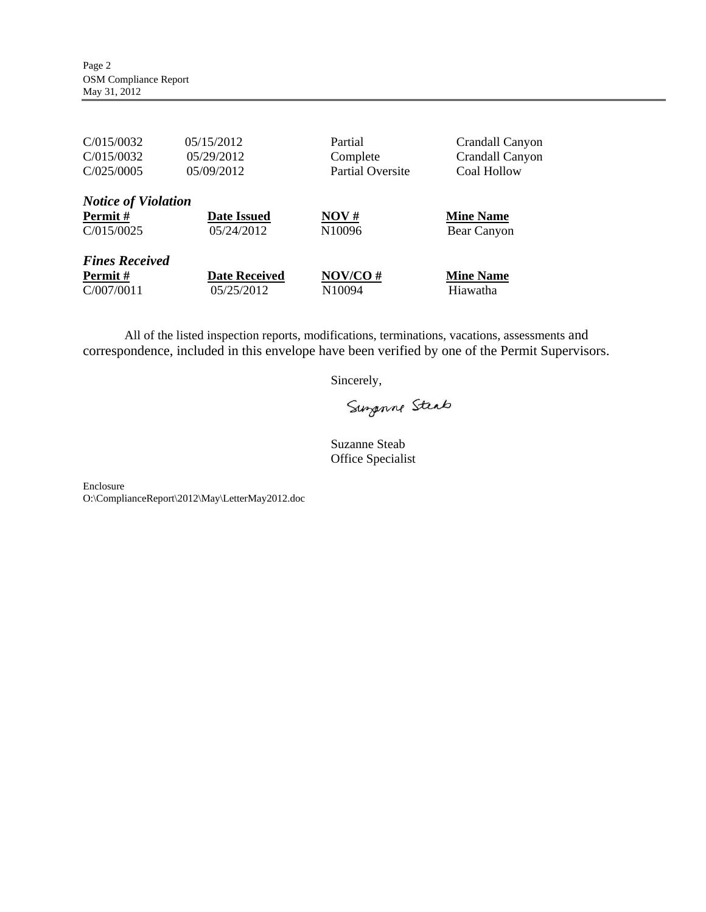| C/015/0032                 | 05/15/2012           | Partial                 | Crandall Canyon  |
|----------------------------|----------------------|-------------------------|------------------|
| C/015/0032                 | 05/29/2012           | Complete                | Crandall Canyon  |
| C/025/0005                 | 05/09/2012           | <b>Partial Oversite</b> | Coal Hollow      |
| <b>Notice of Violation</b> |                      |                         |                  |
| Permit#                    | <b>Date Issued</b>   | NOV#                    | <b>Mine Name</b> |
| C/015/0025                 | 05/24/2012           | N10096                  | Bear Canyon      |
| <b>Fines Received</b>      |                      |                         |                  |
| <b>Permit</b> #            | <b>Date Received</b> | NOV/CO#                 | <b>Mine Name</b> |
| C/007/0011                 | 05/25/2012           | N10094                  | Hiawatha         |

All of the listed inspection reports, modifications, terminations, vacations, assessments and correspondence, included in this envelope have been verified by one of the Permit Supervisors.

Sincerely,

Surpoine Steab

Suzanne Steab Office Specialist

Enclosure O:\ComplianceReport\2012\May\LetterMay2012.doc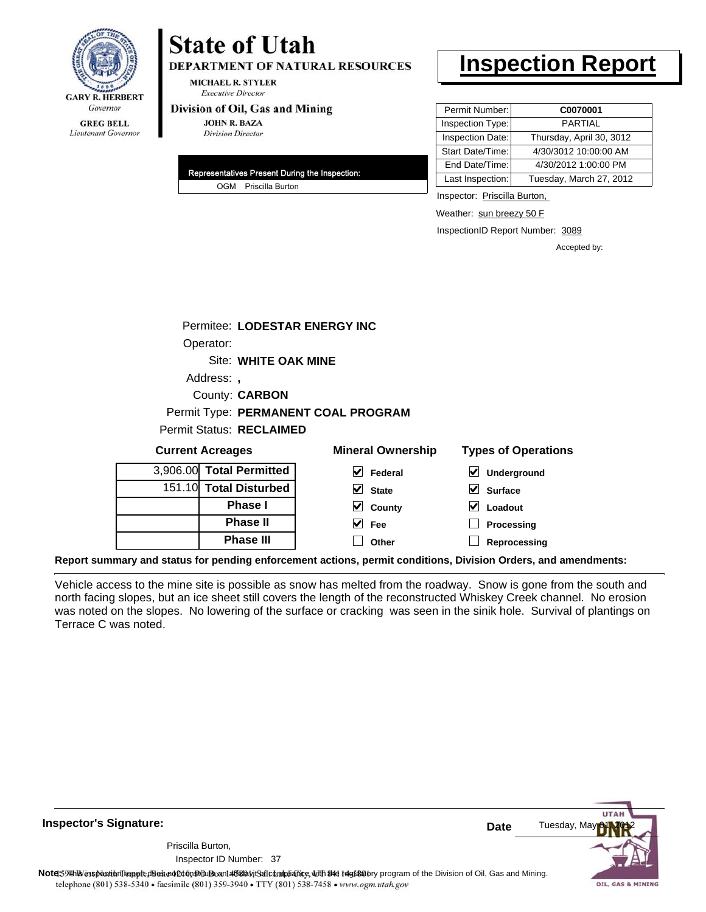

#### **GREG BELL** Lieutenant Governor

# **State of Utah**

**DEPARTMENT OF NATURAL RESOURCES** 

**MICHAEL R. STYLER Executive Director** 

#### Division of Oil, Gas and Mining

**JOHN R. BAZA Division Director** 

| Representatives Present During the Inspection: |
|------------------------------------------------|
| OGM Priscilla Burton                           |

# **Inspection Report**

| Permit Number:   | C0070001                 |
|------------------|--------------------------|
| Inspection Type: | <b>PARTIAL</b>           |
| Inspection Date: | Thursday, April 30, 3012 |
| Start Date/Time: | 4/30/3012 10:00:00 AM    |
| End Date/Time:   | 4/30/2012 1:00:00 PM     |
| Last Inspection: | Tuesday, March 27, 2012  |

Inspector: Priscilla Burton,

Weather: sun breezy 50 F

InspectionID Report Number: 3089

Accepted by:

| Operator:                | Permitee: LODESTAR ENERGY INC       |
|--------------------------|-------------------------------------|
|                          | Site: WHITE OAK MINE                |
| Address: ,               |                                     |
|                          | County: <b>CARBON</b>               |
|                          | Permit Type: PERMANENT COAL PROGRAM |
| Permit Status: RECLAIMED |                                     |
|                          |                                     |

| <b>Current Acreages</b> |                          | <b>Mineral Ownership</b>                                                                         | <b>Types of Operations</b>   |
|-------------------------|--------------------------|--------------------------------------------------------------------------------------------------|------------------------------|
|                         | 3,906.00 Total Permitted | V<br>Federal                                                                                     | $\vee$ Underground           |
|                         | 151.10 Total Disturbed   | $\vee$ State                                                                                     | $\sqrt{\phantom{a}}$ Surface |
|                         | <b>Phase I</b>           | $\vee$ County                                                                                    | V<br>Loadout                 |
|                         | <b>Phase II</b>          | $\vee$ Fee                                                                                       | Processing                   |
|                         | <b>Phase III</b>         | Other                                                                                            | Reprocessing                 |
|                         |                          | wami ang atatira fan nangling anfanaamant aatlana, namult aanglitlana. Divisian Ondana, ang aman |                              |

**Report summary and status for pending enforcement actions, permit conditions, Division Orders, and amendments:**

Vehicle access to the mine site is possible as snow has melted from the roadway. Snow is gone from the south and north facing slopes, but an ice sheet still covers the length of the reconstructed Whiskey Creek channel. No erosion was noted on the slopes. No lowering of the surface or cracking was seen in the sinik hole. Survival of plantings on Terrace C was noted.

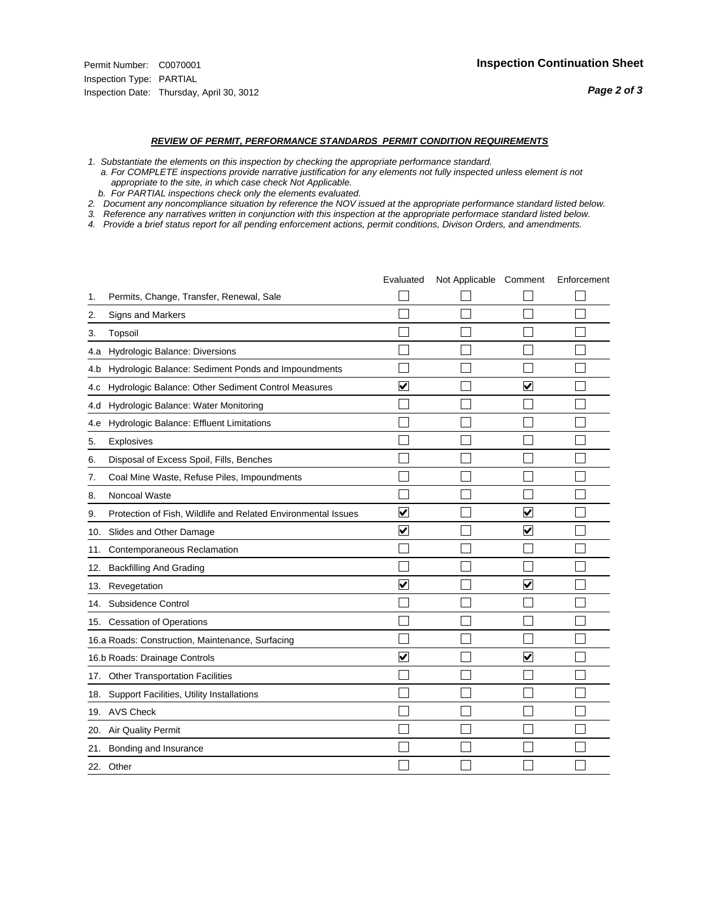#### *REVIEW OF PERMIT, PERFORMANCE STANDARDS PERMIT CONDITION REQUIREMENTS*

- *1. Substantiate the elements on this inspection by checking the appropriate performance standard.*
- *a. For COMPLETE inspections provide narrative justification for any elements not fully inspected unless element is not appropriate to the site, in which case check Not Applicable.*
- *b. For PARTIAL inspections check only the elements evaluated.*
- *2. Document any noncompliance situation by reference the NOV issued at the appropriate performance standard listed below.*
- *3. Reference any narratives written in conjunction with this inspection at the appropriate performace standard listed below.*
- *4. Provide a brief status report for all pending enforcement actions, permit conditions, Divison Orders, and amendments.*

|     |                                                               | Evaluated               | Not Applicable Comment |                         | Enforcement |
|-----|---------------------------------------------------------------|-------------------------|------------------------|-------------------------|-------------|
| 1.  | Permits, Change, Transfer, Renewal, Sale                      |                         |                        |                         |             |
| 2.  | <b>Signs and Markers</b>                                      |                         |                        |                         |             |
| 3.  | Topsoil                                                       |                         |                        |                         |             |
| 4.a | Hydrologic Balance: Diversions                                |                         |                        |                         |             |
| 4.b | Hydrologic Balance: Sediment Ponds and Impoundments           |                         |                        |                         |             |
| 4.C | Hydrologic Balance: Other Sediment Control Measures           | $\overline{\mathsf{v}}$ |                        | $\overline{\mathbf{v}}$ |             |
| 4.d | Hydrologic Balance: Water Monitoring                          |                         |                        |                         |             |
| 4.e | Hydrologic Balance: Effluent Limitations                      |                         |                        |                         |             |
| 5.  | Explosives                                                    |                         |                        |                         |             |
| 6.  | Disposal of Excess Spoil, Fills, Benches                      |                         |                        |                         |             |
| 7.  | Coal Mine Waste, Refuse Piles, Impoundments                   |                         |                        |                         |             |
| 8.  | Noncoal Waste                                                 |                         |                        |                         |             |
| 9.  | Protection of Fish, Wildlife and Related Environmental Issues | $\overline{\mathbf{v}}$ |                        | $\overline{\mathbf{v}}$ |             |
|     | 10. Slides and Other Damage                                   | $\overline{\mathbf{v}}$ |                        | $\overline{\mathbf{v}}$ |             |
| 11. | Contemporaneous Reclamation                                   |                         |                        |                         |             |
| 12. | <b>Backfilling And Grading</b>                                |                         |                        |                         |             |
| 13. | Revegetation                                                  | $\overline{\mathsf{v}}$ |                        | $\overline{\mathbf{v}}$ |             |
| 14. | Subsidence Control                                            |                         |                        |                         |             |
|     | 15. Cessation of Operations                                   |                         |                        |                         |             |
|     | 16.a Roads: Construction, Maintenance, Surfacing              |                         |                        |                         |             |
|     | 16.b Roads: Drainage Controls                                 | $\blacktriangledown$    |                        | V                       |             |
|     | 17. Other Transportation Facilities                           |                         |                        |                         |             |
| 18. | Support Facilities, Utility Installations                     |                         |                        |                         |             |
|     | 19. AVS Check                                                 |                         |                        |                         |             |
| 20. | Air Quality Permit                                            |                         |                        |                         |             |
|     | 21. Bonding and Insurance                                     |                         |                        |                         |             |
|     | 22. Other                                                     |                         |                        |                         |             |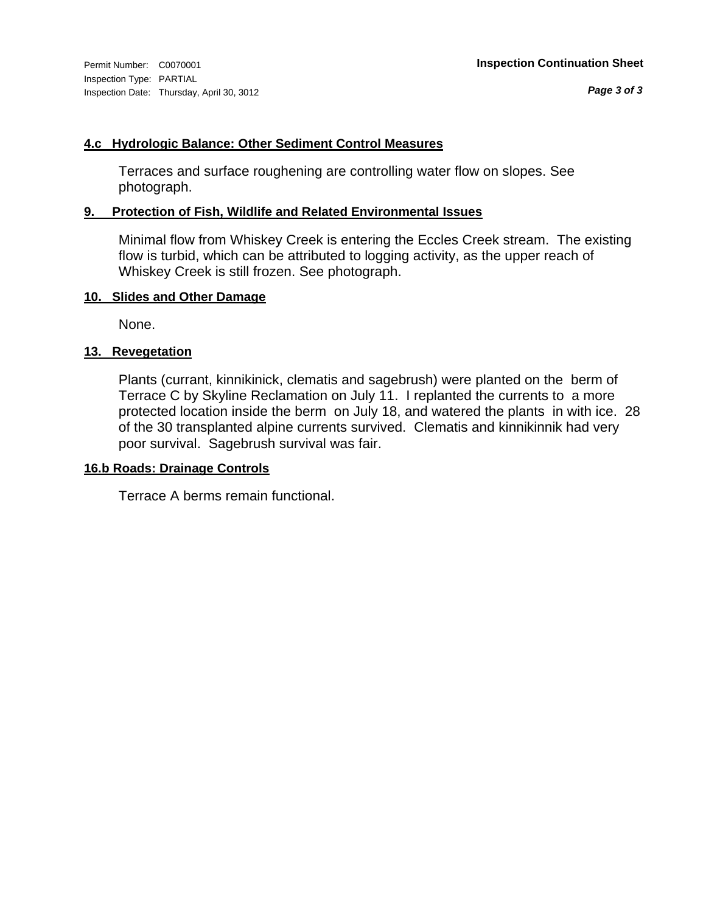#### **4.c Hydrologic Balance: Other Sediment Control Measures**

Terraces and surface roughening are controlling water flow on slopes. See photograph.

#### **9. Protection of Fish, Wildlife and Related Environmental Issues**

Minimal flow from Whiskey Creek is entering the Eccles Creek stream. The existing flow is turbid, which can be attributed to logging activity, as the upper reach of Whiskey Creek is still frozen. See photograph.

#### **10. Slides and Other Damage**

None.

#### **13. Revegetation**

Plants (currant, kinnikinick, clematis and sagebrush) were planted on the berm of Terrace C by Skyline Reclamation on July 11. I replanted the currents to a more protected location inside the berm on July 18, and watered the plants in with ice. 28 of the 30 transplanted alpine currents survived. Clematis and kinnikinnik had very poor survival. Sagebrush survival was fair.

#### **16.b Roads: Drainage Controls**

Terrace A berms remain functional.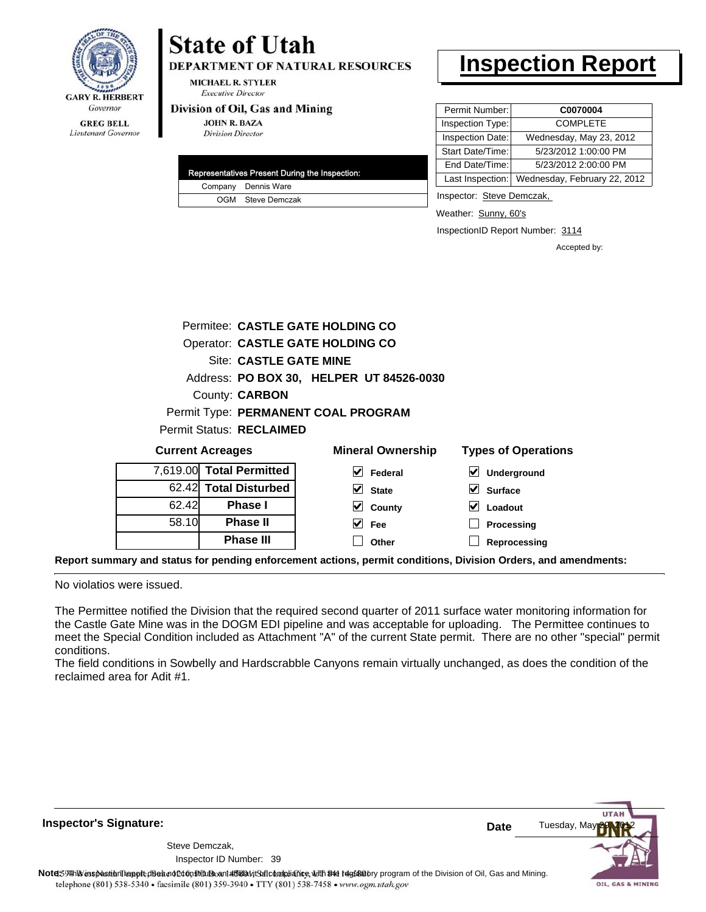

# **State of Utah**

**DEPARTMENT OF NATURAL RESOURCES** 

**MICHAEL R. STYLER Executive Director** 

#### Division of Oil, Gas and Mining

**Phase III**

**JOHN R. BAZA Division Director** 

|  | Representatives Present During the Inspection: |
|--|------------------------------------------------|
|  | Company Dennis Ware                            |
|  | OGM Steve Demczak                              |

# **Inspection Report**

| Permit Number:   | C0070004                     |
|------------------|------------------------------|
| Inspection Type: | <b>COMPLETE</b>              |
| Inspection Date: | Wednesday, May 23, 2012      |
| Start Date/Time: | 5/23/2012 1:00:00 PM         |
| End Date/Time:   | 5/23/2012 2:00:00 PM         |
| Last Inspection: | Wednesday, February 22, 2012 |

Inspector: Steve Demczak,

Weather: Sunny, 60's

InspectionID Report Number: 3114

**Reprocessing**

Accepted by:

|       | Permitee: CASTLE GATE HOLDING CO |                                          |                            |  |  |  |
|-------|----------------------------------|------------------------------------------|----------------------------|--|--|--|
|       |                                  | Operator: CASTLE GATE HOLDING CO         |                            |  |  |  |
|       | <b>Site: CASTLE GATE MINE</b>    |                                          |                            |  |  |  |
|       |                                  | Address: PO BOX 30, HELPER UT 84526-0030 |                            |  |  |  |
|       | County: <b>CARBON</b>            |                                          |                            |  |  |  |
|       |                                  | Permit Type: PERMANENT COAL PROGRAM      |                            |  |  |  |
|       | Permit Status: RECLAIMED         |                                          |                            |  |  |  |
|       | <b>Current Acreages</b>          | <b>Mineral Ownership</b>                 | <b>Types of Operations</b> |  |  |  |
|       | 7,619.00 Total Permitted         | V<br>Federal                             | V<br>Underground           |  |  |  |
|       | 62.42 Total Disturbed            | V<br><b>State</b>                        | V<br><b>Surface</b>        |  |  |  |
| 62.42 | <b>Phase I</b>                   | V<br>County                              | Loadout                    |  |  |  |
| 58.10 | <b>Phase II</b>                  | <b>Fee</b>                               | Processing                 |  |  |  |

**Other**

**Report summary and status for pending enforcement actions, permit conditions, Division Orders, and amendments:**

No violatios were issued.

The Permittee notified the Division that the required second quarter of 2011 surface water monitoring information for the Castle Gate Mine was in the DOGM EDI pipeline and was acceptable for uploading. The Permittee continues to meet the Special Condition included as Attachment "A" of the current State permit. There are no other "special" permit conditions.

The field conditions in Sowbelly and Hardscrabble Canyons remain virtually unchanged, as does the condition of the reclaimed area for Adit #1.

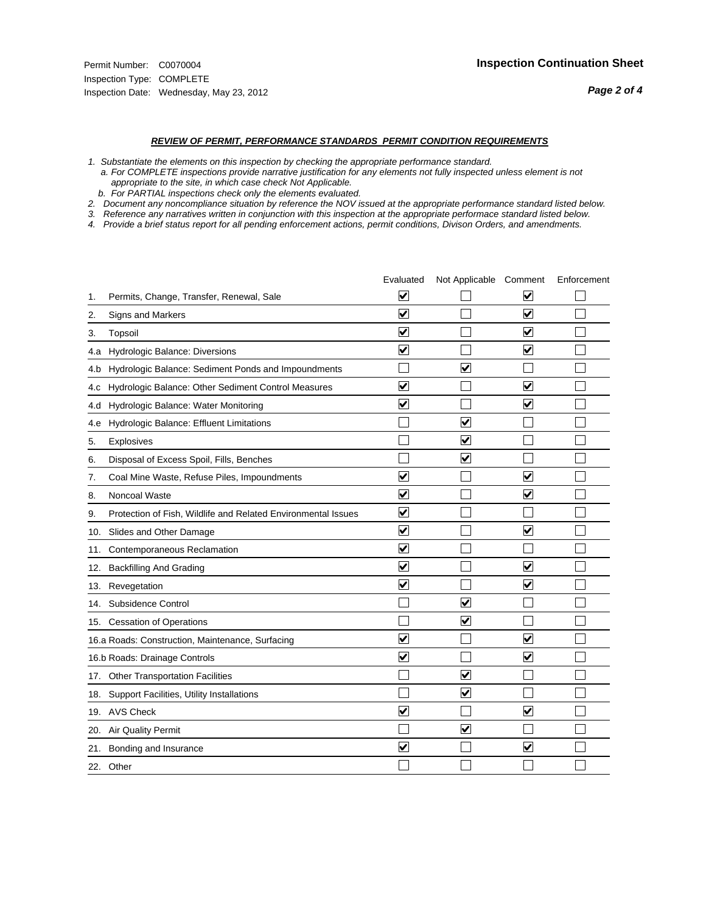#### *REVIEW OF PERMIT, PERFORMANCE STANDARDS PERMIT CONDITION REQUIREMENTS*

*1. Substantiate the elements on this inspection by checking the appropriate performance standard.*

 *a. For COMPLETE inspections provide narrative justification for any elements not fully inspected unless element is not appropriate to the site, in which case check Not Applicable.*

 *b. For PARTIAL inspections check only the elements evaluated.*

*2. Document any noncompliance situation by reference the NOV issued at the appropriate performance standard listed below.*

*3. Reference any narratives written in conjunction with this inspection at the appropriate performace standard listed below.*

*4. Provide a brief status report for all pending enforcement actions, permit conditions, Divison Orders, and amendments.*

|     |                                                               | Evaluated               | Not Applicable Comment  |                                 | Enforcement |
|-----|---------------------------------------------------------------|-------------------------|-------------------------|---------------------------------|-------------|
| 1.  | Permits, Change, Transfer, Renewal, Sale                      | V                       |                         | V                               |             |
| 2.  | Signs and Markers                                             | $\overline{\mathbf{v}}$ |                         | $\overline{\blacktriangledown}$ |             |
| 3.  | Topsoil                                                       | $\overline{\mathbf{v}}$ |                         | $\overline{\mathbf{v}}$         |             |
| 4.a | Hydrologic Balance: Diversions                                | ⊻                       |                         | $\checkmark$                    |             |
| 4.b | Hydrologic Balance: Sediment Ponds and Impoundments           |                         | V                       |                                 |             |
| 4.c | Hydrologic Balance: Other Sediment Control Measures           | $\overline{\mathbf{v}}$ |                         | $\overline{\mathbf{v}}$         |             |
| 4.d | Hydrologic Balance: Water Monitoring                          | $\overline{\mathbf{v}}$ |                         | $\overline{\mathbf{v}}$         |             |
| 4.e | Hydrologic Balance: Effluent Limitations                      |                         | $\overline{\mathbf{v}}$ |                                 |             |
| 5.  | <b>Explosives</b>                                             |                         | ☑                       |                                 |             |
| 6.  | Disposal of Excess Spoil, Fills, Benches                      |                         | ⊻                       |                                 |             |
| 7.  | Coal Mine Waste, Refuse Piles, Impoundments                   | $\blacktriangledown$    |                         | V                               |             |
| 8.  | Noncoal Waste                                                 | $\overline{\mathbf{v}}$ |                         | $\overline{\mathbf{v}}$         |             |
| 9.  | Protection of Fish, Wildlife and Related Environmental Issues | ⊽                       |                         |                                 |             |
| 10. | Slides and Other Damage                                       | $\blacktriangledown$    |                         | $\overline{\mathbf{v}}$         |             |
| 11. | Contemporaneous Reclamation                                   | $\blacktriangledown$    |                         |                                 |             |
| 12. | <b>Backfilling And Grading</b>                                | $\blacktriangledown$    |                         | $\blacktriangledown$            |             |
| 13. | Revegetation                                                  | $\overline{\mathbf{v}}$ |                         | $\blacktriangledown$            |             |
| 14. | Subsidence Control                                            |                         | $\blacktriangledown$    |                                 |             |
|     | 15. Cessation of Operations                                   |                         | $\blacktriangledown$    |                                 |             |
|     | 16.a Roads: Construction, Maintenance, Surfacing              | $\overline{\mathsf{v}}$ |                         | $\overline{\mathbf{v}}$         |             |
|     | 16.b Roads: Drainage Controls                                 | $\overline{\mathbf{v}}$ |                         | $\blacktriangledown$            |             |
| 17. | <b>Other Transportation Facilities</b>                        |                         | $\overline{\mathbf{v}}$ |                                 |             |
|     | 18. Support Facilities, Utility Installations                 |                         | $\blacktriangledown$    |                                 |             |
|     | 19. AVS Check                                                 | $\overline{\mathbf{v}}$ |                         | $\blacktriangledown$            |             |
| 20. | <b>Air Quality Permit</b>                                     |                         | $\blacktriangledown$    |                                 |             |
| 21. | Bonding and Insurance                                         | $\overline{\mathbf{v}}$ |                         | $\blacktriangledown$            |             |
|     | 22. Other                                                     |                         |                         |                                 |             |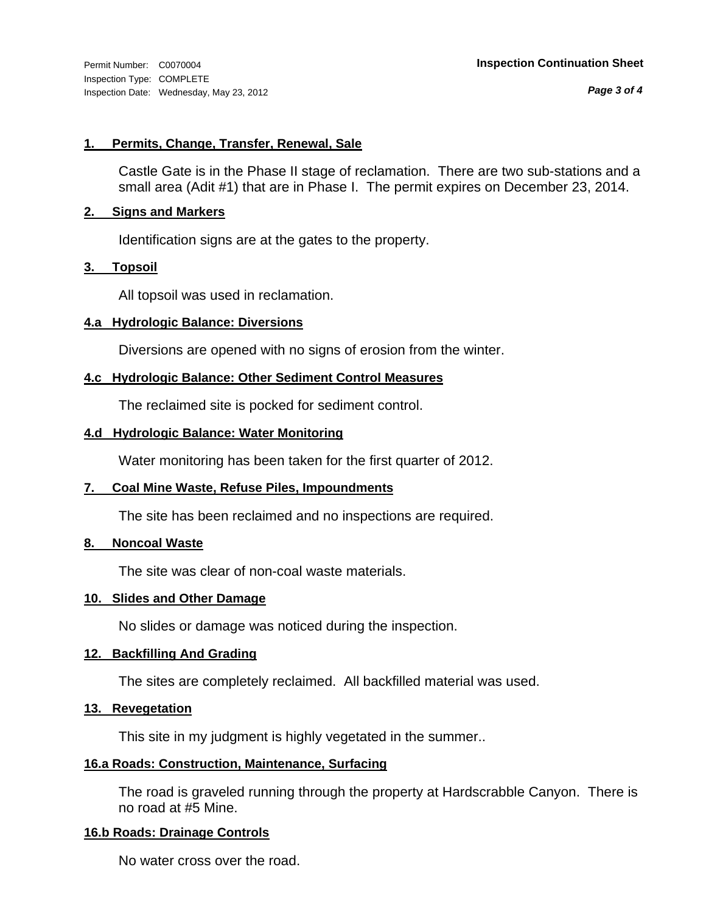*Page 3 of 4*

#### **1. Permits, Change, Transfer, Renewal, Sale**

Castle Gate is in the Phase II stage of reclamation. There are two sub-stations and a small area (Adit #1) that are in Phase I. The permit expires on December 23, 2014.

#### **2. Signs and Markers**

Identification signs are at the gates to the property.

#### **3. Topsoil**

All topsoil was used in reclamation.

#### **4.a Hydrologic Balance: Diversions**

Diversions are opened with no signs of erosion from the winter.

#### **4.c Hydrologic Balance: Other Sediment Control Measures**

The reclaimed site is pocked for sediment control.

#### **4.d Hydrologic Balance: Water Monitoring**

Water monitoring has been taken for the first quarter of 2012.

#### **7. Coal Mine Waste, Refuse Piles, Impoundments**

The site has been reclaimed and no inspections are required.

#### **8. Noncoal Waste**

The site was clear of non-coal waste materials.

#### **10. Slides and Other Damage**

No slides or damage was noticed during the inspection.

#### **12. Backfilling And Grading**

The sites are completely reclaimed. All backfilled material was used.

#### **13. Revegetation**

This site in my judgment is highly vegetated in the summer..

#### **16.a Roads: Construction, Maintenance, Surfacing**

The road is graveled running through the property at Hardscrabble Canyon. There is no road at #5 Mine.

#### **16.b Roads: Drainage Controls**

No water cross over the road.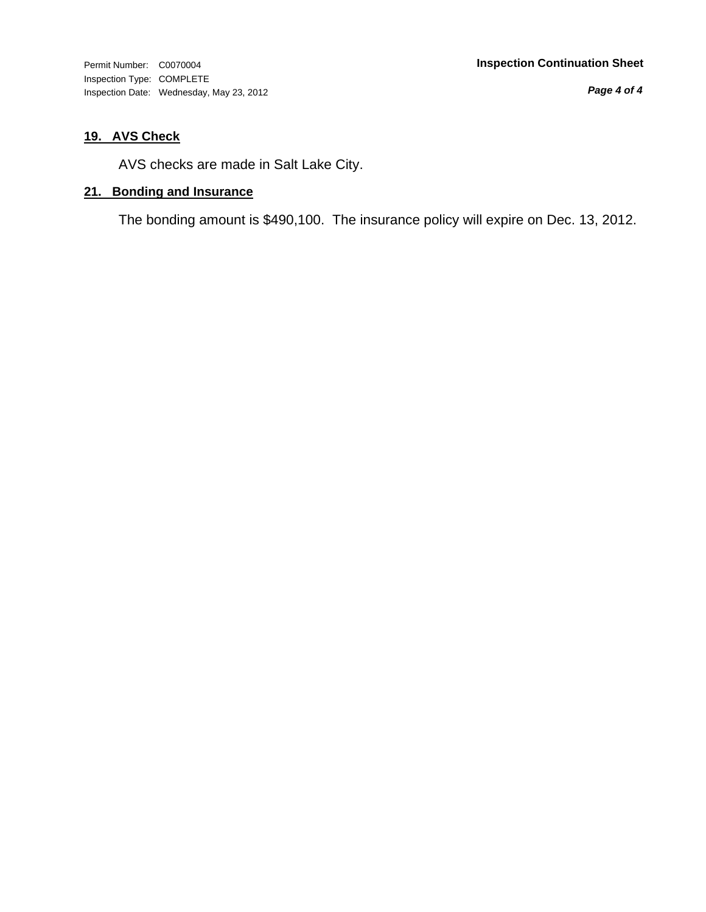*Page 4 of 4*

### **19. AVS Check**

AVS checks are made in Salt Lake City.

### **21. Bonding and Insurance**

The bonding amount is \$490,100. The insurance policy will expire on Dec. 13, 2012.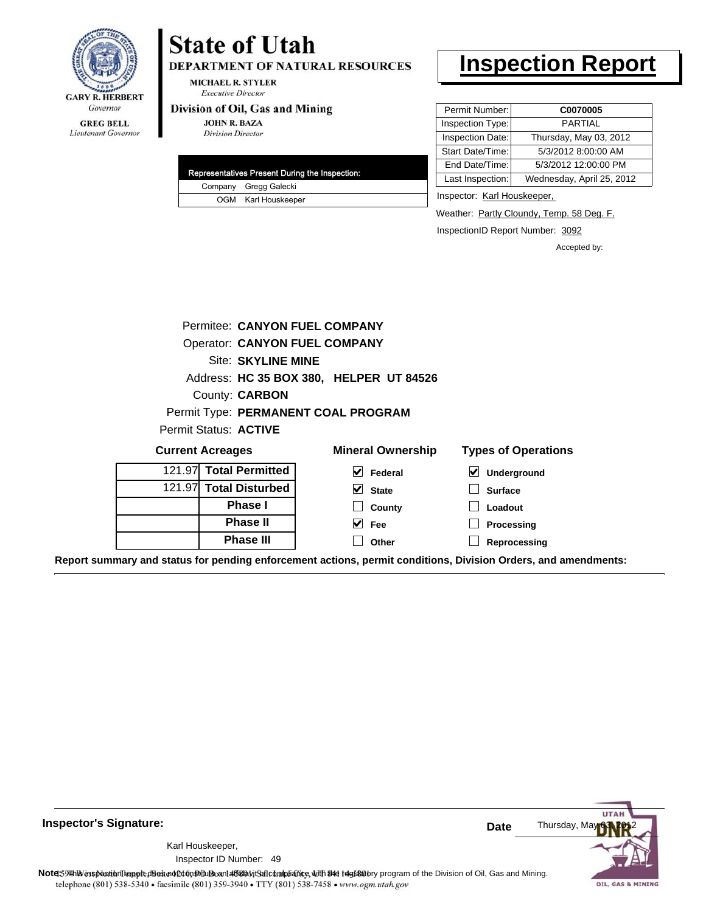

Lieutenant Governor

### **State of Utah** DEPARTMENT OF NATURAL RESOURCES

**MICHAEL R. STYLER Executive Director** 

#### Division of Oil, Gas and Mining

**JOHN R. BAZA Division Director** 

|  | Representatives Present During the Inspection: |
|--|------------------------------------------------|
|  | Company Gregg Galecki                          |
|  | OGM Karl Houskeeper                            |

### **Inspection Report**

| Permit Number:   | C0070005                  |
|------------------|---------------------------|
| Inspection Type: | <b>PARTIAL</b>            |
| Inspection Date: | Thursday, May 03, 2012    |
| Start Date/Time: | 5/3/2012 8:00:00 AM       |
| End Date/Time:   | 5/3/2012 12:00:00 PM      |
| Last Inspection: | Wednesday, April 25, 2012 |

Inspector: Karl Houskeeper,

Weather: Partly Cloundy, Temp. 58 Deg. F.

InspectionID Report Number: 3092

**Reprocessing**

Accepted by:

|                         | Permitee: CANYON FUEL COMPANY        |                                         |                            |  |  |
|-------------------------|--------------------------------------|-----------------------------------------|----------------------------|--|--|
|                         | <b>Operator: CANYON FUEL COMPANY</b> |                                         |                            |  |  |
|                         | <b>Site: SKYLINE MINE</b>            |                                         |                            |  |  |
|                         |                                      | Address: HC 35 BOX 380, HELPER UT 84526 |                            |  |  |
|                         | County: <b>CARBON</b>                |                                         |                            |  |  |
|                         |                                      | Permit Type: PERMANENT COAL PROGRAM     |                            |  |  |
|                         | Permit Status: ACTIVE                |                                         |                            |  |  |
| <b>Current Acreages</b> |                                      | <b>Mineral Ownership</b>                | <b>Types of Operations</b> |  |  |
| 121.97                  | <b>Total Permitted</b>               | V<br>Federal                            | Underground                |  |  |
|                         | 121.97 Total Disturbed               | $\vee$ State                            | <b>Surface</b>             |  |  |
|                         | <b>Phase I</b>                       | County                                  | Loadout                    |  |  |
|                         | <b>Phase II</b>                      | V<br>Fee                                | Processing                 |  |  |
|                         | <b>Phase III</b>                     | Other                                   | Reprocessing               |  |  |

**Other**

**Report summary and status for pending enforcement actions, permit conditions, Division Orders, and amendments:**



**Inspector's Signature:**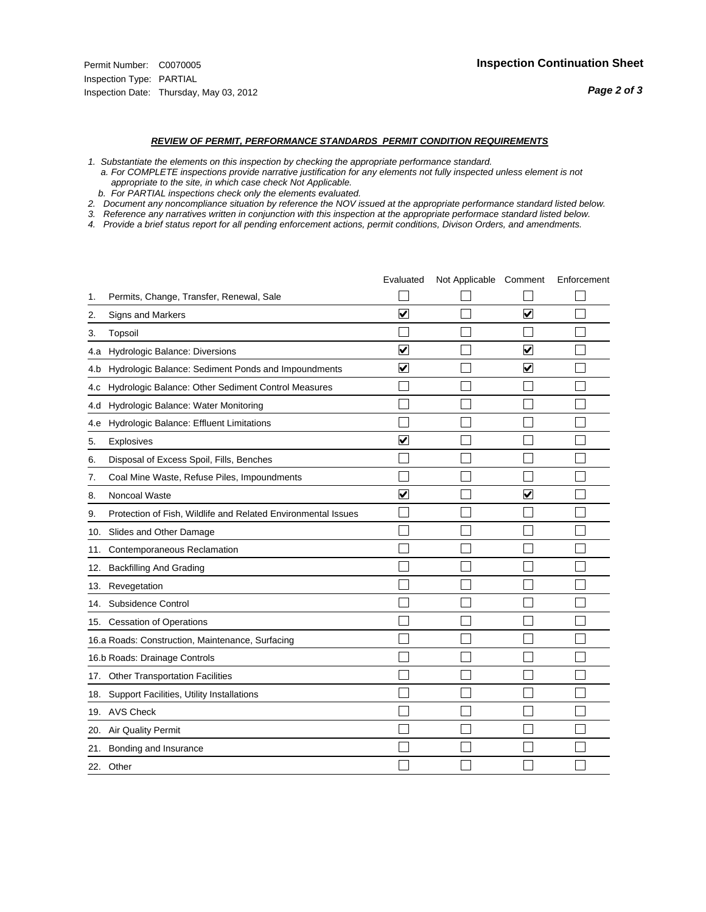#### *REVIEW OF PERMIT, PERFORMANCE STANDARDS PERMIT CONDITION REQUIREMENTS*

- *1. Substantiate the elements on this inspection by checking the appropriate performance standard.*
- *a. For COMPLETE inspections provide narrative justification for any elements not fully inspected unless element is not appropriate to the site, in which case check Not Applicable.*
- *b. For PARTIAL inspections check only the elements evaluated.*
- *2. Document any noncompliance situation by reference the NOV issued at the appropriate performance standard listed below.*
- *3. Reference any narratives written in conjunction with this inspection at the appropriate performace standard listed below.*
- *4. Provide a brief status report for all pending enforcement actions, permit conditions, Divison Orders, and amendments.*

|     |                                                               | Evaluated               | Not Applicable Comment |                         | Enforcement |
|-----|---------------------------------------------------------------|-------------------------|------------------------|-------------------------|-------------|
| 1.  | Permits, Change, Transfer, Renewal, Sale                      |                         |                        |                         |             |
| 2.  | <b>Signs and Markers</b>                                      | $\overline{\mathbf{v}}$ |                        | $\overline{\mathbf{v}}$ |             |
| 3.  | Topsoil                                                       |                         |                        |                         |             |
| 4.a | Hydrologic Balance: Diversions                                | ⊽                       |                        | $\overline{\mathbf{v}}$ |             |
| 4.b | Hydrologic Balance: Sediment Ponds and Impoundments           | $\blacktriangledown$    |                        | ⊻                       |             |
| 4.C | Hydrologic Balance: Other Sediment Control Measures           |                         |                        |                         |             |
| 4.d | Hydrologic Balance: Water Monitoring                          |                         |                        |                         |             |
| 4.e | Hydrologic Balance: Effluent Limitations                      |                         |                        |                         |             |
| 5.  | Explosives                                                    | $\overline{\mathbf{v}}$ |                        |                         |             |
| 6.  | Disposal of Excess Spoil, Fills, Benches                      |                         |                        |                         |             |
| 7.  | Coal Mine Waste, Refuse Piles, Impoundments                   |                         |                        |                         |             |
| 8.  | Noncoal Waste                                                 | $\overline{\mathsf{v}}$ |                        | $\overline{\mathbf{v}}$ |             |
| 9.  | Protection of Fish, Wildlife and Related Environmental Issues |                         |                        |                         |             |
|     | 10. Slides and Other Damage                                   |                         |                        |                         |             |
| 11. | Contemporaneous Reclamation                                   |                         |                        |                         |             |
| 12. | <b>Backfilling And Grading</b>                                |                         |                        |                         |             |
| 13. | Revegetation                                                  |                         |                        |                         |             |
| 14. | Subsidence Control                                            |                         |                        |                         |             |
|     | 15. Cessation of Operations                                   |                         |                        |                         |             |
|     | 16.a Roads: Construction, Maintenance, Surfacing              |                         |                        |                         |             |
|     | 16.b Roads: Drainage Controls                                 |                         |                        |                         |             |
|     | 17. Other Transportation Facilities                           |                         |                        |                         |             |
| 18. | Support Facilities, Utility Installations                     |                         |                        |                         |             |
|     | 19. AVS Check                                                 |                         |                        |                         |             |
| 20. | Air Quality Permit                                            |                         |                        |                         |             |
|     | 21. Bonding and Insurance                                     |                         |                        |                         |             |
|     | 22. Other                                                     |                         |                        |                         |             |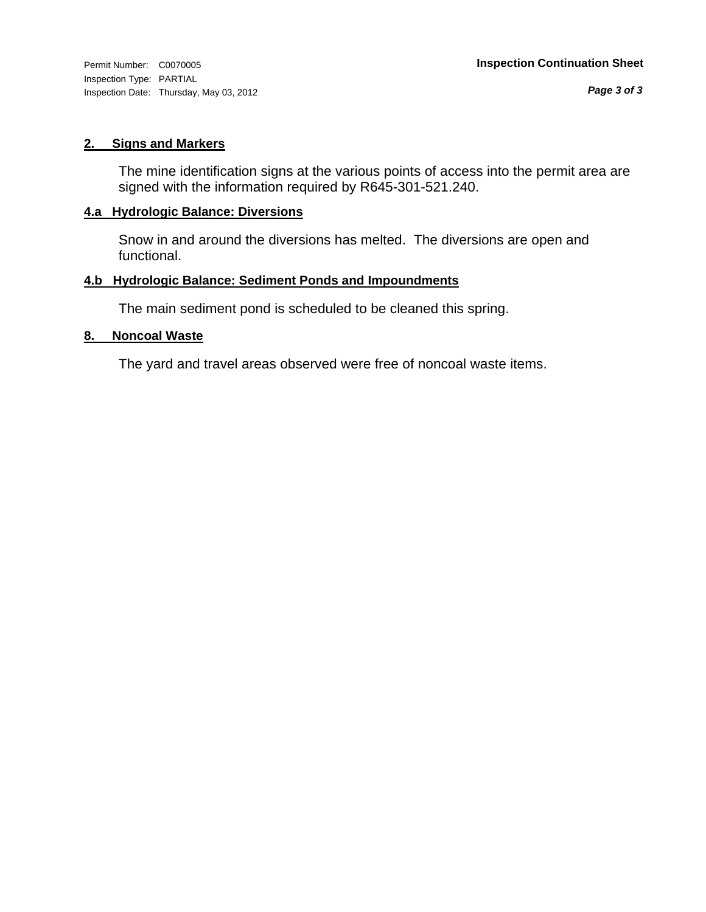Inspection Type: PARTIAL Inspection Date: Thursday, May 03, 2012

#### **2. Signs and Markers**

The mine identification signs at the various points of access into the permit area are signed with the information required by R645-301-521.240.

#### **4.a Hydrologic Balance: Diversions**

Snow in and around the diversions has melted. The diversions are open and functional.

#### **4.b Hydrologic Balance: Sediment Ponds and Impoundments**

The main sediment pond is scheduled to be cleaned this spring.

#### **8. Noncoal Waste**

The yard and travel areas observed were free of noncoal waste items.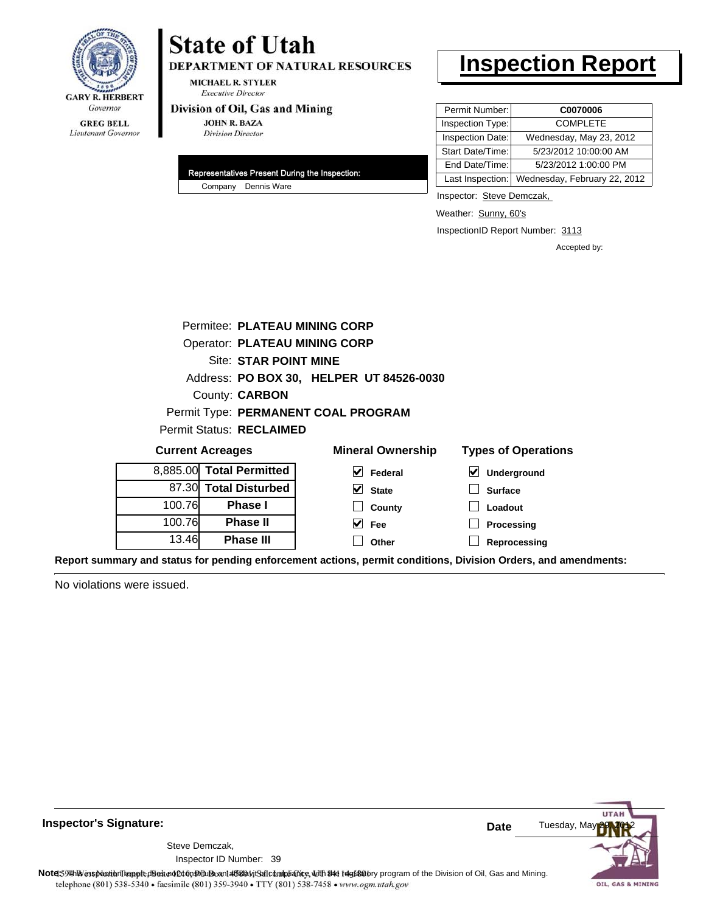

# **State of Utah**

DEPARTMENT OF NATURAL RESOURCES

**MICHAEL R. STYLER Executive Director** 

#### Division of Oil, Gas and Mining

**JOHN R. BAZA Division Director** 

| Representatives Present During the Inspection: |
|------------------------------------------------|
| Company Dennis Ware                            |

# **Inspection Report**

| Permit Number:   | C0070006                     |
|------------------|------------------------------|
| Inspection Type: | <b>COMPLETE</b>              |
| Inspection Date: | Wednesday, May 23, 2012      |
| Start Date/Time: | 5/23/2012 10:00:00 AM        |
| End Date/Time:   | 5/23/2012 1:00:00 PM         |
| Last Inspection: | Wednesday, February 22, 2012 |

Inspector: Steve Demczak,

Weather: Sunny, 60's

InspectionID Report Number: 3113

**Reprocessing**

Accepted by:

|                                                     |                                      | Permitee: PLATEAU MINING CORP            |                                     |  |  |
|-----------------------------------------------------|--------------------------------------|------------------------------------------|-------------------------------------|--|--|
|                                                     | <b>Operator: PLATEAU MINING CORP</b> |                                          |                                     |  |  |
|                                                     | Site: STAR POINT MINE                |                                          |                                     |  |  |
|                                                     |                                      | Address: PO BOX 30, HELPER UT 84526-0030 |                                     |  |  |
|                                                     | County: <b>CARBON</b>                |                                          |                                     |  |  |
| Permit Type: PERMANENT COAL PROGRAM                 |                                      |                                          |                                     |  |  |
| <b>Permit Status: RECLAIMED</b>                     |                                      |                                          |                                     |  |  |
| <b>Mineral Ownership</b><br><b>Current Acreages</b> |                                      |                                          | <b>Types of Operations</b>          |  |  |
|                                                     | 8,885.00 Total Permitted             | M<br>Federal                             | $\blacktriangledown$<br>Underground |  |  |
|                                                     | 87.30 Total Disturbed                | V<br><b>State</b>                        | <b>Surface</b>                      |  |  |
| 100.76                                              | <b>Phase I</b>                       | County                                   | Loadout                             |  |  |
| 100.76                                              | <b>Phase II</b>                      | V<br>Fee                                 | Processing                          |  |  |

**Other**

**Report summary and status for pending enforcement actions, permit conditions, Division Orders, and amendments:**

No violations were issued.

13.46

**Phase III**

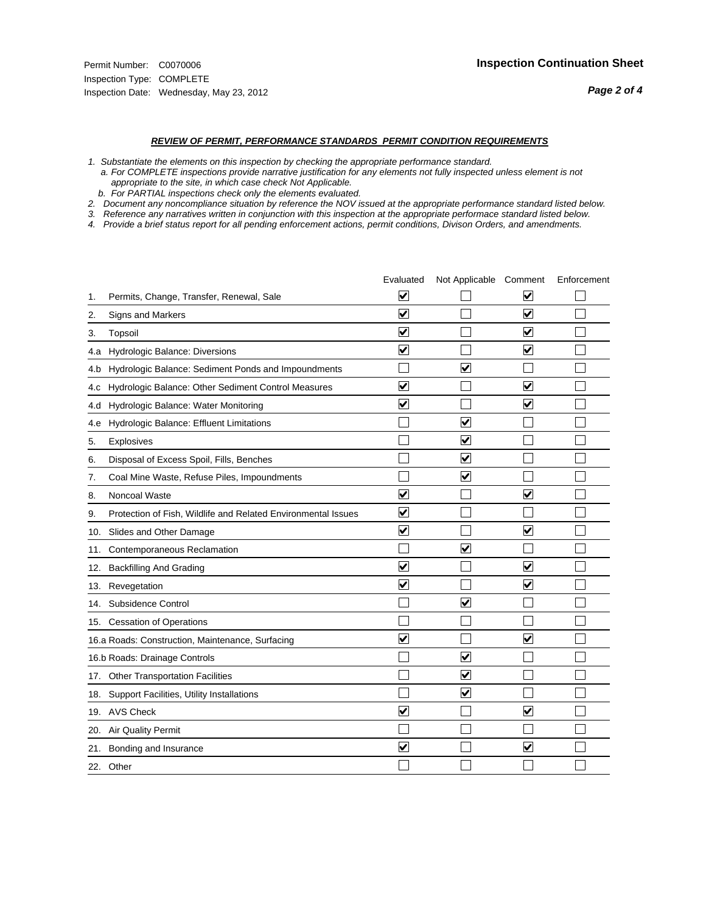#### *REVIEW OF PERMIT, PERFORMANCE STANDARDS PERMIT CONDITION REQUIREMENTS*

*1. Substantiate the elements on this inspection by checking the appropriate performance standard.*

 *a. For COMPLETE inspections provide narrative justification for any elements not fully inspected unless element is not appropriate to the site, in which case check Not Applicable.*

 *b. For PARTIAL inspections check only the elements evaluated.*

*2. Document any noncompliance situation by reference the NOV issued at the appropriate performance standard listed below.*

*3. Reference any narratives written in conjunction with this inspection at the appropriate performace standard listed below.*

*4. Provide a brief status report for all pending enforcement actions, permit conditions, Divison Orders, and amendments.*

|     |                                                               | Evaluated               | Not Applicable Comment  |                         | Enforcement |
|-----|---------------------------------------------------------------|-------------------------|-------------------------|-------------------------|-------------|
| 1.  | Permits, Change, Transfer, Renewal, Sale                      | $\overline{\mathsf{v}}$ |                         | V                       |             |
| 2.  | Signs and Markers                                             | $\overline{\mathbf{v}}$ |                         | $\blacktriangledown$    |             |
| 3.  | Topsoil                                                       | $\overline{\mathbf{v}}$ |                         | $\overline{\mathsf{v}}$ |             |
| 4.a | Hydrologic Balance: Diversions                                | $\blacktriangledown$    |                         | $\blacktriangledown$    |             |
| 4.b | Hydrologic Balance: Sediment Ponds and Impoundments           |                         | ⊽                       |                         |             |
| 4.C | Hydrologic Balance: Other Sediment Control Measures           | $\overline{\mathbf{v}}$ |                         | $\blacktriangledown$    |             |
| 4.d | Hydrologic Balance: Water Monitoring                          | $\overline{\mathbf{v}}$ |                         | $\overline{\mathbf{v}}$ |             |
| 4.e | Hydrologic Balance: Effluent Limitations                      |                         | ⊽                       |                         |             |
| 5.  | Explosives                                                    |                         | $\overline{\mathbf{v}}$ |                         |             |
| 6.  | Disposal of Excess Spoil, Fills, Benches                      |                         | $\blacktriangledown$    |                         |             |
| 7.  | Coal Mine Waste, Refuse Piles, Impoundments                   |                         | $\overline{\mathbf{v}}$ |                         |             |
| 8.  | Noncoal Waste                                                 | $\overline{\mathbf{v}}$ |                         | $\overline{\mathbf{v}}$ |             |
| 9.  | Protection of Fish, Wildlife and Related Environmental Issues | $\overline{\mathbf{v}}$ |                         |                         |             |
|     | 10. Slides and Other Damage                                   | $\overline{\mathbf{v}}$ |                         | ⊽                       |             |
| 11. | Contemporaneous Reclamation                                   |                         | ☑                       |                         |             |
| 12. | <b>Backfilling And Grading</b>                                | $\overline{\mathbf{v}}$ |                         | $\blacktriangledown$    |             |
| 13. | Revegetation                                                  | $\overline{\mathbf{v}}$ |                         | $\overline{\mathbf{v}}$ |             |
| 14. | Subsidence Control                                            |                         | $\overline{\mathbf{v}}$ |                         |             |
|     | 15. Cessation of Operations                                   |                         |                         |                         |             |
|     | 16.a Roads: Construction, Maintenance, Surfacing              | ⊽                       |                         | $\overline{\mathbf{v}}$ |             |
|     | 16.b Roads: Drainage Controls                                 |                         | $\overline{\mathbf{v}}$ |                         |             |
| 17. | <b>Other Transportation Facilities</b>                        |                         | $\overline{\mathbf{v}}$ |                         |             |
| 18. | Support Facilities, Utility Installations                     |                         | $\overline{\mathbf{v}}$ |                         |             |
|     | 19. AVS Check                                                 | $\overline{\mathbf{v}}$ |                         | $\blacktriangledown$    |             |
| 20. | Air Quality Permit                                            |                         |                         |                         |             |
| 21. | Bonding and Insurance                                         | $\overline{\mathbf{v}}$ |                         | $\blacktriangledown$    |             |
|     | 22. Other                                                     |                         |                         |                         |             |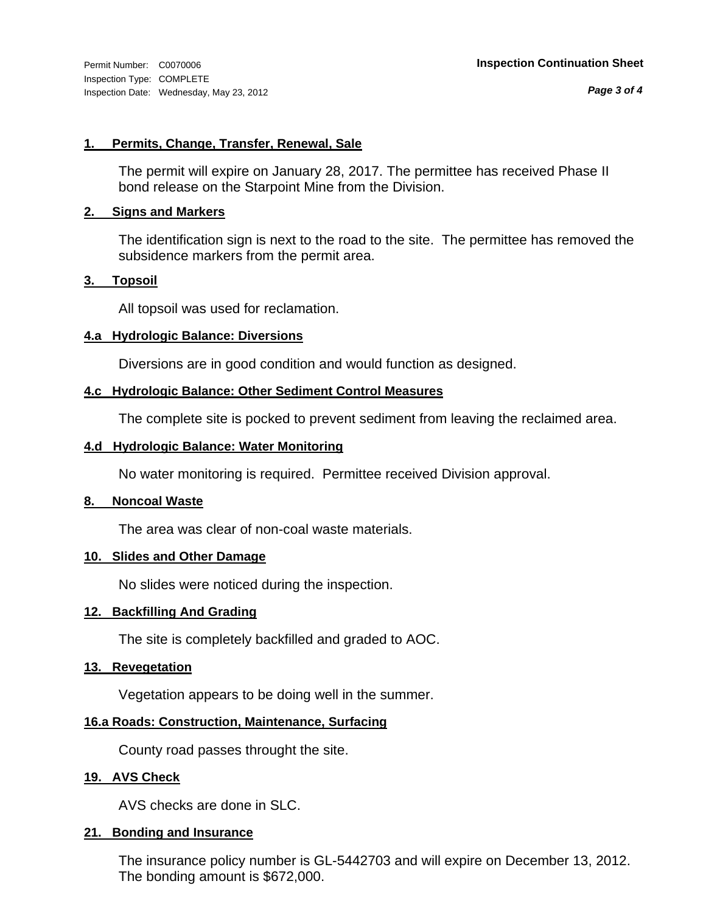#### **1. Permits, Change, Transfer, Renewal, Sale**

The permit will expire on January 28, 2017. The permittee has received Phase II bond release on the Starpoint Mine from the Division.

#### **2. Signs and Markers**

The identification sign is next to the road to the site. The permittee has removed the subsidence markers from the permit area.

#### **3. Topsoil**

All topsoil was used for reclamation.

#### **4.a Hydrologic Balance: Diversions**

Diversions are in good condition and would function as designed.

#### **4.c Hydrologic Balance: Other Sediment Control Measures**

The complete site is pocked to prevent sediment from leaving the reclaimed area.

#### **4.d Hydrologic Balance: Water Monitoring**

No water monitoring is required. Permittee received Division approval.

#### **8. Noncoal Waste**

The area was clear of non-coal waste materials.

#### **10. Slides and Other Damage**

No slides were noticed during the inspection.

#### **12. Backfilling And Grading**

The site is completely backfilled and graded to AOC.

#### **13. Revegetation**

Vegetation appears to be doing well in the summer.

#### **16.a Roads: Construction, Maintenance, Surfacing**

County road passes throught the site.

#### **19. AVS Check**

AVS checks are done in SLC.

#### **21. Bonding and Insurance**

The insurance policy number is GL-5442703 and will expire on December 13, 2012. The bonding amount is \$672,000.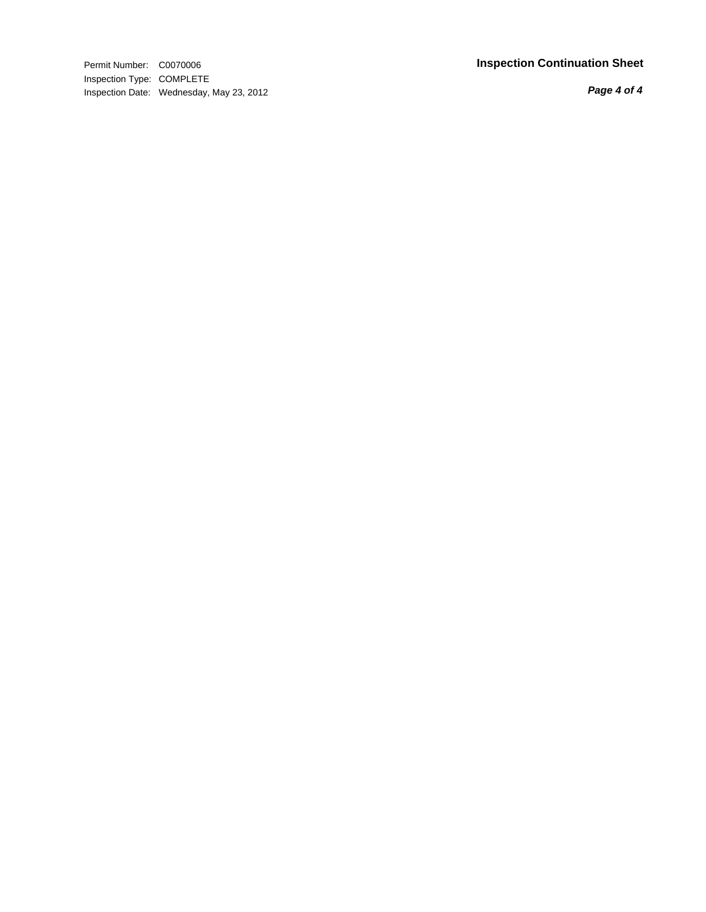Inspection Type: COMPLETE Inspection Date: Wednesday, May 23, 2012

#### Permit Number: C0070006 **Inspection Continuation Sheet**

*Page 4 of 4*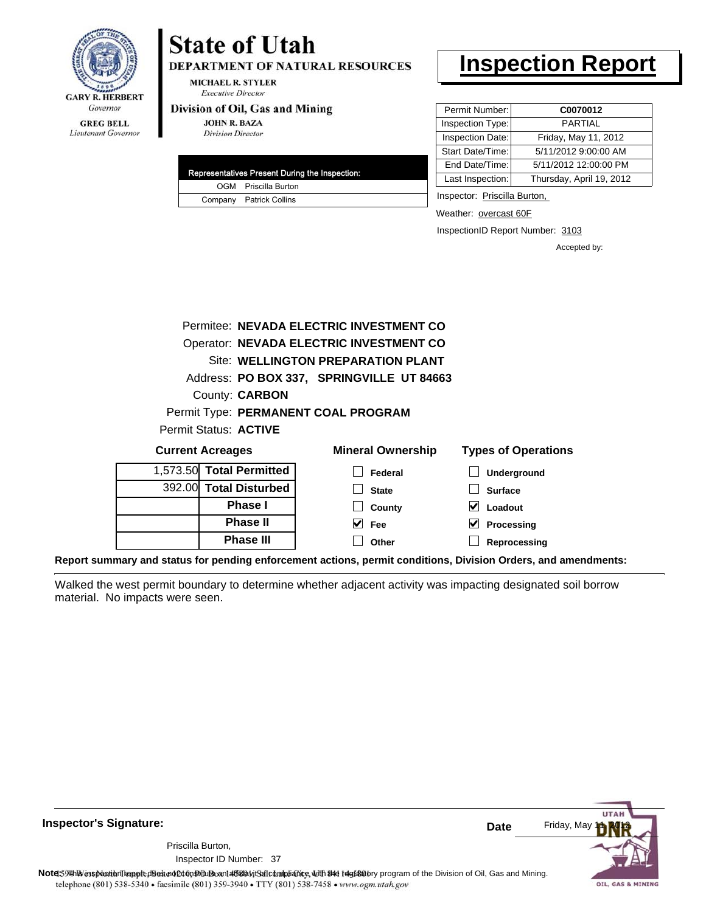

Lieutenant Governor

# **State of Utah**

DEPARTMENT OF NATURAL RESOURCES

**MICHAEL R. STYLER Executive Director** 

#### Division of Oil, Gas and Mining

**JOHN R. BAZA Division Director** 

| Representatives Present During the Inspection: |
|------------------------------------------------|
| OGM Priscilla Burton                           |
| Company Patrick Collins                        |
|                                                |

### **Inspection Report**

| Permit Number:   | C0070012                 |
|------------------|--------------------------|
| Inspection Type: | <b>PARTIAL</b>           |
| Inspection Date: | Friday, May 11, 2012     |
| Start Date/Time: | 5/11/2012 9:00:00 AM     |
| End Date/Time:   | 5/11/2012 12:00:00 PM    |
| Last Inspection: | Thursday, April 19, 2012 |

Inspector: Priscilla Burton,

Weather: overcast 60F

InspectionID Report Number: 3103

Accepted by:

|                          | Permitee: NEVADA ELECTRIC INVESTMENT CO   |                            |
|--------------------------|-------------------------------------------|----------------------------|
|                          | Operator: NEVADA ELECTRIC INVESTMENT CO   |                            |
|                          | Site: WELLINGTON PREPARATION PLANT        |                            |
|                          | Address: PO BOX 337, SPRINGVILLE UT 84663 |                            |
| County: <b>CARBON</b>    |                                           |                            |
|                          | Permit Type: PERMANENT COAL PROGRAM       |                            |
| Permit Status: ACTIVE    |                                           |                            |
| <b>Current Acreages</b>  | <b>Mineral Ownership</b>                  | <b>Types of Operations</b> |
| 1,573.50 Total Permitted | Federal                                   | <b>Underground</b>         |

| 1,573.50 Total Permitted |
|--------------------------|
| 392.00 Total Disturbed   |
| <b>Phase I</b>           |
| <b>Phase II</b>          |
| <b>Phase III</b>         |

| eral Ownership | Types of O              |
|----------------|-------------------------|
| $\Box$ Federal | $\Box$ Undergr          |
| $\Box$ State   | $\Box$ Surface          |
| $\Box$ County  | $\vee$ Loadout          |
| $\sqrt{ }$ Fee | $\triangledown$ Process |

| $\vee$ Loadout             |
|----------------------------|
| $\triangledown$ Processing |
|                            |

**Reprocessing**

**Report summary and status for pending enforcement actions, permit conditions, Division Orders, and amendments:**

**Other**

Walked the west permit boundary to determine whether adjacent activity was impacting designated soil borrow material. No impacts were seen.



**Inspector's Signature:**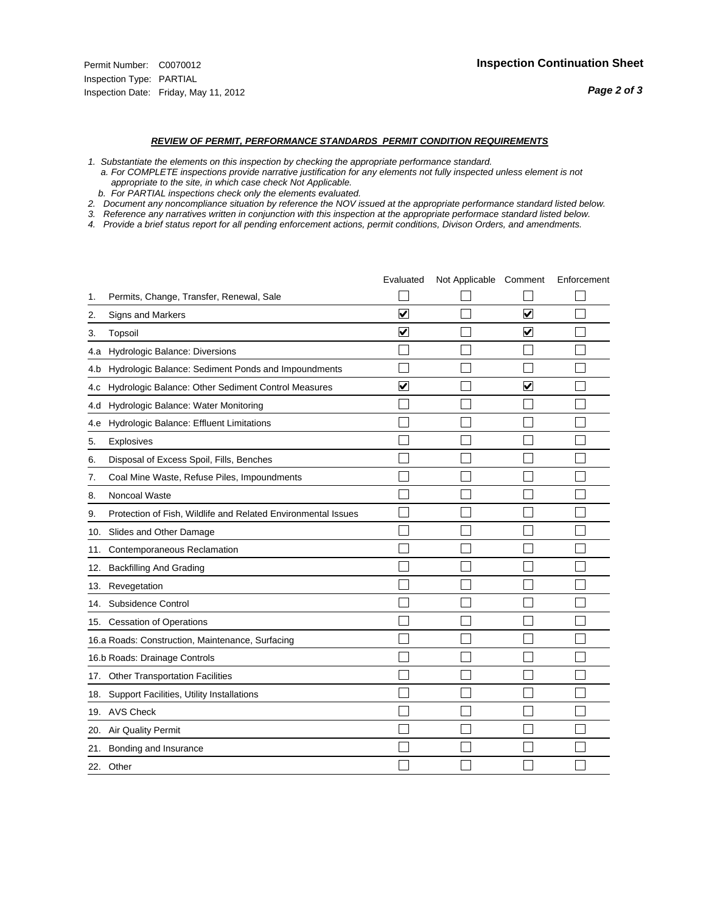#### *REVIEW OF PERMIT, PERFORMANCE STANDARDS PERMIT CONDITION REQUIREMENTS*

- *1. Substantiate the elements on this inspection by checking the appropriate performance standard.*
- *a. For COMPLETE inspections provide narrative justification for any elements not fully inspected unless element is not appropriate to the site, in which case check Not Applicable.*
- *b. For PARTIAL inspections check only the elements evaluated.*
- *2. Document any noncompliance situation by reference the NOV issued at the appropriate performance standard listed below.*
- *3. Reference any narratives written in conjunction with this inspection at the appropriate performace standard listed below.*
- *4. Provide a brief status report for all pending enforcement actions, permit conditions, Divison Orders, and amendments.*

|     |                                                               | Evaluated               | Not Applicable Comment |                         | Enforcement |
|-----|---------------------------------------------------------------|-------------------------|------------------------|-------------------------|-------------|
| 1.  | Permits, Change, Transfer, Renewal, Sale                      |                         |                        |                         |             |
| 2.  | <b>Signs and Markers</b>                                      | $\overline{\mathbf{v}}$ |                        | $\overline{\mathbf{v}}$ |             |
| 3.  | Topsoil                                                       | $\overline{\mathbf{v}}$ |                        | $\overline{\mathbf{v}}$ |             |
| 4.a | Hydrologic Balance: Diversions                                |                         |                        |                         |             |
| 4.b | Hydrologic Balance: Sediment Ponds and Impoundments           |                         |                        |                         |             |
| 4.C | Hydrologic Balance: Other Sediment Control Measures           | $\overline{\mathbf{v}}$ |                        | $\overline{\mathbf{v}}$ |             |
| 4.d | Hydrologic Balance: Water Monitoring                          |                         |                        |                         |             |
| 4.e | Hydrologic Balance: Effluent Limitations                      |                         |                        |                         |             |
| 5.  | <b>Explosives</b>                                             |                         |                        |                         |             |
| 6.  | Disposal of Excess Spoil, Fills, Benches                      |                         |                        |                         |             |
| 7.  | Coal Mine Waste, Refuse Piles, Impoundments                   |                         |                        |                         |             |
| 8.  | Noncoal Waste                                                 |                         |                        |                         |             |
| 9.  | Protection of Fish, Wildlife and Related Environmental Issues |                         |                        |                         |             |
| 10. | Slides and Other Damage                                       |                         |                        |                         |             |
| 11. | Contemporaneous Reclamation                                   |                         |                        |                         |             |
| 12. | <b>Backfilling And Grading</b>                                |                         |                        |                         |             |
| 13. | Revegetation                                                  |                         |                        |                         |             |
| 14. | Subsidence Control                                            |                         |                        |                         |             |
|     | 15. Cessation of Operations                                   |                         |                        |                         |             |
|     | 16.a Roads: Construction, Maintenance, Surfacing              |                         |                        |                         |             |
|     | 16.b Roads: Drainage Controls                                 |                         |                        |                         |             |
|     | 17. Other Transportation Facilities                           |                         |                        |                         |             |
| 18. | Support Facilities, Utility Installations                     |                         |                        |                         |             |
|     | 19. AVS Check                                                 |                         |                        |                         |             |
| 20. | Air Quality Permit                                            |                         |                        |                         |             |
|     | 21. Bonding and Insurance                                     |                         |                        |                         |             |
|     | 22. Other                                                     |                         |                        |                         |             |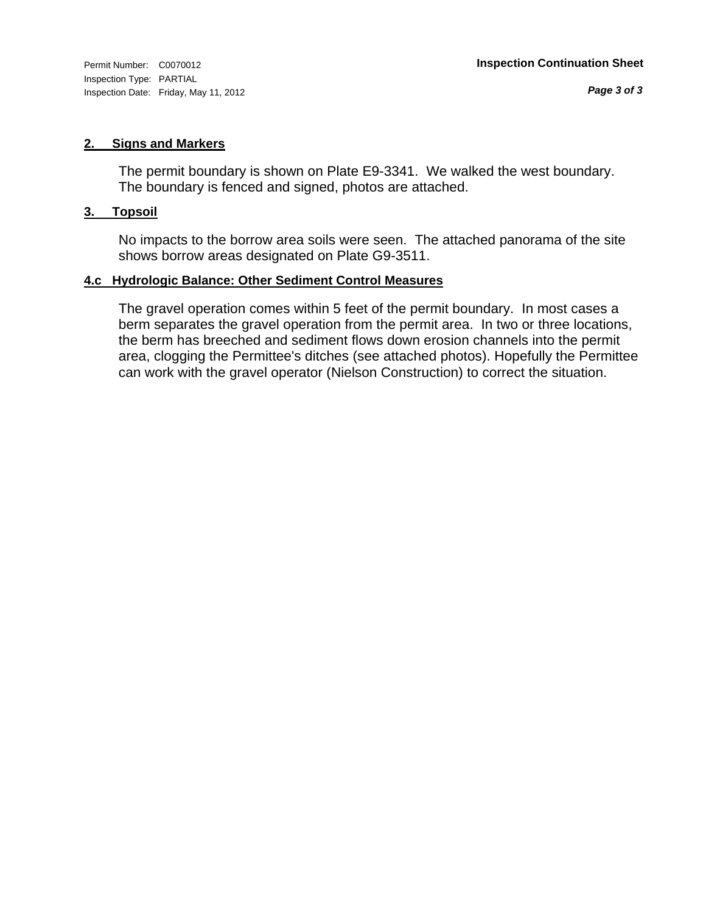Inspection Type: PARTIAL Inspection Date: Friday, May 11, 2012

#### **2. Signs and Markers**

The permit boundary is shown on Plate E9-3341. We walked the west boundary. The boundary is fenced and signed, photos are attached.

#### **3. Topsoil**

No impacts to the borrow area soils were seen. The attached panorama of the site shows borrow areas designated on Plate G9-3511.

#### **4.c Hydrologic Balance: Other Sediment Control Measures**

The gravel operation comes within 5 feet of the permit boundary. In most cases a berm separates the gravel operation from the permit area. In two or three locations, the berm has breeched and sediment flows down erosion channels into the permit area, clogging the Permittee's ditches (see attached photos). Hopefully the Permittee can work with the gravel operator (Nielson Construction) to correct the situation.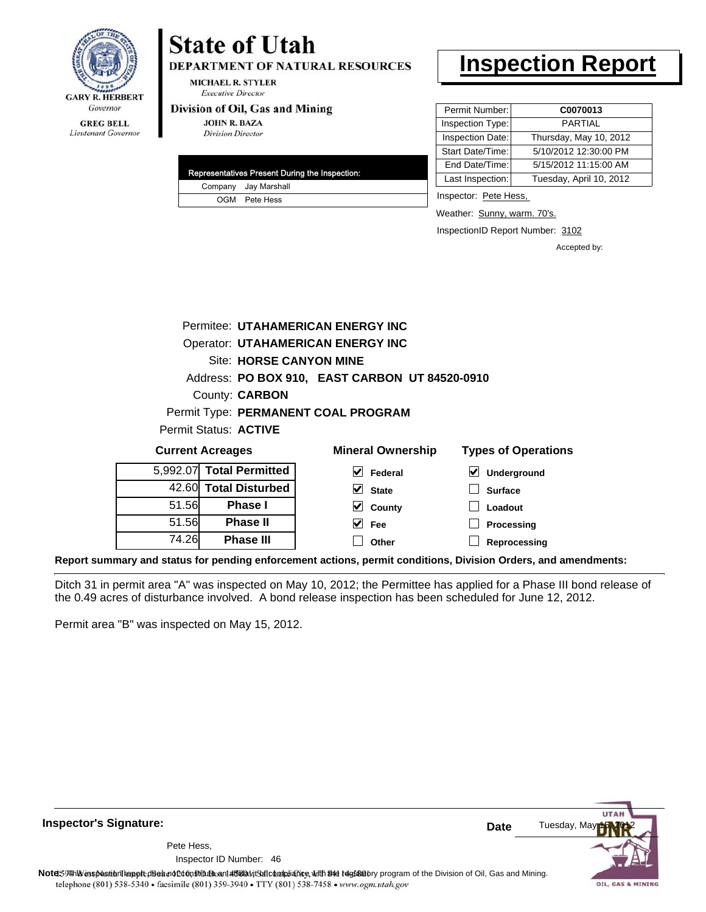

Lieutenant Governor

#### **MICHAEL R. STYLER Executive Director**

#### Division of Oil, Gas and Mining

**State of Utah** 

**JOHN R. BAZA Division Director** 

| Representatives Present During the Inspection: |                      |  |
|------------------------------------------------|----------------------|--|
|                                                | Company Jay Marshall |  |
|                                                | OGM Pete Hess        |  |

**DEPARTMENT OF NATURAL RESOURCES** 

### **Inspection Report**

| Permit Number:   | C0070013                |
|------------------|-------------------------|
| Inspection Type: | <b>PARTIAL</b>          |
| Inspection Date: | Thursday, May 10, 2012  |
| Start Date/Time: | 5/10/2012 12:30:00 PM   |
| End Date/Time:   | 5/15/2012 11:15:00 AM   |
| Last Inspection: | Tuesday, April 10, 2012 |

Inspector: Pete Hess,

Weather: Sunny, warm. 70's.

**Processing Reprocessing**

InspectionID Report Number: 3102

Accepted by:

|                         |                          | Permitee: UTAHAMERICAN ENERGY INC              |                          |                                     |
|-------------------------|--------------------------|------------------------------------------------|--------------------------|-------------------------------------|
|                         |                          | Operator: UTAHAMERICAN ENERGY INC              |                          |                                     |
|                         |                          | <b>Site: HORSE CANYON MINE</b>                 |                          |                                     |
|                         |                          | Address: PO BOX 910, EAST CARBON UT 84520-0910 |                          |                                     |
|                         | County: <b>CARBON</b>    |                                                |                          |                                     |
|                         |                          | Permit Type: PERMANENT COAL PROGRAM            |                          |                                     |
|                         | Permit Status: ACTIVE    |                                                |                          |                                     |
| <b>Current Acreages</b> |                          |                                                | <b>Mineral Ownership</b> | <b>Types of Operations</b>          |
|                         | 5,992.07 Total Permitted | V                                              | Federal                  | $\blacktriangledown$<br>Underground |
|                         | 42.60 Total Disturbed    |                                                | <b>State</b>             | <b>Surface</b>                      |
| 51.56                   | <b>Phase I</b>           |                                                | County                   | Loadout                             |

**Report summary and status for pending enforcement actions, permit conditions, Division Orders, and amendments:**

Ditch 31 in permit area "A" was inspected on May 10, 2012; the Permittee has applied for a Phase III bond release of the 0.49 acres of disturbance involved. A bond release inspection has been scheduled for June 12, 2012.

 $\blacktriangledown$ 

**Fee Other**

Permit area "B" was inspected on May 15, 2012.

51.56 74.26

**Phase II Phase III**

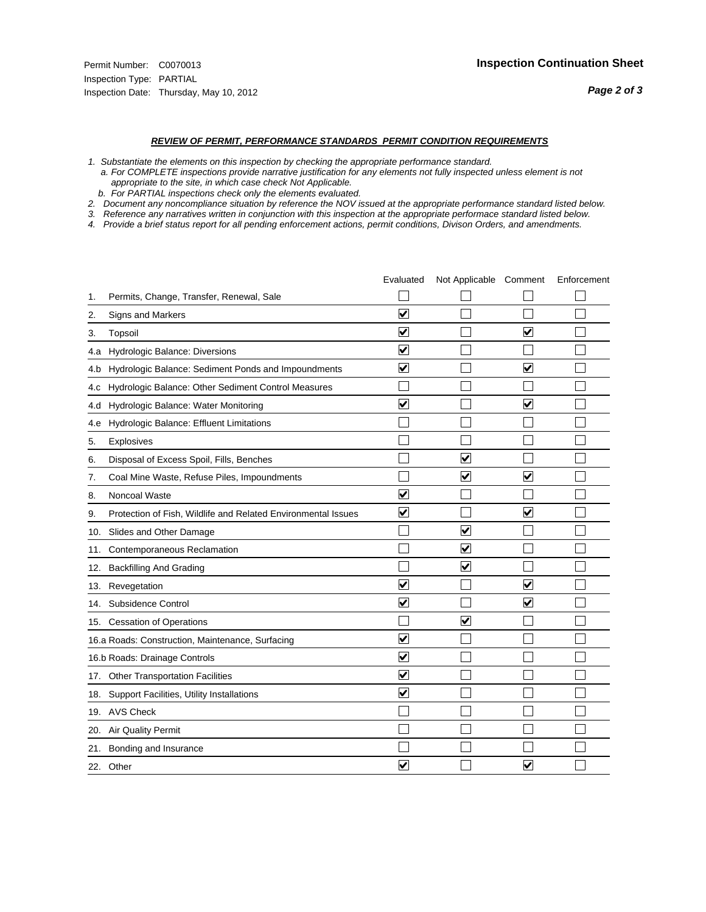#### *REVIEW OF PERMIT, PERFORMANCE STANDARDS PERMIT CONDITION REQUIREMENTS*

- *1. Substantiate the elements on this inspection by checking the appropriate performance standard.*
- *a. For COMPLETE inspections provide narrative justification for any elements not fully inspected unless element is not appropriate to the site, in which case check Not Applicable.*
- *b. For PARTIAL inspections check only the elements evaluated.*
- *2. Document any noncompliance situation by reference the NOV issued at the appropriate performance standard listed below.*
- *3. Reference any narratives written in conjunction with this inspection at the appropriate performace standard listed below.*
- *4. Provide a brief status report for all pending enforcement actions, permit conditions, Divison Orders, and amendments.*

|     |                                                               | Evaluated               | Not Applicable Comment |                         | Enforcement |
|-----|---------------------------------------------------------------|-------------------------|------------------------|-------------------------|-------------|
| 1.  | Permits, Change, Transfer, Renewal, Sale                      |                         |                        |                         |             |
| 2.  | <b>Signs and Markers</b>                                      | $\overline{\mathbf{v}}$ |                        |                         |             |
| 3.  | Topsoil                                                       | $\overline{\mathbf{v}}$ |                        | $\overline{\mathbf{v}}$ |             |
| 4.a | Hydrologic Balance: Diversions                                | ☑                       |                        |                         |             |
| 4.b | Hydrologic Balance: Sediment Ponds and Impoundments           | ⊻                       |                        | V                       |             |
| 4.C | Hydrologic Balance: Other Sediment Control Measures           |                         |                        |                         |             |
| 4.d | Hydrologic Balance: Water Monitoring                          | $\overline{\mathbf{v}}$ |                        | ☑                       |             |
| 4.e | Hydrologic Balance: Effluent Limitations                      |                         |                        |                         |             |
| 5.  | Explosives                                                    |                         |                        |                         |             |
| 6.  | Disposal of Excess Spoil, Fills, Benches                      |                         | ⊻                      |                         |             |
| 7.  | Coal Mine Waste, Refuse Piles, Impoundments                   |                         | V                      | $\blacktriangledown$    |             |
| 8.  | Noncoal Waste                                                 | $\overline{\mathbf{v}}$ |                        |                         |             |
| 9.  | Protection of Fish, Wildlife and Related Environmental Issues | $\blacktriangledown$    |                        | $\overline{\mathbf{v}}$ |             |
| 10. | Slides and Other Damage                                       |                         | ⊽                      |                         |             |
| 11. | Contemporaneous Reclamation                                   |                         | V                      |                         |             |
| 12. | <b>Backfilling And Grading</b>                                |                         | $\blacktriangledown$   |                         |             |
| 13. | Revegetation                                                  | $\overline{\mathbf{v}}$ |                        | $\overline{\mathsf{v}}$ |             |
| 14. | Subsidence Control                                            | $\overline{\mathbf{v}}$ |                        | V                       |             |
|     | 15. Cessation of Operations                                   |                         | ⊽                      |                         |             |
|     | 16.a Roads: Construction, Maintenance, Surfacing              | ⊽                       |                        |                         |             |
|     | 16.b Roads: Drainage Controls                                 | $\overline{\mathsf{v}}$ |                        |                         |             |
| 17. | <b>Other Transportation Facilities</b>                        | $\overline{\mathbf{v}}$ |                        |                         |             |
| 18. | Support Facilities, Utility Installations                     | $\overline{\mathbf{v}}$ |                        |                         |             |
|     | 19. AVS Check                                                 |                         |                        |                         |             |
| 20. | <b>Air Quality Permit</b>                                     |                         |                        |                         |             |
|     | 21. Bonding and Insurance                                     |                         |                        |                         |             |
|     | 22. Other                                                     | $\overline{\mathbf{v}}$ |                        | V                       |             |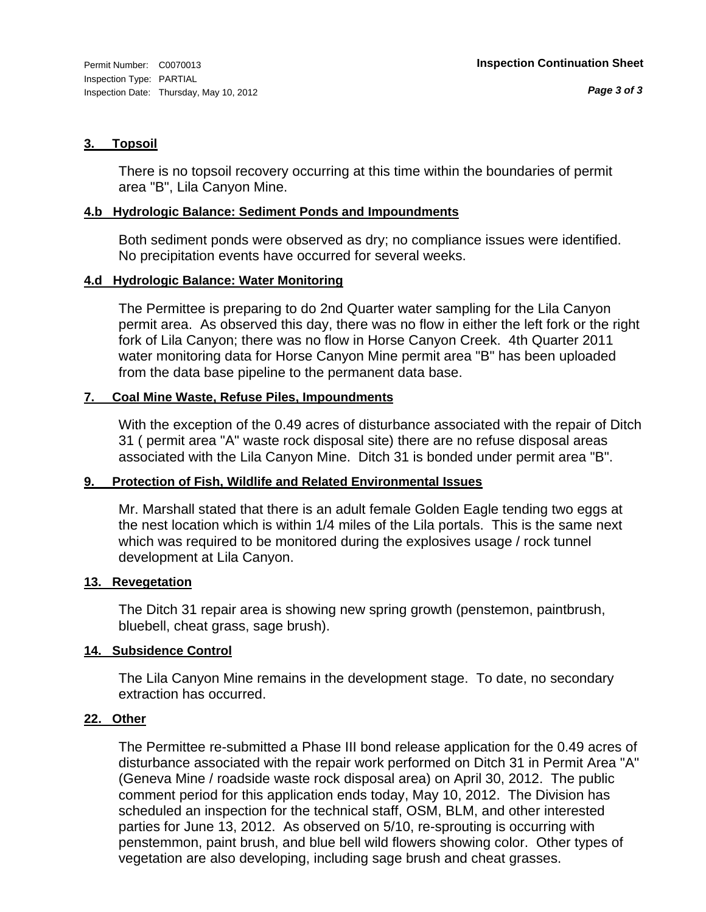#### **3. Topsoil**

There is no topsoil recovery occurring at this time within the boundaries of permit area "B", Lila Canyon Mine.

#### **4.b Hydrologic Balance: Sediment Ponds and Impoundments**

Both sediment ponds were observed as dry; no compliance issues were identified. No precipitation events have occurred for several weeks.

#### **4.d Hydrologic Balance: Water Monitoring**

The Permittee is preparing to do 2nd Quarter water sampling for the Lila Canyon permit area. As observed this day, there was no flow in either the left fork or the right fork of Lila Canyon; there was no flow in Horse Canyon Creek. 4th Quarter 2011 water monitoring data for Horse Canyon Mine permit area "B" has been uploaded from the data base pipeline to the permanent data base.

#### **7. Coal Mine Waste, Refuse Piles, Impoundments**

With the exception of the 0.49 acres of disturbance associated with the repair of Ditch 31 ( permit area "A" waste rock disposal site) there are no refuse disposal areas associated with the Lila Canyon Mine. Ditch 31 is bonded under permit area "B".

#### **9. Protection of Fish, Wildlife and Related Environmental Issues**

Mr. Marshall stated that there is an adult female Golden Eagle tending two eggs at the nest location which is within 1/4 miles of the Lila portals. This is the same next which was required to be monitored during the explosives usage / rock tunnel development at Lila Canyon.

#### **13. Revegetation**

The Ditch 31 repair area is showing new spring growth (penstemon, paintbrush, bluebell, cheat grass, sage brush).

#### **14. Subsidence Control**

The Lila Canyon Mine remains in the development stage. To date, no secondary extraction has occurred.

#### **22. Other**

The Permittee re-submitted a Phase III bond release application for the 0.49 acres of disturbance associated with the repair work performed on Ditch 31 in Permit Area "A" (Geneva Mine / roadside waste rock disposal area) on April 30, 2012. The public comment period for this application ends today, May 10, 2012. The Division has scheduled an inspection for the technical staff, OSM, BLM, and other interested parties for June 13, 2012. As observed on 5/10, re-sprouting is occurring with penstemmon, paint brush, and blue bell wild flowers showing color. Other types of vegetation are also developing, including sage brush and cheat grasses.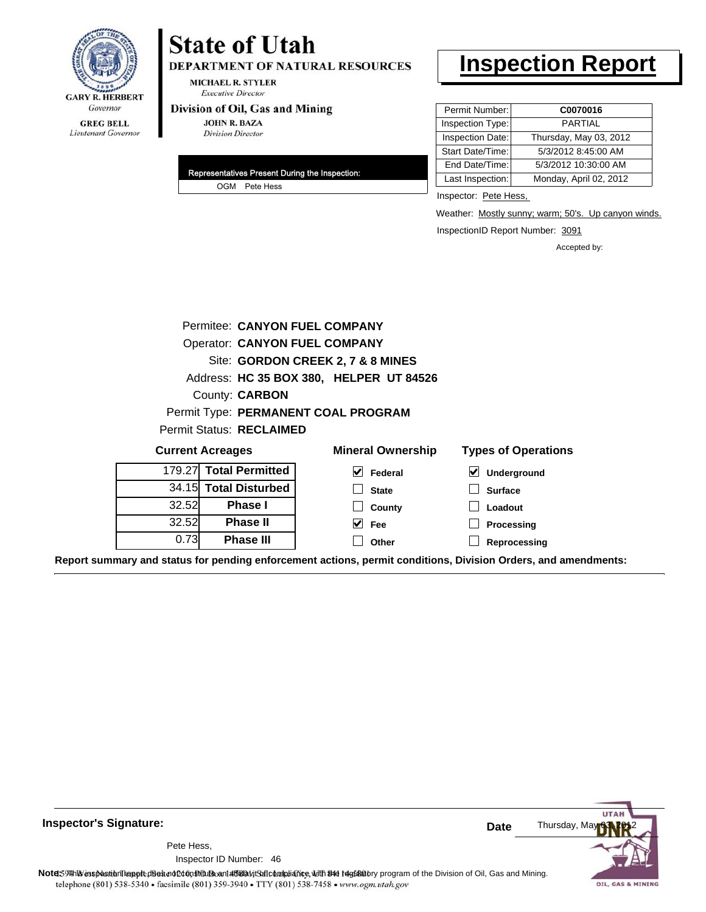

# **State of Utah**

DEPARTMENT OF NATURAL RESOURCES

**MICHAEL R. STYLER Executive Director** 

#### Division of Oil, Gas and Mining

**JOHN R. BAZA Division Director** 

| Representatives Present During the Inspection: |
|------------------------------------------------|
| OGM Pete Hess                                  |

# **Inspection Report**

| Permit Number:   | C0070016               |
|------------------|------------------------|
| Inspection Type: | <b>PARTIAL</b>         |
| Inspection Date: | Thursday, May 03, 2012 |
| Start Date/Time: | 5/3/2012 8:45:00 AM    |
| End Date/Time:   | 5/3/2012 10:30:00 AM   |
| Last Inspection: | Monday, April 02, 2012 |

Inspector: Pete Hess,

Weather: Mostly sunny; warm; 50's. Up canyon winds.

InspectionID Report Number: 3091

Accepted by:

|        |                                                                                   | Permitee: CANYON FUEL COMPANY           |                                     |  |  |
|--------|-----------------------------------------------------------------------------------|-----------------------------------------|-------------------------------------|--|--|
|        | Operator: CANYON FUEL COMPANY                                                     |                                         |                                     |  |  |
|        |                                                                                   | Site: GORDON CREEK 2, 7 & 8 MINES       |                                     |  |  |
|        |                                                                                   | Address: HC 35 BOX 380, HELPER UT 84526 |                                     |  |  |
|        | County: <b>CARBON</b>                                                             |                                         |                                     |  |  |
|        |                                                                                   | Permit Type: PERMANENT COAL PROGRAM     |                                     |  |  |
|        | <b>Permit Status: RECLAIMED</b>                                                   |                                         |                                     |  |  |
|        | <b>Mineral Ownership</b><br><b>Types of Operations</b><br><b>Current Acreages</b> |                                         |                                     |  |  |
|        | 179.27 Total Permitted                                                            | $\triangledown$ Federal                 | $\blacktriangledown$<br>Underground |  |  |
|        | 34.15 Total Disturbed                                                             | <b>State</b>                            | <b>Surface</b>                      |  |  |
| 32.52l | Phase I                                                                           | County                                  | Loadout                             |  |  |
| 32.52l | <b>Phase II</b>                                                                   | $\vee$ Fee                              | Processing                          |  |  |
| 0.73   | <b>Phase III</b>                                                                  | Other                                   | Reprocessing                        |  |  |

**Report summary and status for pending enforcement actions, permit conditions, Division Orders, and amendments:**

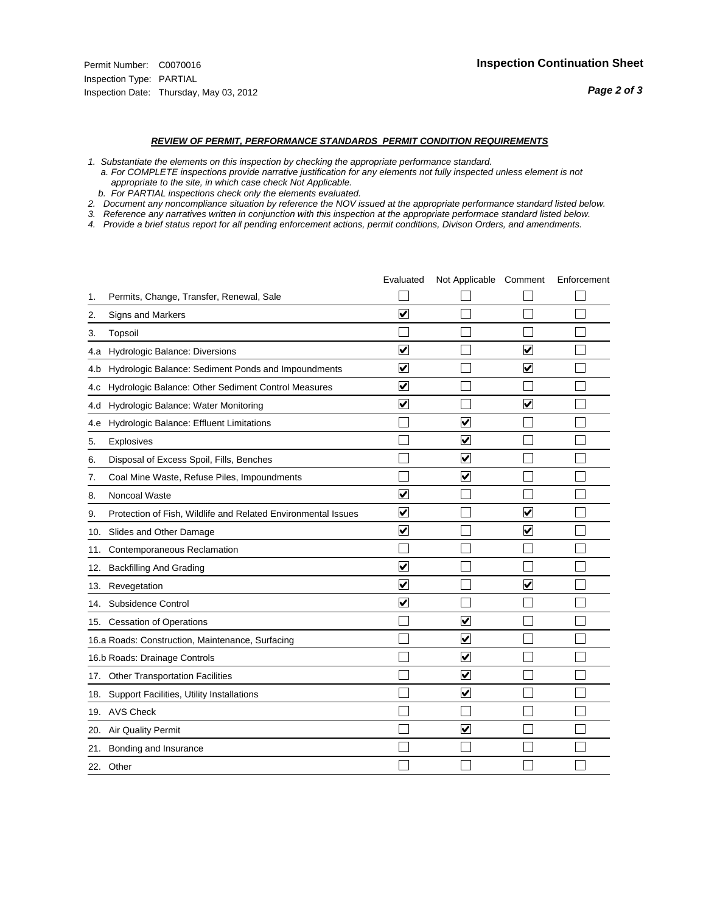#### *REVIEW OF PERMIT, PERFORMANCE STANDARDS PERMIT CONDITION REQUIREMENTS*

- *1. Substantiate the elements on this inspection by checking the appropriate performance standard.*
- *a. For COMPLETE inspections provide narrative justification for any elements not fully inspected unless element is not appropriate to the site, in which case check Not Applicable.*
- *b. For PARTIAL inspections check only the elements evaluated.*
- *2. Document any noncompliance situation by reference the NOV issued at the appropriate performance standard listed below.*
- *3. Reference any narratives written in conjunction with this inspection at the appropriate performace standard listed below.*
- *4. Provide a brief status report for all pending enforcement actions, permit conditions, Divison Orders, and amendments.*

|     |                                                               | Evaluated               | Not Applicable Comment  |                         | Enforcement |
|-----|---------------------------------------------------------------|-------------------------|-------------------------|-------------------------|-------------|
| 1.  | Permits, Change, Transfer, Renewal, Sale                      |                         |                         |                         |             |
| 2.  | <b>Signs and Markers</b>                                      | $\overline{\mathbf{v}}$ |                         |                         |             |
| 3.  | Topsoil                                                       |                         |                         |                         |             |
| 4.a | Hydrologic Balance: Diversions                                | $\blacktriangledown$    |                         | $\overline{\mathbf{v}}$ |             |
| 4.b | Hydrologic Balance: Sediment Ponds and Impoundments           | $\blacktriangledown$    |                         | ⊻                       |             |
| 4.c | Hydrologic Balance: Other Sediment Control Measures           | $\overline{\mathbf{v}}$ |                         |                         |             |
| 4.d | Hydrologic Balance: Water Monitoring                          | $\overline{\mathbf{v}}$ |                         | $\overline{\mathbf{v}}$ |             |
| 4.e | Hydrologic Balance: Effluent Limitations                      |                         | $\overline{\mathbf{v}}$ |                         |             |
| 5.  | <b>Explosives</b>                                             |                         | $\blacktriangledown$    |                         |             |
| 6.  | Disposal of Excess Spoil, Fills, Benches                      |                         | $\overline{\mathbf{v}}$ |                         |             |
| 7.  | Coal Mine Waste, Refuse Piles, Impoundments                   |                         | $\blacktriangledown$    |                         |             |
| 8.  | Noncoal Waste                                                 | $\overline{\mathbf{v}}$ |                         |                         |             |
| 9.  | Protection of Fish, Wildlife and Related Environmental Issues | $\overline{\mathbf{v}}$ |                         | $\overline{\mathbf{v}}$ |             |
|     | 10. Slides and Other Damage                                   | $\overline{\mathbf{v}}$ |                         | $\blacktriangledown$    |             |
| 11. | Contemporaneous Reclamation                                   |                         |                         |                         |             |
| 12. | <b>Backfilling And Grading</b>                                | $\blacktriangledown$    |                         |                         |             |
| 13. | Revegetation                                                  | $\overline{\mathbf{v}}$ |                         | $\overline{\mathbf{v}}$ |             |
| 14. | Subsidence Control                                            | $\overline{\mathbf{v}}$ |                         |                         |             |
|     | 15. Cessation of Operations                                   |                         | $\overline{\mathbf{v}}$ |                         |             |
|     | 16.a Roads: Construction, Maintenance, Surfacing              |                         | ☑                       |                         |             |
|     | 16.b Roads: Drainage Controls                                 |                         | $\blacktriangledown$    |                         |             |
| 17. | <b>Other Transportation Facilities</b>                        |                         | $\overline{\mathbf{v}}$ |                         |             |
| 18. | Support Facilities, Utility Installations                     |                         | ☑                       |                         |             |
|     | 19. AVS Check                                                 |                         |                         |                         |             |
| 20. | <b>Air Quality Permit</b>                                     |                         | $\blacktriangledown$    |                         |             |
|     | 21. Bonding and Insurance                                     |                         |                         |                         |             |
|     | 22. Other                                                     |                         |                         |                         |             |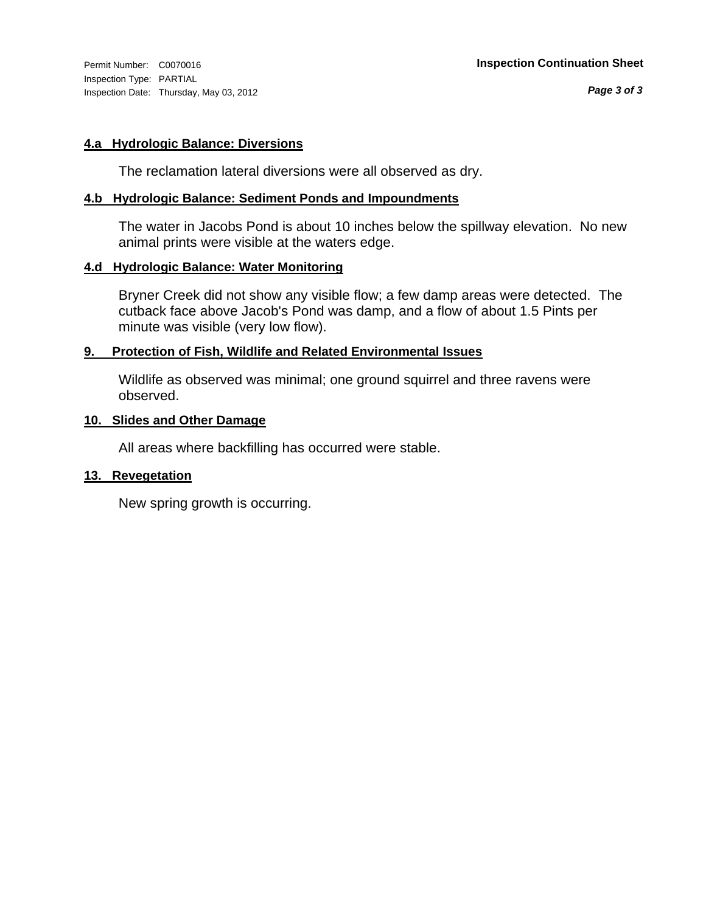Inspection Type: PARTIAL Inspection Date: Thursday, May 03, 2012

#### **4.a Hydrologic Balance: Diversions**

The reclamation lateral diversions were all observed as dry.

#### **4.b Hydrologic Balance: Sediment Ponds and Impoundments**

The water in Jacobs Pond is about 10 inches below the spillway elevation. No new animal prints were visible at the waters edge.

#### **4.d Hydrologic Balance: Water Monitoring**

Bryner Creek did not show any visible flow; a few damp areas were detected. The cutback face above Jacob's Pond was damp, and a flow of about 1.5 Pints per minute was visible (very low flow).

#### **9. Protection of Fish, Wildlife and Related Environmental Issues**

Wildlife as observed was minimal; one ground squirrel and three ravens were observed.

#### **10. Slides and Other Damage**

All areas where backfilling has occurred were stable.

#### **13. Revegetation**

New spring growth is occurring.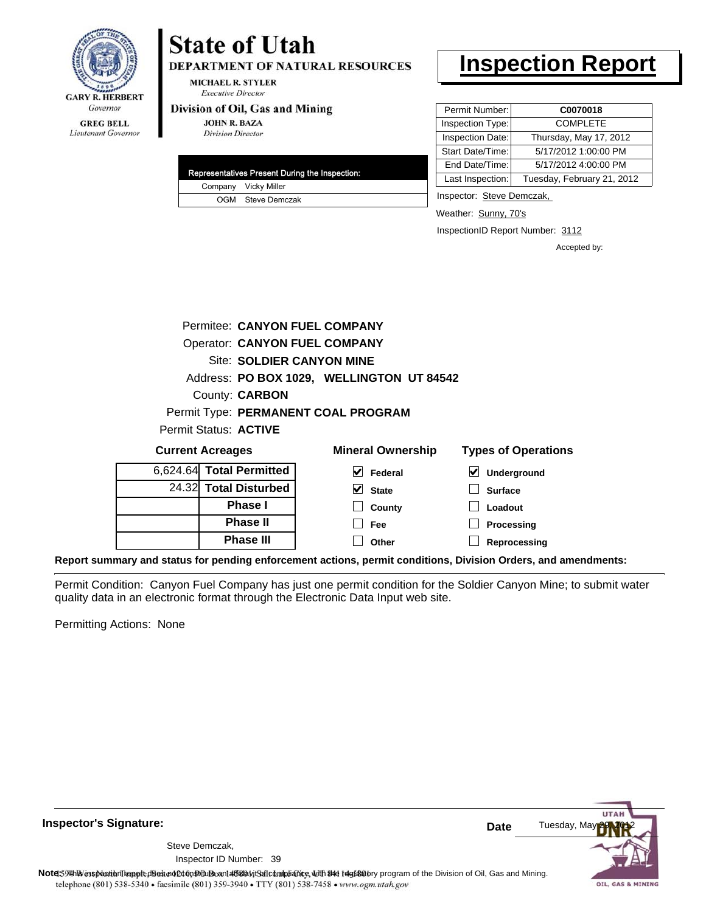

Lieutenant Governor

# **State of Utah**

**DEPARTMENT OF NATURAL RESOURCES** 

**MICHAEL R. STYLER Executive Director** 

#### Division of Oil, Gas and Mining

**JOHN R. BAZA Division Director** 

|  | Representatives Present During the Inspection: |
|--|------------------------------------------------|
|  | Company Vicky Miller                           |
|  | OGM Steve Demczak                              |

# **Inspection Report**

| Permit Number:   | C0070018                   |
|------------------|----------------------------|
| Inspection Type: | <b>COMPLETE</b>            |
| Inspection Date: | Thursday, May 17, 2012     |
| Start Date/Time: | 5/17/2012 1:00:00 PM       |
| End Date/Time:   | 5/17/2012 4:00:00 PM       |
| Last Inspection: | Tuesday, February 21, 2012 |

Inspector: Steve Demczak,

Weather: Sunny, 70's

InspectionID Report Number: 3112

**Processing**

Accepted by:

|                         |  |                          | Permitee: CANYON FUEL COMPANY             |                            |                  |
|-------------------------|--|--------------------------|-------------------------------------------|----------------------------|------------------|
|                         |  |                          | <b>Operator: CANYON FUEL COMPANY</b>      |                            |                  |
|                         |  |                          | Site: SOLDIER CANYON MINE                 |                            |                  |
|                         |  |                          | Address: PO BOX 1029, WELLINGTON UT 84542 |                            |                  |
|                         |  | County: <b>CARBON</b>    |                                           |                            |                  |
|                         |  |                          | Permit Type: PERMANENT COAL PROGRAM       |                            |                  |
|                         |  | Permit Status: ACTIVE    |                                           |                            |                  |
| <b>Current Acreages</b> |  |                          | <b>Mineral Ownership</b>                  | <b>Types of Operations</b> |                  |
|                         |  | 6,624.64 Total Permitted | V                                         | Federal                    | V<br>Underground |
|                         |  | 24.32 Total Disturbed    | V                                         | <b>State</b>               | <b>Surface</b>   |
|                         |  | <b>Phase I</b>           |                                           | County                     | Loadout          |

**Fee**

**Reprocessing Report summary and status for pending enforcement actions, permit conditions, Division Orders, and amendments: Other**

**Phase II Phase III**

Permit Condition: Canyon Fuel Company has just one permit condition for the Soldier Canyon Mine; to submit water quality data in an electronic format through the Electronic Data Input web site.

Permitting Actions: None

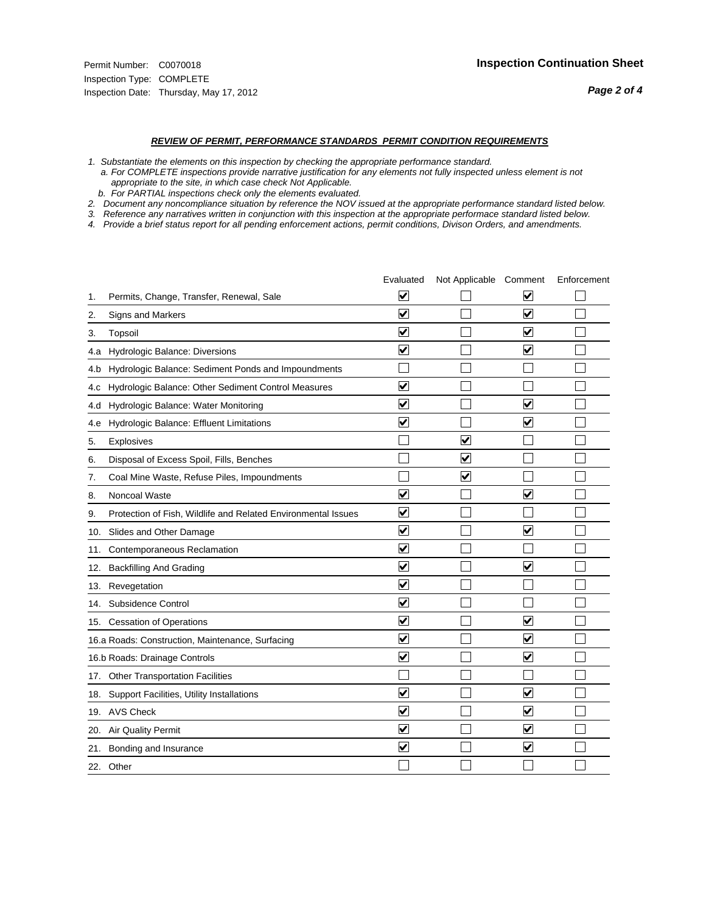#### *REVIEW OF PERMIT, PERFORMANCE STANDARDS PERMIT CONDITION REQUIREMENTS*

*1. Substantiate the elements on this inspection by checking the appropriate performance standard.*

 *a. For COMPLETE inspections provide narrative justification for any elements not fully inspected unless element is not appropriate to the site, in which case check Not Applicable.*

 *b. For PARTIAL inspections check only the elements evaluated.*

*2. Document any noncompliance situation by reference the NOV issued at the appropriate performance standard listed below.*

*3. Reference any narratives written in conjunction with this inspection at the appropriate performace standard listed below.*

*4. Provide a brief status report for all pending enforcement actions, permit conditions, Divison Orders, and amendments.*

|     |                                                               | Evaluated               | Not Applicable Comment  |                         | Enforcement |
|-----|---------------------------------------------------------------|-------------------------|-------------------------|-------------------------|-------------|
| 1.  | Permits, Change, Transfer, Renewal, Sale                      | $\overline{\mathsf{v}}$ |                         | V                       |             |
| 2.  | Signs and Markers                                             | $\overline{\mathbf{v}}$ |                         | $\blacktriangledown$    |             |
| 3.  | Topsoil                                                       | $\overline{\mathbf{v}}$ |                         | $\overline{\mathsf{v}}$ |             |
| 4.a | Hydrologic Balance: Diversions                                | $\blacktriangledown$    |                         | $\blacktriangledown$    |             |
| 4.b | Hydrologic Balance: Sediment Ponds and Impoundments           |                         |                         |                         |             |
| 4.C | Hydrologic Balance: Other Sediment Control Measures           | $\overline{\mathbf{v}}$ |                         |                         |             |
| 4.d | Hydrologic Balance: Water Monitoring                          | $\overline{\mathbf{v}}$ |                         | $\overline{\mathbf{v}}$ |             |
| 4.e | Hydrologic Balance: Effluent Limitations                      | $\overline{\mathbf{v}}$ |                         | $\blacktriangledown$    |             |
| 5.  | <b>Explosives</b>                                             |                         | ⊽                       |                         |             |
| 6.  | Disposal of Excess Spoil, Fills, Benches                      |                         | $\blacktriangledown$    |                         |             |
| 7.  | Coal Mine Waste, Refuse Piles, Impoundments                   |                         | $\overline{\mathbf{v}}$ |                         |             |
| 8.  | Noncoal Waste                                                 | $\overline{\mathbf{v}}$ |                         | $\overline{\mathbf{v}}$ |             |
| 9.  | Protection of Fish, Wildlife and Related Environmental Issues | $\overline{\mathbf{v}}$ |                         |                         |             |
|     | 10. Slides and Other Damage                                   | $\overline{\mathbf{v}}$ |                         | ⊽                       |             |
| 11. | Contemporaneous Reclamation                                   | ⊽                       |                         |                         |             |
| 12. | <b>Backfilling And Grading</b>                                | $\overline{\mathbf{v}}$ |                         | $\blacktriangledown$    |             |
| 13. | Revegetation                                                  | $\overline{\mathbf{v}}$ |                         |                         |             |
| 14. | Subsidence Control                                            | $\overline{\mathbf{v}}$ |                         |                         |             |
|     | 15. Cessation of Operations                                   | $\overline{\mathbf{v}}$ |                         | $\blacktriangledown$    |             |
|     | 16.a Roads: Construction, Maintenance, Surfacing              | $\blacktriangledown$    |                         | $\blacktriangledown$    |             |
|     | 16.b Roads: Drainage Controls                                 | $\overline{\mathbf{v}}$ |                         | $\overline{\mathbf{v}}$ |             |
| 17. | <b>Other Transportation Facilities</b>                        |                         |                         |                         |             |
| 18. | Support Facilities, Utility Installations                     | $\overline{\mathbf{v}}$ |                         | $\blacktriangledown$    |             |
|     | 19. AVS Check                                                 | $\overline{\mathbf{v}}$ |                         | $\blacktriangledown$    |             |
| 20. | Air Quality Permit                                            | $\checkmark$            |                         | $\blacktriangledown$    |             |
| 21. | Bonding and Insurance                                         | $\overline{\mathbf{v}}$ |                         | $\blacktriangledown$    |             |
|     | 22. Other                                                     |                         |                         |                         |             |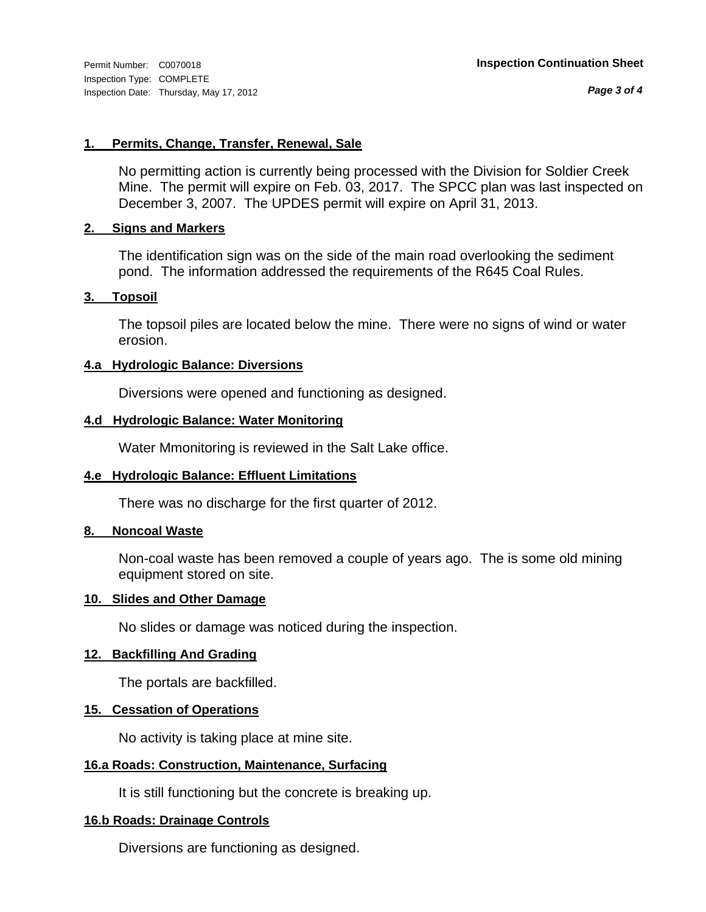*Page 3 of 4*

#### **1. Permits, Change, Transfer, Renewal, Sale**

No permitting action is currently being processed with the Division for Soldier Creek Mine. The permit will expire on Feb. 03, 2017. The SPCC plan was last inspected on December 3, 2007. The UPDES permit will expire on April 31, 2013.

#### **2. Signs and Markers**

The identification sign was on the side of the main road overlooking the sediment pond. The information addressed the requirements of the R645 Coal Rules.

#### **3. Topsoil**

The topsoil piles are located below the mine. There were no signs of wind or water erosion.

#### **4.a Hydrologic Balance: Diversions**

Diversions were opened and functioning as designed.

#### **4.d Hydrologic Balance: Water Monitoring**

Water Mmonitoring is reviewed in the Salt Lake office.

#### **4.e Hydrologic Balance: Effluent Limitations**

There was no discharge for the first quarter of 2012.

#### **8. Noncoal Waste**

Non-coal waste has been removed a couple of years ago. The is some old mining equipment stored on site.

#### **10. Slides and Other Damage**

No slides or damage was noticed during the inspection.

#### **12. Backfilling And Grading**

The portals are backfilled.

#### **15. Cessation of Operations**

No activity is taking place at mine site.

#### **16.a Roads: Construction, Maintenance, Surfacing**

It is still functioning but the concrete is breaking up.

#### **16.b Roads: Drainage Controls**

Diversions are functioning as designed.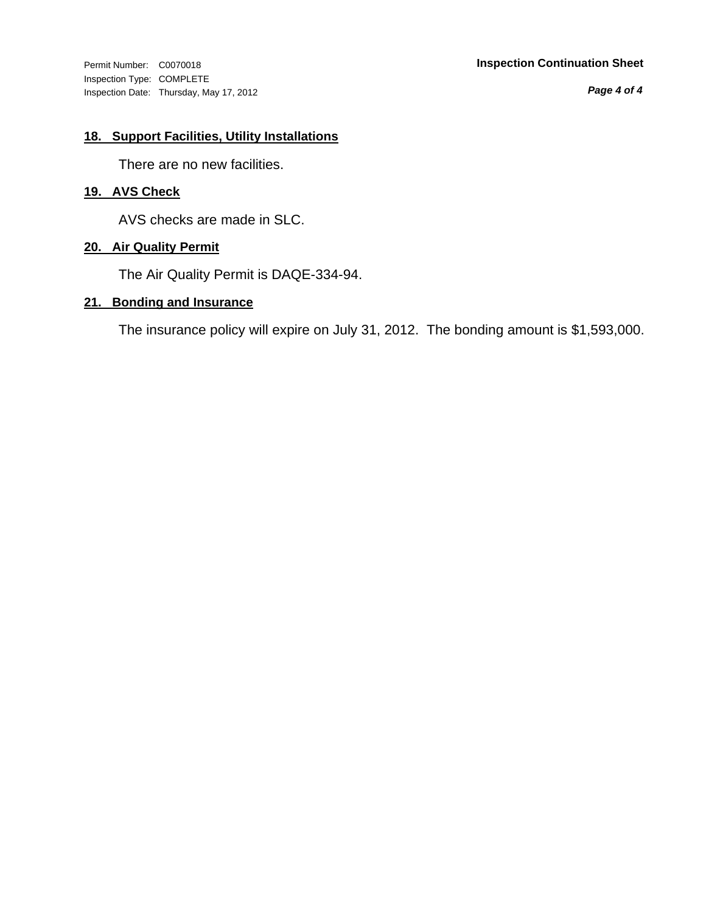Inspection Type: COMPLETE Inspection Date: Thursday, May 17, 2012

#### Permit Number: C0070018 **Inspection Continuation Sheet**

*Page 4 of 4*

#### **18. Support Facilities, Utility Installations**

There are no new facilities.

#### **19. AVS Check**

AVS checks are made in SLC.

#### **20. Air Quality Permit**

The Air Quality Permit is DAQE-334-94.

#### **21. Bonding and Insurance**

The insurance policy will expire on July 31, 2012. The bonding amount is \$1,593,000.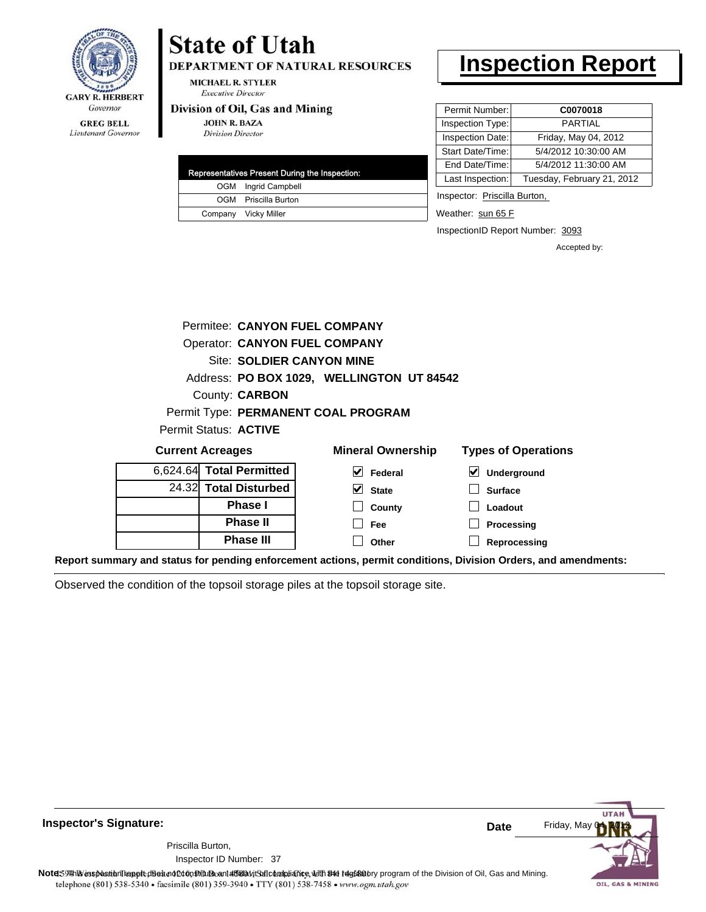

#### **GREG BELL** Lieutenant Governor

# **State of Utah**

DEPARTMENT OF NATURAL RESOURCES

**MICHAEL R. STYLER Executive Director** 

#### Division of Oil, Gas and Mining

**JOHN R. BAZA Division Director** 

| <b>Representatives Present During the Inspection:</b> |
|-------------------------------------------------------|
| OGM Ingrid Campbell                                   |
| OGM Priscilla Burton                                  |
| Company Vicky Miller                                  |

### **Inspection Report**

| Permit Number:   | C0070018                   |
|------------------|----------------------------|
| Inspection Type: | PARTIAL                    |
| Inspection Date: | Friday, May 04, 2012       |
| Start Date/Time: | 5/4/2012 10:30:00 AM       |
| End Date/Time:   | 5/4/2012 11:30:00 AM       |
| Last Inspection: | Tuesday, February 21, 2012 |
|                  |                            |

Inspector: Priscilla Burton,

Weather: sun 65 F

InspectionID Report Number: 3093

Accepted by:

|                          |                       | Permitee: CANYON FUEL COMPANY             |                            |
|--------------------------|-----------------------|-------------------------------------------|----------------------------|
|                          |                       | <b>Operator: CANYON FUEL COMPANY</b>      |                            |
|                          |                       | <b>Site: SOLDIER CANYON MINE</b>          |                            |
|                          |                       | Address: PO BOX 1029, WELLINGTON UT 84542 |                            |
|                          | County: <b>CARBON</b> |                                           |                            |
|                          |                       | Permit Type: PERMANENT COAL PROGRAM       |                            |
| Permit Status: ACTIVE    |                       |                                           |                            |
| <b>Current Acreages</b>  |                       | <b>Mineral Ownership</b>                  | <b>Types of Operations</b> |
| 6,624.64 Total Permitted |                       | Federal                                   | <b>Underground</b>         |

**State County Fee Other**

| 6,624.64 Total Permitted |
|--------------------------|
| 24.32 Total Disturbed    |
| Phase I                  |
| <b>Phase II</b>          |
| Phase III                |

| $\vert \blacktriangleright$ Underground |
|-----------------------------------------|
| $\Box$ Surface                          |
| $\Box$ Loadout                          |
| $\Box$ Processing                       |

**Reprocessing**

**Report summary and status for pending enforcement actions, permit conditions, Division Orders, and amendments:**

Observed the condition of the topsoil storage piles at the topsoil storage site.

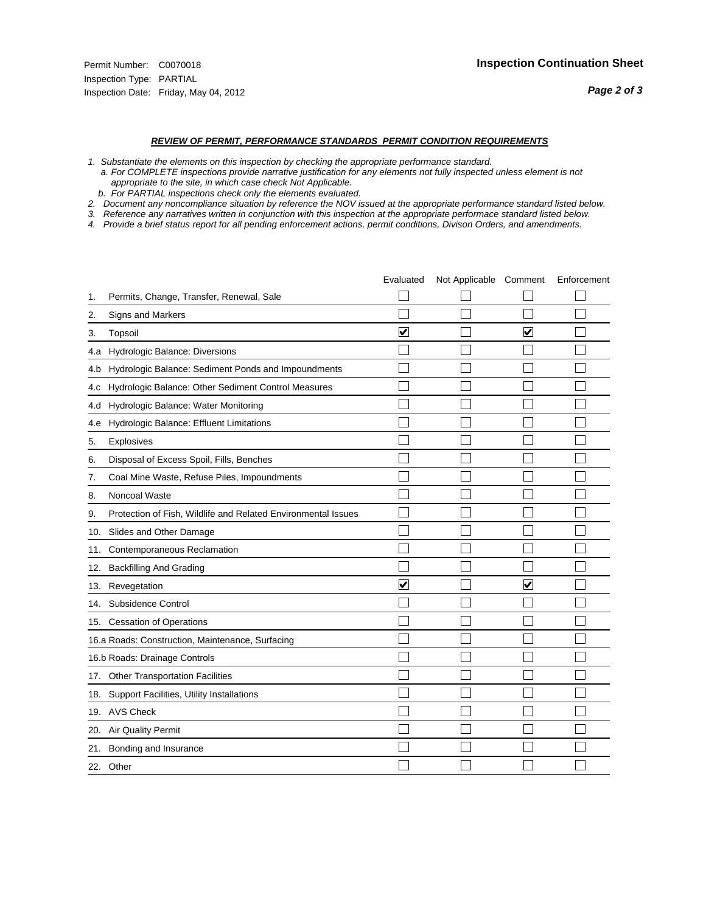#### *REVIEW OF PERMIT, PERFORMANCE STANDARDS PERMIT CONDITION REQUIREMENTS*

- *1. Substantiate the elements on this inspection by checking the appropriate performance standard.*
- *a. For COMPLETE inspections provide narrative justification for any elements not fully inspected unless element is not appropriate to the site, in which case check Not Applicable.*
- *b. For PARTIAL inspections check only the elements evaluated.*
- *2. Document any noncompliance situation by reference the NOV issued at the appropriate performance standard listed below.*
- *3. Reference any narratives written in conjunction with this inspection at the appropriate performace standard listed below.*
- *4. Provide a brief status report for all pending enforcement actions, permit conditions, Divison Orders, and amendments.*

|     |                                                               | Evaluated               | Not Applicable Comment |                         | Enforcement |
|-----|---------------------------------------------------------------|-------------------------|------------------------|-------------------------|-------------|
| 1.  | Permits, Change, Transfer, Renewal, Sale                      |                         |                        |                         |             |
| 2.  | Signs and Markers                                             |                         |                        |                         |             |
| 3.  | Topsoil                                                       | $\overline{\mathbf{v}}$ |                        | $\overline{\mathbf{v}}$ |             |
| 4.a | Hydrologic Balance: Diversions                                |                         |                        |                         |             |
| 4.b | Hydrologic Balance: Sediment Ponds and Impoundments           |                         |                        |                         |             |
| 4.c | Hydrologic Balance: Other Sediment Control Measures           |                         |                        |                         |             |
| 4.d | Hydrologic Balance: Water Monitoring                          |                         |                        |                         |             |
| 4.e | Hydrologic Balance: Effluent Limitations                      |                         |                        |                         |             |
| 5.  | <b>Explosives</b>                                             |                         |                        |                         |             |
| 6.  | Disposal of Excess Spoil, Fills, Benches                      |                         |                        |                         |             |
| 7.  | Coal Mine Waste, Refuse Piles, Impoundments                   |                         |                        |                         |             |
| 8.  | Noncoal Waste                                                 |                         |                        |                         |             |
| 9.  | Protection of Fish, Wildlife and Related Environmental Issues |                         |                        |                         |             |
| 10. | Slides and Other Damage                                       |                         |                        |                         |             |
| 11. | Contemporaneous Reclamation                                   |                         |                        |                         |             |
| 12. | <b>Backfilling And Grading</b>                                |                         |                        |                         |             |
| 13. | Revegetation                                                  | $\overline{\mathbf{v}}$ |                        | $\overline{\mathsf{v}}$ |             |
| 14. | Subsidence Control                                            |                         |                        |                         |             |
|     | 15. Cessation of Operations                                   |                         |                        |                         |             |
|     | 16.a Roads: Construction, Maintenance, Surfacing              |                         |                        |                         |             |
|     | 16.b Roads: Drainage Controls                                 |                         |                        |                         |             |
| 17. | <b>Other Transportation Facilities</b>                        |                         |                        |                         |             |
| 18. | Support Facilities, Utility Installations                     |                         |                        |                         |             |
|     | 19. AVS Check                                                 |                         |                        |                         |             |
| 20. | <b>Air Quality Permit</b>                                     |                         |                        |                         |             |
| 21. | Bonding and Insurance                                         |                         |                        |                         |             |
|     | 22. Other                                                     |                         |                        |                         |             |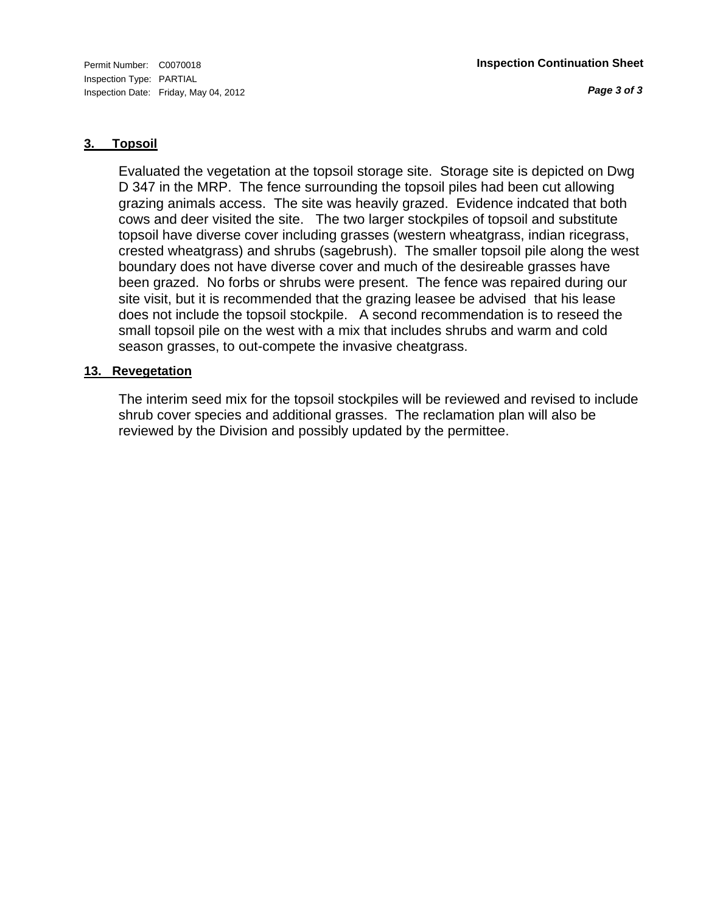*Page 3 of 3*

#### **3. Topsoil**

Evaluated the vegetation at the topsoil storage site. Storage site is depicted on Dwg D 347 in the MRP. The fence surrounding the topsoil piles had been cut allowing grazing animals access. The site was heavily grazed. Evidence indcated that both cows and deer visited the site. The two larger stockpiles of topsoil and substitute topsoil have diverse cover including grasses (western wheatgrass, indian ricegrass, crested wheatgrass) and shrubs (sagebrush). The smaller topsoil pile along the west boundary does not have diverse cover and much of the desireable grasses have been grazed. No forbs or shrubs were present. The fence was repaired during our site visit, but it is recommended that the grazing leasee be advised that his lease does not include the topsoil stockpile. A second recommendation is to reseed the small topsoil pile on the west with a mix that includes shrubs and warm and cold season grasses, to out-compete the invasive cheatgrass.

#### **13. Revegetation**

The interim seed mix for the topsoil stockpiles will be reviewed and revised to include shrub cover species and additional grasses. The reclamation plan will also be reviewed by the Division and possibly updated by the permittee.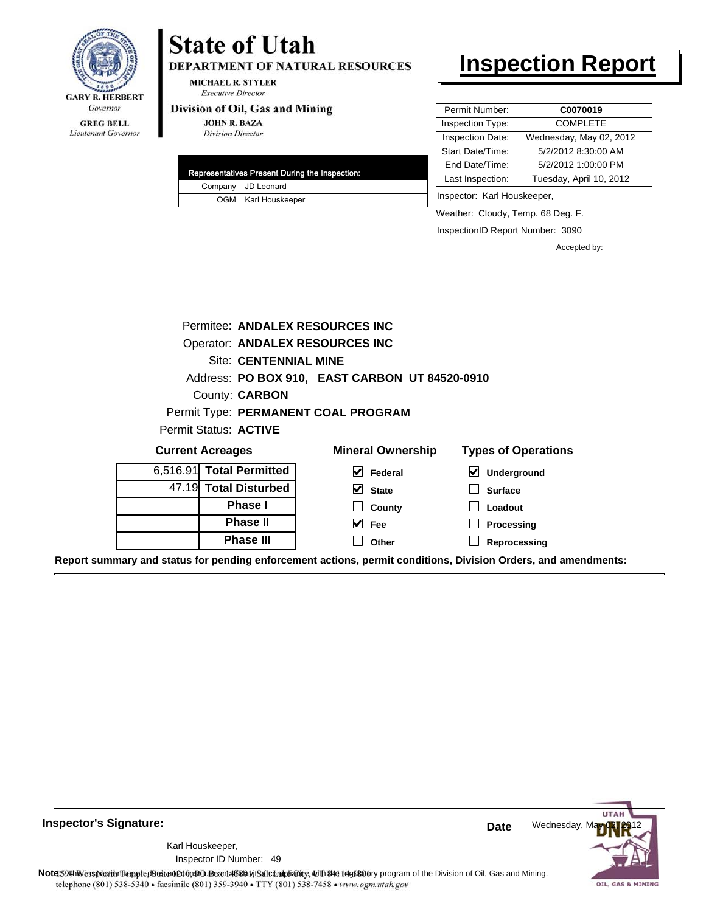

Lieutenant Governor

# **State of Utah**

DEPARTMENT OF NATURAL RESOURCES

**MICHAEL R. STYLER Executive Director** 

#### Division of Oil, Gas and Mining

**Phase III**

**JOHN R. BAZA Division Director** 

|  | Representatives Present During the Inspection: |
|--|------------------------------------------------|
|  | Company JD Leonard                             |
|  | OGM Karl Houskeeper                            |

### **Inspection Report**

| Permit Number:   | C0070019                |
|------------------|-------------------------|
| Inspection Type: | <b>COMPLETE</b>         |
| Inspection Date: | Wednesday, May 02, 2012 |
| Start Date/Time: | 5/2/2012 8:30:00 AM     |
| End Date/Time:   | 5/2/2012 1:00:00 PM     |
| Last Inspection: | Tuesday, April 10, 2012 |

Inspector: Karl Houskeeper,

Weather: Cloudy, Temp. 68 Deg. F.

InspectionID Report Number: 3090

**Reprocessing**

Accepted by:

| Permitee: ANDALEX RESOURCES INC |                              |                                                |                                                   |  |  |
|---------------------------------|------------------------------|------------------------------------------------|---------------------------------------------------|--|--|
| Operator: ANDALEX RESOURCES INC |                              |                                                |                                                   |  |  |
|                                 | <b>Site: CENTENNIAL MINE</b> |                                                |                                                   |  |  |
|                                 |                              | Address: PO BOX 910, EAST CARBON UT 84520-0910 |                                                   |  |  |
|                                 | County: <b>CARBON</b>        |                                                |                                                   |  |  |
|                                 |                              | Permit Type: PERMANENT COAL PROGRAM            |                                                   |  |  |
|                                 | Permit Status: ACTIVE        |                                                |                                                   |  |  |
|                                 | <b>Current Acreages</b>      | <b>Mineral Ownership</b>                       | <b>Types of Operations</b>                        |  |  |
| 6,516.91                        | <b>Total Permitted</b>       | V<br>Federal                                   | $\vert\bm{\checkmark}\vert$<br><b>Underground</b> |  |  |
|                                 | 47.19 Total Disturbed        | M<br><b>State</b>                              | <b>Surface</b>                                    |  |  |
|                                 | Phase I                      | County                                         | Loadout                                           |  |  |
|                                 | <b>Phase II</b>              | Fee                                            | <b>Processing</b>                                 |  |  |
|                                 |                              |                                                |                                                   |  |  |

**Other**

**Report summary and status for pending enforcement actions, permit conditions, Division Orders, and amendments:**



**Inspector's Signature:**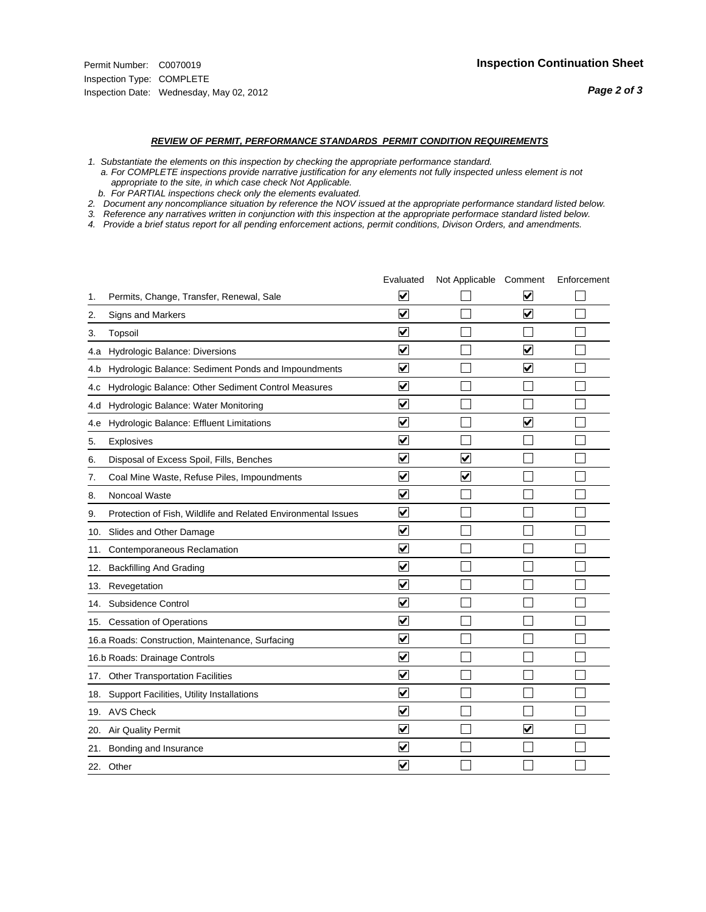#### *REVIEW OF PERMIT, PERFORMANCE STANDARDS PERMIT CONDITION REQUIREMENTS*

*1. Substantiate the elements on this inspection by checking the appropriate performance standard.*

 *a. For COMPLETE inspections provide narrative justification for any elements not fully inspected unless element is not appropriate to the site, in which case check Not Applicable.*

 *b. For PARTIAL inspections check only the elements evaluated.*

*2. Document any noncompliance situation by reference the NOV issued at the appropriate performance standard listed below.*

*3. Reference any narratives written in conjunction with this inspection at the appropriate performace standard listed below.*

*4. Provide a brief status report for all pending enforcement actions, permit conditions, Divison Orders, and amendments.*

|     |                                                               | Evaluated                       | Not Applicable Comment |                                 | Enforcement |
|-----|---------------------------------------------------------------|---------------------------------|------------------------|---------------------------------|-------------|
| 1.  | Permits, Change, Transfer, Renewal, Sale                      | V                               |                        | V                               |             |
| 2.  | Signs and Markers                                             | $\overline{\mathbf{v}}$         |                        | $\overline{\blacktriangledown}$ |             |
| 3.  | Topsoil                                                       | $\overline{\mathbf{v}}$         |                        |                                 |             |
| 4.a | Hydrologic Balance: Diversions                                | ⊻                               |                        | V                               |             |
| 4.b | Hydrologic Balance: Sediment Ponds and Impoundments           | $\blacktriangledown$            |                        | $\blacktriangledown$            |             |
| 4.c | Hydrologic Balance: Other Sediment Control Measures           | $\overline{\mathbf{v}}$         |                        |                                 |             |
| 4.d | Hydrologic Balance: Water Monitoring                          | $\overline{\mathbf{v}}$         |                        |                                 |             |
| 4.e | Hydrologic Balance: Effluent Limitations                      | $\overline{\mathbf{v}}$         |                        | $\blacktriangleright$           |             |
| 5.  | <b>Explosives</b>                                             | $\overline{\mathbf{v}}$         |                        |                                 |             |
| 6.  | Disposal of Excess Spoil, Fills, Benches                      | ⊻                               | $\blacktriangledown$   |                                 |             |
| 7.  | Coal Mine Waste, Refuse Piles, Impoundments                   | ⊻                               | $\bm{\mathsf{v}}$      |                                 |             |
| 8.  | Noncoal Waste                                                 | $\overline{\blacktriangledown}$ |                        |                                 |             |
| 9.  | Protection of Fish, Wildlife and Related Environmental Issues | $\overline{\mathbf{v}}$         |                        |                                 |             |
| 10. | Slides and Other Damage                                       | $\overline{\mathbf{v}}$         |                        |                                 |             |
| 11. | Contemporaneous Reclamation                                   | $\blacktriangledown$            |                        |                                 |             |
| 12. | <b>Backfilling And Grading</b>                                | $\overline{\mathbf{v}}$         |                        |                                 |             |
| 13. | Revegetation                                                  | $\overline{\mathbf{v}}$         |                        |                                 |             |
| 14. | Subsidence Control                                            | $\overline{\mathbf{v}}$         |                        |                                 |             |
|     | 15. Cessation of Operations                                   | $\overline{\mathbf{v}}$         |                        |                                 |             |
|     | 16.a Roads: Construction, Maintenance, Surfacing              | $\overline{\mathsf{v}}$         |                        |                                 |             |
|     | 16.b Roads: Drainage Controls                                 | $\overline{\mathbf{v}}$         |                        |                                 |             |
|     | 17. Other Transportation Facilities                           | $\overline{\mathbf{v}}$         |                        |                                 |             |
|     | 18. Support Facilities, Utility Installations                 | ✓                               |                        |                                 |             |
|     | 19. AVS Check                                                 | $\overline{\mathbf{v}}$         |                        |                                 |             |
| 20. | <b>Air Quality Permit</b>                                     | $\overline{\mathsf{v}}$         |                        | $\blacktriangledown$            |             |
| 21. | Bonding and Insurance                                         | $\overline{\mathbf{v}}$         |                        |                                 |             |
|     | 22. Other                                                     | $\overline{\mathbf{v}}$         |                        |                                 |             |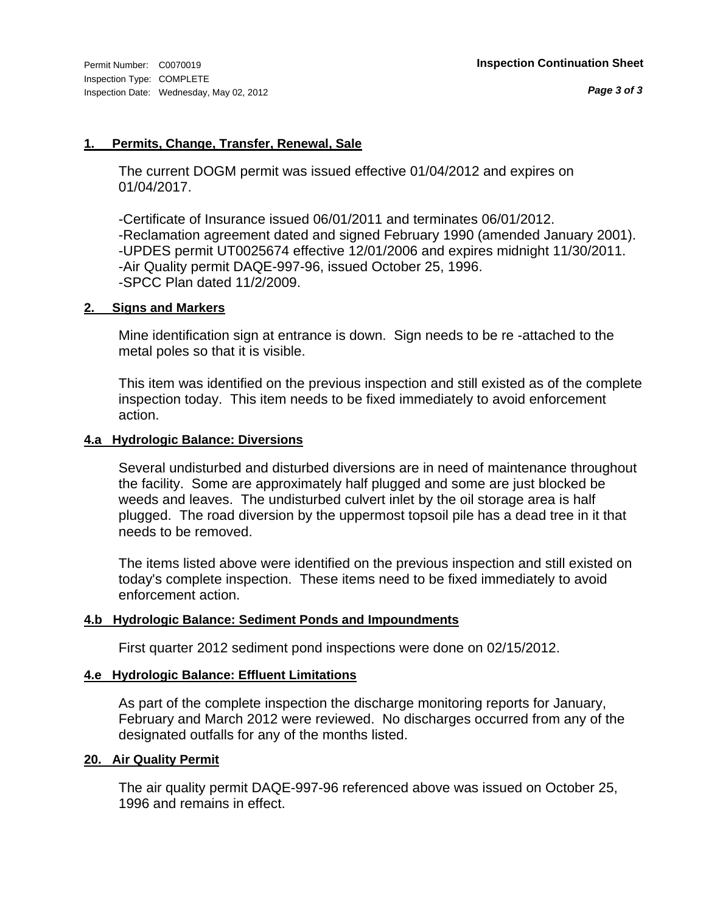#### **1. Permits, Change, Transfer, Renewal, Sale**

The current DOGM permit was issued effective 01/04/2012 and expires on 01/04/2017.

-Certificate of Insurance issued 06/01/2011 and terminates 06/01/2012. -Reclamation agreement dated and signed February 1990 (amended January 2001). -UPDES permit UT0025674 effective 12/01/2006 and expires midnight 11/30/2011. -Air Quality permit DAQE-997-96, issued October 25, 1996. -SPCC Plan dated 11/2/2009.

#### **2. Signs and Markers**

Mine identification sign at entrance is down. Sign needs to be re -attached to the metal poles so that it is visible.

This item was identified on the previous inspection and still existed as of the complete inspection today. This item needs to be fixed immediately to avoid enforcement action.

#### **4.a Hydrologic Balance: Diversions**

Several undisturbed and disturbed diversions are in need of maintenance throughout the facility. Some are approximately half plugged and some are just blocked be weeds and leaves. The undisturbed culvert inlet by the oil storage area is half plugged. The road diversion by the uppermost topsoil pile has a dead tree in it that needs to be removed.

The items listed above were identified on the previous inspection and still existed on today's complete inspection. These items need to be fixed immediately to avoid enforcement action.

#### **4.b Hydrologic Balance: Sediment Ponds and Impoundments**

First quarter 2012 sediment pond inspections were done on 02/15/2012.

#### **4.e Hydrologic Balance: Effluent Limitations**

As part of the complete inspection the discharge monitoring reports for January, February and March 2012 were reviewed. No discharges occurred from any of the designated outfalls for any of the months listed.

#### **20. Air Quality Permit**

The air quality permit DAQE-997-96 referenced above was issued on October 25, 1996 and remains in effect.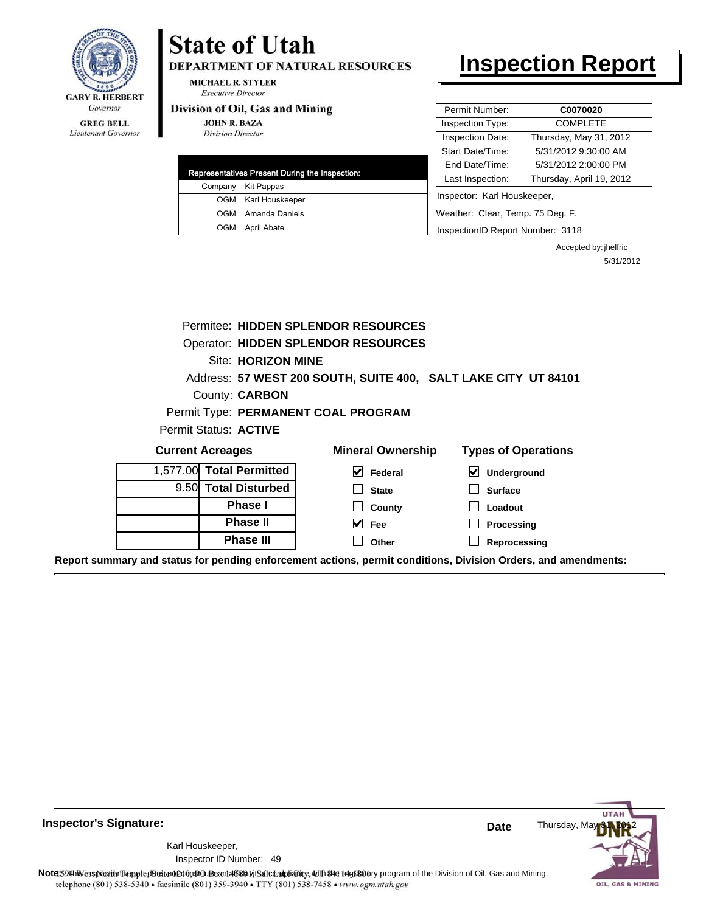

# **State of Utah**

DEPARTMENT OF NATURAL RESOURCES

**MICHAEL R. STYLER Executive Director** 

#### Division of Oil, Gas and Mining

**JOHN R. BAZA Division Director** 

| Representatives Present During the Inspection: |                     |  |  |
|------------------------------------------------|---------------------|--|--|
|                                                | Company Kit Pappas  |  |  |
|                                                | OGM Karl Houskeeper |  |  |
|                                                | OGM Amanda Daniels  |  |  |
|                                                | OGM April Abate     |  |  |

# **Inspection Report**

| Permit Number:   | C0070020                 |  |
|------------------|--------------------------|--|
| Inspection Type: | <b>COMPLETE</b>          |  |
| Inspection Date: | Thursday, May 31, 2012   |  |
| Start Date/Time: | 5/31/2012 9:30:00 AM     |  |
| End Date/Time:   | 5/31/2012 2:00:00 PM     |  |
| Last Inspection: | Thursday, April 19, 2012 |  |
|                  |                          |  |

Inspector: Karl Houskeeper,

Weather: Clear, Temp. 75 Deg. F.

InspectionID Report Number: 3118

Accepted by: jhelfric 5/31/2012

|                                                                | Permitee: HIDDEN SPLENDOR RESOURCES |                                            |                                     |  |  |
|----------------------------------------------------------------|-------------------------------------|--------------------------------------------|-------------------------------------|--|--|
|                                                                |                                     | <b>Operator: HIDDEN SPLENDOR RESOURCES</b> |                                     |  |  |
| Site: HORIZON MINE                                             |                                     |                                            |                                     |  |  |
| Address: 57 WEST 200 SOUTH, SUITE 400, SALT LAKE CITY UT 84101 |                                     |                                            |                                     |  |  |
| County: <b>CARBON</b>                                          |                                     |                                            |                                     |  |  |
| Permit Type: PERMANENT COAL PROGRAM                            |                                     |                                            |                                     |  |  |
| Permit Status: ACTIVE                                          |                                     |                                            |                                     |  |  |
| <b>Current Acreages</b>                                        |                                     | <b>Mineral Ownership</b>                   | <b>Types of Operations</b>          |  |  |
|                                                                | 1,577.00 Total Permitted            | V<br>Federal                               | $\blacktriangledown$<br>Underground |  |  |
|                                                                | 9.50 Total Disturbed                | <b>State</b>                               | <b>Surface</b>                      |  |  |
|                                                                | <b>Phase I</b>                      | County                                     | Loadout                             |  |  |
|                                                                | <b>Phase II</b>                     | M<br>Fee                                   | Processing                          |  |  |
|                                                                | <b>Phase III</b>                    | Other                                      | Reprocessing                        |  |  |
|                                                                |                                     |                                            |                                     |  |  |

**Report summary and status for pending enforcement actions, permit conditions, Division Orders, and amendments:**

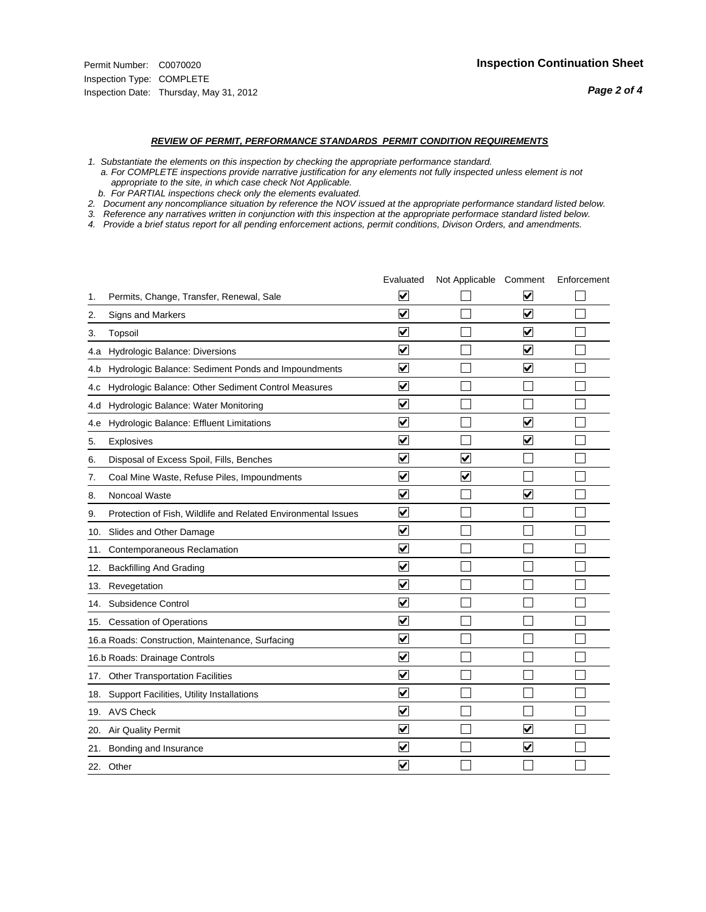#### *REVIEW OF PERMIT, PERFORMANCE STANDARDS PERMIT CONDITION REQUIREMENTS*

*1. Substantiate the elements on this inspection by checking the appropriate performance standard.*

 *a. For COMPLETE inspections provide narrative justification for any elements not fully inspected unless element is not appropriate to the site, in which case check Not Applicable.*

 *b. For PARTIAL inspections check only the elements evaluated.*

*2. Document any noncompliance situation by reference the NOV issued at the appropriate performance standard listed below.*

*3. Reference any narratives written in conjunction with this inspection at the appropriate performace standard listed below.*

*4. Provide a brief status report for all pending enforcement actions, permit conditions, Divison Orders, and amendments.*

|     |                                                               | Evaluated               | Not Applicable Comment |                         | Enforcement |
|-----|---------------------------------------------------------------|-------------------------|------------------------|-------------------------|-------------|
| 1.  | Permits, Change, Transfer, Renewal, Sale                      | ⊻                       |                        | V                       |             |
| 2.  | Signs and Markers                                             | $\overline{\mathbf{v}}$ |                        | $\blacktriangledown$    |             |
| 3.  | Topsoil                                                       | $\overline{\mathbf{v}}$ |                        | $\overline{\mathbf{v}}$ |             |
| 4.a | <b>Hydrologic Balance: Diversions</b>                         | $\overline{\mathsf{v}}$ |                        | $\blacktriangledown$    |             |
| 4.b | Hydrologic Balance: Sediment Ponds and Impoundments           | $\blacktriangledown$    |                        | $\blacktriangledown$    |             |
| 4.C | Hydrologic Balance: Other Sediment Control Measures           | $\checkmark$            |                        |                         |             |
| 4.d | Hydrologic Balance: Water Monitoring                          | $\overline{\mathbf{v}}$ |                        |                         |             |
| 4.e | Hydrologic Balance: Effluent Limitations                      | $\overline{\mathbf{v}}$ |                        | $\blacktriangledown$    |             |
| 5.  | <b>Explosives</b>                                             | $\overline{\mathbf{v}}$ |                        | $\overline{\mathbf{v}}$ |             |
| 6.  | Disposal of Excess Spoil, Fills, Benches                      | $\blacktriangledown$    | $\blacktriangledown$   |                         |             |
| 7.  | Coal Mine Waste, Refuse Piles, Impoundments                   | $\overline{\mathbf{v}}$ | $\blacktriangledown$   |                         |             |
| 8.  | Noncoal Waste                                                 | $\overline{\mathbf{v}}$ |                        | $\overline{\mathbf{v}}$ |             |
| 9.  | Protection of Fish, Wildlife and Related Environmental Issues | $\overline{\mathbf{v}}$ |                        |                         |             |
| 10. | Slides and Other Damage                                       | $\overline{\mathbf{v}}$ |                        |                         |             |
| 11. | Contemporaneous Reclamation                                   | ⊻                       |                        |                         |             |
| 12. | <b>Backfilling And Grading</b>                                | $\overline{\mathbf{v}}$ |                        |                         |             |
| 13. | Revegetation                                                  | $\overline{\mathbf{v}}$ |                        |                         |             |
| 14. | Subsidence Control                                            | $\overline{\mathbf{v}}$ |                        |                         |             |
|     | 15. Cessation of Operations                                   | $\overline{\mathbf{v}}$ |                        |                         |             |
|     | 16.a Roads: Construction, Maintenance, Surfacing              | $\overline{\mathsf{v}}$ |                        |                         |             |
|     | 16.b Roads: Drainage Controls                                 | $\blacktriangledown$    |                        |                         |             |
| 17. | <b>Other Transportation Facilities</b>                        | $\overline{\mathbf{v}}$ |                        |                         |             |
| 18. | Support Facilities, Utility Installations                     | $\overline{\mathbf{v}}$ |                        |                         |             |
|     | 19. AVS Check                                                 | $\overline{\mathbf{v}}$ |                        |                         |             |
| 20. | <b>Air Quality Permit</b>                                     | $\checkmark$            |                        | $\blacktriangledown$    |             |
| 21. | Bonding and Insurance                                         | $\blacktriangledown$    |                        | $\blacktriangledown$    |             |
|     | 22. Other                                                     | $\overline{\mathbf{v}}$ |                        |                         |             |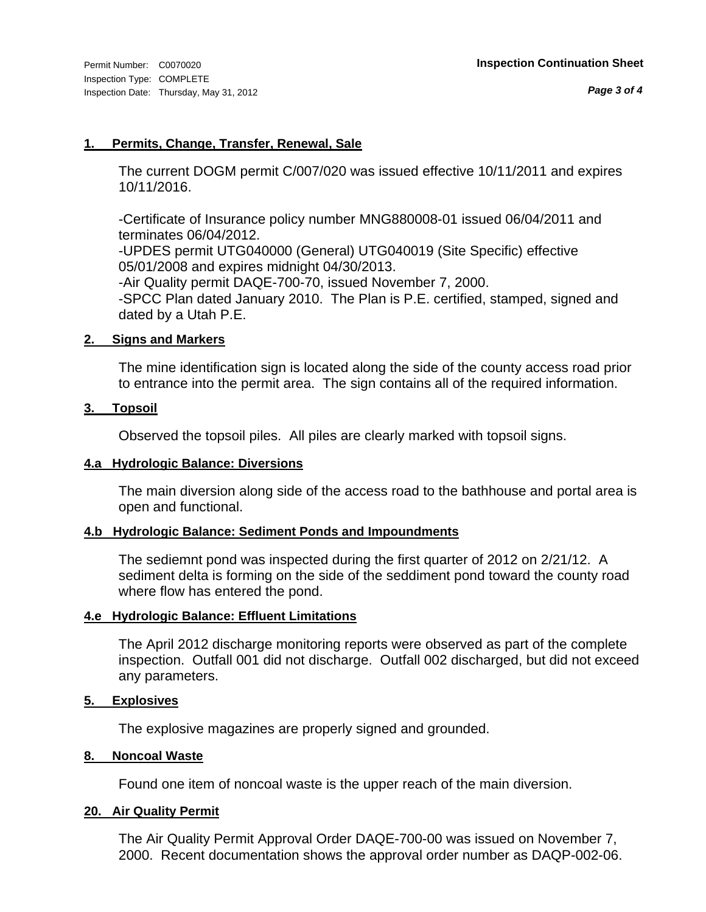## **1. Permits, Change, Transfer, Renewal, Sale**

The current DOGM permit C/007/020 was issued effective 10/11/2011 and expires 10/11/2016.

-Certificate of Insurance policy number MNG880008-01 issued 06/04/2011 and terminates 06/04/2012.

-UPDES permit UTG040000 (General) UTG040019 (Site Specific) effective 05/01/2008 and expires midnight 04/30/2013.

-Air Quality permit DAQE-700-70, issued November 7, 2000.

-SPCC Plan dated January 2010. The Plan is P.E. certified, stamped, signed and dated by a Utah P.E.

## **2. Signs and Markers**

The mine identification sign is located along the side of the county access road prior to entrance into the permit area. The sign contains all of the required information.

## **3. Topsoil**

Observed the topsoil piles. All piles are clearly marked with topsoil signs.

## **4.a Hydrologic Balance: Diversions**

The main diversion along side of the access road to the bathhouse and portal area is open and functional.

## **4.b Hydrologic Balance: Sediment Ponds and Impoundments**

The sediemnt pond was inspected during the first quarter of 2012 on 2/21/12. A sediment delta is forming on the side of the seddiment pond toward the county road where flow has entered the pond.

## **4.e Hydrologic Balance: Effluent Limitations**

The April 2012 discharge monitoring reports were observed as part of the complete inspection. Outfall 001 did not discharge. Outfall 002 discharged, but did not exceed any parameters.

## **5. Explosives**

The explosive magazines are properly signed and grounded.

## **8. Noncoal Waste**

Found one item of noncoal waste is the upper reach of the main diversion.

## **20. Air Quality Permit**

The Air Quality Permit Approval Order DAQE-700-00 was issued on November 7, 2000. Recent documentation shows the approval order number as DAQP-002-06.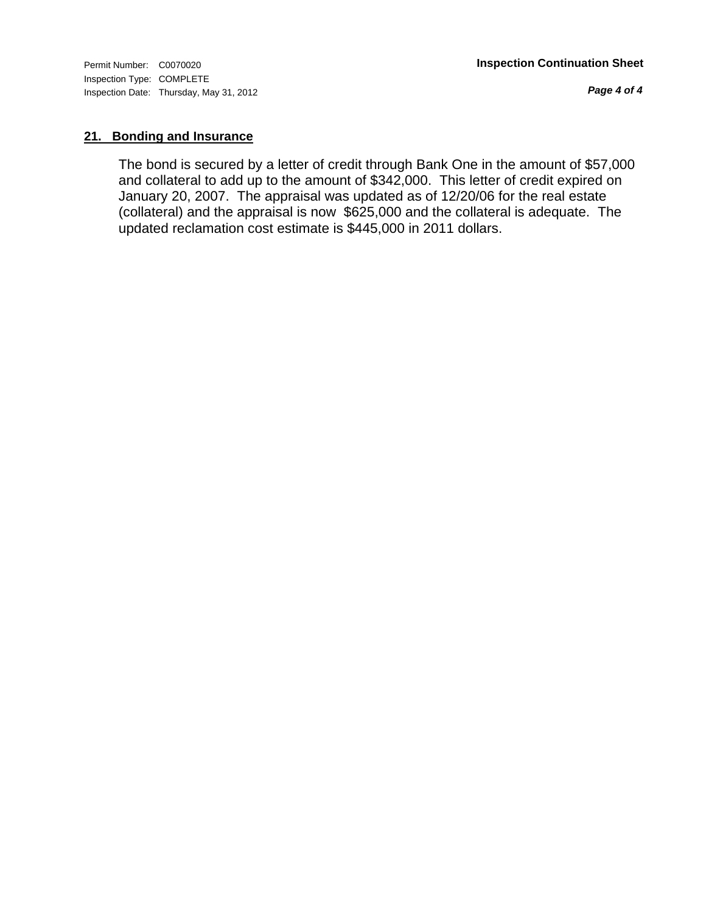*Page 4 of 4*

## **21. Bonding and Insurance**

The bond is secured by a letter of credit through Bank One in the amount of \$57,000 and collateral to add up to the amount of \$342,000. This letter of credit expired on January 20, 2007. The appraisal was updated as of 12/20/06 for the real estate (collateral) and the appraisal is now \$625,000 and the collateral is adequate. The updated reclamation cost estimate is \$445,000 in 2011 dollars.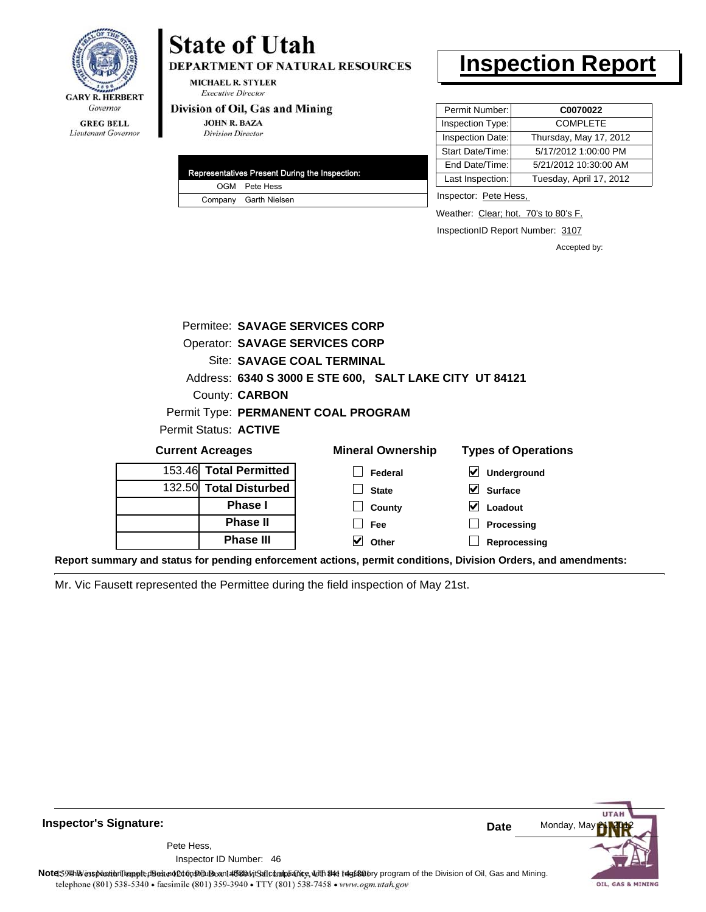

Lieutenant Governor

# **State of Utah**

**DEPARTMENT OF NATURAL RESOURCES** 

**MICHAEL R. STYLER Executive Director** 

## Division of Oil, Gas and Mining

**JOHN R. BAZA Division Director** 

| Representatives Present During the Inspection: |                       |  |  |
|------------------------------------------------|-----------------------|--|--|
|                                                | OGM Pete Hess         |  |  |
|                                                | Company Garth Nielsen |  |  |

## **Inspection Report**

| Permit Number:   | C0070022                |
|------------------|-------------------------|
| Inspection Type: | <b>COMPLETE</b>         |
| Inspection Date: | Thursday, May 17, 2012  |
| Start Date/Time: | 5/17/2012 1:00:00 PM    |
| End Date/Time:   | 5/21/2012 10:30:00 AM   |
| Last Inspection: | Tuesday, April 17, 2012 |

Inspector: Pete Hess,

Weather: Clear; hot. 70's to 80's F.

InspectionID Report Number: 3107

**Processing Reprocessing** Accepted by:

|                         |                              | Permitee: SAVAGE SERVICES CORP                          |                                          |
|-------------------------|------------------------------|---------------------------------------------------------|------------------------------------------|
|                         |                              | <b>Operator: SAVAGE SERVICES CORP</b>                   |                                          |
|                         |                              | Site: SAVAGE COAL TERMINAL                              |                                          |
|                         |                              | Address: 6340 S 3000 E STE 600, SALT LAKE CITY UT 84121 |                                          |
|                         | County: <b>CARBON</b>        |                                                         |                                          |
|                         |                              | Permit Type: PERMANENT COAL PROGRAM                     |                                          |
|                         | Permit Status: <b>ACTIVE</b> |                                                         |                                          |
| <b>Current Acreages</b> |                              | <b>Mineral Ownership</b>                                | <b>Types of Operations</b>               |
|                         | 153.46 Total Permitted       | Federal                                                 | $\boldsymbol{\mathsf{v}}$<br>Underground |
|                         | 132.50 Total Disturbed       | <b>State</b>                                            | V<br><b>Surface</b>                      |
|                         | Phase I                      | County                                                  | Loadout                                  |
|                         | <b>Phase II</b>              | Fee                                                     | Processing                               |

**Other**

**Report summary and status for pending enforcement actions, permit conditions, Division Orders, and amendments:**

Mr. Vic Fausett represented the Permittee during the field inspection of May 21st.

**Phase II Phase III**

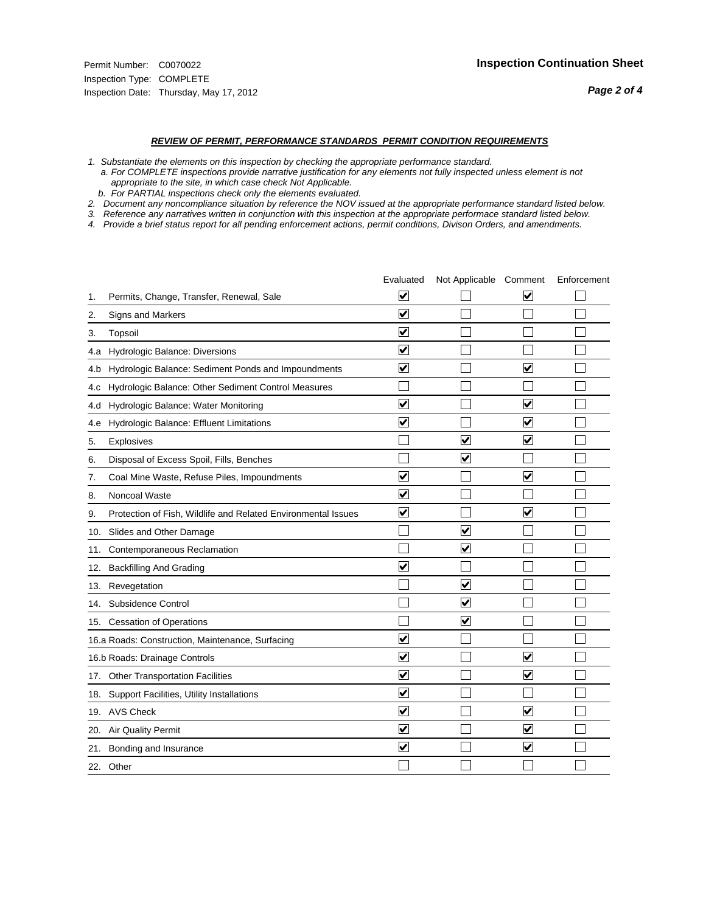#### *REVIEW OF PERMIT, PERFORMANCE STANDARDS PERMIT CONDITION REQUIREMENTS*

*1. Substantiate the elements on this inspection by checking the appropriate performance standard.*

 *a. For COMPLETE inspections provide narrative justification for any elements not fully inspected unless element is not appropriate to the site, in which case check Not Applicable.*

 *b. For PARTIAL inspections check only the elements evaluated.*

*2. Document any noncompliance situation by reference the NOV issued at the appropriate performance standard listed below.*

*3. Reference any narratives written in conjunction with this inspection at the appropriate performace standard listed below.*

*4. Provide a brief status report for all pending enforcement actions, permit conditions, Divison Orders, and amendments.*

|     |                                                               | Evaluated               | Not Applicable Comment          |                         | Enforcement |
|-----|---------------------------------------------------------------|-------------------------|---------------------------------|-------------------------|-------------|
| 1.  | Permits, Change, Transfer, Renewal, Sale                      | $\overline{\mathbf{v}}$ |                                 | V                       |             |
| 2.  | Signs and Markers                                             | $\overline{\mathbf{v}}$ |                                 |                         |             |
| 3.  | Topsoil                                                       | $\overline{\mathbf{v}}$ |                                 |                         |             |
| 4.a | Hydrologic Balance: Diversions                                | $\overline{\mathbf{v}}$ |                                 |                         |             |
| 4.b | Hydrologic Balance: Sediment Ponds and Impoundments           | $\blacktriangledown$    |                                 | V                       |             |
| 4.C | Hydrologic Balance: Other Sediment Control Measures           |                         |                                 |                         |             |
| 4.d | Hydrologic Balance: Water Monitoring                          | $\overline{\mathbf{v}}$ |                                 | $\overline{\mathbf{v}}$ |             |
| 4.e | Hydrologic Balance: Effluent Limitations                      | $\overline{\mathbf{v}}$ |                                 | $\blacktriangledown$    |             |
| 5.  | <b>Explosives</b>                                             |                         | ⊽                               | ⊽                       |             |
| 6.  | Disposal of Excess Spoil, Fills, Benches                      |                         | $\blacktriangledown$            |                         |             |
| 7.  | Coal Mine Waste, Refuse Piles, Impoundments                   | $\overline{\mathbf{v}}$ |                                 | $\overline{\mathbf{v}}$ |             |
| 8.  | Noncoal Waste                                                 | $\overline{\mathbf{v}}$ |                                 |                         |             |
| 9.  | Protection of Fish, Wildlife and Related Environmental Issues | $\overline{\mathbf{v}}$ |                                 | $\overline{\mathsf{v}}$ |             |
|     | 10. Slides and Other Damage                                   |                         | ⊽                               |                         |             |
| 11. | Contemporaneous Reclamation                                   |                         | ⊽                               |                         |             |
| 12. | <b>Backfilling And Grading</b>                                | $\overline{\mathbf{v}}$ |                                 |                         |             |
| 13. | Revegetation                                                  |                         | $\overline{\blacktriangledown}$ |                         |             |
| 14. | Subsidence Control                                            |                         | $\overline{\mathbf{v}}$         |                         |             |
|     | 15. Cessation of Operations                                   |                         | $\overline{\blacktriangledown}$ |                         |             |
|     | 16.a Roads: Construction, Maintenance, Surfacing              | ⊽                       |                                 |                         |             |
|     | 16.b Roads: Drainage Controls                                 | $\overline{\mathbf{v}}$ |                                 | $\overline{\mathbf{v}}$ |             |
| 17. | <b>Other Transportation Facilities</b>                        | $\overline{\mathbf{v}}$ |                                 | $\overline{\mathbf{v}}$ |             |
| 18. | Support Facilities, Utility Installations                     | $\overline{\mathbf{v}}$ |                                 |                         |             |
|     | 19. AVS Check                                                 | $\overline{\mathbf{v}}$ |                                 | $\blacktriangledown$    |             |
| 20. | Air Quality Permit                                            | $\checkmark$            |                                 | $\blacktriangledown$    |             |
| 21. | Bonding and Insurance                                         | $\overline{\mathbf{v}}$ |                                 | $\blacktriangledown$    |             |
|     | 22. Other                                                     |                         |                                 |                         |             |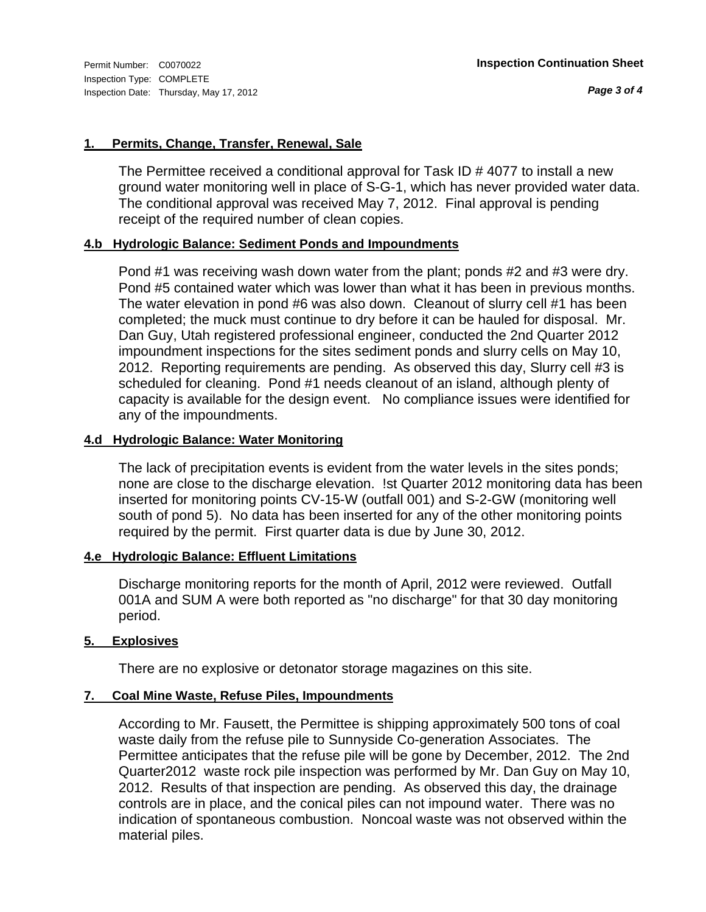## **1. Permits, Change, Transfer, Renewal, Sale**

The Permittee received a conditional approval for Task ID #4077 to install a new ground water monitoring well in place of S-G-1, which has never provided water data. The conditional approval was received May 7, 2012. Final approval is pending receipt of the required number of clean copies.

## **4.b Hydrologic Balance: Sediment Ponds and Impoundments**

Pond #1 was receiving wash down water from the plant; ponds #2 and #3 were dry. Pond #5 contained water which was lower than what it has been in previous months. The water elevation in pond #6 was also down. Cleanout of slurry cell #1 has been completed; the muck must continue to dry before it can be hauled for disposal. Mr. Dan Guy, Utah registered professional engineer, conducted the 2nd Quarter 2012 impoundment inspections for the sites sediment ponds and slurry cells on May 10, 2012. Reporting requirements are pending. As observed this day, Slurry cell #3 is scheduled for cleaning. Pond #1 needs cleanout of an island, although plenty of capacity is available for the design event. No compliance issues were identified for any of the impoundments.

## **4.d Hydrologic Balance: Water Monitoring**

The lack of precipitation events is evident from the water levels in the sites ponds; none are close to the discharge elevation. !st Quarter 2012 monitoring data has been inserted for monitoring points CV-15-W (outfall 001) and S-2-GW (monitoring well south of pond 5). No data has been inserted for any of the other monitoring points required by the permit. First quarter data is due by June 30, 2012.

## **4.e Hydrologic Balance: Effluent Limitations**

Discharge monitoring reports for the month of April, 2012 were reviewed. Outfall 001A and SUM A were both reported as "no discharge" for that 30 day monitoring period.

## **5. Explosives**

There are no explosive or detonator storage magazines on this site.

## **7. Coal Mine Waste, Refuse Piles, Impoundments**

According to Mr. Fausett, the Permittee is shipping approximately 500 tons of coal waste daily from the refuse pile to Sunnyside Co-generation Associates. The Permittee anticipates that the refuse pile will be gone by December, 2012. The 2nd Quarter2012 waste rock pile inspection was performed by Mr. Dan Guy on May 10, 2012. Results of that inspection are pending. As observed this day, the drainage controls are in place, and the conical piles can not impound water. There was no indication of spontaneous combustion. Noncoal waste was not observed within the material piles.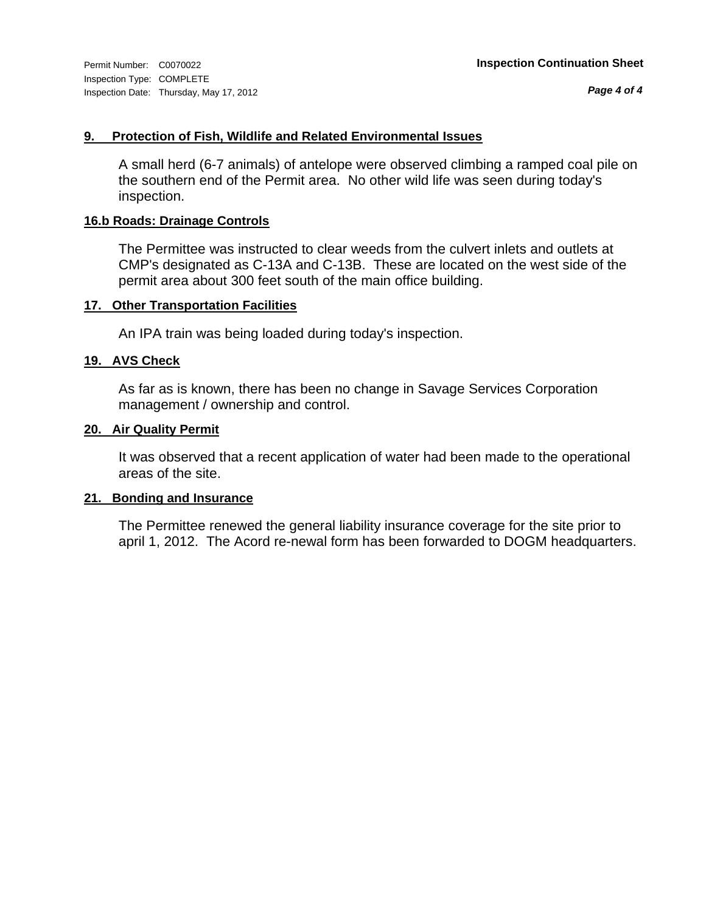*Page 4 of 4*

## **9. Protection of Fish, Wildlife and Related Environmental Issues**

A small herd (6-7 animals) of antelope were observed climbing a ramped coal pile on the southern end of the Permit area. No other wild life was seen during today's inspection.

## **16.b Roads: Drainage Controls**

The Permittee was instructed to clear weeds from the culvert inlets and outlets at CMP's designated as C-13A and C-13B. These are located on the west side of the permit area about 300 feet south of the main office building.

## **17. Other Transportation Facilities**

An IPA train was being loaded during today's inspection.

## **19. AVS Check**

As far as is known, there has been no change in Savage Services Corporation management / ownership and control.

## **20. Air Quality Permit**

It was observed that a recent application of water had been made to the operational areas of the site.

## **21. Bonding and Insurance**

The Permittee renewed the general liability insurance coverage for the site prior to april 1, 2012. The Acord re-newal form has been forwarded to DOGM headquarters.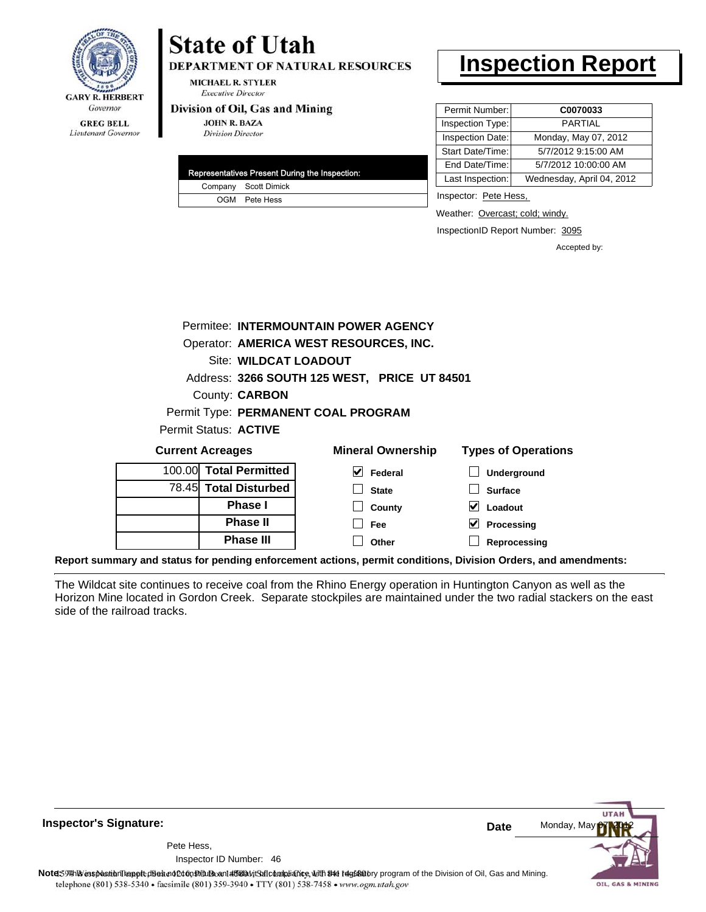

# **State of Utah**

**DEPARTMENT OF NATURAL RESOURCES** 

**MICHAEL R. STYLER Executive Director** 

### Division of Oil, Gas and Mining

**JOHN R. BAZA Division Director** 

|  | Representatives Present During the Inspection: |
|--|------------------------------------------------|
|  | Company Scott Dimick                           |
|  | OGM Pete Hess                                  |

## **Inspection Report**

| Permit Number:   | C0070033                  |
|------------------|---------------------------|
| Inspection Type: | PARTIAL                   |
| Inspection Date: | Monday, May 07, 2012      |
| Start Date/Time: | 5/7/2012 9:15:00 AM       |
| End Date/Time:   | 5/7/2012 10:00:00 AM      |
| Last Inspection: | Wednesday, April 04, 2012 |

Inspector: Pete Hess,

Weather: Overcast; cold; windy.

**Processing Reprocessing**

InspectionID Report Number: 3095

Accepted by:

|                                     |                                        |                              | Permitee: INTERMOUNTAIN POWER AGENCY         |                            |
|-------------------------------------|----------------------------------------|------------------------------|----------------------------------------------|----------------------------|
|                                     | Operator: AMERICA WEST RESOURCES, INC. |                              |                                              |                            |
|                                     |                                        | Site: WILDCAT LOADOUT        |                                              |                            |
|                                     |                                        |                              | Address: 3266 SOUTH 125 WEST, PRICE UT 84501 |                            |
|                                     |                                        | County: <b>CARBON</b>        |                                              |                            |
| Permit Type: PERMANENT COAL PROGRAM |                                        |                              |                                              |                            |
|                                     |                                        | Permit Status: <b>ACTIVE</b> |                                              |                            |
| <b>Current Acreages</b>             |                                        |                              | <b>Mineral Ownership</b>                     | <b>Types of Operations</b> |
|                                     |                                        | 100.00 Total Permitted       | V<br>Federal                                 | Underground                |
|                                     |                                        | 78.45 Total Disturbed        | <b>State</b>                                 | <b>Surface</b>             |
|                                     |                                        | <b>Phase I</b>               | County                                       | Loadout                    |

**Report summary and status for pending enforcement actions, permit conditions, Division Orders, and amendments:**

**Phase II Phase III**

The Wildcat site continues to receive coal from the Rhino Energy operation in Huntington Canyon as well as the Horizon Mine located in Gordon Creek. Separate stockpiles are maintained under the two radial stackers on the east side of the railroad tracks.

**Fee Other**

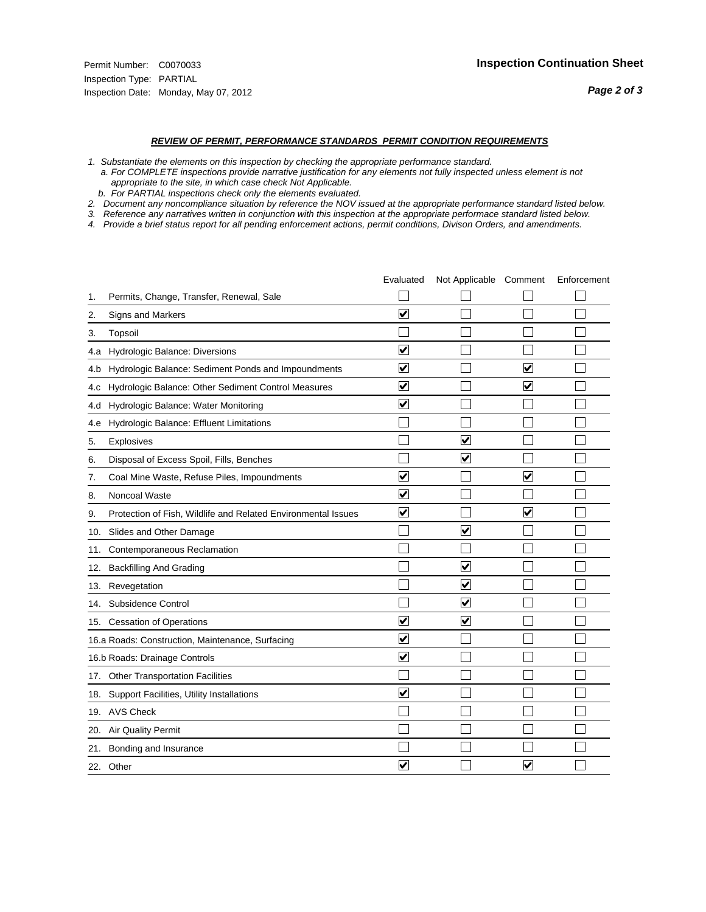#### *REVIEW OF PERMIT, PERFORMANCE STANDARDS PERMIT CONDITION REQUIREMENTS*

- *1. Substantiate the elements on this inspection by checking the appropriate performance standard.*
- *a. For COMPLETE inspections provide narrative justification for any elements not fully inspected unless element is not appropriate to the site, in which case check Not Applicable.*
- *b. For PARTIAL inspections check only the elements evaluated.*
- *2. Document any noncompliance situation by reference the NOV issued at the appropriate performance standard listed below.*
- *3. Reference any narratives written in conjunction with this inspection at the appropriate performace standard listed below.*
- *4. Provide a brief status report for all pending enforcement actions, permit conditions, Divison Orders, and amendments.*

|     |                                                               | Evaluated               | Not Applicable Comment          |                         | Enforcement |
|-----|---------------------------------------------------------------|-------------------------|---------------------------------|-------------------------|-------------|
| 1.  | Permits, Change, Transfer, Renewal, Sale                      |                         |                                 |                         |             |
| 2.  | <b>Signs and Markers</b>                                      | $\overline{\mathbf{v}}$ |                                 |                         |             |
| 3.  | Topsoil                                                       |                         |                                 |                         |             |
| 4.a | Hydrologic Balance: Diversions                                | ⊽                       |                                 |                         |             |
| 4.b | Hydrologic Balance: Sediment Ponds and Impoundments           | $\blacktriangledown$    |                                 | V                       |             |
| 4.C | Hydrologic Balance: Other Sediment Control Measures           | $\overline{\mathbf{v}}$ |                                 | $\blacktriangledown$    |             |
| 4.d | Hydrologic Balance: Water Monitoring                          | $\overline{\mathbf{v}}$ |                                 |                         |             |
| 4.e | Hydrologic Balance: Effluent Limitations                      |                         |                                 |                         |             |
| 5.  | Explosives                                                    |                         | $\overline{\mathbf{v}}$         |                         |             |
| 6.  | Disposal of Excess Spoil, Fills, Benches                      |                         | $\blacktriangledown$            |                         |             |
| 7.  | Coal Mine Waste, Refuse Piles, Impoundments                   | $\overline{\mathbf{v}}$ |                                 | $\overline{\mathbf{v}}$ |             |
| 8.  | Noncoal Waste                                                 | $\overline{\mathbf{v}}$ |                                 |                         |             |
| 9.  | Protection of Fish, Wildlife and Related Environmental Issues | $\blacktriangledown$    |                                 | ☑                       |             |
|     | 10. Slides and Other Damage                                   |                         | $\blacktriangledown$            |                         |             |
| 11. | Contemporaneous Reclamation                                   |                         |                                 |                         |             |
| 12. | <b>Backfilling And Grading</b>                                |                         | $\overline{\mathbf{v}}$         |                         |             |
| 13. | Revegetation                                                  |                         | $\overline{\blacktriangledown}$ |                         |             |
| 14. | Subsidence Control                                            |                         | $\overline{\mathbf{v}}$         |                         |             |
|     | 15. Cessation of Operations                                   | $\overline{\mathbf{v}}$ | $\blacktriangledown$            |                         |             |
|     | 16.a Roads: Construction, Maintenance, Surfacing              | $\blacktriangledown$    |                                 |                         |             |
|     | 16.b Roads: Drainage Controls                                 | ⊽                       |                                 |                         |             |
|     | 17. Other Transportation Facilities                           |                         |                                 |                         |             |
| 18. | Support Facilities, Utility Installations                     | $\overline{\mathsf{v}}$ |                                 |                         |             |
|     | 19. AVS Check                                                 |                         |                                 |                         |             |
| 20. | Air Quality Permit                                            |                         |                                 |                         |             |
|     | 21. Bonding and Insurance                                     |                         |                                 |                         |             |
|     | 22. Other                                                     | $\overline{\mathbf{v}}$ |                                 | $\overline{\mathbf{v}}$ |             |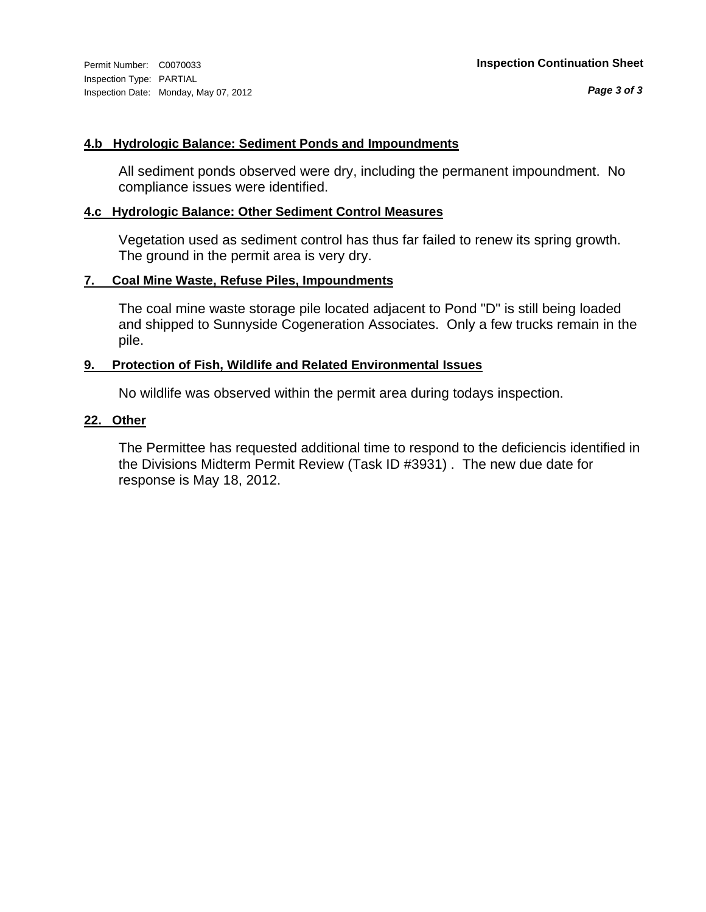Inspection Type: PARTIAL Inspection Date: Monday, May 07, 2012

## **4.b Hydrologic Balance: Sediment Ponds and Impoundments**

All sediment ponds observed were dry, including the permanent impoundment. No compliance issues were identified.

## **4.c Hydrologic Balance: Other Sediment Control Measures**

Vegetation used as sediment control has thus far failed to renew its spring growth. The ground in the permit area is very dry.

## **7. Coal Mine Waste, Refuse Piles, Impoundments**

The coal mine waste storage pile located adjacent to Pond "D" is still being loaded and shipped to Sunnyside Cogeneration Associates. Only a few trucks remain in the pile.

## **9. Protection of Fish, Wildlife and Related Environmental Issues**

No wildlife was observed within the permit area during todays inspection.

## **22. Other**

The Permittee has requested additional time to respond to the deficiencis identified in the Divisions Midterm Permit Review (Task ID #3931) . The new due date for response is May 18, 2012.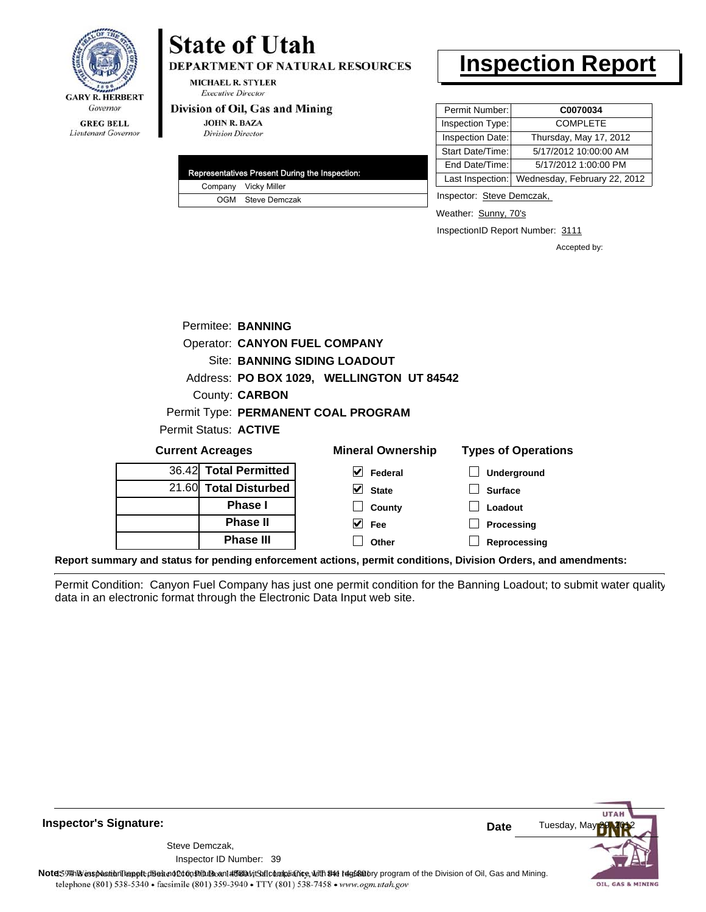

#### **GREG BELL** Lieutenant Governor

# **State of Utah**

**DEPARTMENT OF NATURAL RESOURCES** 

**MICHAEL R. STYLER Executive Director** 

### Division of Oil, Gas and Mining

**JOHN R. BAZA Division Director** 

|  | Representatives Present During the Inspection: |
|--|------------------------------------------------|
|  | Company Vicky Miller                           |
|  | OGM Steve Demczak                              |

## **Inspection Report**

| Permit Number:   | C0070034                                      |
|------------------|-----------------------------------------------|
| Inspection Type: | <b>COMPLETE</b>                               |
| Inspection Date: | Thursday, May 17, 2012                        |
| Start Date/Time: | 5/17/2012 10:00:00 AM                         |
| End Date/Time:   | 5/17/2012 1:00:00 PM                          |
|                  | Last Inspection: Wednesday, February 22, 2012 |

Inspector: Steve Demczak,

**Surface Loadout Processing Reprocessing**

Weather: Sunny, 70's

InspectionID Report Number: 3111

Accepted by:

|                         | Permitee: BANNING     |                                           |                            |
|-------------------------|-----------------------|-------------------------------------------|----------------------------|
|                         |                       | <b>Operator: CANYON FUEL COMPANY</b>      |                            |
|                         |                       | Site: BANNING SIDING LOADOUT              |                            |
|                         |                       | Address: PO BOX 1029, WELLINGTON UT 84542 |                            |
|                         | County: <b>CARBON</b> |                                           |                            |
|                         |                       | Permit Type: PERMANENT COAL PROGRAM       |                            |
| Permit Status: ACTIVE   |                       |                                           |                            |
| <b>Current Acreages</b> |                       | <b>Mineral Ownership</b>                  | <b>Types of Operations</b> |
| 36.42 Total Permitted   |                       | Federal                                   | <b>Underground</b>         |

| 36.42 Total Permitted | Federal      |
|-----------------------|--------------|
| 21.60 Total Disturbed | <b>State</b> |
| <b>Phase I</b>        | County       |
| <b>Phase II</b>       | Fee          |
| <b>Phase III</b>      | Other        |

**Report summary and status for pending enforcement actions, permit conditions, Division Orders, and amendments:**

Permit Condition: Canyon Fuel Company has just one permit condition for the Banning Loadout; to submit water quality data in an electronic format through the Electronic Data Input web site.

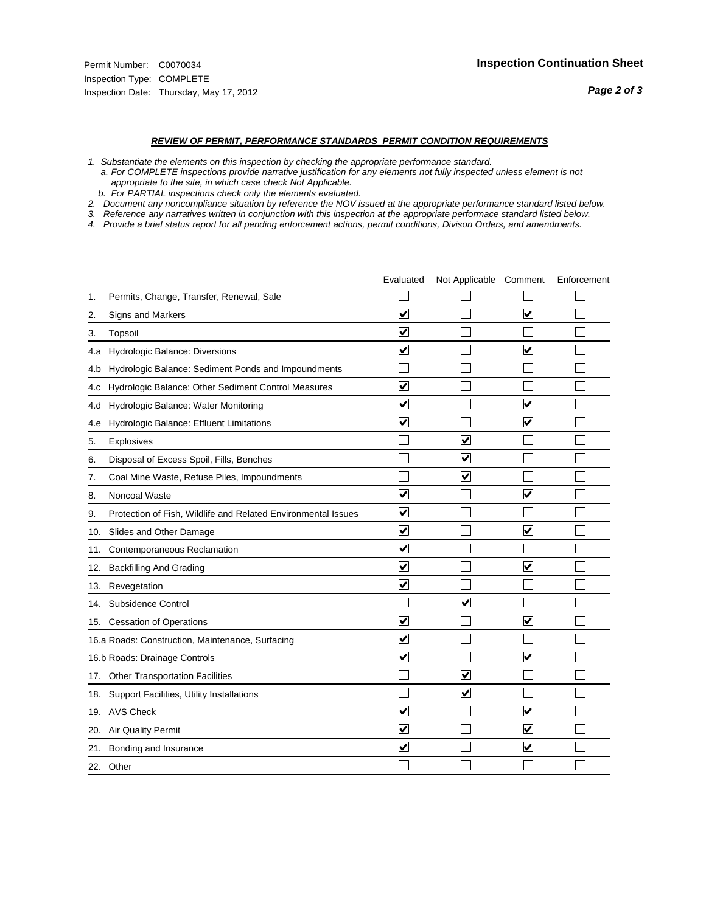#### *REVIEW OF PERMIT, PERFORMANCE STANDARDS PERMIT CONDITION REQUIREMENTS*

- *1. Substantiate the elements on this inspection by checking the appropriate performance standard.*
- *a. For COMPLETE inspections provide narrative justification for any elements not fully inspected unless element is not appropriate to the site, in which case check Not Applicable.*
- *b. For PARTIAL inspections check only the elements evaluated.*
- *2. Document any noncompliance situation by reference the NOV issued at the appropriate performance standard listed below.*
- *3. Reference any narratives written in conjunction with this inspection at the appropriate performace standard listed below.*
- *4. Provide a brief status report for all pending enforcement actions, permit conditions, Divison Orders, and amendments.*

|     |                                                               | Evaluated               | Not Applicable Comment  |                         | Enforcement |
|-----|---------------------------------------------------------------|-------------------------|-------------------------|-------------------------|-------------|
| 1.  | Permits, Change, Transfer, Renewal, Sale                      |                         |                         |                         |             |
| 2.  | <b>Signs and Markers</b>                                      | $\overline{\mathbf{v}}$ |                         | $\blacktriangledown$    |             |
| 3.  | Topsoil                                                       | $\overline{\mathbf{v}}$ |                         |                         |             |
| 4.a | Hydrologic Balance: Diversions                                | $\blacktriangledown$    |                         | $\overline{\mathbf{v}}$ |             |
| 4.b | Hydrologic Balance: Sediment Ponds and Impoundments           |                         |                         |                         |             |
| 4.c | Hydrologic Balance: Other Sediment Control Measures           | $\overline{\mathbf{v}}$ |                         |                         |             |
| 4.d | Hydrologic Balance: Water Monitoring                          | $\overline{\mathbf{v}}$ |                         | $\overline{\mathbf{v}}$ |             |
| 4.e | Hydrologic Balance: Effluent Limitations                      | $\overline{\mathbf{v}}$ |                         | $\blacktriangledown$    |             |
| 5.  | <b>Explosives</b>                                             |                         | $\overline{\mathbf{v}}$ |                         |             |
| 6.  | Disposal of Excess Spoil, Fills, Benches                      |                         | $\overline{\mathbf{v}}$ |                         |             |
| 7.  | Coal Mine Waste, Refuse Piles, Impoundments                   |                         | ☑                       |                         |             |
| 8.  | Noncoal Waste                                                 | $\overline{\mathbf{v}}$ |                         | $\overline{\mathbf{v}}$ |             |
| 9.  | Protection of Fish, Wildlife and Related Environmental Issues | $\overline{\mathbf{v}}$ |                         |                         |             |
|     | 10. Slides and Other Damage                                   | $\overline{\mathbf{v}}$ |                         | $\blacktriangledown$    |             |
| 11. | Contemporaneous Reclamation                                   | ⊻                       |                         |                         |             |
| 12. | <b>Backfilling And Grading</b>                                | $\overline{\mathbf{v}}$ |                         | $\blacktriangledown$    |             |
| 13. | Revegetation                                                  | $\overline{\mathbf{v}}$ |                         |                         |             |
| 14. | Subsidence Control                                            |                         | $\overline{\mathbf{v}}$ |                         |             |
|     | 15. Cessation of Operations                                   | $\overline{\mathbf{v}}$ |                         | $\blacktriangledown$    |             |
|     | 16.a Roads: Construction, Maintenance, Surfacing              | $\blacktriangledown$    |                         |                         |             |
|     | 16.b Roads: Drainage Controls                                 | $\overline{\mathbf{v}}$ |                         | V                       |             |
| 17. | <b>Other Transportation Facilities</b>                        |                         | $\overline{\mathbf{v}}$ |                         |             |
| 18. | Support Facilities, Utility Installations                     |                         | ☑                       |                         |             |
|     | 19. AVS Check                                                 | $\overline{\mathbf{v}}$ |                         | $\overline{\mathbf{v}}$ |             |
| 20. | Air Quality Permit                                            | $\overline{\mathsf{v}}$ |                         | $\blacktriangledown$    |             |
|     | 21. Bonding and Insurance                                     | $\overline{\mathbf{v}}$ |                         | $\blacktriangledown$    |             |
|     | 22. Other                                                     |                         |                         |                         |             |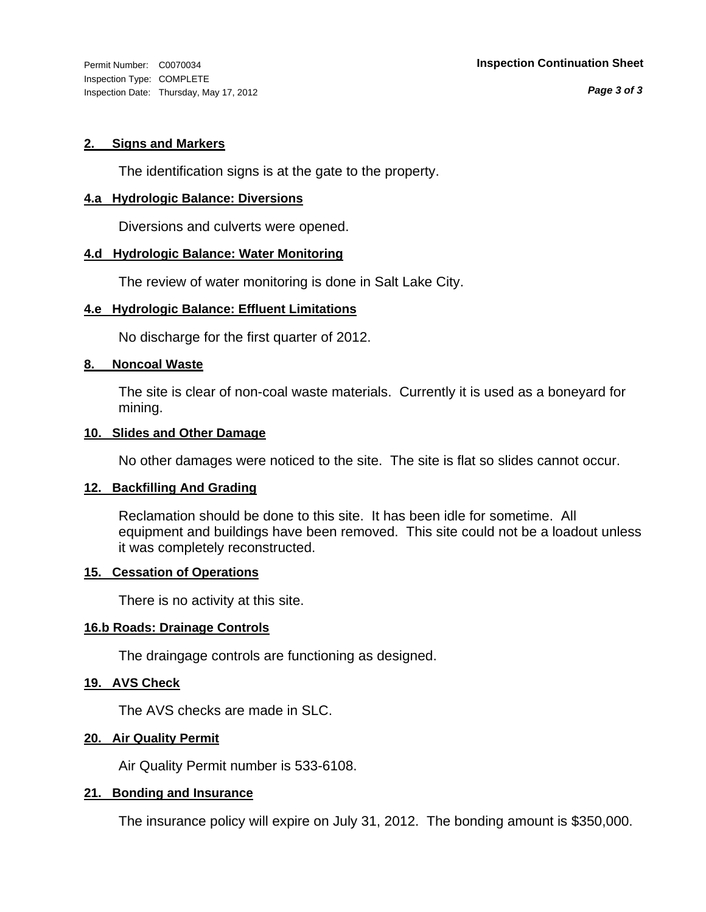Inspection Type: COMPLETE Inspection Date: Thursday, May 17, 2012

*Page 3 of 3*

## **2. Signs and Markers**

The identification signs is at the gate to the property.

## **4.a Hydrologic Balance: Diversions**

Diversions and culverts were opened.

## **4.d Hydrologic Balance: Water Monitoring**

The review of water monitoring is done in Salt Lake City.

## **4.e Hydrologic Balance: Effluent Limitations**

No discharge for the first quarter of 2012.

## **8. Noncoal Waste**

The site is clear of non-coal waste materials. Currently it is used as a boneyard for mining.

## **10. Slides and Other Damage**

No other damages were noticed to the site. The site is flat so slides cannot occur.

## **12. Backfilling And Grading**

Reclamation should be done to this site. It has been idle for sometime. All equipment and buildings have been removed. This site could not be a loadout unless it was completely reconstructed.

## **15. Cessation of Operations**

There is no activity at this site.

## **16.b Roads: Drainage Controls**

The draingage controls are functioning as designed.

## **19. AVS Check**

The AVS checks are made in SLC.

## **20. Air Quality Permit**

Air Quality Permit number is 533-6108.

## **21. Bonding and Insurance**

The insurance policy will expire on July 31, 2012. The bonding amount is \$350,000.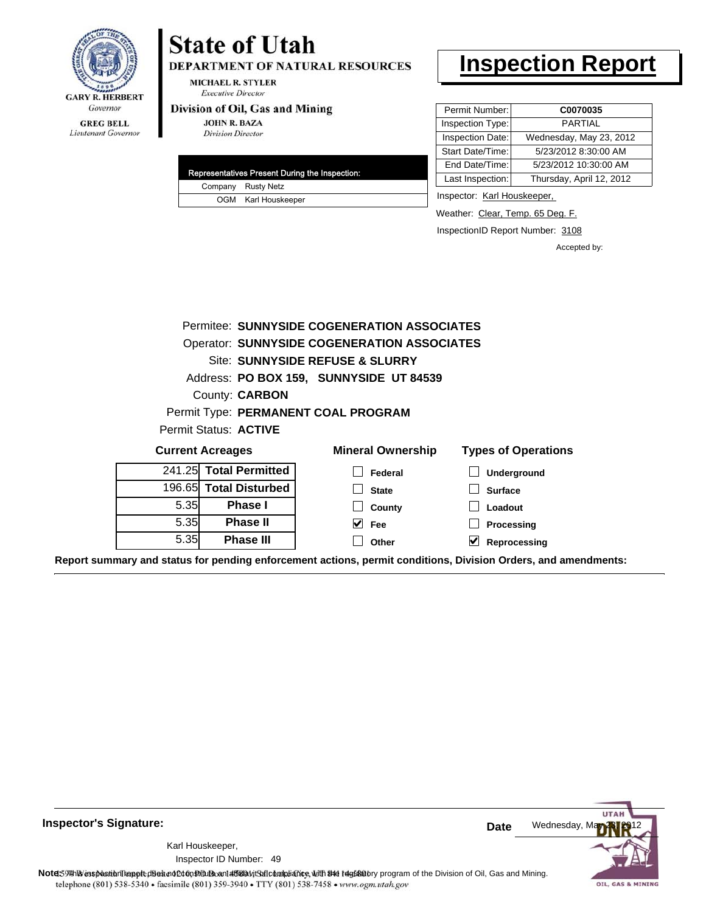

#### **GREG BELL** Lieutenant Governor

# **State of Utah**

DEPARTMENT OF NATURAL RESOURCES

**MICHAEL R. STYLER Executive Director** 

### Division of Oil, Gas and Mining

**JOHN R. BAZA Division Director** 

| Representatives Present During the Inspection: |
|------------------------------------------------|
| Company Rusty Netz                             |
| OGM Karl Houskeeper                            |

## **Inspection Report**

| Permit Number:   | C0070035                 |
|------------------|--------------------------|
| Inspection Type: | <b>PARTIAL</b>           |
| Inspection Date: | Wednesday, May 23, 2012  |
| Start Date/Time: | 5/23/2012 8:30:00 AM     |
| End Date/Time:   | 5/23/2012 10:30:00 AM    |
| Last Inspection: | Thursday, April 12, 2012 |

Inspector: Karl Houskeeper,

Weather: Clear, Temp. 65 Deg. F.

InspectionID Report Number: 3108

Accepted by:

|      |                         | Permitee: SUNNYSIDE COGENERATION ASSOCIATES        |                            |
|------|-------------------------|----------------------------------------------------|----------------------------|
|      |                         | <b>Operator: SUNNYSIDE COGENERATION ASSOCIATES</b> |                            |
|      |                         | Site: SUNNYSIDE REFUSE & SLURRY                    |                            |
|      |                         | Address: PO BOX 159, SUNNYSIDE UT 84539            |                            |
|      | County: <b>CARBON</b>   |                                                    |                            |
|      |                         | Permit Type: PERMANENT COAL PROGRAM                |                            |
|      | Permit Status: ACTIVE   |                                                    |                            |
|      | <b>Current Acreages</b> | <b>Mineral Ownership</b>                           | <b>Types of Operations</b> |
|      | 241.25 Total Permitted  | Federal                                            | Underground                |
|      | 196.65 Total Disturbed  | <b>State</b>                                       | <b>Surface</b>             |
| 5.35 | <b>Phase I</b>          | County                                             | Loadout                    |
| 5.35 | <b>Phase II</b>         | V<br><b>Fee</b>                                    | Processing                 |
| 5.35 | <b>Phase III</b>        | Other                                              | Reprocessing               |

**Report summary and status for pending enforcement actions, permit conditions, Division Orders, and amendments:**



49 Inspector ID Number:Karl Houskeeper,



OIL, GAS & MINING

Note: 59Hh is inspection report does not constitute and affidavit Control and Mining.<br>
telephone (801) 538-5340 • facsimile (801) 539-3940 • TTY (801) 538-7458 • www.ogm.utah.gov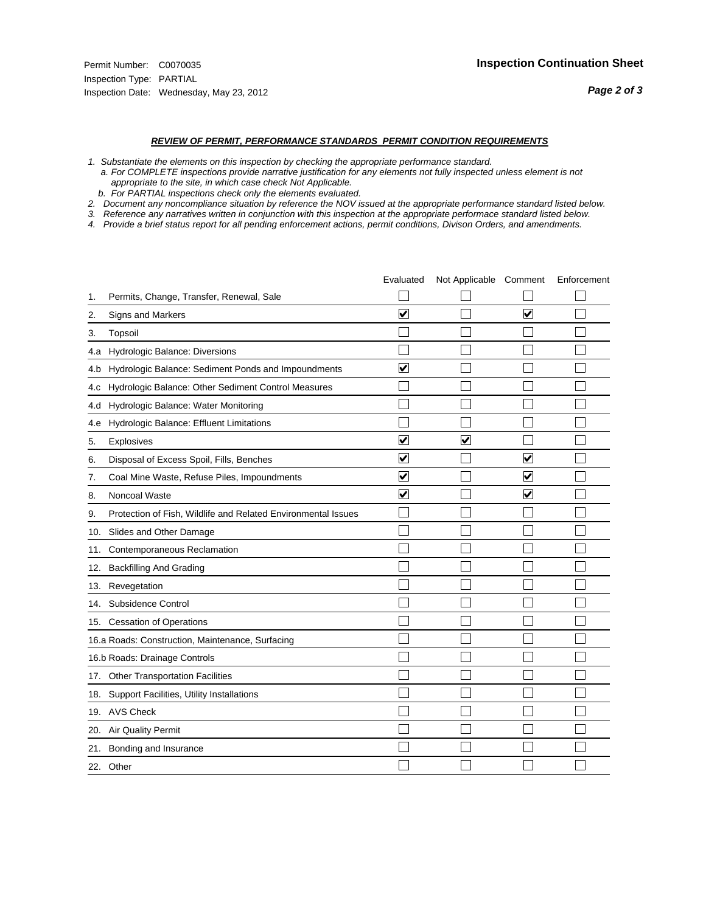#### *REVIEW OF PERMIT, PERFORMANCE STANDARDS PERMIT CONDITION REQUIREMENTS*

- *1. Substantiate the elements on this inspection by checking the appropriate performance standard.*
- *a. For COMPLETE inspections provide narrative justification for any elements not fully inspected unless element is not appropriate to the site, in which case check Not Applicable.*
- *b. For PARTIAL inspections check only the elements evaluated.*
- *2. Document any noncompliance situation by reference the NOV issued at the appropriate performance standard listed below.*
- *3. Reference any narratives written in conjunction with this inspection at the appropriate performace standard listed below.*
- *4. Provide a brief status report for all pending enforcement actions, permit conditions, Divison Orders, and amendments.*

|     |                                                               | Evaluated               | Not Applicable Comment  |                         | Enforcement |
|-----|---------------------------------------------------------------|-------------------------|-------------------------|-------------------------|-------------|
| 1.  | Permits, Change, Transfer, Renewal, Sale                      |                         |                         |                         |             |
| 2.  | Signs and Markers                                             | $\overline{\mathbf{v}}$ |                         | $\blacktriangledown$    |             |
| 3.  | Topsoil                                                       |                         |                         |                         |             |
| 4.a | Hydrologic Balance: Diversions                                |                         |                         |                         |             |
| 4.b | Hydrologic Balance: Sediment Ponds and Impoundments           | ⊽                       |                         |                         |             |
| 4.c | Hydrologic Balance: Other Sediment Control Measures           |                         |                         |                         |             |
| 4.d | Hydrologic Balance: Water Monitoring                          |                         |                         |                         |             |
| 4.e | Hydrologic Balance: Effluent Limitations                      |                         |                         |                         |             |
| 5.  | Explosives                                                    | $\overline{\mathbf{v}}$ | $\overline{\mathbf{v}}$ |                         |             |
| 6.  | Disposal of Excess Spoil, Fills, Benches                      | ⊽                       |                         | V                       |             |
| 7.  | Coal Mine Waste, Refuse Piles, Impoundments                   | $\overline{\mathbf{v}}$ |                         | $\blacktriangledown$    |             |
| 8.  | Noncoal Waste                                                 | $\overline{\mathsf{v}}$ |                         | $\overline{\mathsf{v}}$ |             |
| 9.  | Protection of Fish, Wildlife and Related Environmental Issues |                         |                         |                         |             |
|     | 10. Slides and Other Damage                                   |                         |                         |                         |             |
| 11. | Contemporaneous Reclamation                                   |                         |                         |                         |             |
| 12. | <b>Backfilling And Grading</b>                                |                         |                         |                         |             |
| 13. | Revegetation                                                  |                         |                         |                         |             |
| 14. | Subsidence Control                                            |                         |                         |                         |             |
|     | 15. Cessation of Operations                                   |                         |                         |                         |             |
|     | 16.a Roads: Construction, Maintenance, Surfacing              |                         |                         |                         |             |
|     | 16.b Roads: Drainage Controls                                 |                         |                         |                         |             |
| 17. | <b>Other Transportation Facilities</b>                        |                         |                         |                         |             |
| 18. | Support Facilities, Utility Installations                     |                         |                         |                         |             |
|     | 19. AVS Check                                                 |                         |                         |                         |             |
| 20. | Air Quality Permit                                            |                         |                         |                         |             |
| 21. | Bonding and Insurance                                         |                         |                         |                         |             |
|     | 22. Other                                                     |                         |                         |                         |             |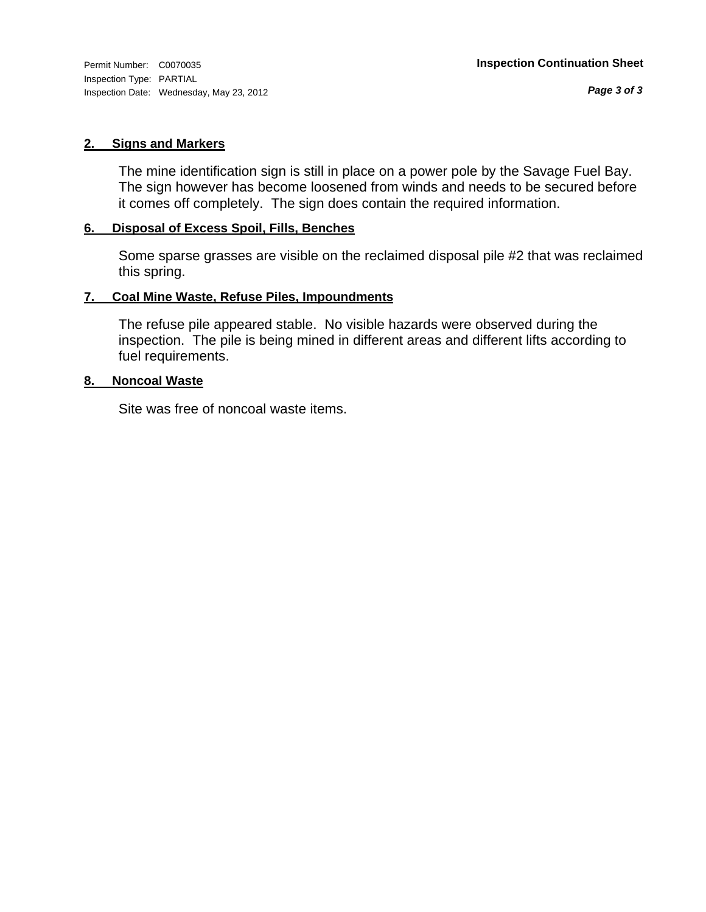Inspection Type: PARTIAL Inspection Date: Wednesday, May 23, 2012

## **2. Signs and Markers**

The mine identification sign is still in place on a power pole by the Savage Fuel Bay. The sign however has become loosened from winds and needs to be secured before it comes off completely. The sign does contain the required information.

## **6. Disposal of Excess Spoil, Fills, Benches**

Some sparse grasses are visible on the reclaimed disposal pile #2 that was reclaimed this spring.

## **7. Coal Mine Waste, Refuse Piles, Impoundments**

The refuse pile appeared stable. No visible hazards were observed during the inspection. The pile is being mined in different areas and different lifts according to fuel requirements.

## **8. Noncoal Waste**

Site was free of noncoal waste items.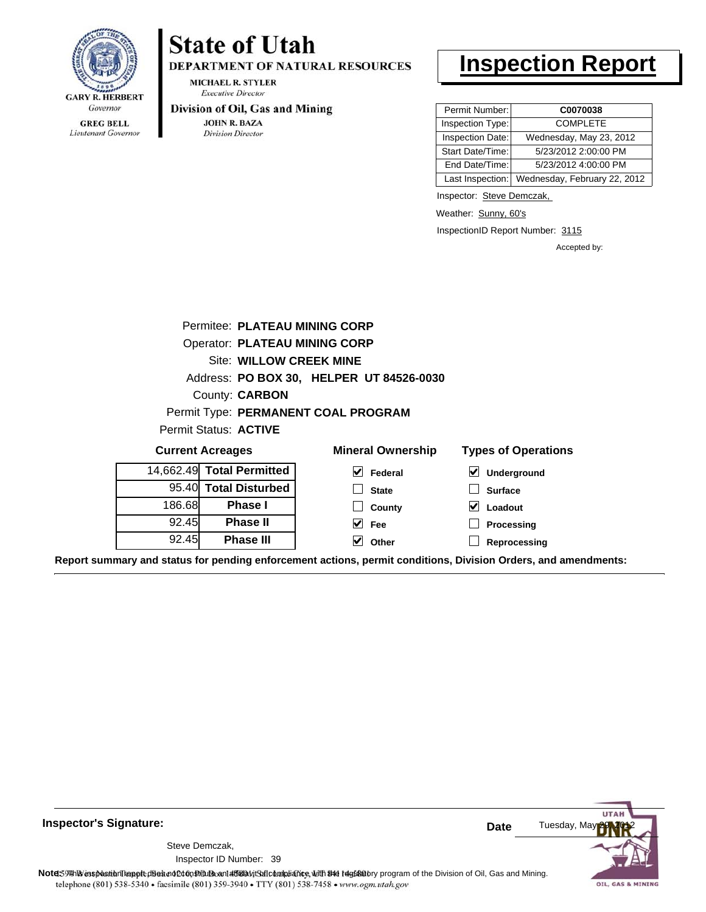

Lieutenant Governor

# **State of Utah**

DEPARTMENT OF NATURAL RESOURCES

**MICHAEL R. STYLER Executive Director** 

### Division of Oil, Gas and Mining

**JOHN R. BAZA Division Director** 

92.45

**Phase III**

## **Inspection Report**

| Permit Number:   | C0070038                     |
|------------------|------------------------------|
| Inspection Type: | <b>COMPLETE</b>              |
| Inspection Date: | Wednesday, May 23, 2012      |
| Start Date/Time: | 5/23/2012 2:00:00 PM         |
| End Date/Time:   | 5/23/2012 4:00:00 PM         |
| Last Inspection: | Wednesday, February 22, 2012 |

Inspector: Steve Demczak,

Weather: Sunny, 60's

InspectionID Report Number: 3115

**Reprocessing**

Accepted by:

|                         | Permitee: PLATEAU MINING CORP        |                                          |                                     |
|-------------------------|--------------------------------------|------------------------------------------|-------------------------------------|
|                         | <b>Operator: PLATEAU MINING CORP</b> |                                          |                                     |
| Site: WILLOW CREEK MINE |                                      |                                          |                                     |
|                         |                                      | Address: PO BOX 30, HELPER UT 84526-0030 |                                     |
|                         | <b>County: CARBON</b>                |                                          |                                     |
|                         |                                      | Permit Type: PERMANENT COAL PROGRAM      |                                     |
|                         | Permit Status: ACTIVE                |                                          |                                     |
|                         | <b>Current Acreages</b>              | <b>Mineral Ownership</b>                 | <b>Types of Operations</b>          |
|                         | 14,662.49 Total Permitted            | V<br>Federal                             | $\blacktriangledown$<br>Underground |
|                         | 95.40 Total Disturbed                | <b>State</b>                             | <b>Surface</b>                      |
| 186.68                  | <b>Phase I</b>                       | County                                   | Loadout<br>M                        |
| 92.45                   | <b>Phase II</b>                      | M<br>Fee                                 | Processing                          |

**Other**

**Report summary and status for pending enforcement actions, permit conditions, Division Orders, and amendments:**



**Inspector's Signature:**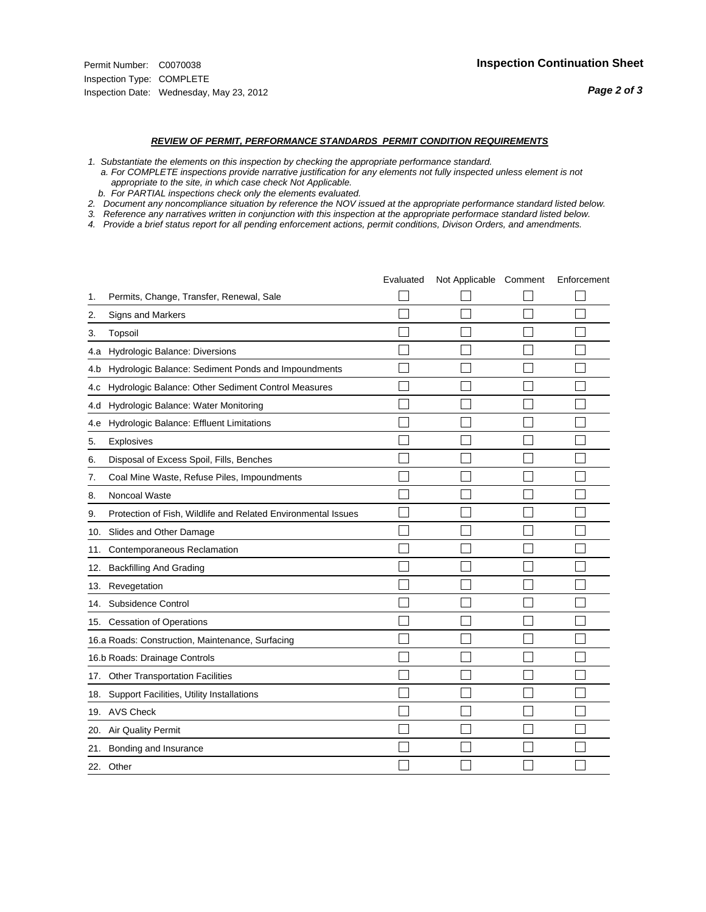#### *REVIEW OF PERMIT, PERFORMANCE STANDARDS PERMIT CONDITION REQUIREMENTS*

- *1. Substantiate the elements on this inspection by checking the appropriate performance standard.*
- *a. For COMPLETE inspections provide narrative justification for any elements not fully inspected unless element is not appropriate to the site, in which case check Not Applicable.*
- *b. For PARTIAL inspections check only the elements evaluated.*
- *2. Document any noncompliance situation by reference the NOV issued at the appropriate performance standard listed below.*
- *3. Reference any narratives written in conjunction with this inspection at the appropriate performace standard listed below.*
- *4. Provide a brief status report for all pending enforcement actions, permit conditions, Divison Orders, and amendments.*

|     |                                                               | Evaluated | Not Applicable Comment | Enforcement |
|-----|---------------------------------------------------------------|-----------|------------------------|-------------|
| 1.  | Permits, Change, Transfer, Renewal, Sale                      |           |                        |             |
| 2.  | <b>Signs and Markers</b>                                      |           |                        |             |
| 3.  | Topsoil                                                       |           |                        |             |
| 4.a | Hydrologic Balance: Diversions                                |           |                        |             |
| 4.b | Hydrologic Balance: Sediment Ponds and Impoundments           |           |                        |             |
| 4.c | Hydrologic Balance: Other Sediment Control Measures           |           |                        |             |
| 4.d | Hydrologic Balance: Water Monitoring                          |           |                        |             |
| 4.e | Hydrologic Balance: Effluent Limitations                      |           |                        |             |
| 5.  | <b>Explosives</b>                                             |           |                        |             |
| 6.  | Disposal of Excess Spoil, Fills, Benches                      |           |                        |             |
| 7.  | Coal Mine Waste, Refuse Piles, Impoundments                   |           |                        |             |
| 8.  | Noncoal Waste                                                 |           |                        |             |
| 9.  | Protection of Fish, Wildlife and Related Environmental Issues |           |                        |             |
|     | 10. Slides and Other Damage                                   |           |                        |             |
| 11. | Contemporaneous Reclamation                                   |           |                        |             |
| 12. | <b>Backfilling And Grading</b>                                |           |                        |             |
| 13. | Revegetation                                                  |           |                        |             |
| 14. | Subsidence Control                                            |           |                        |             |
|     | 15. Cessation of Operations                                   |           |                        |             |
|     | 16.a Roads: Construction, Maintenance, Surfacing              |           |                        |             |
|     | 16.b Roads: Drainage Controls                                 |           |                        |             |
| 17. | <b>Other Transportation Facilities</b>                        |           |                        |             |
| 18. | Support Facilities, Utility Installations                     |           |                        |             |
|     | 19. AVS Check                                                 |           |                        |             |
| 20. | Air Quality Permit                                            |           |                        |             |
| 21. | Bonding and Insurance                                         |           |                        |             |
|     | 22. Other                                                     |           |                        |             |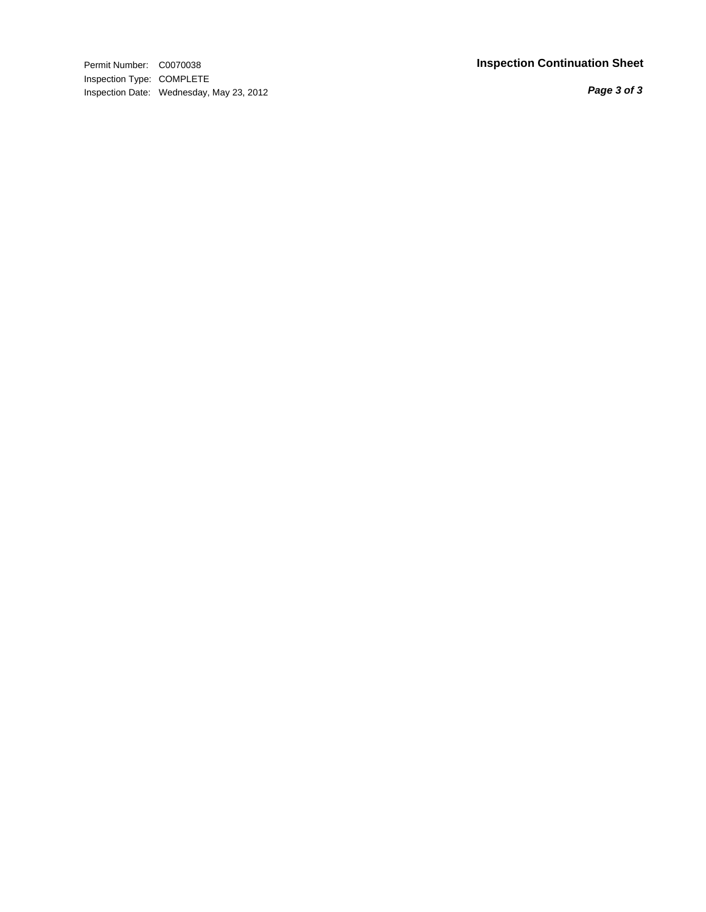Inspection Type: COMPLETE Inspection Date: Wednesday, May 23, 2012

## Permit Number: C0070038 **Inspection Continuation Sheet**

*Page 3 of 3*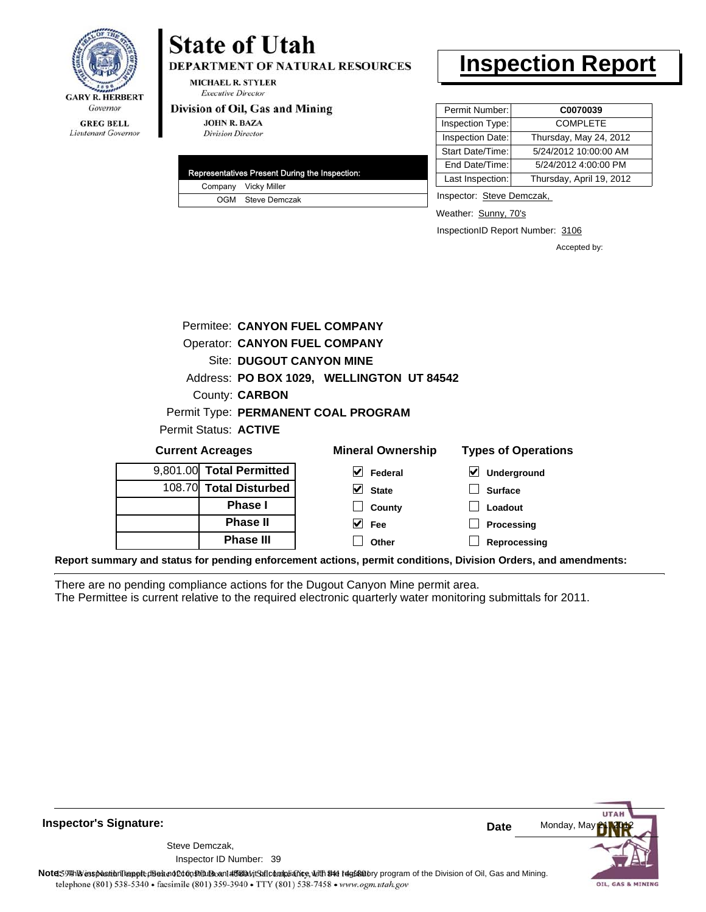

## **GREG BELL** Lieutenant Governor

# **State of Utah**

**DEPARTMENT OF NATURAL RESOURCES** 

**MICHAEL R. STYLER Executive Director** 

### Division of Oil, Gas and Mining

**JOHN R. BAZA Division Director** 

|  | Representatives Present During the Inspection: |
|--|------------------------------------------------|
|  | Company Vicky Miller                           |
|  | OGM Steve Demczak                              |

## **Inspection Report**

| Permit Number:   | C0070039                 |
|------------------|--------------------------|
| Inspection Type: | <b>COMPLETE</b>          |
| Inspection Date: | Thursday, May 24, 2012   |
| Start Date/Time: | 5/24/2012 10:00:00 AM    |
| End Date/Time:   | 5/24/2012 4:00:00 PM     |
| Last Inspection: | Thursday, April 19, 2012 |

Inspector: Steve Demczak,

Weather: Sunny, 70's

InspectionID Report Number: 3106

**Processing Reprocessing** Accepted by:

|                              |  | Permitee: CANYON FUEL COMPANY        |                                           |                |  |
|------------------------------|--|--------------------------------------|-------------------------------------------|----------------|--|
|                              |  | <b>Operator: CANYON FUEL COMPANY</b> |                                           |                |  |
|                              |  | <b>Site: DUGOUT CANYON MINE</b>      |                                           |                |  |
|                              |  |                                      | Address: PO BOX 1029, WELLINGTON UT 84542 |                |  |
|                              |  | County: <b>CARBON</b>                |                                           |                |  |
|                              |  |                                      | Permit Type: PERMANENT COAL PROGRAM       |                |  |
| <b>Permit Status: ACTIVE</b> |  |                                      |                                           |                |  |
| <b>Current Acreages</b>      |  | <b>Mineral Ownership</b>             | <b>Types of Operations</b>                |                |  |
|                              |  | 9,801.00 Total Permitted             | V<br>Federal                              | Underground    |  |
|                              |  | 108.70 Total Disturbed               | <b>State</b>                              | <b>Surface</b> |  |
|                              |  | <b>Phase</b> I                       | County                                    | Loadout        |  |

**Fee Other**

**Report summary and status for pending enforcement actions, permit conditions, Division Orders, and amendments:**

There are no pending compliance actions for the Dugout Canyon Mine permit area. The Permittee is current relative to the required electronic quarterly water monitoring submittals for 2011.

**Phase II Phase III**

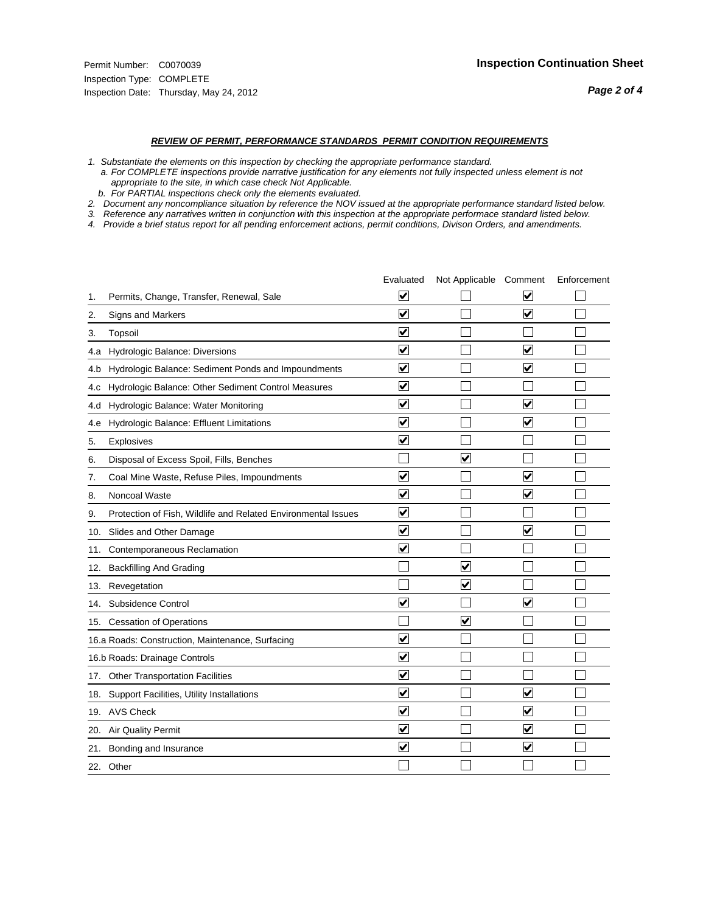#### *REVIEW OF PERMIT, PERFORMANCE STANDARDS PERMIT CONDITION REQUIREMENTS*

*1. Substantiate the elements on this inspection by checking the appropriate performance standard.*

 *a. For COMPLETE inspections provide narrative justification for any elements not fully inspected unless element is not appropriate to the site, in which case check Not Applicable.*

 *b. For PARTIAL inspections check only the elements evaluated.*

*2. Document any noncompliance situation by reference the NOV issued at the appropriate performance standard listed below.*

*3. Reference any narratives written in conjunction with this inspection at the appropriate performace standard listed below.*

*4. Provide a brief status report for all pending enforcement actions, permit conditions, Divison Orders, and amendments.*

|     |                                                               | Evaluated               | Not Applicable Comment  |                         | Enforcement |
|-----|---------------------------------------------------------------|-------------------------|-------------------------|-------------------------|-------------|
| 1.  | Permits, Change, Transfer, Renewal, Sale                      | $\overline{\mathsf{v}}$ |                         | $\overline{\mathbf{v}}$ |             |
| 2.  | Signs and Markers                                             | $\overline{\mathbf{v}}$ |                         | ☑                       |             |
| 3.  | Topsoil                                                       | $\overline{\mathbf{v}}$ |                         |                         |             |
| 4.a | Hydrologic Balance: Diversions                                | V                       |                         | V                       |             |
| 4.b | Hydrologic Balance: Sediment Ponds and Impoundments           | $\blacktriangledown$    |                         | $\blacktriangledown$    |             |
| 4.C | Hydrologic Balance: Other Sediment Control Measures           | $\overline{\mathbf{v}}$ |                         |                         |             |
| 4.d | Hydrologic Balance: Water Monitoring                          | $\overline{\mathbf{v}}$ |                         | $\blacktriangledown$    |             |
| 4.e | Hydrologic Balance: Effluent Limitations                      | $\overline{\mathbf{v}}$ |                         | $\blacktriangledown$    |             |
| 5.  | <b>Explosives</b>                                             | $\overline{\mathbf{v}}$ |                         |                         |             |
| 6.  | Disposal of Excess Spoil, Fills, Benches                      |                         | $\overline{\mathsf{v}}$ |                         |             |
| 7.  | Coal Mine Waste, Refuse Piles, Impoundments                   | $\overline{\mathbf{v}}$ |                         | $\overline{\mathbf{v}}$ |             |
| 8.  | Noncoal Waste                                                 | $\overline{\mathbf{v}}$ |                         | $\overline{\mathbf{v}}$ |             |
| 9.  | Protection of Fish, Wildlife and Related Environmental Issues | $\overline{\mathbf{v}}$ |                         |                         |             |
|     | 10. Slides and Other Damage                                   | $\overline{\mathbf{v}}$ |                         | $\overline{\mathbf{v}}$ |             |
| 11. | Contemporaneous Reclamation                                   | $\blacktriangledown$    |                         |                         |             |
| 12. | <b>Backfilling And Grading</b>                                |                         | $\blacktriangledown$    |                         |             |
| 13. | Revegetation                                                  |                         | $\overline{\mathbf{v}}$ |                         |             |
| 14. | Subsidence Control                                            | $\overline{\mathbf{v}}$ |                         | $\blacktriangledown$    |             |
|     | 15. Cessation of Operations                                   |                         | $\blacktriangledown$    |                         |             |
|     | 16.a Roads: Construction, Maintenance, Surfacing              | $\overline{\mathsf{v}}$ |                         |                         |             |
|     | 16.b Roads: Drainage Controls                                 | $\overline{\mathsf{v}}$ |                         |                         |             |
| 17. | <b>Other Transportation Facilities</b>                        | $\overline{\mathbf{v}}$ |                         |                         |             |
| 18. | Support Facilities, Utility Installations                     | $\overline{\mathbf{v}}$ |                         | $\overline{\mathbf{v}}$ |             |
|     | 19. AVS Check                                                 | $\overline{\mathbf{v}}$ |                         | $\blacktriangledown$    |             |
| 20. | <b>Air Quality Permit</b>                                     | $\blacktriangledown$    |                         | $\blacktriangledown$    |             |
| 21. | Bonding and Insurance                                         | $\overline{\mathbf{v}}$ |                         | $\blacktriangledown$    |             |
|     | 22. Other                                                     |                         |                         |                         |             |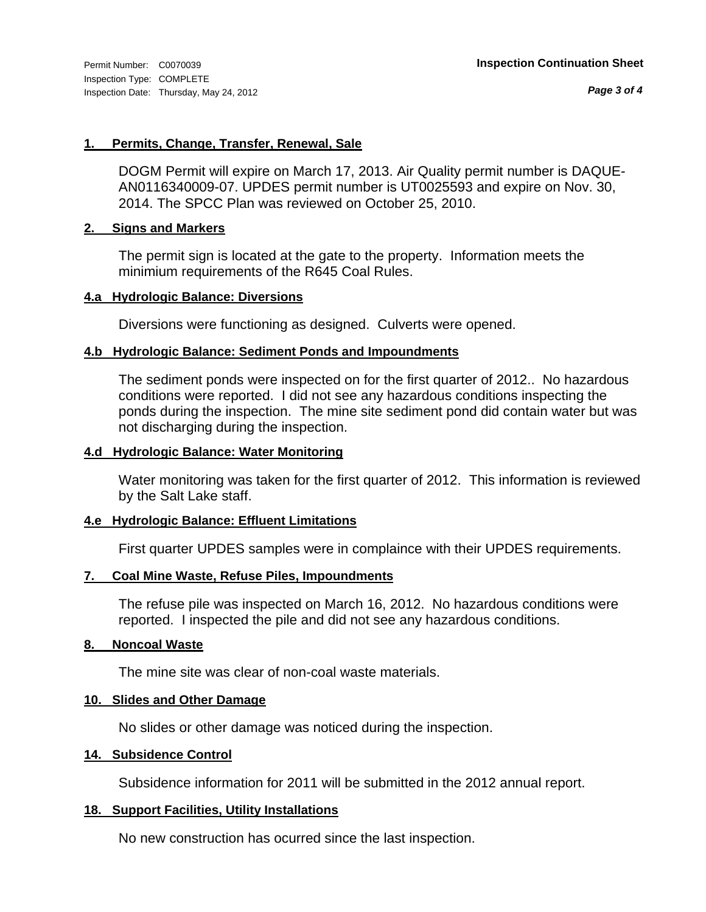*Page 3 of 4*

## **1. Permits, Change, Transfer, Renewal, Sale**

DOGM Permit will expire on March 17, 2013. Air Quality permit number is DAQUE-AN0116340009-07. UPDES permit number is UT0025593 and expire on Nov. 30, 2014. The SPCC Plan was reviewed on October 25, 2010.

## **2. Signs and Markers**

The permit sign is located at the gate to the property. Information meets the minimium requirements of the R645 Coal Rules.

## **4.a Hydrologic Balance: Diversions**

Diversions were functioning as designed. Culverts were opened.

## **4.b Hydrologic Balance: Sediment Ponds and Impoundments**

The sediment ponds were inspected on for the first quarter of 2012.. No hazardous conditions were reported. I did not see any hazardous conditions inspecting the ponds during the inspection. The mine site sediment pond did contain water but was not discharging during the inspection.

## **4.d Hydrologic Balance: Water Monitoring**

Water monitoring was taken for the first quarter of 2012. This information is reviewed by the Salt Lake staff.

## **4.e Hydrologic Balance: Effluent Limitations**

First quarter UPDES samples were in complaince with their UPDES requirements.

## **7. Coal Mine Waste, Refuse Piles, Impoundments**

The refuse pile was inspected on March 16, 2012. No hazardous conditions were reported. I inspected the pile and did not see any hazardous conditions.

## **8. Noncoal Waste**

The mine site was clear of non-coal waste materials.

## **10. Slides and Other Damage**

No slides or other damage was noticed during the inspection.

## **14. Subsidence Control**

Subsidence information for 2011 will be submitted in the 2012 annual report.

## **18. Support Facilities, Utility Installations**

No new construction has ocurred since the last inspection.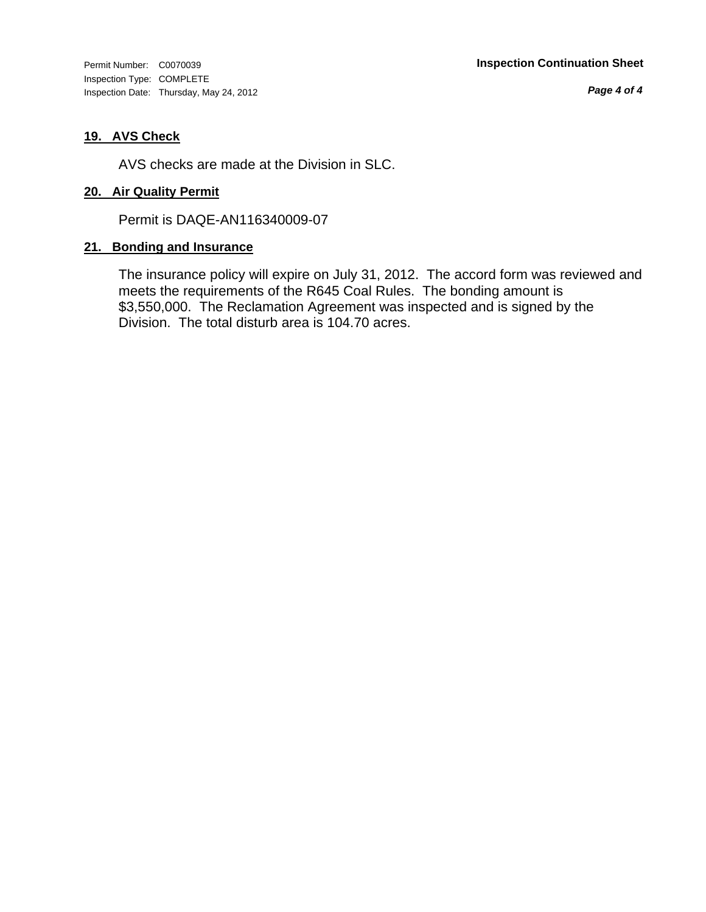Inspection Type: COMPLETE Inspection Date: Thursday, May 24, 2012

*Page 4 of 4*

## **19. AVS Check**

AVS checks are made at the Division in SLC.

## **20. Air Quality Permit**

Permit is DAQE-AN116340009-07

## **21. Bonding and Insurance**

The insurance policy will expire on July 31, 2012. The accord form was reviewed and meets the requirements of the R645 Coal Rules. The bonding amount is \$3,550,000. The Reclamation Agreement was inspected and is signed by the Division. The total disturb area is 104.70 acres.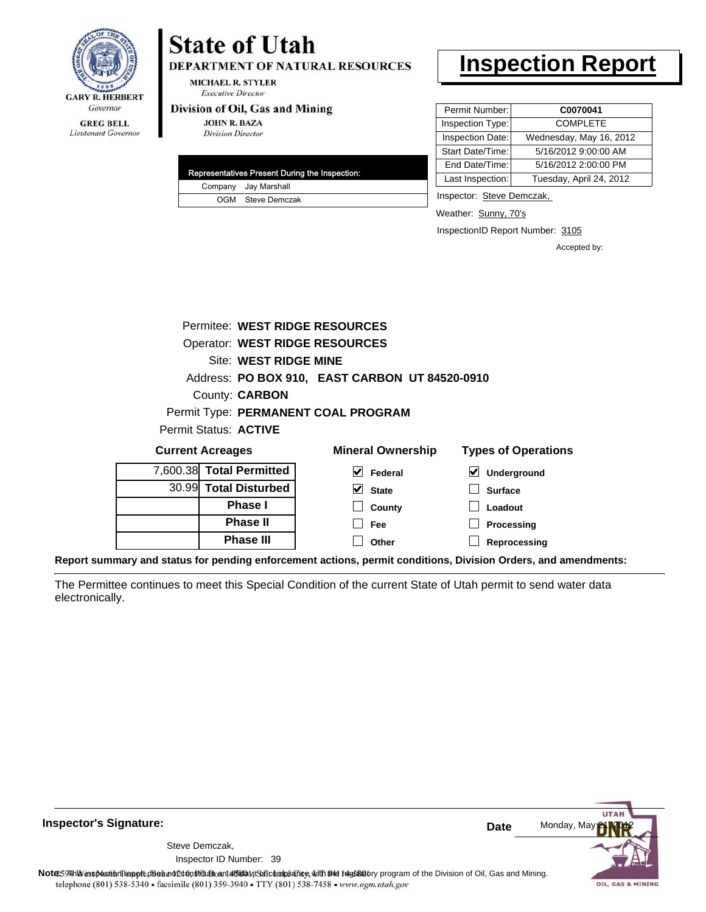

Lieutenant Governor

# **State of Utah**

**DEPARTMENT OF NATURAL RESOURCES** 

**MICHAEL R. STYLER Executive Director** 

## Division of Oil, Gas and Mining

**JOHN R. BAZA Division Director** 

|  | Representatives Present During the Inspection: |
|--|------------------------------------------------|
|  | Company Jay Marshall                           |
|  | OGM Steve Demczak                              |

## **Inspection Report**

| Permit Number:   | C0070041                |
|------------------|-------------------------|
| Inspection Type: | <b>COMPLETE</b>         |
| Inspection Date: | Wednesday, May 16, 2012 |
| Start Date/Time: | 5/16/2012 9:00:00 AM    |
| End Date/Time:   | 5/16/2012 2:00:00 PM    |
| Last Inspection: | Tuesday, April 24, 2012 |

Inspector: Steve Demczak,

Weather: Sunny, 70's

InspectionID Report Number: 3105

**Processing Reprocessing** Accepted by:

| Permitee: WEST RIDGE RESOURCES        |                                     |                          |                                                |                                            |
|---------------------------------------|-------------------------------------|--------------------------|------------------------------------------------|--------------------------------------------|
| <b>Operator: WEST RIDGE RESOURCES</b> |                                     |                          |                                                |                                            |
| Site: WEST RIDGE MINE                 |                                     |                          |                                                |                                            |
|                                       |                                     |                          | Address: PO BOX 910, EAST CARBON UT 84520-0910 |                                            |
| County: <b>CARBON</b>                 |                                     |                          |                                                |                                            |
|                                       | Permit Type: PERMANENT COAL PROGRAM |                          |                                                |                                            |
|                                       |                                     | Permit Status: ACTIVE    |                                                |                                            |
| <b>Current Acreages</b>               |                                     |                          | <b>Mineral Ownership</b>                       | <b>Types of Operations</b>                 |
|                                       |                                     | 7,600.38 Total Permitted | V<br>Federal                                   | $\vert\bm{\mathsf{v}}\vert$<br>Underground |
|                                       |                                     | 30.99 Total Disturbed    | V<br><b>State</b>                              | <b>Surface</b>                             |
|                                       |                                     | <b>Phase I</b>           | County                                         | Loadout                                    |

**Fee Other**

**Report summary and status for pending enforcement actions, permit conditions, Division Orders, and amendments:**

**Phase II Phase III**

The Permittee continues to meet this Special Condition of the current State of Utah permit to send water data electronically.



**Inspector's Signature:**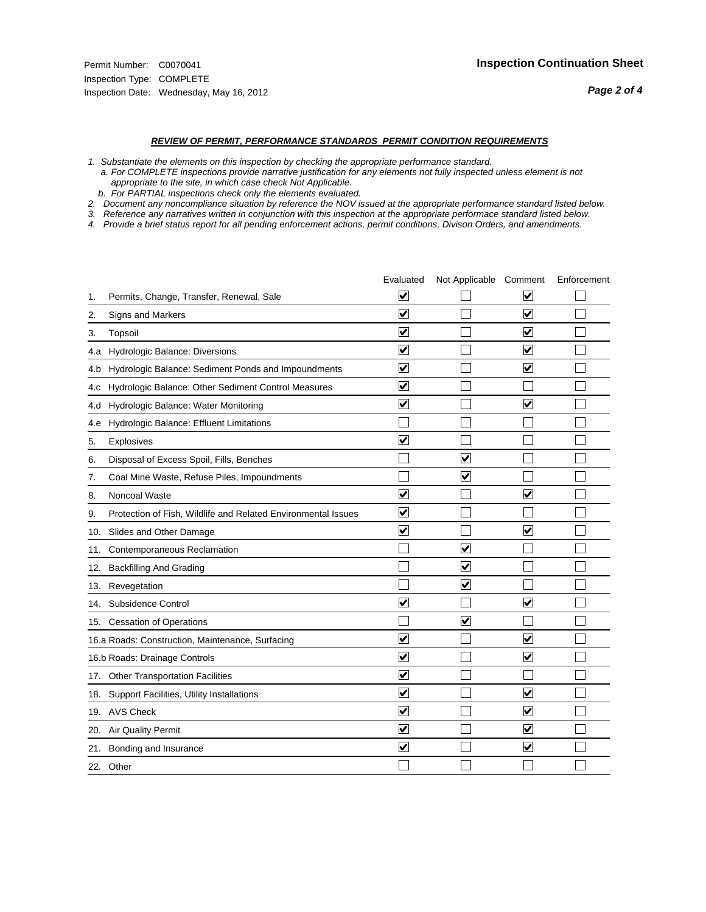#### *REVIEW OF PERMIT, PERFORMANCE STANDARDS PERMIT CONDITION REQUIREMENTS*

*1. Substantiate the elements on this inspection by checking the appropriate performance standard.*

 *a. For COMPLETE inspections provide narrative justification for any elements not fully inspected unless element is not appropriate to the site, in which case check Not Applicable.*

 *b. For PARTIAL inspections check only the elements evaluated.*

*2. Document any noncompliance situation by reference the NOV issued at the appropriate performance standard listed below.*

*3. Reference any narratives written in conjunction with this inspection at the appropriate performace standard listed below.*

*4. Provide a brief status report for all pending enforcement actions, permit conditions, Divison Orders, and amendments.*

|     |                                                               | Evaluated               | Not Applicable Comment          |                         | Enforcement |
|-----|---------------------------------------------------------------|-------------------------|---------------------------------|-------------------------|-------------|
| 1.  | Permits, Change, Transfer, Renewal, Sale                      | $\overline{\mathbf{v}}$ |                                 | V                       |             |
| 2.  | Signs and Markers                                             | $\overline{\mathbf{v}}$ |                                 | $\blacktriangledown$    |             |
| 3.  | Topsoil                                                       | $\overline{\mathbf{v}}$ |                                 | $\overline{\mathsf{v}}$ |             |
| 4.a | Hydrologic Balance: Diversions                                | $\overline{\mathsf{v}}$ |                                 | $\blacktriangledown$    |             |
| 4.b | Hydrologic Balance: Sediment Ponds and Impoundments           | $\blacktriangledown$    |                                 | ⊻                       |             |
| 4.C | Hydrologic Balance: Other Sediment Control Measures           | $\overline{\mathbf{v}}$ |                                 |                         |             |
| 4.d | Hydrologic Balance: Water Monitoring                          | $\overline{\mathbf{v}}$ |                                 | $\overline{\mathbf{v}}$ |             |
| 4.e | Hydrologic Balance: Effluent Limitations                      |                         |                                 |                         |             |
| 5.  | <b>Explosives</b>                                             | $\overline{\mathbf{v}}$ |                                 |                         |             |
| 6.  | Disposal of Excess Spoil, Fills, Benches                      |                         | $\blacktriangledown$            |                         |             |
| 7.  | Coal Mine Waste, Refuse Piles, Impoundments                   |                         | $\overline{\mathbf{v}}$         |                         |             |
| 8.  | Noncoal Waste                                                 | $\overline{\mathsf{v}}$ |                                 | $\overline{\mathbf{v}}$ |             |
| 9.  | Protection of Fish, Wildlife and Related Environmental Issues | $\overline{\mathbf{v}}$ |                                 |                         |             |
|     | 10. Slides and Other Damage                                   | $\overline{\mathbf{v}}$ |                                 | $\overline{\mathbf{v}}$ |             |
| 11. | Contemporaneous Reclamation                                   |                         | ☑                               |                         |             |
| 12. | <b>Backfilling And Grading</b>                                |                         | $\overline{\mathbf{v}}$         |                         |             |
| 13. | Revegetation                                                  |                         | $\overline{\blacktriangledown}$ |                         |             |
| 14. | Subsidence Control                                            | $\overline{\mathbf{v}}$ |                                 | $\blacktriangledown$    |             |
|     | 15. Cessation of Operations                                   |                         | $\overline{\mathbf{v}}$         |                         |             |
|     | 16.a Roads: Construction, Maintenance, Surfacing              | $\blacktriangledown$    |                                 | $\blacktriangledown$    |             |
|     | 16.b Roads: Drainage Controls                                 | $\overline{\mathbf{v}}$ |                                 | $\overline{\mathbf{v}}$ |             |
| 17. | <b>Other Transportation Facilities</b>                        | $\overline{\mathbf{v}}$ |                                 |                         |             |
| 18. | Support Facilities, Utility Installations                     | $\overline{\mathbf{v}}$ |                                 | $\blacktriangledown$    |             |
|     | 19. AVS Check                                                 | $\overline{\mathbf{v}}$ |                                 | $\blacktriangledown$    |             |
| 20. | Air Quality Permit                                            | $\checkmark$            |                                 | $\blacktriangledown$    |             |
| 21. | Bonding and Insurance                                         | $\overline{\mathbf{v}}$ |                                 | $\blacktriangledown$    |             |
|     | 22. Other                                                     |                         |                                 |                         |             |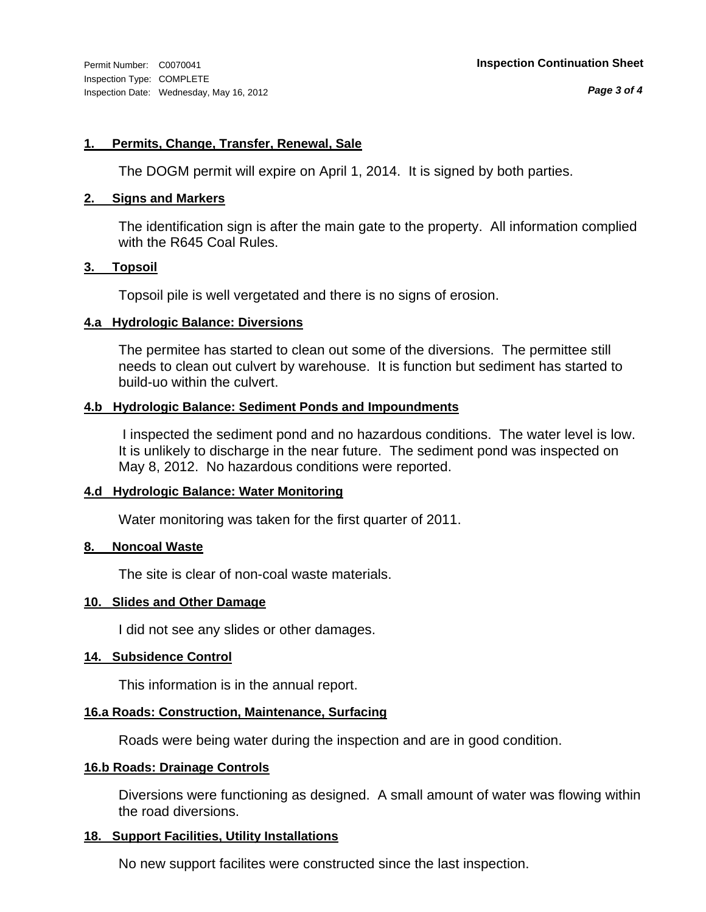## **1. Permits, Change, Transfer, Renewal, Sale**

The DOGM permit will expire on April 1, 2014. It is signed by both parties.

## **2. Signs and Markers**

The identification sign is after the main gate to the property. All information complied with the R645 Coal Rules.

## **3. Topsoil**

Topsoil pile is well vergetated and there is no signs of erosion.

## **4.a Hydrologic Balance: Diversions**

The permitee has started to clean out some of the diversions. The permittee still needs to clean out culvert by warehouse. It is function but sediment has started to build-uo within the culvert.

## **4.b Hydrologic Balance: Sediment Ponds and Impoundments**

 I inspected the sediment pond and no hazardous conditions. The water level is low. It is unlikely to discharge in the near future. The sediment pond was inspected on May 8, 2012. No hazardous conditions were reported.

## **4.d Hydrologic Balance: Water Monitoring**

Water monitoring was taken for the first quarter of 2011.

## **8. Noncoal Waste**

The site is clear of non-coal waste materials.

## **10. Slides and Other Damage**

I did not see any slides or other damages.

## **14. Subsidence Control**

This information is in the annual report.

## **16.a Roads: Construction, Maintenance, Surfacing**

Roads were being water during the inspection and are in good condition.

## **16.b Roads: Drainage Controls**

Diversions were functioning as designed. A small amount of water was flowing within the road diversions.

## **18. Support Facilities, Utility Installations**

No new support facilites were constructed since the last inspection.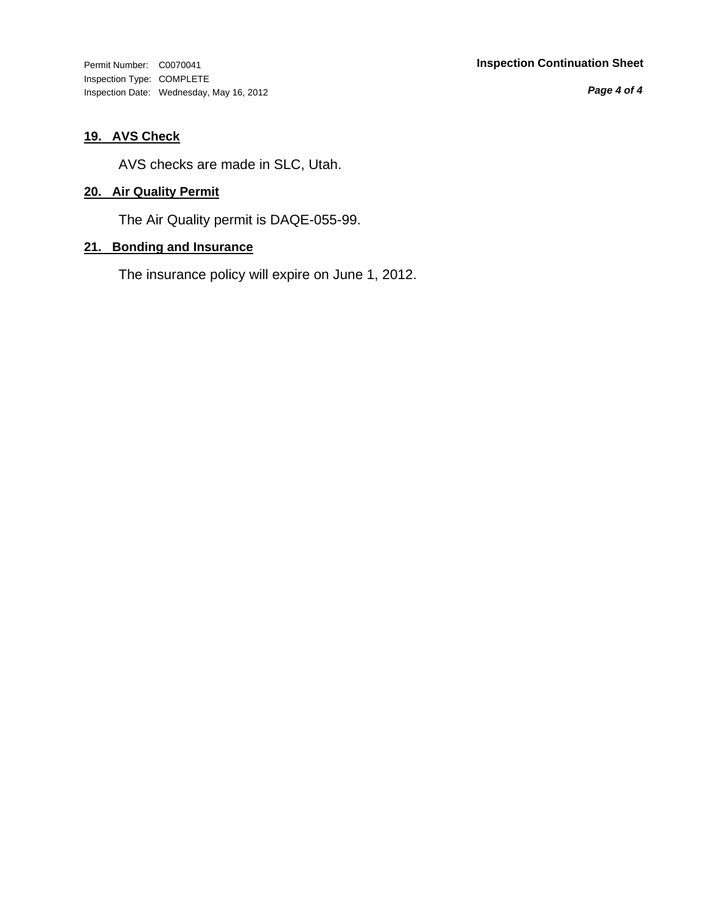### Permit Number: C0070041 **Inspection Continuation Sheet**

Inspection Type: COMPLETE Inspection Date: Wednesday, May 16, 2012

*Page 4 of 4*

## **19. AVS Check**

AVS checks are made in SLC, Utah.

## **20. Air Quality Permit**

The Air Quality permit is DAQE-055-99.

## **21. Bonding and Insurance**

The insurance policy will expire on June 1, 2012.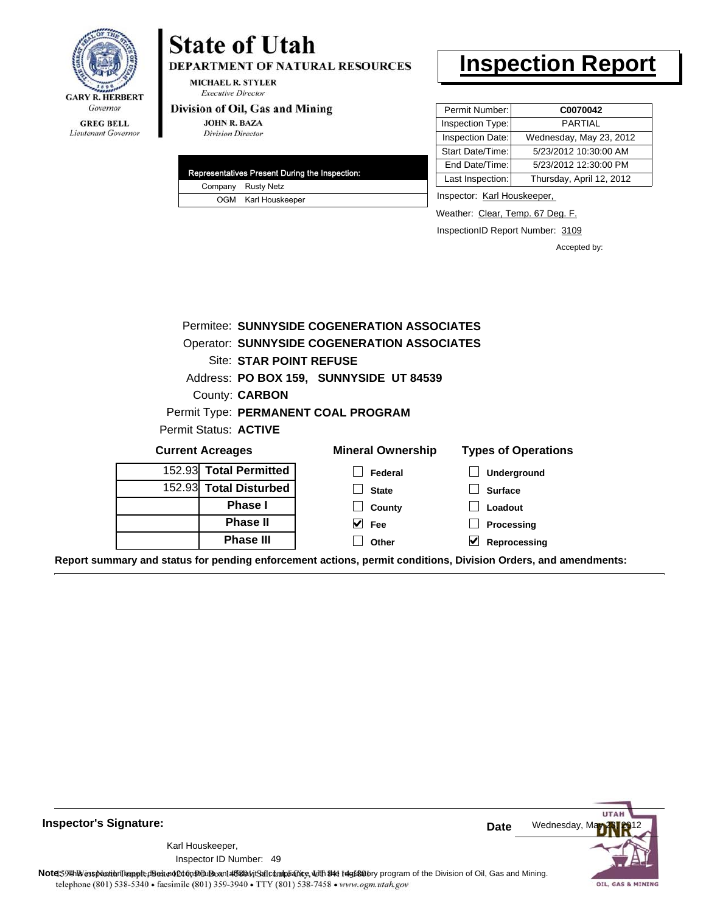

# **State of Utah**

DEPARTMENT OF NATURAL RESOURCES

**MICHAEL R. STYLER Executive Director** 

### Division of Oil, Gas and Mining

**JOHN R. BAZA Division Director** 

|  | Representatives Present During the Inspection: |
|--|------------------------------------------------|
|  | Company Rusty Netz                             |
|  | OGM Karl Houskeeper                            |

## **Inspection Report**

| Permit Number:   | C0070042                 |
|------------------|--------------------------|
| Inspection Type: | <b>PARTIAL</b>           |
| Inspection Date: | Wednesday, May 23, 2012  |
| Start Date/Time: | 5/23/2012 10:30:00 AM    |
| End Date/Time:   | 5/23/2012 12:30:00 PM    |
| Last Inspection: | Thursday, April 12, 2012 |

Inspector: Karl Houskeeper,

Weather: Clear, Temp. 67 Deg. F.

InspectionID Report Number: 3109

Accepted by:

|                         |                         | Permitee: SUNNYSIDE COGENERATION ASSOCIATES        |                            |
|-------------------------|-------------------------|----------------------------------------------------|----------------------------|
|                         |                         | <b>Operator: SUNNYSIDE COGENERATION ASSOCIATES</b> |                            |
|                         | Site: STAR POINT REFUSE |                                                    |                            |
|                         |                         | Address: PO BOX 159, SUNNYSIDE UT 84539            |                            |
|                         | County: <b>CARBON</b>   |                                                    |                            |
|                         |                         | Permit Type: PERMANENT COAL PROGRAM                |                            |
|                         | Permit Status: ACTIVE   |                                                    |                            |
| <b>Current Acreages</b> |                         | <b>Mineral Ownership</b>                           | <b>Types of Operations</b> |
|                         | 152.93 Total Permitted  | Federal                                            | <b>Underground</b>         |
|                         | 152.93 Total Disturbed  | <b>State</b>                                       | <b>Surface</b>             |
|                         | <b>Phase I</b>          | County                                             | Loadout                    |
|                         | <b>Phase II</b>         | M<br><b>Fee</b>                                    | <b>Processing</b>          |
|                         | Phase III               | Other                                              | V<br>Reprocessing          |

**Report summary and status for pending enforcement actions, permit conditions, Division Orders, and amendments:**

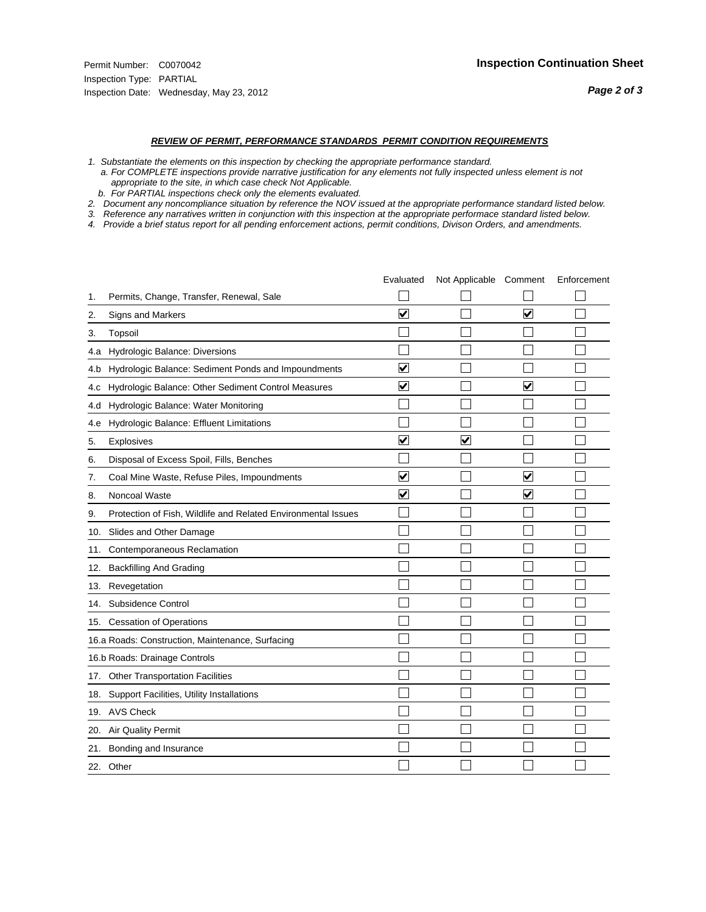#### *REVIEW OF PERMIT, PERFORMANCE STANDARDS PERMIT CONDITION REQUIREMENTS*

- *1. Substantiate the elements on this inspection by checking the appropriate performance standard.*
- *a. For COMPLETE inspections provide narrative justification for any elements not fully inspected unless element is not appropriate to the site, in which case check Not Applicable.*
- *b. For PARTIAL inspections check only the elements evaluated.*
- *2. Document any noncompliance situation by reference the NOV issued at the appropriate performance standard listed below.*
- *3. Reference any narratives written in conjunction with this inspection at the appropriate performace standard listed below.*
- *4. Provide a brief status report for all pending enforcement actions, permit conditions, Divison Orders, and amendments.*

|     |                                                               | Evaluated               | Not Applicable Comment  |                         | Enforcement |
|-----|---------------------------------------------------------------|-------------------------|-------------------------|-------------------------|-------------|
| 1.  | Permits, Change, Transfer, Renewal, Sale                      |                         |                         |                         |             |
| 2.  | <b>Signs and Markers</b>                                      | $\overline{\mathbf{v}}$ |                         | $\blacktriangledown$    |             |
| 3.  | Topsoil                                                       |                         |                         |                         |             |
| 4.a | Hydrologic Balance: Diversions                                |                         |                         |                         |             |
| 4.b | Hydrologic Balance: Sediment Ponds and Impoundments           | ⊻                       |                         |                         |             |
| 4.c | Hydrologic Balance: Other Sediment Control Measures           | $\overline{\mathbf{v}}$ |                         | $\overline{\mathbf{v}}$ |             |
| 4.d | Hydrologic Balance: Water Monitoring                          |                         |                         |                         |             |
| 4.e | Hydrologic Balance: Effluent Limitations                      |                         |                         |                         |             |
| 5.  | <b>Explosives</b>                                             | $\overline{\mathbf{v}}$ | $\overline{\mathbf{v}}$ |                         |             |
| 6.  | Disposal of Excess Spoil, Fills, Benches                      |                         |                         |                         |             |
| 7.  | Coal Mine Waste, Refuse Piles, Impoundments                   | $\overline{\mathbf{v}}$ |                         | $\overline{\mathbf{v}}$ |             |
| 8.  | Noncoal Waste                                                 | $\overline{\mathbf{v}}$ |                         | $\overline{\mathsf{v}}$ |             |
| 9.  | Protection of Fish, Wildlife and Related Environmental Issues |                         |                         |                         |             |
|     | 10. Slides and Other Damage                                   |                         |                         |                         |             |
| 11. | Contemporaneous Reclamation                                   |                         |                         |                         |             |
| 12. | <b>Backfilling And Grading</b>                                |                         |                         |                         |             |
| 13. | Revegetation                                                  |                         |                         |                         |             |
| 14. | Subsidence Control                                            |                         |                         |                         |             |
|     | 15. Cessation of Operations                                   |                         |                         |                         |             |
|     | 16.a Roads: Construction, Maintenance, Surfacing              |                         |                         |                         |             |
|     | 16.b Roads: Drainage Controls                                 |                         |                         |                         |             |
| 17. | <b>Other Transportation Facilities</b>                        |                         |                         |                         |             |
| 18. | Support Facilities, Utility Installations                     |                         |                         |                         |             |
|     | 19. AVS Check                                                 |                         |                         |                         |             |
| 20. | Air Quality Permit                                            |                         |                         |                         |             |
| 21. | Bonding and Insurance                                         |                         |                         |                         |             |
|     | 22. Other                                                     |                         |                         |                         |             |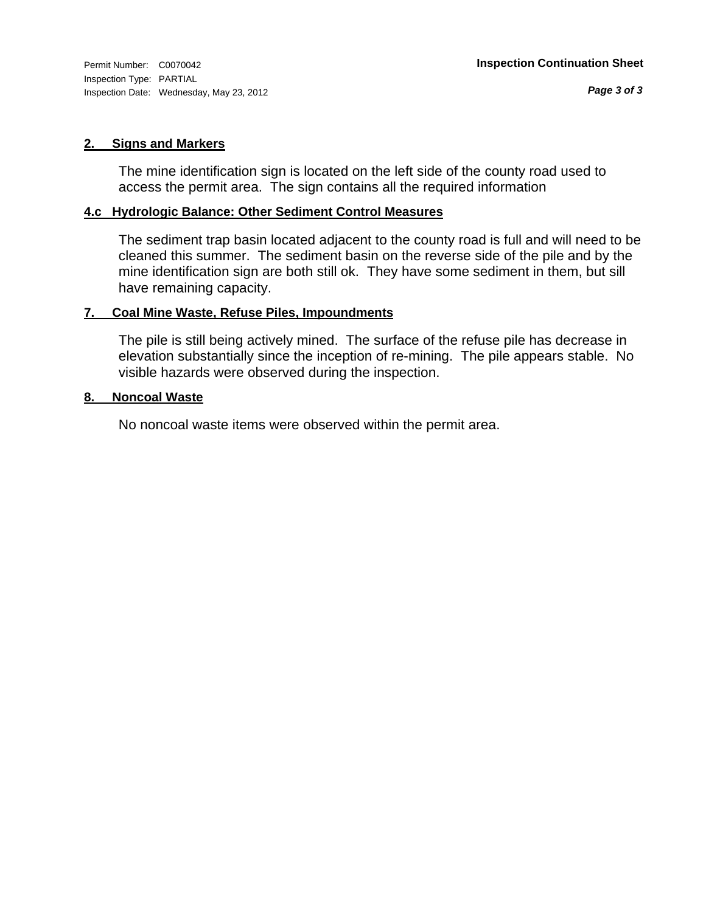## **2. Signs and Markers**

The mine identification sign is located on the left side of the county road used to access the permit area. The sign contains all the required information

## **4.c Hydrologic Balance: Other Sediment Control Measures**

The sediment trap basin located adjacent to the county road is full and will need to be cleaned this summer. The sediment basin on the reverse side of the pile and by the mine identification sign are both still ok. They have some sediment in them, but sill have remaining capacity.

## **7. Coal Mine Waste, Refuse Piles, Impoundments**

The pile is still being actively mined. The surface of the refuse pile has decrease in elevation substantially since the inception of re-mining. The pile appears stable. No visible hazards were observed during the inspection.

## **8. Noncoal Waste**

No noncoal waste items were observed within the permit area.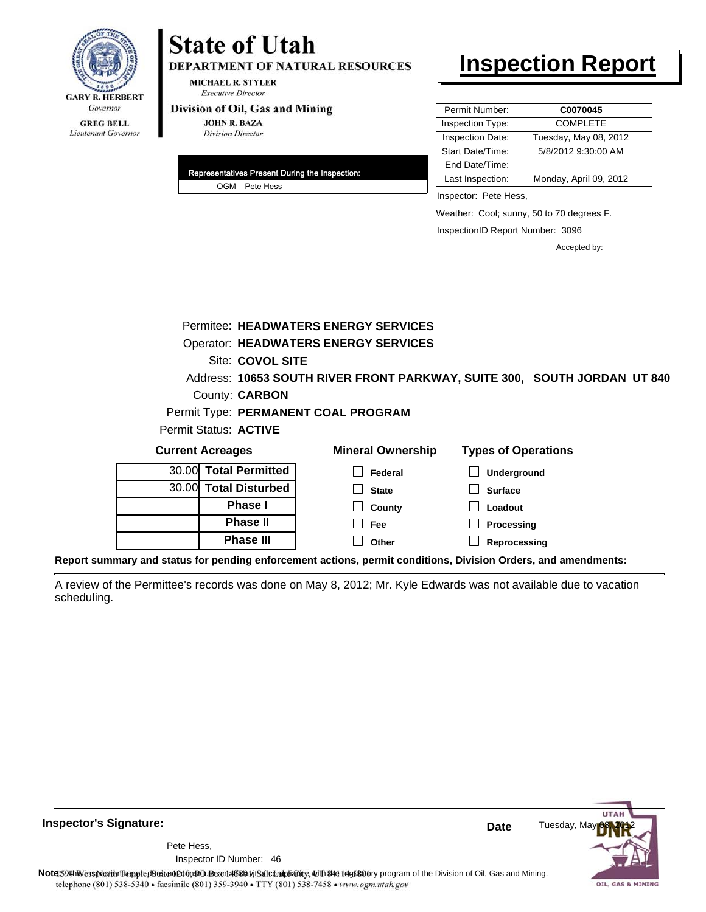

# **State of Utah**

DEPARTMENT OF NATURAL RESOURCES

**MICHAEL R. STYLER Executive Director** 

### Division of Oil, Gas and Mining

**JOHN R. BAZA Division Director** 

| Representatives Present During the Inspection: |               |  |  |  |
|------------------------------------------------|---------------|--|--|--|
|                                                | OGM Pete Hess |  |  |  |

## **Inspection Report**

| Permit Number:   | C0070045               |
|------------------|------------------------|
| Inspection Type: | <b>COMPLETE</b>        |
| Inspection Date: | Tuesday, May 08, 2012  |
| Start Date/Time: | 5/8/2012 9:30:00 AM    |
| End Date/Time:   |                        |
| Last Inspection: | Monday, April 09, 2012 |

Inspector: Pete Hess,

Weather: Cool; sunny, 50 to 70 degrees F.

InspectionID Report Number: 3096

Accepted by:

|       |                         | Permitee: HEADWATERS ENERGY SERVICES        |                                                                                               |  |
|-------|-------------------------|---------------------------------------------|-----------------------------------------------------------------------------------------------|--|
|       |                         | <b>Operator: HEADWATERS ENERGY SERVICES</b> |                                                                                               |  |
|       | Site: COVOL SITE        |                                             |                                                                                               |  |
|       |                         |                                             | Address: 10653 SOUTH RIVER FRONT PARKWAY, SUITE 300, SOUTH JORDAN UT 840                      |  |
|       | County: <b>CARBON</b>   |                                             |                                                                                               |  |
|       |                         | Permit Type: PERMANENT COAL PROGRAM         |                                                                                               |  |
|       | Permit Status: ACTIVE   |                                             |                                                                                               |  |
|       | <b>Current Acreages</b> | <b>Mineral Ownership</b>                    | <b>Types of Operations</b>                                                                    |  |
| 30.00 | <b>Total Permitted</b>  | Federal                                     | Underground                                                                                   |  |
|       | 30.00 Total Disturbed   | <b>State</b>                                | <b>Surface</b>                                                                                |  |
|       | Phase I                 | County                                      | Loadout                                                                                       |  |
|       | <b>Phase II</b>         | Fee                                         | Processing                                                                                    |  |
|       | <b>Phase III</b>        | Other                                       | Reprocessing                                                                                  |  |
|       |                         |                                             | nd atatua far nonding anfaraamant aatiana marmit aanditiana. Divialan Ordara, and amandmanta, |  |

**Report summary and status for pending enforcement actions, permit conditions, Division Orders, and amendments:**

A review of the Permittee's records was done on May 8, 2012; Mr. Kyle Edwards was not available due to vacation scheduling.

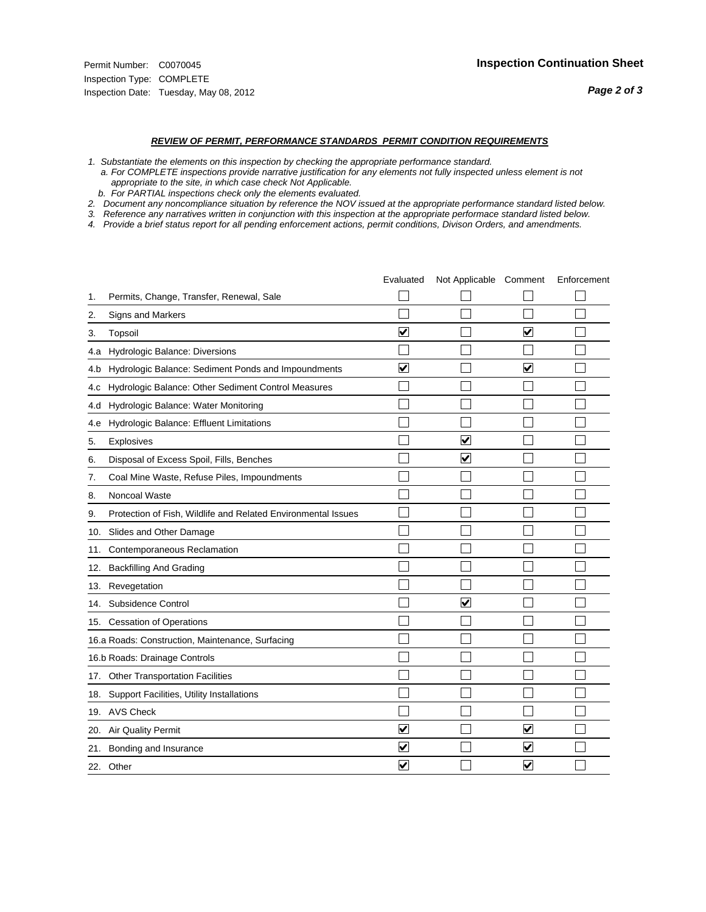#### *REVIEW OF PERMIT, PERFORMANCE STANDARDS PERMIT CONDITION REQUIREMENTS*

- *1. Substantiate the elements on this inspection by checking the appropriate performance standard.*
- *a. For COMPLETE inspections provide narrative justification for any elements not fully inspected unless element is not appropriate to the site, in which case check Not Applicable.*
- *b. For PARTIAL inspections check only the elements evaluated.*
- *2. Document any noncompliance situation by reference the NOV issued at the appropriate performance standard listed below.*
- *3. Reference any narratives written in conjunction with this inspection at the appropriate performace standard listed below.*
- *4. Provide a brief status report for all pending enforcement actions, permit conditions, Divison Orders, and amendments.*

|     |                                                               | Evaluated               | Not Applicable Comment  |                         | Enforcement |
|-----|---------------------------------------------------------------|-------------------------|-------------------------|-------------------------|-------------|
| 1.  | Permits, Change, Transfer, Renewal, Sale                      |                         |                         |                         |             |
| 2.  | <b>Signs and Markers</b>                                      |                         |                         |                         |             |
| 3.  | Topsoil                                                       | $\overline{\mathbf{v}}$ |                         | $\overline{\mathbf{v}}$ |             |
| 4.a | Hydrologic Balance: Diversions                                |                         |                         |                         |             |
| 4.b | Hydrologic Balance: Sediment Ponds and Impoundments           | ⊻                       |                         | V                       |             |
| 4.c | Hydrologic Balance: Other Sediment Control Measures           |                         |                         |                         |             |
| 4.d | Hydrologic Balance: Water Monitoring                          |                         |                         |                         |             |
| 4.e | Hydrologic Balance: Effluent Limitations                      |                         |                         |                         |             |
| 5.  | <b>Explosives</b>                                             |                         | ⊽                       |                         |             |
| 6.  | Disposal of Excess Spoil, Fills, Benches                      |                         | $\overline{\mathbf{v}}$ |                         |             |
| 7.  | Coal Mine Waste, Refuse Piles, Impoundments                   |                         |                         |                         |             |
| 8.  | Noncoal Waste                                                 |                         |                         |                         |             |
| 9.  | Protection of Fish, Wildlife and Related Environmental Issues |                         |                         |                         |             |
|     | 10. Slides and Other Damage                                   |                         |                         |                         |             |
| 11. | Contemporaneous Reclamation                                   |                         |                         |                         |             |
| 12. | <b>Backfilling And Grading</b>                                |                         |                         |                         |             |
| 13. | Revegetation                                                  |                         |                         |                         |             |
| 14. | Subsidence Control                                            |                         | $\overline{\mathbf{v}}$ |                         |             |
|     | 15. Cessation of Operations                                   |                         |                         |                         |             |
|     | 16.a Roads: Construction, Maintenance, Surfacing              |                         |                         |                         |             |
|     | 16.b Roads: Drainage Controls                                 |                         |                         |                         |             |
| 17. | <b>Other Transportation Facilities</b>                        |                         |                         |                         |             |
| 18. | Support Facilities, Utility Installations                     |                         |                         |                         |             |
|     | 19. AVS Check                                                 |                         |                         |                         |             |
| 20. | Air Quality Permit                                            | $\overline{\mathsf{v}}$ |                         | $\blacktriangledown$    |             |
| 21. | Bonding and Insurance                                         | ⊻                       |                         | $\blacktriangledown$    |             |
|     | 22. Other                                                     | $\overline{\mathbf{v}}$ |                         | $\blacktriangledown$    |             |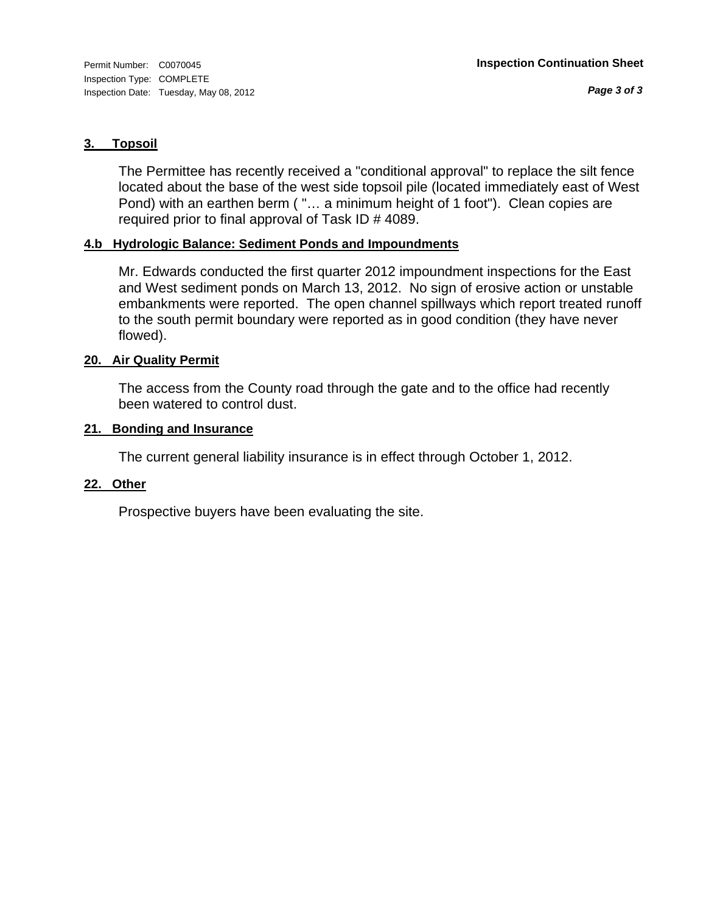## **3. Topsoil**

The Permittee has recently received a "conditional approval" to replace the silt fence located about the base of the west side topsoil pile (located immediately east of West Pond) with an earthen berm ( "… a minimum height of 1 foot"). Clean copies are required prior to final approval of Task ID # 4089.

## **4.b Hydrologic Balance: Sediment Ponds and Impoundments**

Mr. Edwards conducted the first quarter 2012 impoundment inspections for the East and West sediment ponds on March 13, 2012. No sign of erosive action or unstable embankments were reported. The open channel spillways which report treated runoff to the south permit boundary were reported as in good condition (they have never flowed).

## **20. Air Quality Permit**

The access from the County road through the gate and to the office had recently been watered to control dust.

## **21. Bonding and Insurance**

The current general liability insurance is in effect through October 1, 2012.

## **22. Other**

Prospective buyers have been evaluating the site.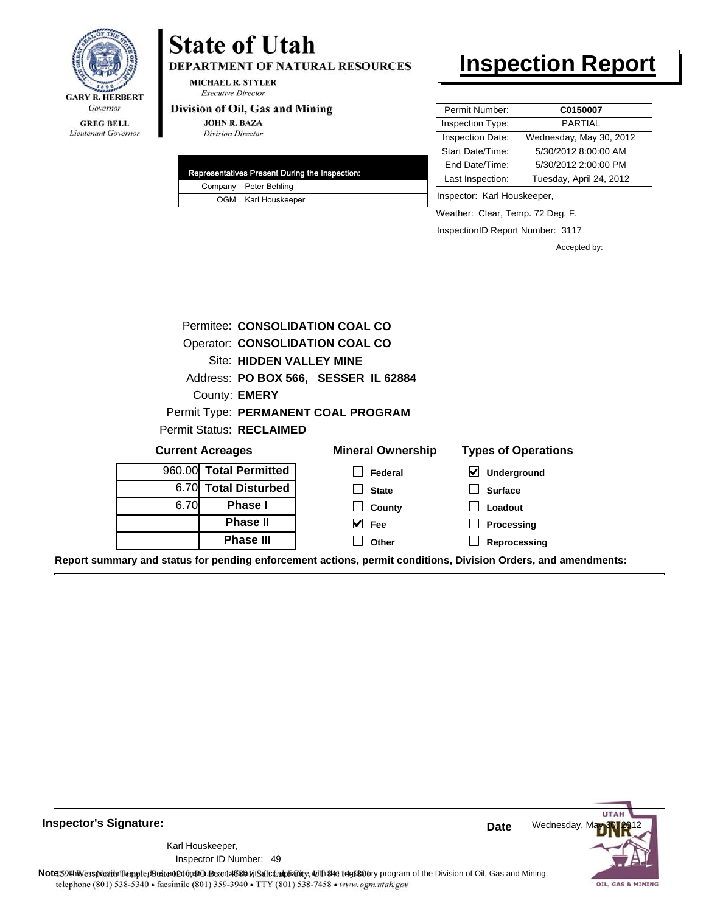

#### **GREG BELL** Lieutenant Governor

# **State of Utah**

DEPARTMENT OF NATURAL RESOURCES

**MICHAEL R. STYLER Executive Director** 

### Division of Oil, Gas and Mining

**JOHN R. BAZA Division Director** 

| Representatives Present During the Inspection: |
|------------------------------------------------|
| Company Peter Behling                          |
| OGM Karl Houskeeper                            |

## **Inspection Report**

| Permit Number:   | C0150007                |
|------------------|-------------------------|
| Inspection Type: | <b>PARTIAL</b>          |
| Inspection Date: | Wednesday, May 30, 2012 |
| Start Date/Time: | 5/30/2012 8:00:00 AM    |
| End Date/Time:   | 5/30/2012 2:00:00 PM    |
| Last Inspection: | Tuesday, April 24, 2012 |

Inspector: Karl Houskeeper,

Weather: Clear, Temp. 72 Deg. F.

InspectionID Report Number: 3117

Accepted by:

| Permitee: CONSOLIDATION COAL CO        |                                 |                                     |                            |  |  |  |
|----------------------------------------|---------------------------------|-------------------------------------|----------------------------|--|--|--|
| <b>Operator: CONSOLIDATION COAL CO</b> |                                 |                                     |                            |  |  |  |
| Site: HIDDEN VALLEY MINE               |                                 |                                     |                            |  |  |  |
| Address: PO BOX 566, SESSER IL 62884   |                                 |                                     |                            |  |  |  |
|                                        | County: <b>EMERY</b>            |                                     |                            |  |  |  |
|                                        |                                 | Permit Type: PERMANENT COAL PROGRAM |                            |  |  |  |
|                                        | <b>Permit Status: RECLAIMED</b> |                                     |                            |  |  |  |
| <b>Current Acreages</b>                |                                 | <b>Mineral Ownership</b>            | <b>Types of Operations</b> |  |  |  |
| 960.00 Total Permitted                 |                                 | Federal                             | ⊻<br>Underground           |  |  |  |
|                                        | 6.70 Total Disturbed            | <b>State</b>                        | <b>Surface</b>             |  |  |  |
| 6.70                                   | Phase I                         | County                              | Loadout                    |  |  |  |
| <b>Phase II</b>                        |                                 | $\vee$ Fee                          | Processing                 |  |  |  |
|                                        | <b>Phase III</b>                | Other                               | Reprocessing               |  |  |  |
|                                        |                                 |                                     |                            |  |  |  |

**Report summary and status for pending enforcement actions, permit conditions, Division Orders, and amendments:**



**Inspector's Signature:**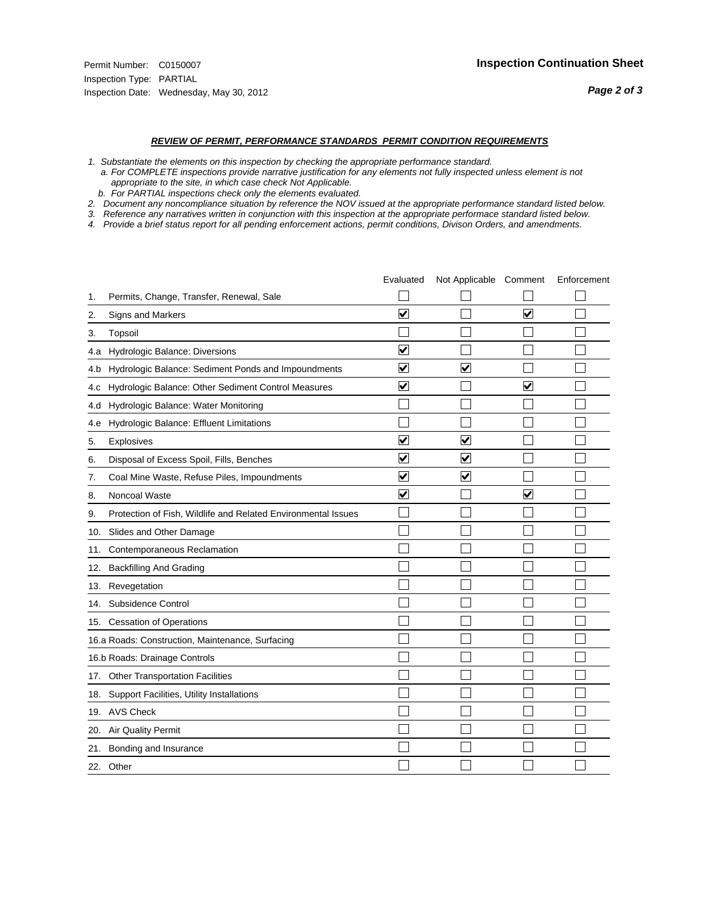#### *REVIEW OF PERMIT, PERFORMANCE STANDARDS PERMIT CONDITION REQUIREMENTS*

*1. Substantiate the elements on this inspection by checking the appropriate performance standard.*

 *a. For COMPLETE inspections provide narrative justification for any elements not fully inspected unless element is not appropriate to the site, in which case check Not Applicable.*

 *b. For PARTIAL inspections check only the elements evaluated.*

*2. Document any noncompliance situation by reference the NOV issued at the appropriate performance standard listed below.*

*3. Reference any narratives written in conjunction with this inspection at the appropriate performace standard listed below.*

*4. Provide a brief status report for all pending enforcement actions, permit conditions, Divison Orders, and amendments.*

|     |                                                               | Evaluated               | Not Applicable Comment  |                         | Enforcement |
|-----|---------------------------------------------------------------|-------------------------|-------------------------|-------------------------|-------------|
| 1.  | Permits, Change, Transfer, Renewal, Sale                      |                         |                         |                         |             |
| 2.  | Signs and Markers                                             | $\overline{\mathbf{v}}$ |                         | $\blacktriangledown$    |             |
| 3.  | Topsoil                                                       |                         |                         |                         |             |
| 4.a | Hydrologic Balance: Diversions                                | V                       |                         |                         |             |
| 4.b | Hydrologic Balance: Sediment Ponds and Impoundments           | $\blacktriangledown$    | ⊽                       |                         |             |
| 4.C | Hydrologic Balance: Other Sediment Control Measures           | $\overline{\mathbf{v}}$ |                         | $\overline{\mathbf{v}}$ |             |
| 4.d | Hydrologic Balance: Water Monitoring                          |                         |                         |                         |             |
| 4.e | Hydrologic Balance: Effluent Limitations                      |                         |                         |                         |             |
| 5.  | <b>Explosives</b>                                             | $\overline{\mathbf{v}}$ | ☑                       |                         |             |
| 6.  | Disposal of Excess Spoil, Fills, Benches                      | $\overline{\mathbf{v}}$ | $\overline{\mathbf{v}}$ |                         |             |
| 7.  | Coal Mine Waste, Refuse Piles, Impoundments                   | $\overline{\mathbf{v}}$ | $\blacktriangledown$    |                         |             |
| 8.  | Noncoal Waste                                                 | $\overline{\mathsf{v}}$ |                         | $\overline{\mathbf{v}}$ |             |
| 9.  | Protection of Fish, Wildlife and Related Environmental Issues |                         |                         |                         |             |
|     | 10. Slides and Other Damage                                   |                         |                         |                         |             |
| 11. | Contemporaneous Reclamation                                   |                         |                         |                         |             |
| 12. | <b>Backfilling And Grading</b>                                |                         |                         |                         |             |
| 13. | Revegetation                                                  |                         |                         |                         |             |
| 14. | Subsidence Control                                            |                         |                         |                         |             |
|     | 15. Cessation of Operations                                   |                         |                         |                         |             |
|     | 16.a Roads: Construction, Maintenance, Surfacing              |                         |                         |                         |             |
|     | 16.b Roads: Drainage Controls                                 |                         |                         |                         |             |
| 17. | <b>Other Transportation Facilities</b>                        |                         |                         |                         |             |
| 18. | Support Facilities, Utility Installations                     |                         |                         |                         |             |
|     | 19. AVS Check                                                 |                         |                         |                         |             |
| 20. | <b>Air Quality Permit</b>                                     |                         |                         |                         |             |
| 21. | Bonding and Insurance                                         |                         |                         |                         |             |
|     | 22. Other                                                     |                         |                         |                         |             |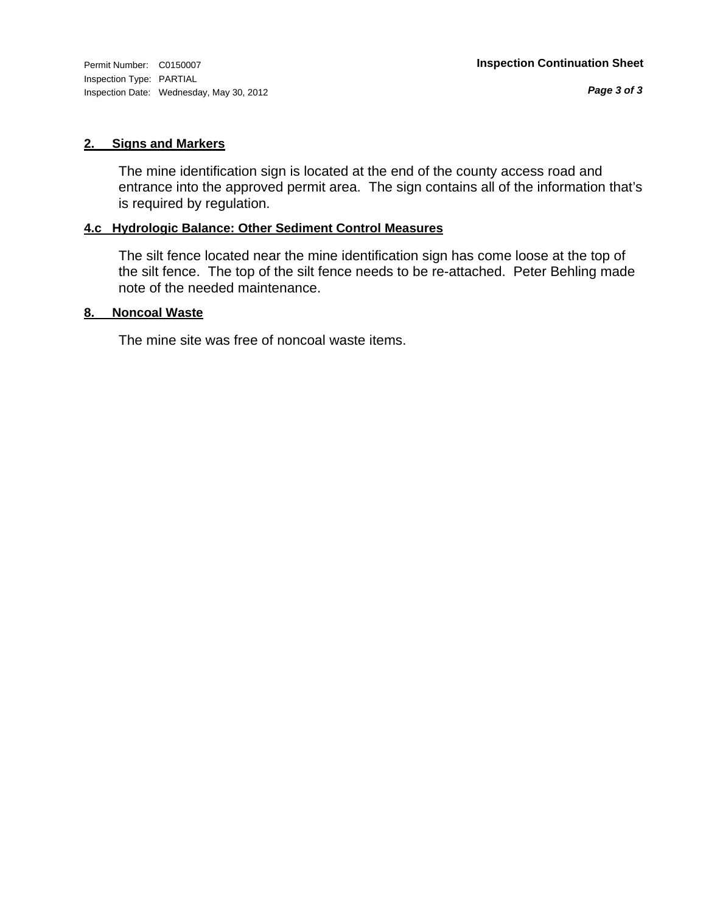Inspection Type: PARTIAL Inspection Date: Wednesday, May 30, 2012

## **2. Signs and Markers**

The mine identification sign is located at the end of the county access road and entrance into the approved permit area. The sign contains all of the information that's is required by regulation.

## **4.c Hydrologic Balance: Other Sediment Control Measures**

The silt fence located near the mine identification sign has come loose at the top of the silt fence. The top of the silt fence needs to be re-attached. Peter Behling made note of the needed maintenance.

## **8. Noncoal Waste**

The mine site was free of noncoal waste items.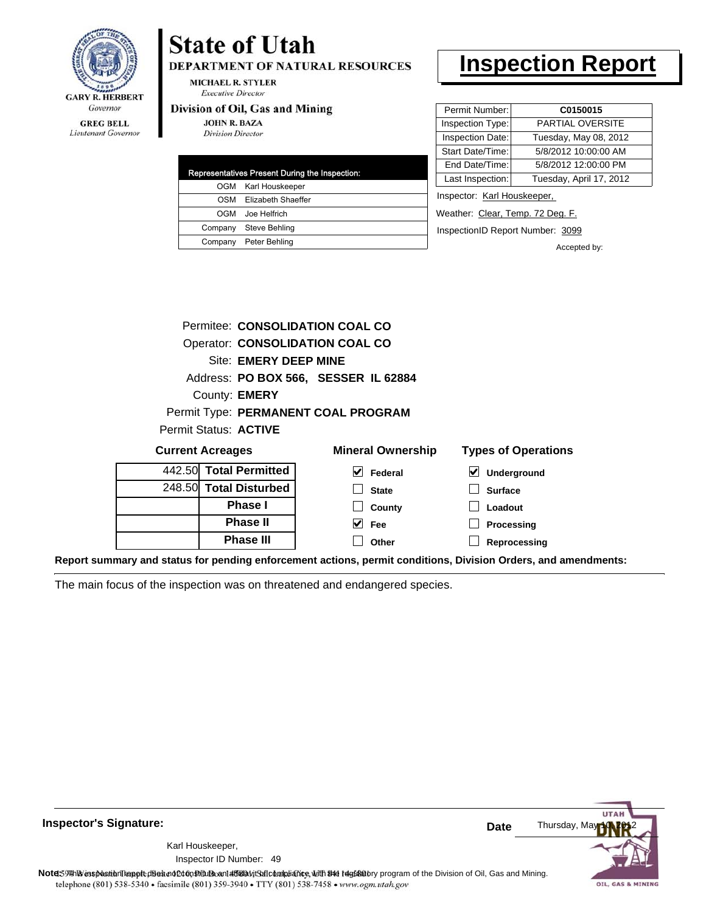

**GREG BELL** Lieutenant Governor

## **State of Utah**

DEPARTMENT OF NATURAL RESOURCES

**MICHAEL R. STYLER Executive Director** 

### Division of Oil, Gas and Mining

**JOHN R. BAZA Division Director** 

| Representatives Present During the Inspection: |                     |  |  |
|------------------------------------------------|---------------------|--|--|
|                                                | OGM Karl Houskeeper |  |  |
| OSM                                            | Elizabeth Shaeffer  |  |  |
| OGM                                            | Joe Helfrich        |  |  |
| Company                                        | Steve Behling       |  |  |
| Company                                        | Peter Behling       |  |  |

## **Inspection Report**

| Permit Number:   | C0150015                |  |
|------------------|-------------------------|--|
| Inspection Type: | PARTIAL OVERSITE        |  |
| Inspection Date: | Tuesday, May 08, 2012   |  |
| Start Date/Time: | 5/8/2012 10:00:00 AM    |  |
| End Date/Time:   | 5/8/2012 12:00:00 PM    |  |
| Last Inspection: | Tuesday, April 17, 2012 |  |
|                  |                         |  |

Inspector: Karl Houskeeper,

Weather: Clear, Temp. 72 Deg. F.

InspectionID Report Number: 3099

Accepted by:

|                         |                              | Permitee: CONSOLIDATION COAL CO      |                            |
|-------------------------|------------------------------|--------------------------------------|----------------------------|
|                         |                              | Operator: CONSOLIDATION COAL CO      |                            |
|                         | <b>Site: EMERY DEEP MINE</b> |                                      |                            |
|                         |                              | Address: PO BOX 566, SESSER IL 62884 |                            |
|                         | County: <b>EMERY</b>         |                                      |                            |
|                         |                              | Permit Type: PERMANENT COAL PROGRAM  |                            |
| Permit Status: ACTIVE   |                              |                                      |                            |
| <b>Current Acreages</b> |                              | <b>Mineral Ownership</b>             | <b>Types of Operations</b> |
|                         |                              |                                      |                            |

| Gurrent Acreages       | <b>MILLEL AL OWLIGI SILLY</b> | i ypes or Operat |
|------------------------|-------------------------------|------------------|
| 442.50 Total Permitted | M<br>Federal                  | Underground      |
| 248.50 Total Disturbed | <b>State</b>                  | <b>Surface</b>   |
| <b>Phase I</b>         | County                        | Loadout          |
| <b>Phase II</b>        | V<br>Fee                      | Processing       |
| <b>Phase III</b>       | Other                         | Reprocessing     |
|                        |                               |                  |

**Report summary and status for pending enforcement actions, permit conditions, Division Orders, and amendments:**

The main focus of the inspection was on threatened and endangered species.

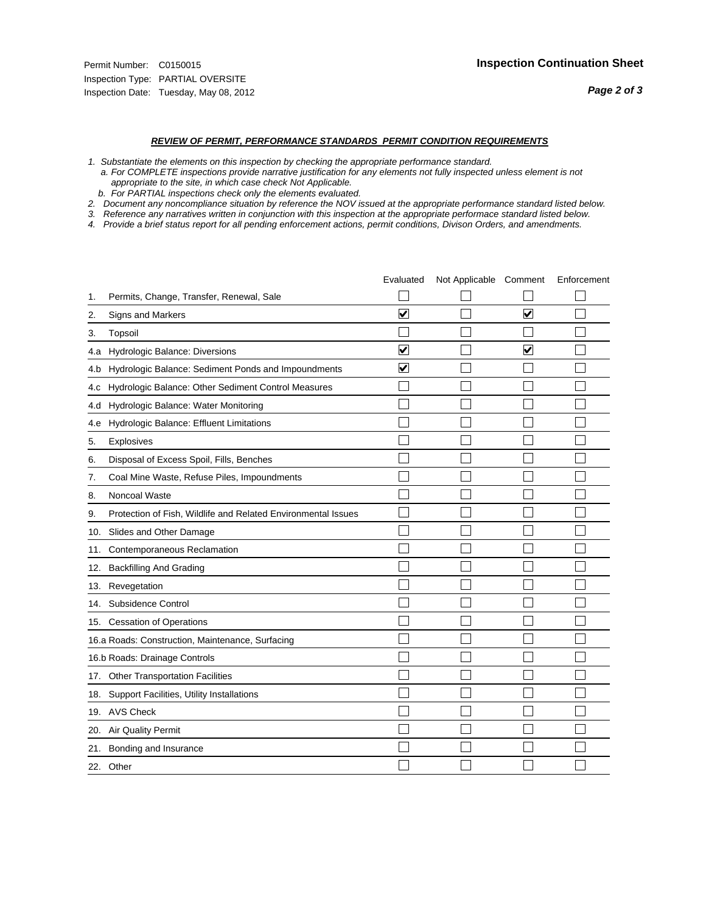### *REVIEW OF PERMIT, PERFORMANCE STANDARDS PERMIT CONDITION REQUIREMENTS*

- *1. Substantiate the elements on this inspection by checking the appropriate performance standard.*
- *a. For COMPLETE inspections provide narrative justification for any elements not fully inspected unless element is not appropriate to the site, in which case check Not Applicable.*
- *b. For PARTIAL inspections check only the elements evaluated.*
- *2. Document any noncompliance situation by reference the NOV issued at the appropriate performance standard listed below.*
- *3. Reference any narratives written in conjunction with this inspection at the appropriate performace standard listed below.*
- *4. Provide a brief status report for all pending enforcement actions, permit conditions, Divison Orders, and amendments.*

|     |                                                               | Evaluated               | Not Applicable Comment |                         | Enforcement |
|-----|---------------------------------------------------------------|-------------------------|------------------------|-------------------------|-------------|
| 1.  | Permits, Change, Transfer, Renewal, Sale                      |                         |                        |                         |             |
| 2.  | Signs and Markers                                             | $\overline{\mathbf{v}}$ |                        | $\overline{\mathbf{v}}$ |             |
| 3.  | Topsoil                                                       |                         |                        |                         |             |
| 4.a | Hydrologic Balance: Diversions                                | $\blacktriangledown$    |                        | V                       |             |
| 4.b | Hydrologic Balance: Sediment Ponds and Impoundments           | V                       |                        |                         |             |
| 4.c | Hydrologic Balance: Other Sediment Control Measures           |                         |                        |                         |             |
| 4.d | Hydrologic Balance: Water Monitoring                          |                         |                        |                         |             |
| 4.e | Hydrologic Balance: Effluent Limitations                      |                         |                        |                         |             |
| 5.  | <b>Explosives</b>                                             |                         |                        |                         |             |
| 6.  | Disposal of Excess Spoil, Fills, Benches                      |                         |                        |                         |             |
| 7.  | Coal Mine Waste, Refuse Piles, Impoundments                   |                         |                        |                         |             |
| 8.  | Noncoal Waste                                                 |                         |                        |                         |             |
| 9.  | Protection of Fish, Wildlife and Related Environmental Issues |                         |                        |                         |             |
| 10. | Slides and Other Damage                                       |                         |                        |                         |             |
| 11. | Contemporaneous Reclamation                                   |                         |                        |                         |             |
| 12. | <b>Backfilling And Grading</b>                                |                         |                        |                         |             |
| 13. | Revegetation                                                  |                         |                        |                         |             |
| 14. | Subsidence Control                                            |                         |                        |                         |             |
|     | 15. Cessation of Operations                                   |                         |                        |                         |             |
|     | 16.a Roads: Construction, Maintenance, Surfacing              |                         |                        |                         |             |
|     | 16.b Roads: Drainage Controls                                 |                         |                        |                         |             |
| 17. | <b>Other Transportation Facilities</b>                        |                         |                        |                         |             |
| 18. | Support Facilities, Utility Installations                     |                         |                        |                         |             |
|     | 19. AVS Check                                                 |                         |                        |                         |             |
| 20. | Air Quality Permit                                            |                         |                        |                         |             |
| 21. | Bonding and Insurance                                         |                         |                        |                         |             |
|     | 22. Other                                                     |                         |                        |                         |             |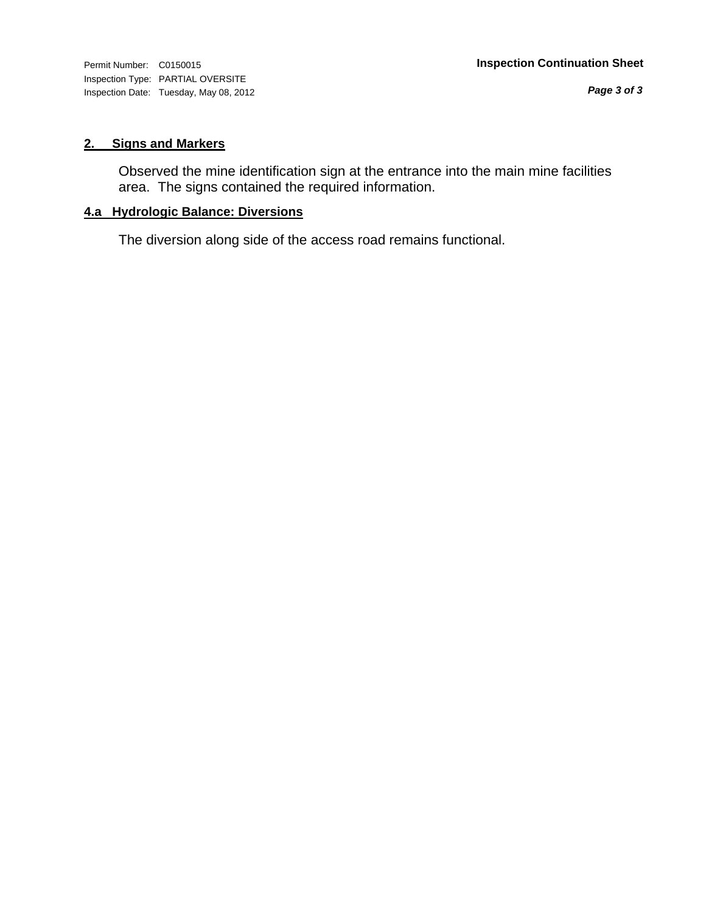Inspection Type: PARTIAL OVERSITE Inspection Date: Tuesday, May 08, 2012

### **2. Signs and Markers**

Observed the mine identification sign at the entrance into the main mine facilities area. The signs contained the required information.

### **4.a Hydrologic Balance: Diversions**

The diversion along side of the access road remains functional.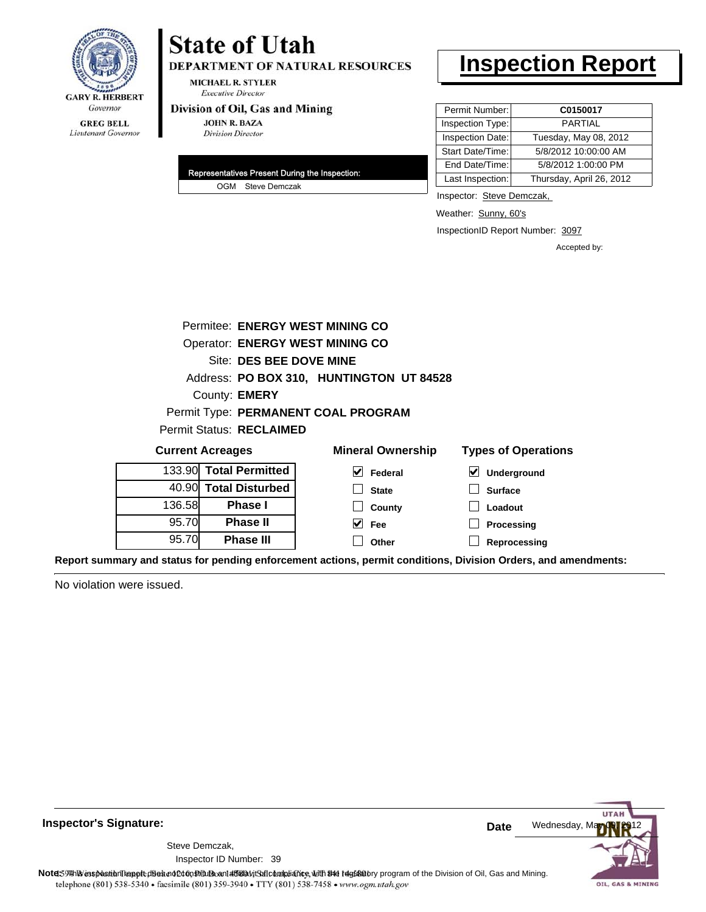

# **State of Utah**

DEPARTMENT OF NATURAL RESOURCES

**MICHAEL R. STYLER Executive Director** 

### Division of Oil, Gas and Mining

**JOHN R. BAZA Division Director** 

| Representatives Present During the Inspection: |                   |  |  |  |
|------------------------------------------------|-------------------|--|--|--|
|                                                | OGM Steve Demczak |  |  |  |

## **Inspection Report**

| Permit Number:   | C0150017                 |
|------------------|--------------------------|
| Inspection Type: | <b>PARTIAL</b>           |
| Inspection Date: | Tuesday, May 08, 2012    |
| Start Date/Time: | 5/8/2012 10:00:00 AM     |
| End Date/Time:   | 5/8/2012 1:00:00 PM      |
| Last Inspection: | Thursday, April 26, 2012 |

Inspector: Steve Demczak,

Weather: Sunny, 60's

InspectionID Report Number: 3097

**Reprocessing**

Accepted by:

|        | Permitee: ENERGY WEST MINING CO        |                                          |                            |
|--------|----------------------------------------|------------------------------------------|----------------------------|
|        | <b>Operator: ENERGY WEST MINING CO</b> |                                          |                            |
|        | Site: DES BEE DOVE MINE                |                                          |                            |
|        |                                        | Address: PO BOX 310, HUNTINGTON UT 84528 |                            |
|        | County: <b>EMERY</b>                   |                                          |                            |
|        |                                        | Permit Type: PERMANENT COAL PROGRAM      |                            |
|        | <b>Permit Status: RECLAIMED</b>        |                                          |                            |
|        | <b>Current Acreages</b>                | <b>Mineral Ownership</b>                 | <b>Types of Operations</b> |
| 133.90 | <b>Total Permitted</b>                 | V<br>Federal                             | M<br>Underground           |
| 40.90  | <b>Total Disturbed</b>                 | <b>State</b>                             | <b>Surface</b>             |
| 136.58 | <b>Phase I</b>                         | County                                   | Loadout                    |
| 95.70  | <b>Phase II</b>                        | Fee                                      | Processing                 |

**Other**

**Report summary and status for pending enforcement actions, permit conditions, Division Orders, and amendments:**

No violation were issued.

95.70

**Phase III**



**Inspector's Signature:**

Steve Demczak,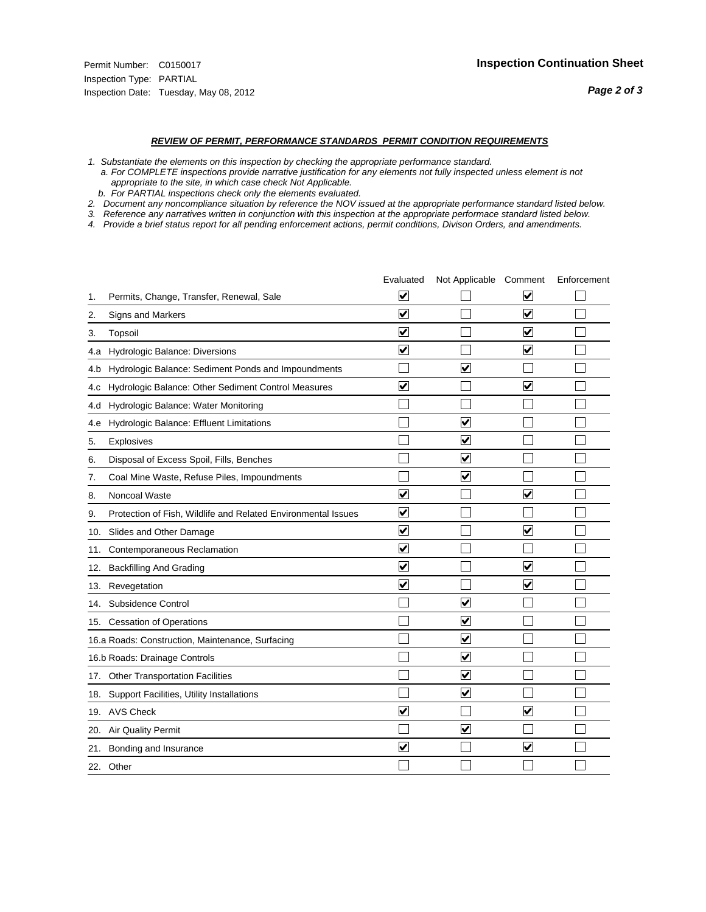### *REVIEW OF PERMIT, PERFORMANCE STANDARDS PERMIT CONDITION REQUIREMENTS*

*1. Substantiate the elements on this inspection by checking the appropriate performance standard.*

 *a. For COMPLETE inspections provide narrative justification for any elements not fully inspected unless element is not appropriate to the site, in which case check Not Applicable.*

 *b. For PARTIAL inspections check only the elements evaluated.*

*2. Document any noncompliance situation by reference the NOV issued at the appropriate performance standard listed below.*

*3. Reference any narratives written in conjunction with this inspection at the appropriate performace standard listed below.*

*4. Provide a brief status report for all pending enforcement actions, permit conditions, Divison Orders, and amendments.*

|     |                                                               | Evaluated               | Not Applicable Comment  |                         | Enforcement |
|-----|---------------------------------------------------------------|-------------------------|-------------------------|-------------------------|-------------|
| 1.  | Permits, Change, Transfer, Renewal, Sale                      | $\overline{\mathsf{v}}$ |                         | V                       |             |
| 2.  | Signs and Markers                                             | $\overline{\mathbf{v}}$ |                         | $\blacktriangledown$    |             |
| 3.  | Topsoil                                                       | $\overline{\mathbf{v}}$ |                         | $\overline{\mathsf{v}}$ |             |
| 4.a | Hydrologic Balance: Diversions                                | $\blacktriangledown$    |                         | $\blacktriangledown$    |             |
| 4.b | Hydrologic Balance: Sediment Ponds and Impoundments           |                         | ⊽                       |                         |             |
| 4.C | Hydrologic Balance: Other Sediment Control Measures           | $\overline{\mathbf{v}}$ |                         | $\blacktriangledown$    |             |
| 4.d | Hydrologic Balance: Water Monitoring                          |                         |                         |                         |             |
| 4.e | Hydrologic Balance: Effluent Limitations                      |                         | ⊽                       |                         |             |
| 5.  | Explosives                                                    |                         | ☑                       |                         |             |
| 6.  | Disposal of Excess Spoil, Fills, Benches                      |                         | $\blacktriangledown$    |                         |             |
| 7.  | Coal Mine Waste, Refuse Piles, Impoundments                   |                         | $\overline{\mathbf{v}}$ |                         |             |
| 8.  | Noncoal Waste                                                 | $\overline{\mathsf{v}}$ |                         | $\overline{\mathbf{v}}$ |             |
| 9.  | Protection of Fish, Wildlife and Related Environmental Issues | $\overline{\mathbf{v}}$ |                         |                         |             |
|     | 10. Slides and Other Damage                                   | $\overline{\mathbf{v}}$ |                         | ⊽                       |             |
| 11. | Contemporaneous Reclamation                                   | ⊽                       |                         |                         |             |
| 12. | <b>Backfilling And Grading</b>                                | $\overline{\mathbf{v}}$ |                         | $\blacktriangledown$    |             |
| 13. | Revegetation                                                  | $\overline{\mathbf{v}}$ |                         | $\overline{\mathbf{v}}$ |             |
| 14. | Subsidence Control                                            |                         | $\overline{\mathbf{v}}$ |                         |             |
|     | 15. Cessation of Operations                                   |                         | $\blacktriangledown$    |                         |             |
|     | 16.a Roads: Construction, Maintenance, Surfacing              |                         | $\overline{\mathbf{v}}$ |                         |             |
|     | 16.b Roads: Drainage Controls                                 |                         | $\blacktriangledown$    |                         |             |
| 17. | Other Transportation Facilities                               |                         | $\overline{\mathbf{v}}$ |                         |             |
| 18. | Support Facilities, Utility Installations                     |                         | $\blacktriangledown$    |                         |             |
|     | 19. AVS Check                                                 | $\blacktriangledown$    |                         | $\blacktriangledown$    |             |
| 20. | <b>Air Quality Permit</b>                                     |                         | $\blacktriangledown$    |                         |             |
| 21. | Bonding and Insurance                                         | $\overline{\mathbf{v}}$ |                         | $\blacktriangledown$    |             |
|     | 22. Other                                                     |                         |                         |                         |             |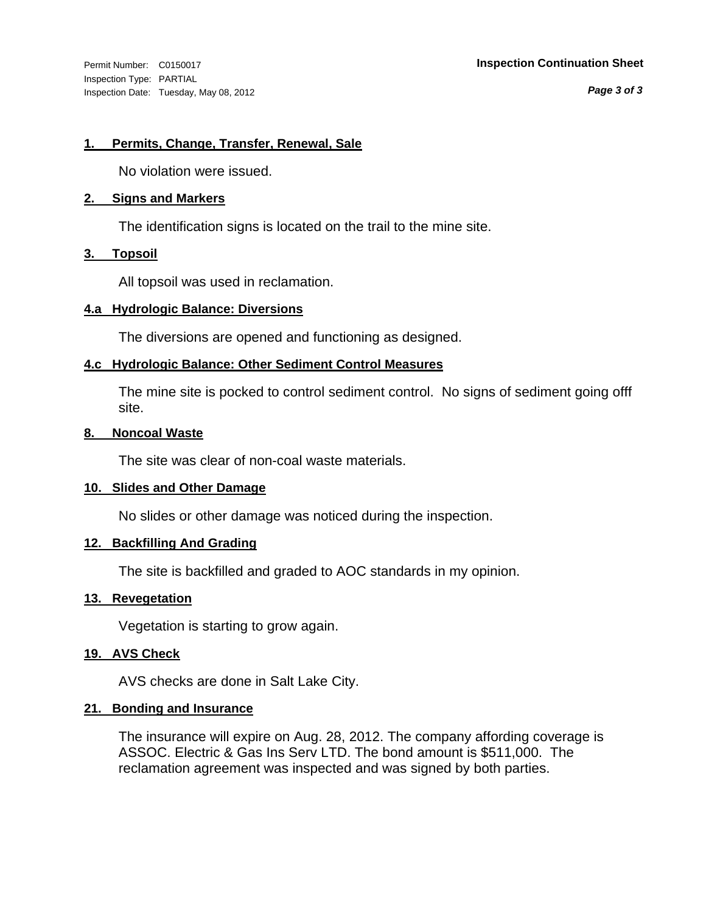Inspection Type: PARTIAL Inspection Date: Tuesday, May 08, 2012

### Permit Number: C0150017 **Inspection Continuation Sheet**

*Page 3 of 3*

### **1. Permits, Change, Transfer, Renewal, Sale**

No violation were issued.

### **2. Signs and Markers**

The identification signs is located on the trail to the mine site.

### **3. Topsoil**

All topsoil was used in reclamation.

### **4.a Hydrologic Balance: Diversions**

The diversions are opened and functioning as designed.

### **4.c Hydrologic Balance: Other Sediment Control Measures**

The mine site is pocked to control sediment control. No signs of sediment going offf site.

### **8. Noncoal Waste**

The site was clear of non-coal waste materials.

### **10. Slides and Other Damage**

No slides or other damage was noticed during the inspection.

### **12. Backfilling And Grading**

The site is backfilled and graded to AOC standards in my opinion.

### **13. Revegetation**

Vegetation is starting to grow again.

### **19. AVS Check**

AVS checks are done in Salt Lake City.

### **21. Bonding and Insurance**

The insurance will expire on Aug. 28, 2012. The company affording coverage is ASSOC. Electric & Gas Ins Serv LTD. The bond amount is \$511,000. The reclamation agreement was inspected and was signed by both parties.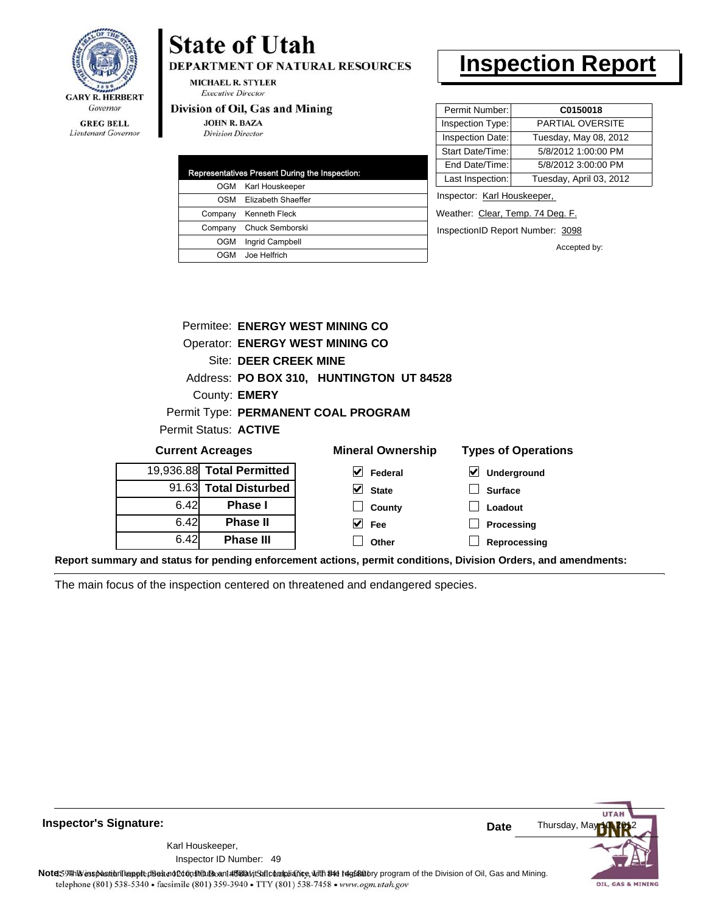

**GREG BELL** Lieutenant Governor

## **State of Utah**

**DEPARTMENT OF NATURAL RESOURCES** 

**MICHAEL R. STYLER Executive Director** 

### Division of Oil, Gas and Mining

**JOHN R. BAZA Division Director** 

| Representatives Present During the Inspection: |                    |  |  |
|------------------------------------------------|--------------------|--|--|
| OGM                                            | Karl Houskeeper    |  |  |
| OSM                                            | Elizabeth Shaeffer |  |  |
| Company                                        | Kenneth Fleck      |  |  |
| Company                                        | Chuck Semborski    |  |  |
| OGM                                            | Ingrid Campbell    |  |  |
| OGM                                            | Joe Helfrich       |  |  |

### **Inspection Report**

| Permit Number:   | C0150018                |
|------------------|-------------------------|
| Inspection Type: | PARTIAL OVERSITE        |
| Inspection Date: | Tuesday, May 08, 2012   |
| Start Date/Time: | 5/8/2012 1:00:00 PM     |
| End Date/Time:   | 5/8/2012 3:00:00 PM     |
| Last Inspection: | Tuesday, April 03, 2012 |
|                  |                         |

Inspector: Karl Houskeeper,

Weather: Clear, Temp. 74 Deg. F.

InspectionID Report Number: 3098

Accepted by:

|                          |                              | Permitee: ENERGY WEST MINING CO          |                            |
|--------------------------|------------------------------|------------------------------------------|----------------------------|
|                          |                              | <b>Operator: ENERGY WEST MINING CO</b>   |                            |
|                          | <b>Site: DEER CREEK MINE</b> |                                          |                            |
|                          |                              | Address: PO BOX 310, HUNTINGTON UT 84528 |                            |
| County: <b>EMERY</b>     |                              |                                          |                            |
|                          |                              | Permit Type: PERMANENT COAL PROGRAM      |                            |
| Permit Status: ACTIVE    |                              |                                          |                            |
| <b>Current Acreages</b>  |                              | <b>Mineral Ownership</b>                 | <b>Types of Operations</b> |
| 9,936.88 Total Permitted |                              | Federal                                  | <b>Underground</b>         |

**State County Fee Other**

| 19,936.88 Total Permitted |      |
|---------------------------|------|
| 91.63 Total Disturbed     |      |
| <b>Phase I</b>            | 6.42 |
| <b>Phase II</b>           | 6.42 |
| <b>Phase III</b>          | 6.42 |

**Surface Loadout**

**Processing**

**Reprocessing**

**Report summary and status for pending enforcement actions, permit conditions, Division Orders, and amendments:**

The main focus of the inspection centered on threatened and endangered species.

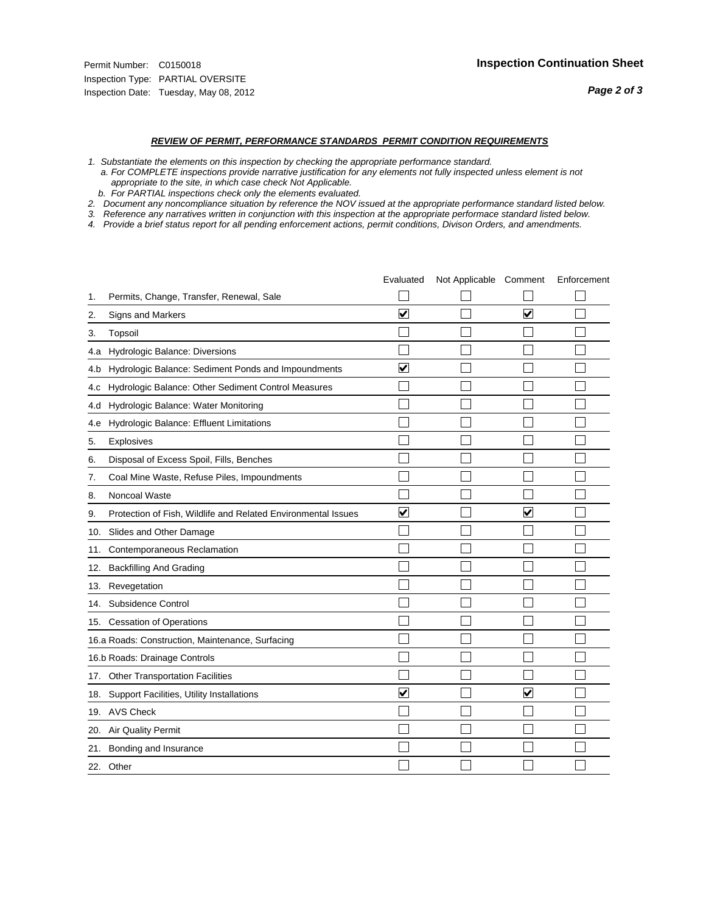### *REVIEW OF PERMIT, PERFORMANCE STANDARDS PERMIT CONDITION REQUIREMENTS*

- *1. Substantiate the elements on this inspection by checking the appropriate performance standard.*
- *a. For COMPLETE inspections provide narrative justification for any elements not fully inspected unless element is not appropriate to the site, in which case check Not Applicable.*
- *b. For PARTIAL inspections check only the elements evaluated.*
- *2. Document any noncompliance situation by reference the NOV issued at the appropriate performance standard listed below.*
- *3. Reference any narratives written in conjunction with this inspection at the appropriate performace standard listed below.*
- *4. Provide a brief status report for all pending enforcement actions, permit conditions, Divison Orders, and amendments.*

|     |                                                               | Evaluated               | Not Applicable Comment |                         | Enforcement |
|-----|---------------------------------------------------------------|-------------------------|------------------------|-------------------------|-------------|
| 1.  | Permits, Change, Transfer, Renewal, Sale                      |                         |                        |                         |             |
| 2.  | <b>Signs and Markers</b>                                      | $\overline{\mathbf{v}}$ |                        | $\overline{\mathbf{v}}$ |             |
| 3.  | Topsoil                                                       |                         |                        |                         |             |
| 4.a | Hydrologic Balance: Diversions                                |                         |                        |                         |             |
| 4.b | Hydrologic Balance: Sediment Ponds and Impoundments           | $\blacktriangledown$    |                        |                         |             |
| 4.C | Hydrologic Balance: Other Sediment Control Measures           |                         |                        |                         |             |
| 4.d | Hydrologic Balance: Water Monitoring                          |                         |                        |                         |             |
| 4.e | Hydrologic Balance: Effluent Limitations                      |                         |                        |                         |             |
| 5.  | <b>Explosives</b>                                             |                         |                        |                         |             |
| 6.  | Disposal of Excess Spoil, Fills, Benches                      |                         |                        |                         |             |
| 7.  | Coal Mine Waste, Refuse Piles, Impoundments                   |                         |                        |                         |             |
| 8.  | Noncoal Waste                                                 |                         |                        |                         |             |
| 9.  | Protection of Fish, Wildlife and Related Environmental Issues | $\blacktriangledown$    |                        | ✓                       |             |
| 10. | Slides and Other Damage                                       |                         |                        |                         |             |
| 11. | Contemporaneous Reclamation                                   |                         |                        |                         |             |
| 12. | <b>Backfilling And Grading</b>                                |                         |                        |                         |             |
| 13. | Revegetation                                                  |                         |                        |                         |             |
| 14. | Subsidence Control                                            |                         |                        |                         |             |
|     | 15. Cessation of Operations                                   |                         |                        |                         |             |
|     | 16.a Roads: Construction, Maintenance, Surfacing              |                         |                        |                         |             |
|     | 16.b Roads: Drainage Controls                                 |                         |                        |                         |             |
|     | 17. Other Transportation Facilities                           |                         |                        |                         |             |
| 18. | Support Facilities, Utility Installations                     | $\overline{\mathsf{v}}$ |                        | $\overline{\mathbf{v}}$ |             |
|     | 19. AVS Check                                                 |                         |                        |                         |             |
| 20. | Air Quality Permit                                            |                         |                        |                         |             |
|     | 21. Bonding and Insurance                                     |                         |                        |                         |             |
|     | 22. Other                                                     |                         |                        |                         |             |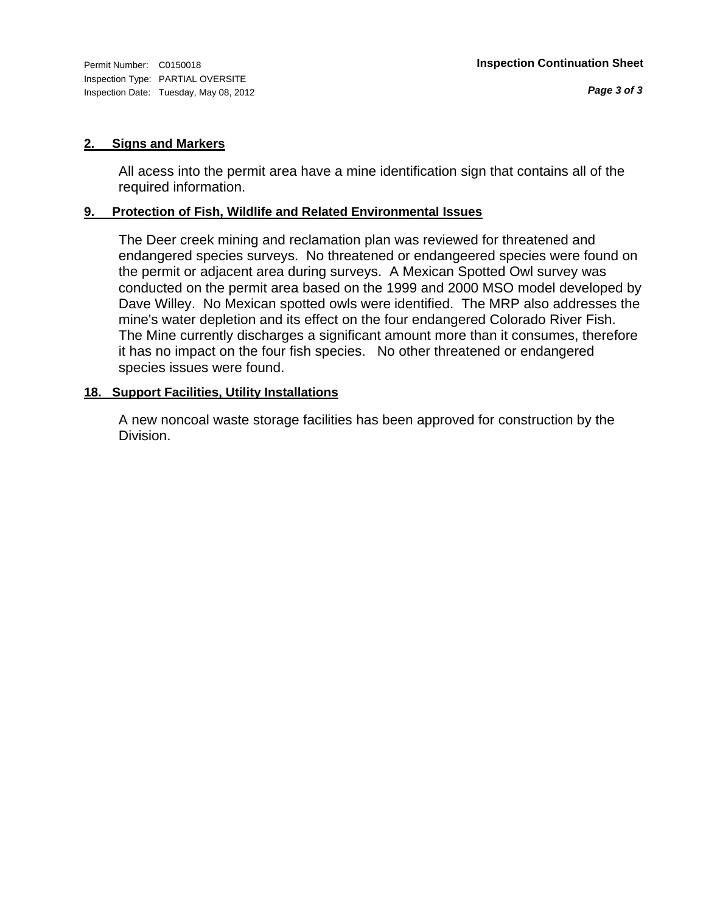Inspection Type: PARTIAL OVERSITE Inspection Date: Tuesday, May 08, 2012

### **2. Signs and Markers**

All acess into the permit area have a mine identification sign that contains all of the required information.

### **9. Protection of Fish, Wildlife and Related Environmental Issues**

The Deer creek mining and reclamation plan was reviewed for threatened and endangered species surveys. No threatened or endangeered species were found on the permit or adjacent area during surveys. A Mexican Spotted Owl survey was conducted on the permit area based on the 1999 and 2000 MSO model developed by Dave Willey. No Mexican spotted owls were identified. The MRP also addresses the mine's water depletion and its effect on the four endangered Colorado River Fish. The Mine currently discharges a significant amount more than it consumes, therefore it has no impact on the four fish species. No other threatened or endangered species issues were found.

### **18. Support Facilities, Utility Installations**

A new noncoal waste storage facilities has been approved for construction by the Division.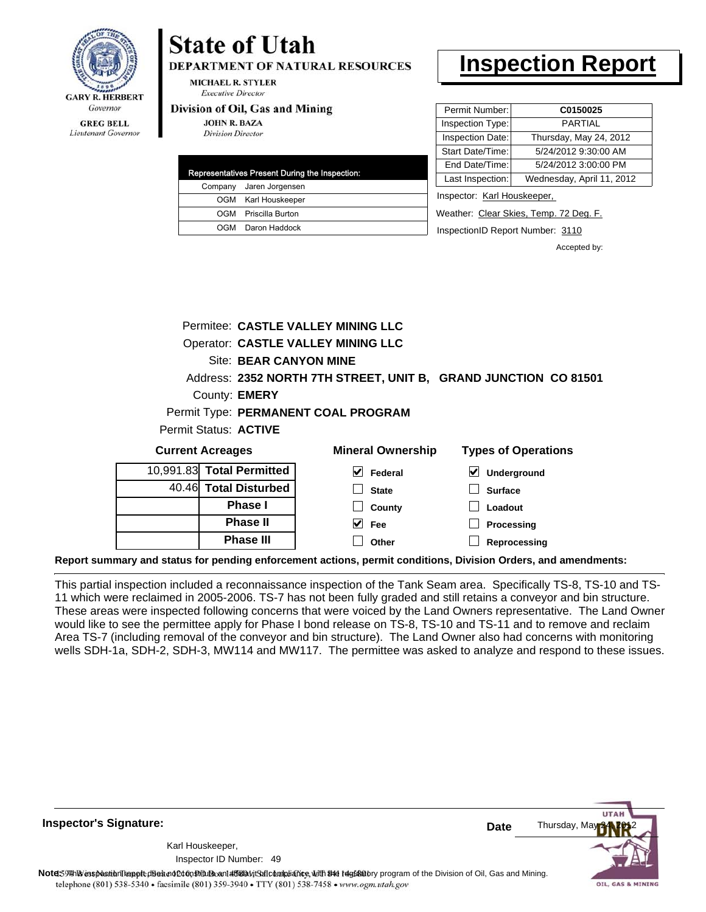

### **GREG BELL** Lieutenant Governor

 $1($ 

## **State of Utah**

**DEPARTMENT OF NATURAL RESOURCES** 

**MICHAEL R. STYLER Executive Director** 

### Division of Oil, Gas and Mining

**JOHN R. BAZA Division Director** 

| Representatives Present During the Inspection: |
|------------------------------------------------|
| Company Jaren Jorgensen                        |
| OGM Karl Houskeeper                            |
| OGM Priscilla Burton                           |
| OGM Daron Haddock                              |

## **Inspection Report**

| Permit Number:          | C0150025                  |
|-------------------------|---------------------------|
| Inspection Type:        | PARTIAI                   |
| <b>Inspection Date:</b> | Thursday, May 24, 2012    |
| Start Date/Time:        | 5/24/2012 9:30:00 AM      |
| End Date/Time:          | 5/24/2012 3:00:00 PM      |
| Last Inspection:        | Wednesday, April 11, 2012 |
|                         |                           |

Inspector: Karl Houskeeper,

Weather: Clear Skies, Temp. 72 Deg. F.

InspectionID Report Number: 3110

Accepted by:

|                          | Permitee: CASTLE VALLEY MINING LLC        |                                                                 |
|--------------------------|-------------------------------------------|-----------------------------------------------------------------|
|                          | <b>Operator: CASTLE VALLEY MINING LLC</b> |                                                                 |
| Site: BEAR CANYON MINE   |                                           |                                                                 |
|                          |                                           | Address: 2352 NORTH 7TH STREET, UNIT B, GRAND JUNCTION CO 81501 |
| County: <b>EMERY</b>     |                                           |                                                                 |
|                          | Permit Type: PERMANENT COAL PROGRAM       |                                                                 |
| Permit Status: ACTIVE    |                                           |                                                                 |
| <b>Current Acreages</b>  | <b>Mineral Ownership</b>                  | <b>Types of Operations</b>                                      |
| 0,991.83 Total Permitted | V<br>Federal                              | Underground<br>M                                                |
| 40.46 Total Disturbed    | <b>State</b>                              | <b>Surface</b>                                                  |
| Phase I                  | County                                    | Loadout                                                         |
| <b>Phase II</b>          | V<br>Fee                                  | Processing                                                      |
| <b>Phase III</b>         | Other                                     | Reprocessing                                                    |

**Report summary and status for pending enforcement actions, permit conditions, Division Orders, and amendments:**

This partial inspection included a reconnaissance inspection of the Tank Seam area. Specifically TS-8, TS-10 and TS-11 which were reclaimed in 2005-2006. TS-7 has not been fully graded and still retains a conveyor and bin structure. These areas were inspected following concerns that were voiced by the Land Owners representative. The Land Owner would like to see the permittee apply for Phase I bond release on TS-8, TS-10 and TS-11 and to remove and reclaim Area TS-7 (including removal of the conveyor and bin structure). The Land Owner also had concerns with monitoring wells SDH-1a, SDH-2, SDH-3, MW114 and MW117. The permittee was asked to analyze and respond to these issues.

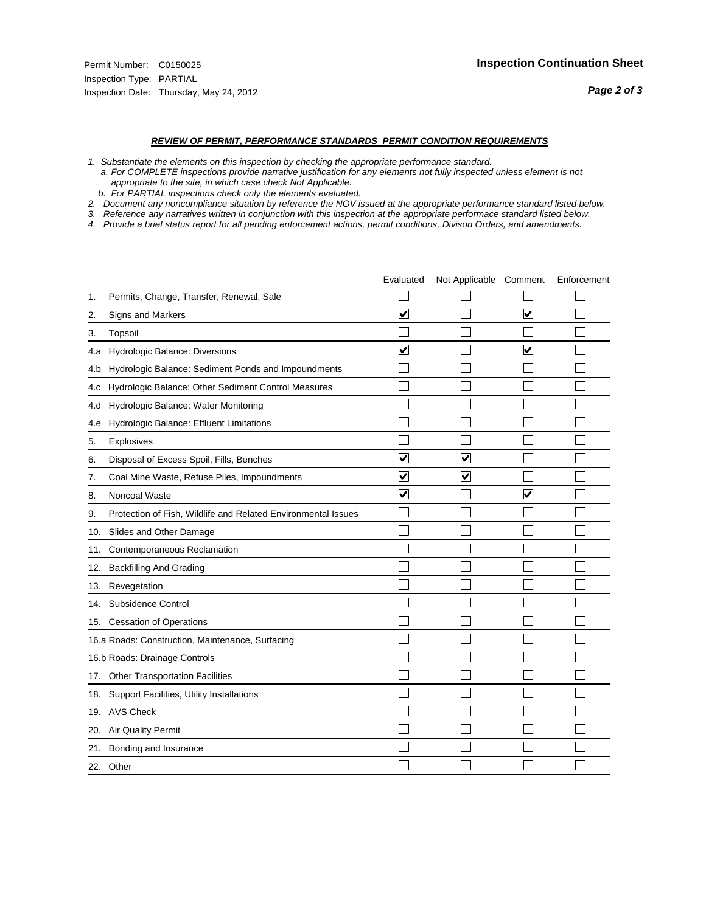### *REVIEW OF PERMIT, PERFORMANCE STANDARDS PERMIT CONDITION REQUIREMENTS*

- *1. Substantiate the elements on this inspection by checking the appropriate performance standard.*
- *a. For COMPLETE inspections provide narrative justification for any elements not fully inspected unless element is not appropriate to the site, in which case check Not Applicable.*
- *b. For PARTIAL inspections check only the elements evaluated.*
- *2. Document any noncompliance situation by reference the NOV issued at the appropriate performance standard listed below.*
- *3. Reference any narratives written in conjunction with this inspection at the appropriate performace standard listed below.*
- *4. Provide a brief status report for all pending enforcement actions, permit conditions, Divison Orders, and amendments.*

|     |                                                               | Evaluated                       | Not Applicable Comment  |                         | Enforcement |
|-----|---------------------------------------------------------------|---------------------------------|-------------------------|-------------------------|-------------|
| 1.  | Permits, Change, Transfer, Renewal, Sale                      |                                 |                         |                         |             |
| 2.  | <b>Signs and Markers</b>                                      | $\overline{\mathbf{v}}$         |                         | $\overline{\mathbf{v}}$ |             |
| 3.  | Topsoil                                                       |                                 |                         |                         |             |
| 4.a | Hydrologic Balance: Diversions                                | ⊽                               |                         | $\blacktriangledown$    |             |
| 4.b | Hydrologic Balance: Sediment Ponds and Impoundments           |                                 |                         |                         |             |
| 4.C | Hydrologic Balance: Other Sediment Control Measures           |                                 |                         |                         |             |
| 4.d | Hydrologic Balance: Water Monitoring                          |                                 |                         |                         |             |
| 4.e | Hydrologic Balance: Effluent Limitations                      |                                 |                         |                         |             |
| 5.  | <b>Explosives</b>                                             |                                 |                         |                         |             |
| 6.  | Disposal of Excess Spoil, Fills, Benches                      | $\blacktriangledown$            | $\blacktriangledown$    |                         |             |
| 7.  | Coal Mine Waste, Refuse Piles, Impoundments                   | $\overline{\mathsf{v}}$         | $\overline{\mathbf{v}}$ |                         |             |
| 8.  | Noncoal Waste                                                 | $\overline{\blacktriangledown}$ |                         | $\blacktriangledown$    |             |
| 9.  | Protection of Fish, Wildlife and Related Environmental Issues |                                 |                         |                         |             |
| 10. | Slides and Other Damage                                       |                                 |                         |                         |             |
| 11. | Contemporaneous Reclamation                                   |                                 |                         |                         |             |
| 12. | <b>Backfilling And Grading</b>                                |                                 |                         |                         |             |
| 13. | Revegetation                                                  |                                 |                         |                         |             |
| 14. | Subsidence Control                                            |                                 |                         |                         |             |
|     | 15. Cessation of Operations                                   |                                 |                         |                         |             |
|     | 16.a Roads: Construction, Maintenance, Surfacing              |                                 |                         |                         |             |
|     | 16.b Roads: Drainage Controls                                 |                                 |                         |                         |             |
|     | 17. Other Transportation Facilities                           |                                 |                         |                         |             |
| 18. | Support Facilities, Utility Installations                     |                                 |                         |                         |             |
|     | 19. AVS Check                                                 |                                 |                         |                         |             |
| 20. | Air Quality Permit                                            |                                 |                         |                         |             |
|     | 21. Bonding and Insurance                                     |                                 |                         |                         |             |
|     | 22. Other                                                     |                                 |                         |                         |             |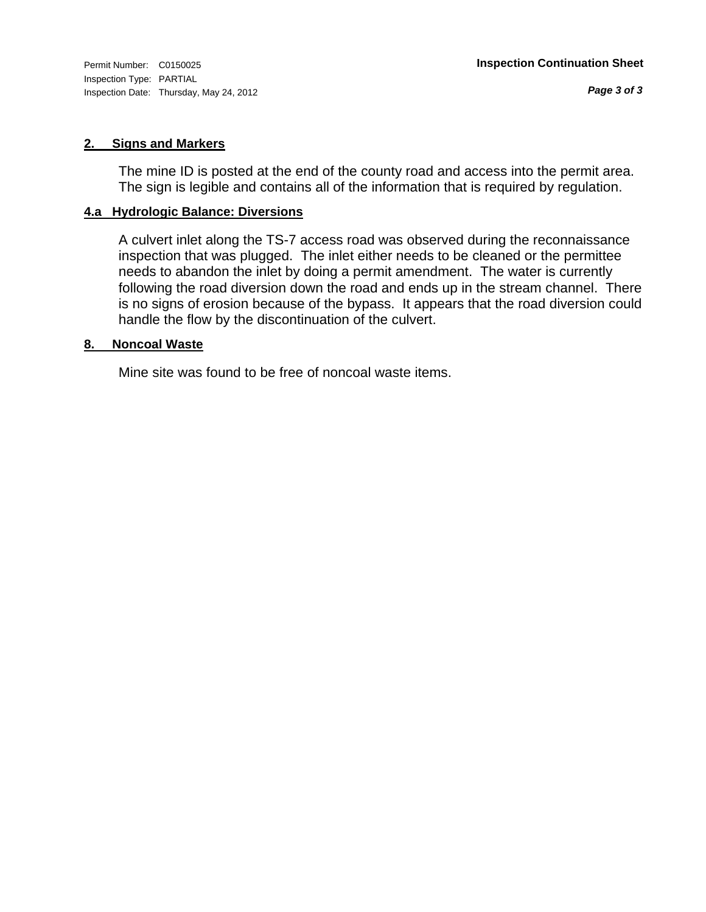Inspection Type: PARTIAL Inspection Date: Thursday, May 24, 2012

### **2. Signs and Markers**

The mine ID is posted at the end of the county road and access into the permit area. The sign is legible and contains all of the information that is required by regulation.

### **4.a Hydrologic Balance: Diversions**

A culvert inlet along the TS-7 access road was observed during the reconnaissance inspection that was plugged. The inlet either needs to be cleaned or the permittee needs to abandon the inlet by doing a permit amendment. The water is currently following the road diversion down the road and ends up in the stream channel. There is no signs of erosion because of the bypass. It appears that the road diversion could handle the flow by the discontinuation of the culvert.

### **8. Noncoal Waste**

Mine site was found to be free of noncoal waste items.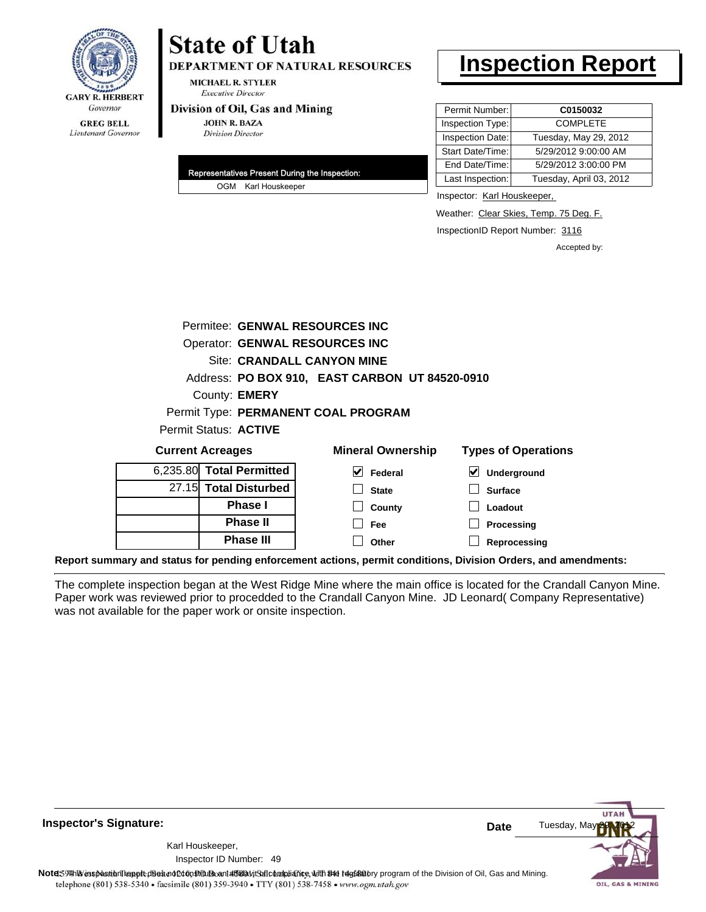

6

## **State of Utah**

**DEPARTMENT OF NATURAL RESOURCES** 

**MICHAEL R. STYLER Executive Director** 

### Division of Oil, Gas and Mining

**JOHN R. BAZA Division Director** 

| Representatives Present During the Inspection: |
|------------------------------------------------|
| OGM Karl Houskeeper                            |

## **Inspection Report**

| Permit Number:   | C0150032                |
|------------------|-------------------------|
| Inspection Type: | <b>COMPLETE</b>         |
| Inspection Date: | Tuesday, May 29, 2012   |
| Start Date/Time: | 5/29/2012 9:00:00 AM    |
| End Date/Time:   | 5/29/2012 3:00:00 PM    |
| Last Inspection: | Tuesday, April 03, 2012 |

Inspector: Karl Houskeeper,

Weather: Clear Skies, Temp. 75 Deg. F.

InspectionID Report Number: 3116

**Reprocessing**

Accepted by:

|                         |                              | Permitee: GENWAL RESOURCES INC                 |                                          |
|-------------------------|------------------------------|------------------------------------------------|------------------------------------------|
|                         |                              | Operator: GENWAL RESOURCES INC                 |                                          |
|                         |                              | Site: CRANDALL CANYON MINE                     |                                          |
|                         |                              | Address: PO BOX 910, EAST CARBON UT 84520-0910 |                                          |
|                         | County: <b>EMERY</b>         |                                                |                                          |
|                         |                              | Permit Type: PERMANENT COAL PROGRAM            |                                          |
|                         | <b>Permit Status: ACTIVE</b> |                                                |                                          |
| <b>Current Acreages</b> |                              | <b>Mineral Ownership</b>                       | <b>Types of Operations</b>               |
|                         | 6,235.80 Total Permitted     | M<br>Federal                                   | $\boldsymbol{\mathsf{v}}$<br>Underground |
|                         | 27.15 Total Disturbed        | <b>State</b>                                   | <b>Surface</b>                           |
|                         | Phase I                      | County                                         | Loadout                                  |
|                         | <b>Phase II</b>              | Fee                                            | Processing                               |

**Report summary and status for pending enforcement actions, permit conditions, Division Orders, and amendments:**

**Phase III**

The complete inspection began at the West Ridge Mine where the main office is located for the Crandall Canyon Mine. Paper work was reviewed prior to procedded to the Crandall Canyon Mine. JD Leonard( Company Representative) was not available for the paper work or onsite inspection.

**Other**

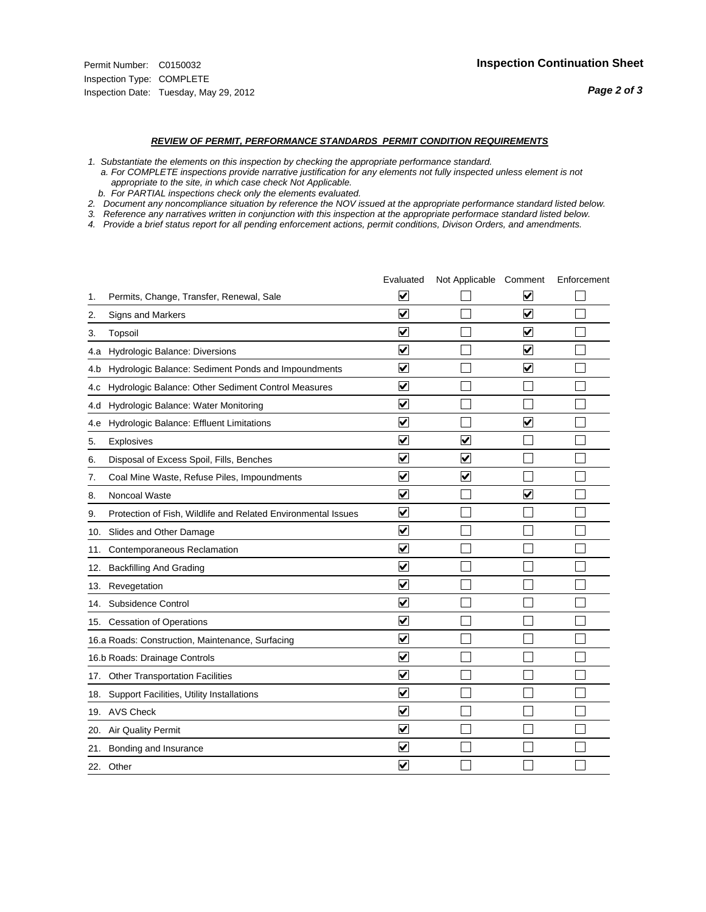### *REVIEW OF PERMIT, PERFORMANCE STANDARDS PERMIT CONDITION REQUIREMENTS*

*1. Substantiate the elements on this inspection by checking the appropriate performance standard.*

 *a. For COMPLETE inspections provide narrative justification for any elements not fully inspected unless element is not appropriate to the site, in which case check Not Applicable.*

 *b. For PARTIAL inspections check only the elements evaluated.*

*2. Document any noncompliance situation by reference the NOV issued at the appropriate performance standard listed below.*

*3. Reference any narratives written in conjunction with this inspection at the appropriate performace standard listed below.*

*4. Provide a brief status report for all pending enforcement actions, permit conditions, Divison Orders, and amendments.*

|     |                                                               | Evaluated               | Not Applicable Comment  |                         | Enforcement |
|-----|---------------------------------------------------------------|-------------------------|-------------------------|-------------------------|-------------|
| 1.  | Permits, Change, Transfer, Renewal, Sale                      | $\overline{\mathsf{v}}$ |                         | V                       |             |
| 2.  | Signs and Markers                                             | $\overline{\mathbf{v}}$ |                         | $\blacktriangledown$    |             |
| 3.  | Topsoil                                                       | $\overline{\mathbf{v}}$ |                         | $\overline{\mathsf{v}}$ |             |
| 4.a | Hydrologic Balance: Diversions                                | $\overline{\mathsf{v}}$ |                         | $\blacktriangledown$    |             |
| 4.b | Hydrologic Balance: Sediment Ponds and Impoundments           | $\blacktriangledown$    |                         | ⊻                       |             |
| 4.C | Hydrologic Balance: Other Sediment Control Measures           | $\overline{\mathbf{v}}$ |                         |                         |             |
| 4.d | Hydrologic Balance: Water Monitoring                          | $\overline{\mathbf{v}}$ |                         |                         |             |
| 4.e | Hydrologic Balance: Effluent Limitations                      | $\overline{\mathbf{v}}$ |                         | $\blacktriangledown$    |             |
| 5.  | <b>Explosives</b>                                             | $\overline{\mathbf{v}}$ | ⊽                       |                         |             |
| 6.  | Disposal of Excess Spoil, Fills, Benches                      | $\overline{\mathbf{v}}$ | $\blacktriangledown$    |                         |             |
| 7.  | Coal Mine Waste, Refuse Piles, Impoundments                   | $\overline{\mathbf{v}}$ | $\overline{\mathbf{v}}$ |                         |             |
| 8.  | Noncoal Waste                                                 | $\overline{\mathbf{v}}$ |                         | $\overline{\mathbf{v}}$ |             |
| 9.  | Protection of Fish, Wildlife and Related Environmental Issues | $\overline{\mathbf{v}}$ |                         |                         |             |
|     | 10. Slides and Other Damage                                   | $\overline{\mathbf{v}}$ |                         |                         |             |
| 11. | Contemporaneous Reclamation                                   | ⊽                       |                         |                         |             |
| 12. | <b>Backfilling And Grading</b>                                | $\overline{\mathbf{v}}$ |                         |                         |             |
| 13. | Revegetation                                                  | $\overline{\mathbf{v}}$ |                         |                         |             |
| 14. | Subsidence Control                                            | $\overline{\mathbf{v}}$ |                         |                         |             |
|     | 15. Cessation of Operations                                   | $\overline{\mathbf{v}}$ |                         |                         |             |
|     | 16.a Roads: Construction, Maintenance, Surfacing              | $\blacktriangledown$    |                         |                         |             |
|     | 16.b Roads: Drainage Controls                                 | $\overline{\mathbf{v}}$ |                         |                         |             |
| 17. | <b>Other Transportation Facilities</b>                        | $\overline{\mathbf{v}}$ |                         |                         |             |
| 18. | Support Facilities, Utility Installations                     | $\overline{\mathbf{v}}$ |                         |                         |             |
|     | 19. AVS Check                                                 | $\overline{\mathbf{v}}$ |                         |                         |             |
| 20. | <b>Air Quality Permit</b>                                     | $\checkmark$            |                         |                         |             |
| 21. | Bonding and Insurance                                         | $\blacktriangledown$    |                         |                         |             |
|     | 22. Other                                                     | $\overline{\mathbf{v}}$ |                         |                         |             |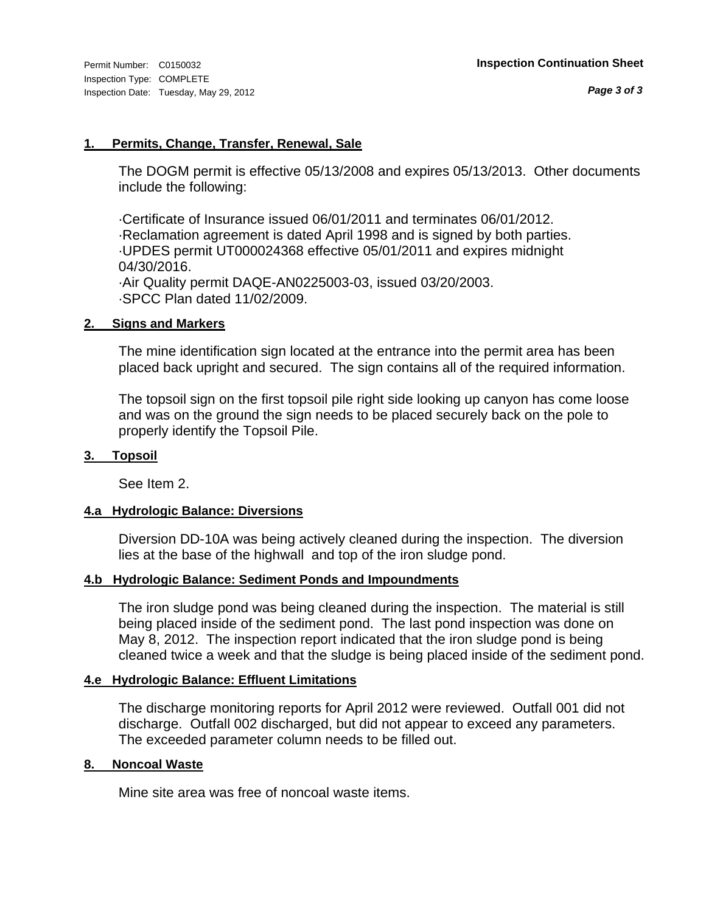### **1. Permits, Change, Transfer, Renewal, Sale**

The DOGM permit is effective 05/13/2008 and expires 05/13/2013. Other documents include the following:

·Certificate of Insurance issued 06/01/2011 and terminates 06/01/2012. ·Reclamation agreement is dated April 1998 and is signed by both parties. ·UPDES permit UT000024368 effective 05/01/2011 and expires midnight 04/30/2016. ·Air Quality permit DAQE-AN0225003-03, issued 03/20/2003. ·SPCC Plan dated 11/02/2009.

### **2. Signs and Markers**

The mine identification sign located at the entrance into the permit area has been placed back upright and secured. The sign contains all of the required information.

The topsoil sign on the first topsoil pile right side looking up canyon has come loose and was on the ground the sign needs to be placed securely back on the pole to properly identify the Topsoil Pile.

### **3. Topsoil**

See Item 2.

### **4.a Hydrologic Balance: Diversions**

Diversion DD-10A was being actively cleaned during the inspection. The diversion lies at the base of the highwall and top of the iron sludge pond.

### **4.b Hydrologic Balance: Sediment Ponds and Impoundments**

The iron sludge pond was being cleaned during the inspection. The material is still being placed inside of the sediment pond. The last pond inspection was done on May 8, 2012. The inspection report indicated that the iron sludge pond is being cleaned twice a week and that the sludge is being placed inside of the sediment pond.

### **4.e Hydrologic Balance: Effluent Limitations**

The discharge monitoring reports for April 2012 were reviewed. Outfall 001 did not discharge. Outfall 002 discharged, but did not appear to exceed any parameters. The exceeded parameter column needs to be filled out.

### **8. Noncoal Waste**

Mine site area was free of noncoal waste items.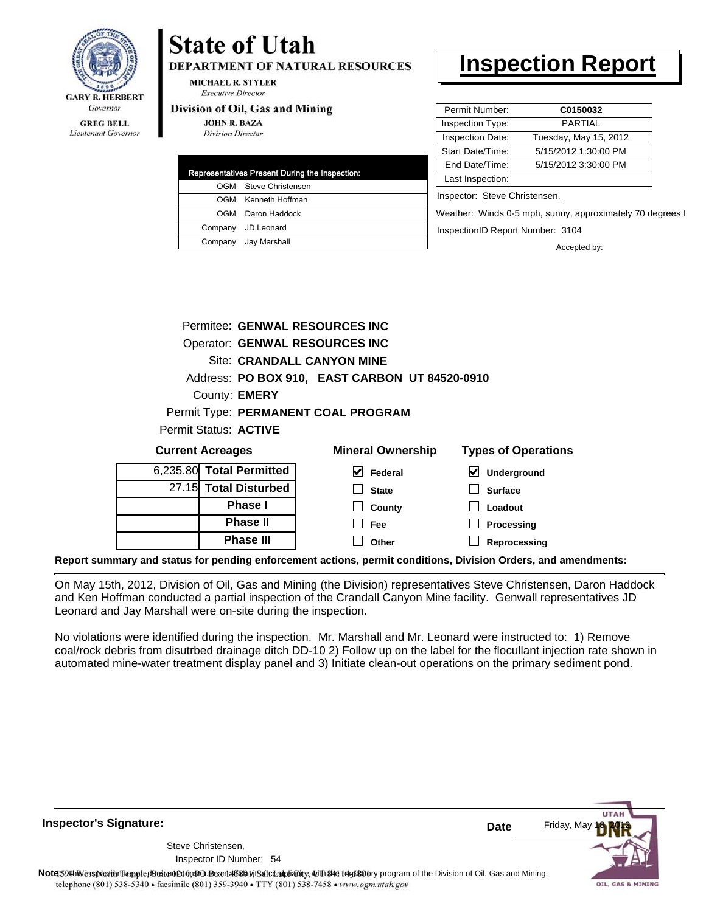

## **State of Utah**

**DEPARTMENT OF NATURAL RESOURCES** 

**MICHAEL R. STYLER Executive Director** 

**JOHN R. BAZA** 

**Division Director** 

### Division of Oil, Gas and Mining

Lieutenant Governor

|         | Representatives Present During the Inspection: |
|---------|------------------------------------------------|
| OGM     | Steve Christensen                              |
| OGM     | Kenneth Hoffman                                |
| OGM     | Daron Haddock                                  |
| Company | JD Leonard                                     |
|         | Company Jay Marshall                           |

## **Inspection Report**

| Permit Number:   | C0150032              |
|------------------|-----------------------|
| Inspection Type: | PARTIAI               |
| Inspection Date: | Tuesday, May 15, 2012 |
| Start Date/Time: | 5/15/2012 1:30:00 PM  |
| End Date/Time:   | 5/15/2012 3:30:00 PM  |
| Last Inspection: |                       |

Inspector: Steve Christensen,

Weather: Winds 0-5 mph, sunny, approximately 70 degrees |

InspectionID Report Number: 3104

Accepted by:

|                          | Permitee: GENWAL RESOURCES INC                 |                            |
|--------------------------|------------------------------------------------|----------------------------|
|                          | Operator: GENWAL RESOURCES INC                 |                            |
|                          | Site: CRANDALL CANYON MINE                     |                            |
|                          | Address: PO BOX 910, EAST CARBON UT 84520-0910 |                            |
| County: <b>EMERY</b>     |                                                |                            |
|                          | Permit Type: PERMANENT COAL PROGRAM            |                            |
| Permit Status: ACTIVE    |                                                |                            |
| <b>Current Acreages</b>  | <b>Mineral Ownership</b>                       | <b>Types of Operations</b> |
| 6,235.80 Total Permitted | Federal                                        | <b>Underaround</b>         |

| 6,235.80 Total Permitted |  |
|--------------------------|--|
| 27.15 Total Disturbed    |  |
| <b>Phase</b> I           |  |
| <b>Phase II</b>          |  |
| <b>Phase III</b>         |  |

| eral Ownership           | <b>Types of Operat</b>       |  |  |
|--------------------------|------------------------------|--|--|
| $\triangleright$ Federal | $\triangleright$ Underground |  |  |
| $\Box$ State             | $\Box$ Surface               |  |  |
| $\Box$ County            | $\Box$ Loadout               |  |  |
| Fee                      | $\Box$ Processing            |  |  |
| Other                    | Reprocessing                 |  |  |

**Report summary and status for pending enforcement actions, permit conditions, Division Orders, and amendments:**

On May 15th, 2012, Division of Oil, Gas and Mining (the Division) representatives Steve Christensen, Daron Haddock and Ken Hoffman conducted a partial inspection of the Crandall Canyon Mine facility. Genwall representatives JD Leonard and Jay Marshall were on-site during the inspection.

No violations were identified during the inspection. Mr. Marshall and Mr. Leonard were instructed to: 1) Remove coal/rock debris from disutrbed drainage ditch DD-10 2) Follow up on the label for the flocullant injection rate shown in automated mine-water treatment display panel and 3) Initiate clean-out operations on the primary sediment pond.

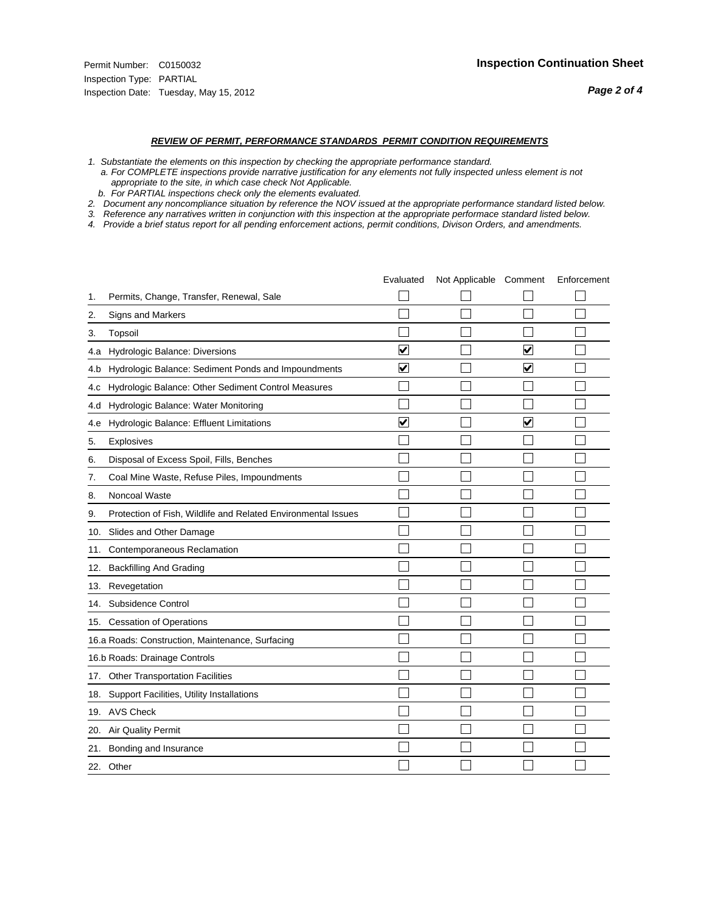### *REVIEW OF PERMIT, PERFORMANCE STANDARDS PERMIT CONDITION REQUIREMENTS*

- *1. Substantiate the elements on this inspection by checking the appropriate performance standard.*
- *a. For COMPLETE inspections provide narrative justification for any elements not fully inspected unless element is not appropriate to the site, in which case check Not Applicable.*
- *b. For PARTIAL inspections check only the elements evaluated.*
- *2. Document any noncompliance situation by reference the NOV issued at the appropriate performance standard listed below.*
- *3. Reference any narratives written in conjunction with this inspection at the appropriate performace standard listed below.*
- *4. Provide a brief status report for all pending enforcement actions, permit conditions, Divison Orders, and amendments.*

|     |                                                               | Evaluated               | Not Applicable Comment |                         | Enforcement |
|-----|---------------------------------------------------------------|-------------------------|------------------------|-------------------------|-------------|
| 1.  | Permits, Change, Transfer, Renewal, Sale                      |                         |                        |                         |             |
| 2.  | <b>Signs and Markers</b>                                      |                         |                        |                         |             |
| 3.  | Topsoil                                                       |                         |                        |                         |             |
| 4.a | Hydrologic Balance: Diversions                                | $\overline{\mathsf{v}}$ |                        | $\blacktriangledown$    |             |
| 4.b | Hydrologic Balance: Sediment Ponds and Impoundments           | $\blacktriangledown$    |                        | ⊻                       |             |
| 4.c | Hydrologic Balance: Other Sediment Control Measures           |                         |                        |                         |             |
| 4.d | Hydrologic Balance: Water Monitoring                          |                         |                        |                         |             |
| 4.e | Hydrologic Balance: Effluent Limitations                      | $\overline{\mathbf{v}}$ |                        | $\overline{\mathbf{v}}$ |             |
| 5.  | <b>Explosives</b>                                             |                         |                        |                         |             |
| 6.  | Disposal of Excess Spoil, Fills, Benches                      |                         |                        |                         |             |
| 7.  | Coal Mine Waste, Refuse Piles, Impoundments                   |                         |                        |                         |             |
| 8.  | Noncoal Waste                                                 |                         |                        |                         |             |
| 9.  | Protection of Fish, Wildlife and Related Environmental Issues |                         |                        |                         |             |
|     | 10. Slides and Other Damage                                   |                         |                        |                         |             |
| 11. | Contemporaneous Reclamation                                   |                         |                        |                         |             |
| 12. | <b>Backfilling And Grading</b>                                |                         |                        |                         |             |
| 13. | Revegetation                                                  |                         |                        |                         |             |
| 14. | Subsidence Control                                            |                         |                        |                         |             |
|     | 15. Cessation of Operations                                   |                         |                        |                         |             |
|     | 16.a Roads: Construction, Maintenance, Surfacing              |                         |                        |                         |             |
|     | 16.b Roads: Drainage Controls                                 |                         |                        |                         |             |
| 17. | <b>Other Transportation Facilities</b>                        |                         |                        |                         |             |
| 18. | Support Facilities, Utility Installations                     |                         |                        |                         |             |
|     | 19. AVS Check                                                 |                         |                        |                         |             |
| 20. | <b>Air Quality Permit</b>                                     |                         |                        |                         |             |
|     | 21. Bonding and Insurance                                     |                         |                        |                         |             |
| 22. | Other                                                         |                         |                        |                         |             |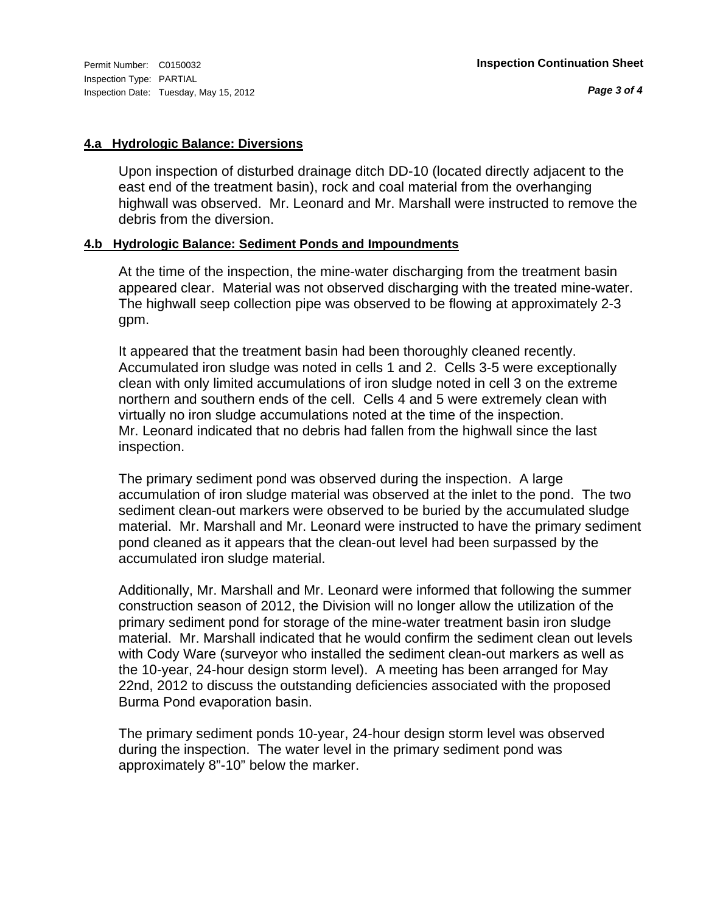Inspection Type: PARTIAL Inspection Date: Tuesday, May 15, 2012

### **4.a Hydrologic Balance: Diversions**

Upon inspection of disturbed drainage ditch DD-10 (located directly adjacent to the east end of the treatment basin), rock and coal material from the overhanging highwall was observed. Mr. Leonard and Mr. Marshall were instructed to remove the debris from the diversion.

### **4.b Hydrologic Balance: Sediment Ponds and Impoundments**

At the time of the inspection, the mine-water discharging from the treatment basin appeared clear. Material was not observed discharging with the treated mine-water. The highwall seep collection pipe was observed to be flowing at approximately 2-3 gpm.

It appeared that the treatment basin had been thoroughly cleaned recently. Accumulated iron sludge was noted in cells 1 and 2. Cells 3-5 were exceptionally clean with only limited accumulations of iron sludge noted in cell 3 on the extreme northern and southern ends of the cell. Cells 4 and 5 were extremely clean with virtually no iron sludge accumulations noted at the time of the inspection. Mr. Leonard indicated that no debris had fallen from the highwall since the last inspection.

The primary sediment pond was observed during the inspection. A large accumulation of iron sludge material was observed at the inlet to the pond. The two sediment clean-out markers were observed to be buried by the accumulated sludge material. Mr. Marshall and Mr. Leonard were instructed to have the primary sediment pond cleaned as it appears that the clean-out level had been surpassed by the accumulated iron sludge material.

Additionally, Mr. Marshall and Mr. Leonard were informed that following the summer construction season of 2012, the Division will no longer allow the utilization of the primary sediment pond for storage of the mine-water treatment basin iron sludge material. Mr. Marshall indicated that he would confirm the sediment clean out levels with Cody Ware (surveyor who installed the sediment clean-out markers as well as the 10-year, 24-hour design storm level). A meeting has been arranged for May 22nd, 2012 to discuss the outstanding deficiencies associated with the proposed Burma Pond evaporation basin.

The primary sediment ponds 10-year, 24-hour design storm level was observed during the inspection. The water level in the primary sediment pond was approximately 8"-10" below the marker.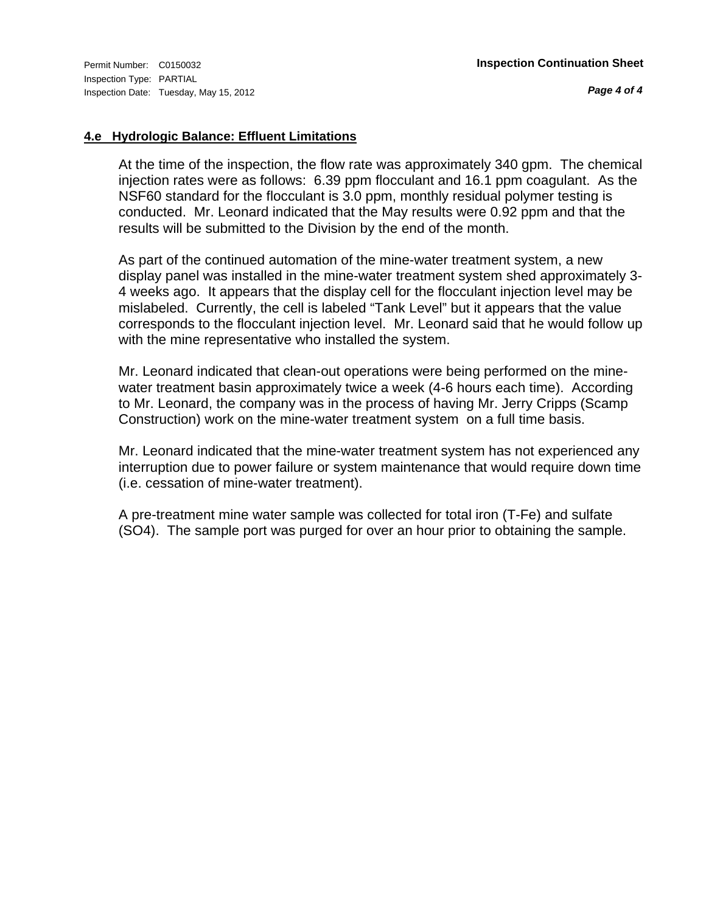*Page 4 of 4*

### **4.e Hydrologic Balance: Effluent Limitations**

At the time of the inspection, the flow rate was approximately 340 gpm. The chemical injection rates were as follows: 6.39 ppm flocculant and 16.1 ppm coagulant. As the NSF60 standard for the flocculant is 3.0 ppm, monthly residual polymer testing is conducted. Mr. Leonard indicated that the May results were 0.92 ppm and that the results will be submitted to the Division by the end of the month.

As part of the continued automation of the mine-water treatment system, a new display panel was installed in the mine-water treatment system shed approximately 3- 4 weeks ago. It appears that the display cell for the flocculant injection level may be mislabeled. Currently, the cell is labeled "Tank Level" but it appears that the value corresponds to the flocculant injection level. Mr. Leonard said that he would follow up with the mine representative who installed the system.

Mr. Leonard indicated that clean-out operations were being performed on the minewater treatment basin approximately twice a week (4-6 hours each time). According to Mr. Leonard, the company was in the process of having Mr. Jerry Cripps (Scamp Construction) work on the mine-water treatment system on a full time basis.

Mr. Leonard indicated that the mine-water treatment system has not experienced any interruption due to power failure or system maintenance that would require down time (i.e. cessation of mine-water treatment).

A pre-treatment mine water sample was collected for total iron (T-Fe) and sulfate (SO4). The sample port was purged for over an hour prior to obtaining the sample.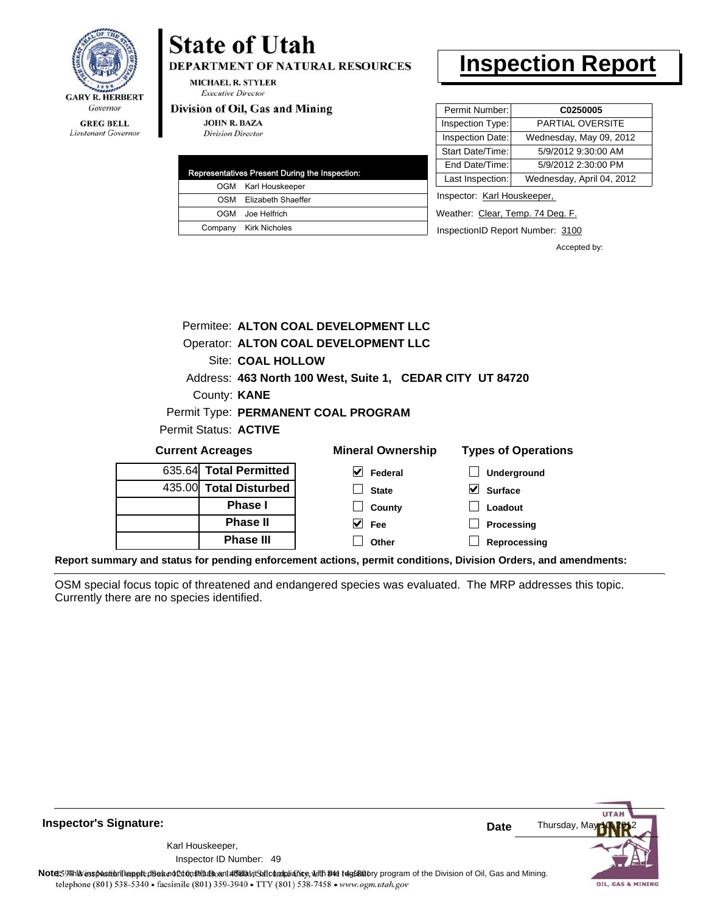

#### **GREG BELL** Lieutenant Governor

# **State of Utah**

**DEPARTMENT OF NATURAL RESOURCES** 

**MICHAEL R. STYLER Executive Director** 

### Division of Oil, Gas and Mining

**JOHN R. BAZA Division Director** 

| Representatives Present During the Inspection: |                        |  |  |
|------------------------------------------------|------------------------|--|--|
|                                                | OGM Karl Houskeeper    |  |  |
|                                                | OSM Elizabeth Shaeffer |  |  |
|                                                | OGM Joe Helfrich       |  |  |
|                                                | Company Kirk Nicholes  |  |  |

### **Inspection Report**

| Permit Number:   | C0250005                  |
|------------------|---------------------------|
| Inspection Type: | PARTIAL OVERSITE          |
| Inspection Date: | Wednesday, May 09, 2012   |
| Start Date/Time: | 5/9/2012 9:30:00 AM       |
| End Date/Time:   | 5/9/2012 2:30:00 PM       |
| Last Inspection: | Wednesday, April 04, 2012 |
|                  |                           |

Inspector: Karl Houskeeper,

Weather: Clear, Temp. 74 Deg. F.

InspectionID Report Number: 3100

Accepted by:

|                         |                        | Permitee: ALTON COAL DEVELOPMENT LLC                      |                            |  |  |
|-------------------------|------------------------|-----------------------------------------------------------|----------------------------|--|--|
|                         |                        | Operator: ALTON COAL DEVELOPMENT LLC                      |                            |  |  |
|                         | Site: COAL HOLLOW      |                                                           |                            |  |  |
|                         |                        | Address: 463 North 100 West, Suite 1, CEDAR CITY UT 84720 |                            |  |  |
|                         | County: <b>KANE</b>    |                                                           |                            |  |  |
|                         |                        | Permit Type: PERMANENT COAL PROGRAM                       |                            |  |  |
|                         | Permit Status: ACTIVE  |                                                           |                            |  |  |
| <b>Current Acreages</b> |                        | <b>Mineral Ownership</b>                                  | <b>Types of Operations</b> |  |  |
|                         | 635.64 Total Permitted | Federal                                                   | <b>Underground</b>         |  |  |

**State County Fee Other**

| 635.64 Total Permitted |
|------------------------|
| 435.00 Total Disturbed |
| <b>Phase I</b>         |
| <b>Phase II</b>        |
| <b>Phase III</b>       |

| $\Box$ Underground |
|--------------------|
| $\vee$ Surface     |
| $\vert$ Loadout    |
| $\Box$ Processing  |

**Reprocessing**

**Report summary and status for pending enforcement actions, permit conditions, Division Orders, and amendments:**

OSM special focus topic of threatened and endangered species was evaluated. The MRP addresses this topic. Currently there are no species identified.



**Inspector's Signature:**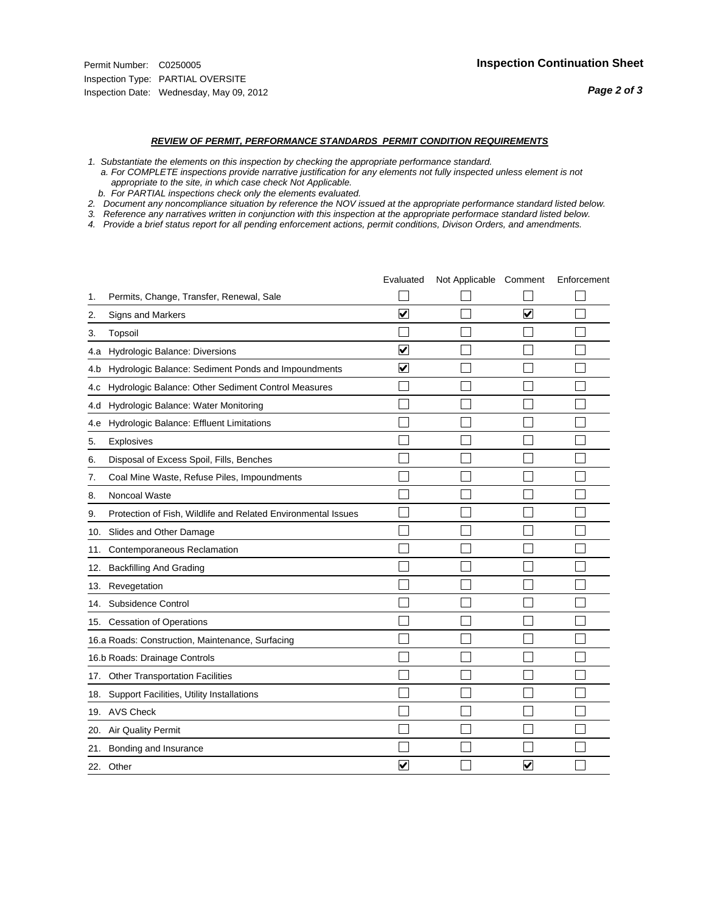### *REVIEW OF PERMIT, PERFORMANCE STANDARDS PERMIT CONDITION REQUIREMENTS*

- *1. Substantiate the elements on this inspection by checking the appropriate performance standard.*
- *a. For COMPLETE inspections provide narrative justification for any elements not fully inspected unless element is not appropriate to the site, in which case check Not Applicable.*
- *b. For PARTIAL inspections check only the elements evaluated.*
- *2. Document any noncompliance situation by reference the NOV issued at the appropriate performance standard listed below.*
- *3. Reference any narratives written in conjunction with this inspection at the appropriate performace standard listed below.*
- *4. Provide a brief status report for all pending enforcement actions, permit conditions, Divison Orders, and amendments.*

|     |                                                               | Evaluated               | Not Applicable Comment |                         | Enforcement |
|-----|---------------------------------------------------------------|-------------------------|------------------------|-------------------------|-------------|
| 1.  | Permits, Change, Transfer, Renewal, Sale                      |                         |                        |                         |             |
| 2.  | Signs and Markers                                             | $\overline{\mathbf{v}}$ |                        | ☑                       |             |
| 3.  | Topsoil                                                       |                         |                        |                         |             |
| 4.a | Hydrologic Balance: Diversions                                | $\blacktriangledown$    |                        |                         |             |
| 4.b | Hydrologic Balance: Sediment Ponds and Impoundments           | V                       |                        |                         |             |
| 4.c | Hydrologic Balance: Other Sediment Control Measures           |                         |                        |                         |             |
| 4.d | Hydrologic Balance: Water Monitoring                          |                         |                        |                         |             |
| 4.e | Hydrologic Balance: Effluent Limitations                      |                         |                        |                         |             |
| 5.  | <b>Explosives</b>                                             |                         |                        |                         |             |
| 6.  | Disposal of Excess Spoil, Fills, Benches                      |                         |                        |                         |             |
| 7.  | Coal Mine Waste, Refuse Piles, Impoundments                   |                         |                        |                         |             |
| 8.  | Noncoal Waste                                                 |                         |                        |                         |             |
| 9.  | Protection of Fish, Wildlife and Related Environmental Issues |                         |                        |                         |             |
| 10. | Slides and Other Damage                                       |                         |                        |                         |             |
| 11. | Contemporaneous Reclamation                                   |                         |                        |                         |             |
| 12. | <b>Backfilling And Grading</b>                                |                         |                        |                         |             |
| 13. | Revegetation                                                  |                         |                        |                         |             |
| 14. | Subsidence Control                                            |                         |                        |                         |             |
|     | 15. Cessation of Operations                                   |                         |                        |                         |             |
|     | 16.a Roads: Construction, Maintenance, Surfacing              |                         |                        |                         |             |
|     | 16.b Roads: Drainage Controls                                 |                         |                        |                         |             |
| 17. | <b>Other Transportation Facilities</b>                        |                         |                        |                         |             |
| 18. | Support Facilities, Utility Installations                     |                         |                        |                         |             |
|     | 19. AVS Check                                                 |                         |                        |                         |             |
| 20. | Air Quality Permit                                            |                         |                        |                         |             |
| 21. | Bonding and Insurance                                         |                         |                        |                         |             |
|     | 22. Other                                                     | $\overline{\mathbf{v}}$ |                        | $\overline{\mathbf{v}}$ |             |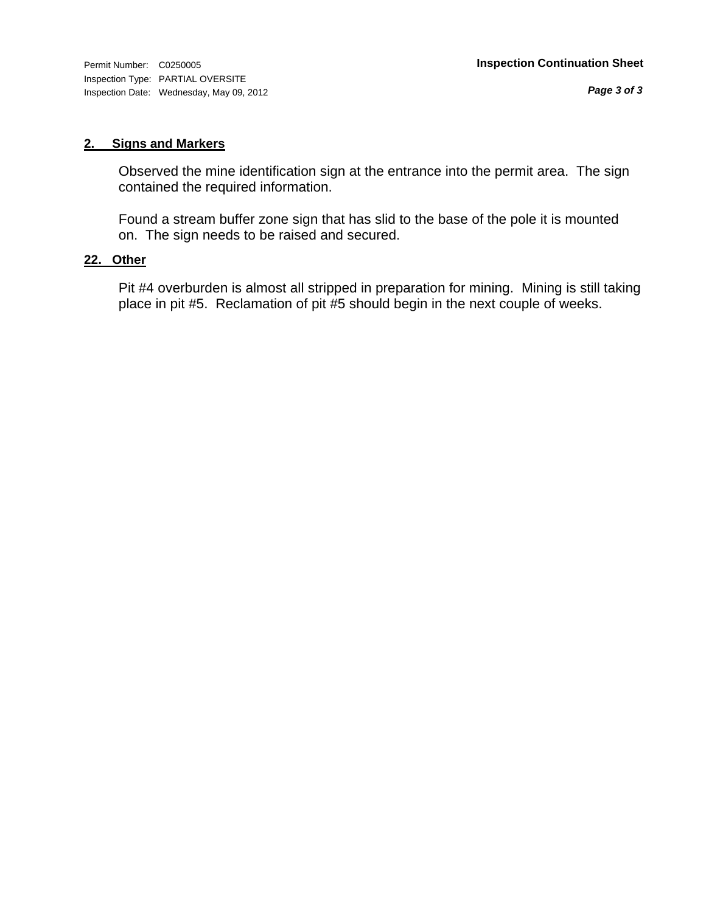Inspection Type: PARTIAL OVERSITE Inspection Date: Wednesday, May 09, 2012

### **2. Signs and Markers**

Observed the mine identification sign at the entrance into the permit area. The sign contained the required information.

Found a stream buffer zone sign that has slid to the base of the pole it is mounted on. The sign needs to be raised and secured.

### **22. Other**

Pit #4 overburden is almost all stripped in preparation for mining. Mining is still taking place in pit #5. Reclamation of pit #5 should begin in the next couple of weeks.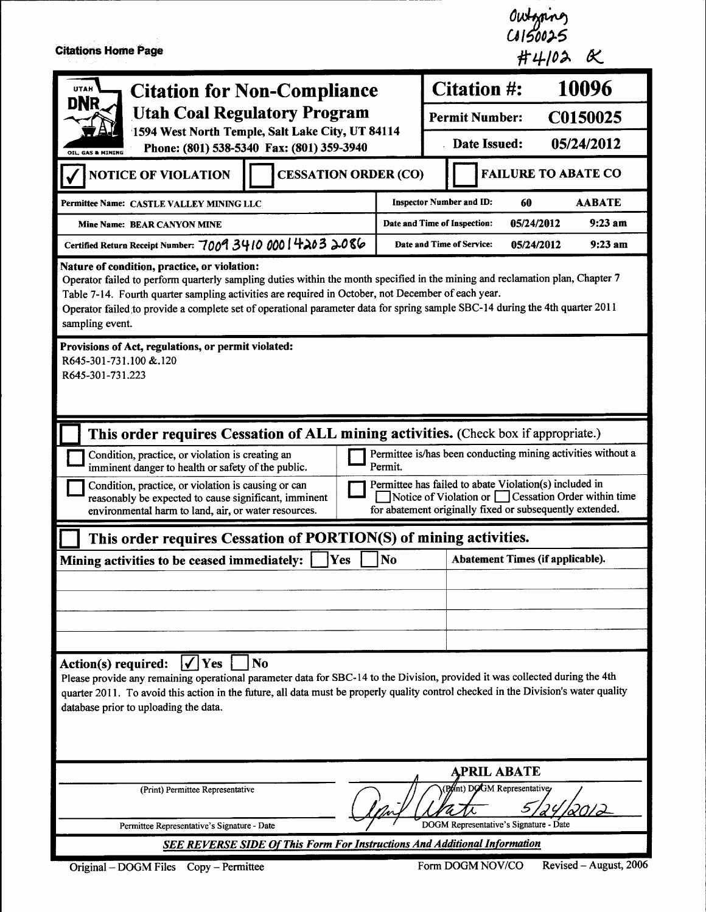| <b>Citations Home Page</b>                                                                                                                                                                                                                                                                                                                                                                                                                                                                  |                |                                                                                                                                                                          | Outoning<br>CAIS0025<br>井4102 氏  |               |
|---------------------------------------------------------------------------------------------------------------------------------------------------------------------------------------------------------------------------------------------------------------------------------------------------------------------------------------------------------------------------------------------------------------------------------------------------------------------------------------------|----------------|--------------------------------------------------------------------------------------------------------------------------------------------------------------------------|----------------------------------|---------------|
| <b>UTAH</b><br><b>Citation for Non-Compliance</b>                                                                                                                                                                                                                                                                                                                                                                                                                                           |                | <b>Citation #:</b>                                                                                                                                                       |                                  | 10096         |
| DNR.<br><b>Utah Coal Regulatory Program</b>                                                                                                                                                                                                                                                                                                                                                                                                                                                 |                | C0150025<br><b>Permit Number:</b>                                                                                                                                        |                                  |               |
| 1594 West North Temple, Salt Lake City, UT 84114<br>Phone: (801) 538-5340 Fax: (801) 359-3940                                                                                                                                                                                                                                                                                                                                                                                               |                | Date Issued:<br>05/24/2012                                                                                                                                               |                                  |               |
| OIL, GAS & MINING<br><b>CESSATION ORDER (CO)</b><br><b>NOTICE OF VIOLATION</b>                                                                                                                                                                                                                                                                                                                                                                                                              |                |                                                                                                                                                                          | <b>FAILURE TO ABATE CO</b>       |               |
| Permittee Name: CASTLE VALLEY MINING LLC                                                                                                                                                                                                                                                                                                                                                                                                                                                    |                | <b>Inspector Number and ID:</b>                                                                                                                                          | 60                               | <b>AABATE</b> |
| <b>Mine Name: BEAR CANYON MINE</b>                                                                                                                                                                                                                                                                                                                                                                                                                                                          |                | Date and Time of Inspection:                                                                                                                                             | 05/24/2012                       | $9:23$ am     |
| Certified Return Receipt Number: 7009 3410 000 4203 2086                                                                                                                                                                                                                                                                                                                                                                                                                                    |                | Date and Time of Service:                                                                                                                                                | 05/24/2012                       | $9:23$ am     |
| Operator failed to perform quarterly sampling duties within the month specified in the mining and reclamation plan, Chapter 7<br>Table 7-14. Fourth quarter sampling activities are required in October, not December of each year.<br>Operator failed to provide a complete set of operational parameter data for spring sample SBC-14 during the 4th quarter 2011<br>sampling event.<br>Provisions of Act, regulations, or permit violated:<br>R645-301-731.100 &.120<br>R645-301-731.223 |                |                                                                                                                                                                          |                                  |               |
| This order requires Cessation of ALL mining activities. (Check box if appropriate.)                                                                                                                                                                                                                                                                                                                                                                                                         |                |                                                                                                                                                                          |                                  |               |
| Condition, practice, or violation is creating an<br>imminent danger to health or safety of the public.                                                                                                                                                                                                                                                                                                                                                                                      | Permit.        | Permittee is/has been conducting mining activities without a                                                                                                             |                                  |               |
| Condition, practice, or violation is causing or can<br>reasonably be expected to cause significant, imminent<br>environmental harm to land, air, or water resources.                                                                                                                                                                                                                                                                                                                        |                | Permittee has failed to abate Violation(s) included in<br>Notice of Violation or Cossation Order within time<br>for abatement originally fixed or subsequently extended. |                                  |               |
| This order requires Cessation of PORTION(S) of mining activities.                                                                                                                                                                                                                                                                                                                                                                                                                           |                |                                                                                                                                                                          |                                  |               |
| Yes<br>Mining activities to be ceased immediately:                                                                                                                                                                                                                                                                                                                                                                                                                                          | N <sub>o</sub> |                                                                                                                                                                          | Abatement Times (if applicable). |               |
|                                                                                                                                                                                                                                                                                                                                                                                                                                                                                             |                |                                                                                                                                                                          |                                  |               |
|                                                                                                                                                                                                                                                                                                                                                                                                                                                                                             |                |                                                                                                                                                                          |                                  |               |
|                                                                                                                                                                                                                                                                                                                                                                                                                                                                                             |                |                                                                                                                                                                          |                                  |               |
| N <sub>0</sub><br>Action(s) required:<br>$\sqrt{\vert Y}$ es<br>Please provide any remaining operational parameter data for SBC-14 to the Division, provided it was collected during the 4th<br>quarter 2011. To avoid this action in the future, all data must be properly quality control checked in the Division's water quality<br>database prior to uploading the data.                                                                                                                |                |                                                                                                                                                                          |                                  |               |
| (Print) Permittee Representative                                                                                                                                                                                                                                                                                                                                                                                                                                                            |                | <b>APRIL ABATE</b><br>Point) DOGM Representative                                                                                                                         |                                  |               |
| Permittee Representative's Signature - Date                                                                                                                                                                                                                                                                                                                                                                                                                                                 |                | DOGM Representative's Signature - Date                                                                                                                                   |                                  |               |
| SEE REVERSE SIDE Of This Form For Instructions And Additional Information                                                                                                                                                                                                                                                                                                                                                                                                                   |                |                                                                                                                                                                          |                                  |               |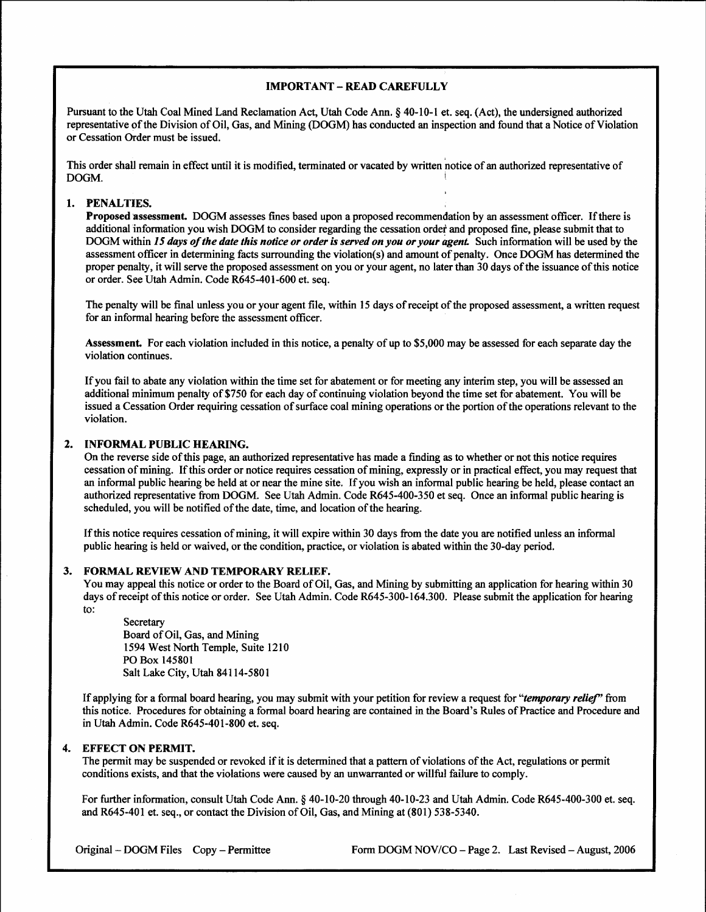### **IMPORTANT - READ CAREFULLY**

Pursuant to the Utah Coal Mined Land Reclamation Act, Utah Code Ann. § 40-10-1 et. seq. (Act), the undersigned authorized representative of the Division of Oil, Gas, and Mining (DOGM) has conducted an inspection and found that a Notice of Violation or Cessation Order must be issued.

This order shall remain in effect until it is modified, terminated or vacated by written notice of an authorized representative of DOGM.

### 1. PENALTIES.

Proposed assessment. DOGM assesses fines based upon a proposed recommendation by an assessment officer. If there is additional information you wish DOGM to consider regarding the cessation order and proposed fine, please submit that to DOGM within 15 days of the date this notice or order is served on you or your agent. Such information will be used by the assessment officer in determining facts surrounding the violation(s) and amount of penalty. Once DOGM has determined the proper penalty, it will serve the proposed assessment on you or your agent, no later than 30 days of the issuance of this notice or order. See Utah Admin. Code R645-401-600 et. seq.

The penalty will be final unless you or your agent file, within 15 days of receipt of the proposed assessment, a written request for an informal hearing before the assessment officer.

Assessment. For each violation included in this notice, a penalty of up to \$5,000 may be assessed for each separate day the violation continues.

If you fail to abate any violation within the time set for abatement or for meeting any interim step, you will be assessed an additional minimum penalty of \$750 for each day of continuing violation beyond the time set for abatement. You will be issued a Cessation Order requiring cessation of surface coal mining operations or the portion of the operations relevant to the violation.

### 2. INFORMAL PUBLIC HEARING.

On the reverse side of this page, an authorized representative has made a finding as to whether or not this notice requires cessation of mining. If this order or notice requires cessation of mining, expressly or in practical effect, you may request that an informal public hearing be held at or near the mine site. If you wish an informal public hearing be held, please contact an authorized representative from DOGM. See Utah Admin. Code R645-400-350 et seq. Once an informal public hearing is scheduled, you will be notified of the date, time, and location of the hearing.

If this notice requires cessation of mining, it will expire within 30 days from the date you are notified unless an informal public hearing is held or waived, or the condition, practice, or violation is abated within the 30-day period.

#### FORMAL REVIEW AND TEMPORARY RELIEF. 3.

You may appeal this notice or order to the Board of Oil, Gas, and Mining by submitting an application for hearing within 30 days of receipt of this notice or order. See Utah Admin. Code R645-300-164.300. Please submit the application for hearing to:

Secretary Board of Oil, Gas, and Mining 1594 West North Temple, Suite 1210 PO Box 145801 Salt Lake City, Utah 84114-5801

If applying for a formal board hearing, you may submit with your petition for review a request for "temporary relief" from this notice. Procedures for obtaining a formal board hearing are contained in the Board's Rules of Practice and Procedure and in Utah Admin. Code R645-401-800 et. seq.

#### **EFFECT ON PERMIT.**  $4.$

The permit may be suspended or revoked if it is determined that a pattern of violations of the Act, regulations or permit conditions exists, and that the violations were caused by an unwarranted or willful failure to comply.

For further information, consult Utah Code Ann. § 40-10-20 through 40-10-23 and Utah Admin. Code R645-400-300 et. seq. and R645-401 et. seq., or contact the Division of Oil, Gas, and Mining at (801) 538-5340.

Original - DOGM Files Copy - Permittee

Form DOGM NOV/CO - Page 2. Last Revised - August, 2006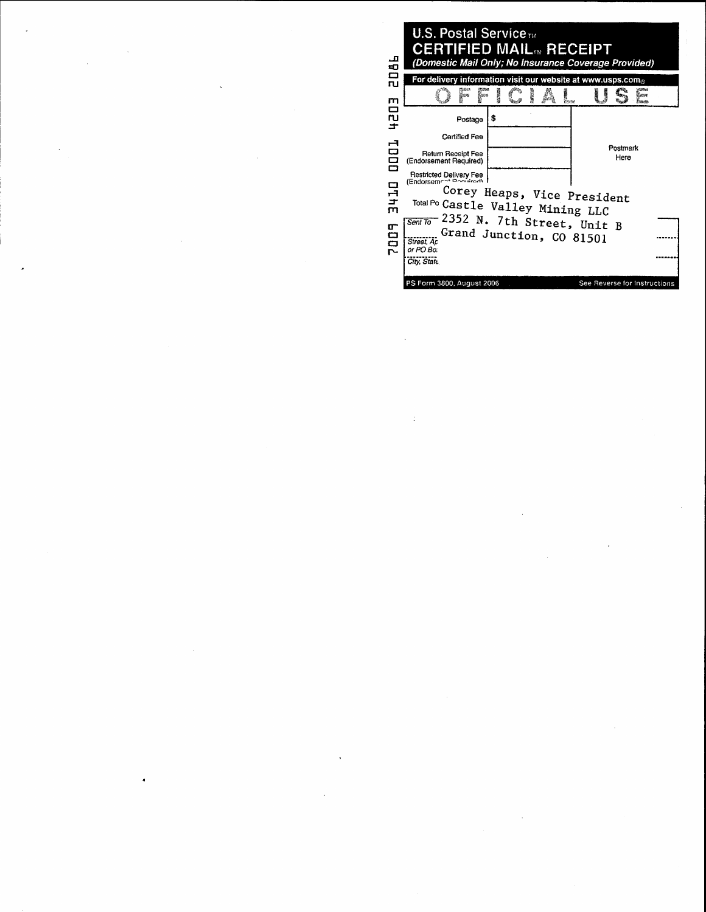| ᅭ<br>40<br>□                               | <b>U.S. Postal Service TIA</b><br><b>CERTIFIED MAIL MRECEIPT</b><br>(Domestic Mail Only; No Insurance Coverage Provided)<br>For delivery information visit our website at www.usps.com. |                                                     |
|--------------------------------------------|-----------------------------------------------------------------------------------------------------------------------------------------------------------------------------------------|-----------------------------------------------------|
| <b>ru</b><br>$\overline{\phantom{a}}$<br>m | iyaa<br>K<br>Ş×<br>Ã<br>e.<br>Geografi                                                                                                                                                  | lan<br>Sanar<br><b>Street</b><br>R <sub>ina</sub> Š |
| ▭<br>ru<br>ᆂ<br>٣<br>o                     | - 5<br>Postage<br>Certified Fee<br>Return Receipt Fee                                                                                                                                   | Postmark<br>Here                                    |
| Π<br>$\Box$<br>ه<br>ᆋ<br>ェ                 | (Endorsement Required)<br>Restricted Delivery Fee<br>(Endorsement Denutrad)<br>Corey Heaps, Vice President                                                                              |                                                     |
| m<br>m<br>$\Xi$<br>r-                      | Total Po Castle Valley Mining LLC<br>2352 N. 7th Street, Unit B<br>Sent To<br>Grand Junction, CO 81501<br><br>Street, Ap<br>or PO Bo.                                                   | <br>$1 - 1 - 1 - 1 - 1 - 1$                         |
|                                            | City, State<br>PS Form 3800, August 2006                                                                                                                                                | See Reverse for Instructions                        |

 $\label{eq:2.1} \frac{1}{\sqrt{2}}\int_{\mathbb{R}^3}\frac{1}{\sqrt{2}}\left(\frac{1}{\sqrt{2}}\right)^2\frac{1}{\sqrt{2}}\left(\frac{1}{\sqrt{2}}\right)^2\frac{1}{\sqrt{2}}\left(\frac{1}{\sqrt{2}}\right)^2\frac{1}{\sqrt{2}}\left(\frac{1}{\sqrt{2}}\right)^2\frac{1}{\sqrt{2}}\left(\frac{1}{\sqrt{2}}\right)^2\frac{1}{\sqrt{2}}\frac{1}{\sqrt{2}}\frac{1}{\sqrt{2}}\frac{1}{\sqrt{2}}\frac{1}{\sqrt{2}}\frac{1}{\sqrt{2}}$ 

 $\label{eq:2.1} \frac{1}{\sqrt{2}}\left(\frac{1}{\sqrt{2}}\right)^2\left(\frac{1}{\sqrt{2}}\right)^2\left(\frac{1}{\sqrt{2}}\right)^2\left(\frac{1}{\sqrt{2}}\right)^2\left(\frac{1}{\sqrt{2}}\right)^2.$ 

 $\label{eq:2.1} \begin{split} \mathcal{L}_{\text{max}}(\mathcal{L}_{\text{max}}) = \mathcal{L}_{\text{max}}(\mathcal{L}_{\text{max}}) \,, \end{split}$ 

 $\label{eq:2.1} \frac{1}{\sqrt{2}}\int_{\mathbb{R}^3}\frac{1}{\sqrt{2}}\left(\frac{1}{\sqrt{2}}\right)^2\frac{1}{\sqrt{2}}\left(\frac{1}{\sqrt{2}}\right)^2\frac{1}{\sqrt{2}}\left(\frac{1}{\sqrt{2}}\right)^2\frac{1}{\sqrt{2}}\left(\frac{1}{\sqrt{2}}\right)^2\frac{1}{\sqrt{2}}\left(\frac{1}{\sqrt{2}}\right)^2\frac{1}{\sqrt{2}}\frac{1}{\sqrt{2}}\frac{1}{\sqrt{2}}\frac{1}{\sqrt{2}}\frac{1}{\sqrt{2}}\frac{1}{\sqrt{2}}$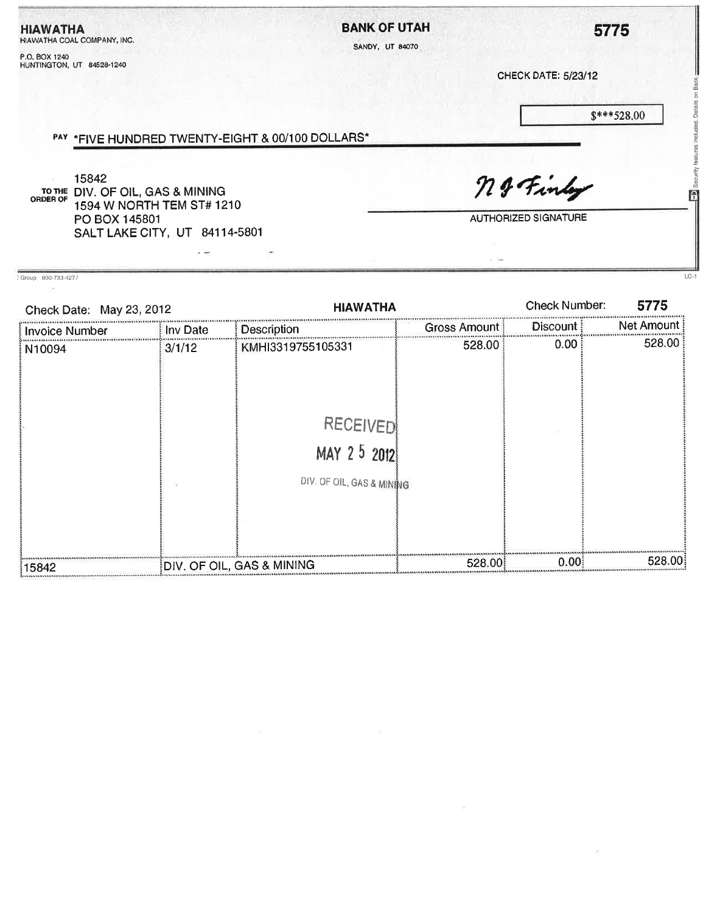| <b>HIAWATHA</b><br>HIAWATHA COAL COMPANY, INC.<br>P.O. BOX 1240 |                                                            |                           |                                                  | <b>BANK OF UTAH</b><br>SANDY, UT 84070   |                      | 5775           |  |
|-----------------------------------------------------------------|------------------------------------------------------------|---------------------------|--------------------------------------------------|------------------------------------------|----------------------|----------------|--|
| HUNTINGTON, UT 84528-1240                                       |                                                            |                           |                                                  | CHECK DATE: 5/23/12                      |                      |                |  |
|                                                                 |                                                            |                           | PAY *FIVE HUNDRED TWENTY-EIGHT & 00/100 DOLLARS* |                                          |                      | $$***528.00$   |  |
| <b>ORDER OF</b>                                                 | 15842<br>TO THE DIV. OF OIL, GAS & MINING<br>PO BOX 145801 | 1594 W NORTH TEM ST# 1210 |                                                  | ng Finley<br><b>AUTHORIZED SIGNATURE</b> |                      |                |  |
|                                                                 | SALT LAKE CITY, UT 84114-5801                              |                           |                                                  |                                          |                      |                |  |
| Group 800-733-4277                                              | Check Date: May 23, 2012                                   |                           | <b>HIAWATHA</b>                                  |                                          | <b>Check Number:</b> | $LC-1$<br>5775 |  |
| <b>Invoice Number</b>                                           |                                                            | Inv Date                  | Description                                      | Gross Amount                             | <br>Discount         | Net Amount     |  |
| N10094                                                          |                                                            | 3/1/12                    | KMHI3319755105331                                | 528.00                                   | 0.00                 | 528.00         |  |
|                                                                 |                                                            |                           | <b>RECEIVED</b>                                  |                                          |                      |                |  |
|                                                                 |                                                            |                           | MAY 2 5 2012                                     |                                          |                      |                |  |
|                                                                 |                                                            |                           | DIV. OF OIL, GAS & MINING                        |                                          |                      |                |  |
| 15842                                                           |                                                            |                           | DIV. OF OIL, GAS & MINING                        | 528.00                                   | 0.00                 | 528.00         |  |

 $\sim 10^{-11}$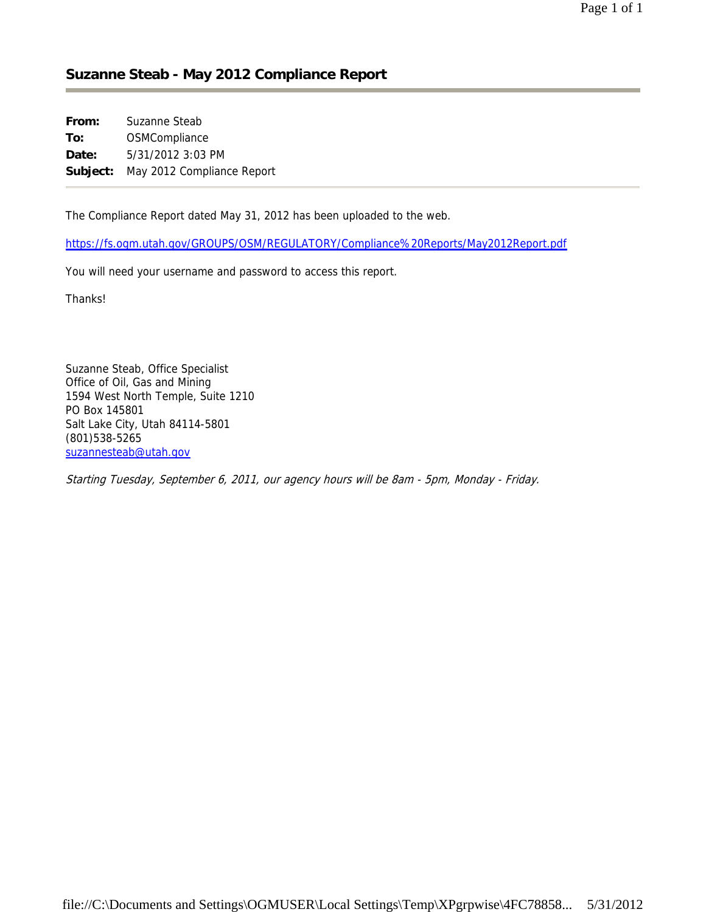### **Suzanne Steab - May 2012 Compliance Report**

| From:    | Suzanne Steab              |
|----------|----------------------------|
| To:      | OSMCompliance              |
| Date:    | $5/31/2012$ 3:03 PM        |
| Subject: | May 2012 Compliance Report |

The Compliance Report dated May 31, 2012 has been uploaded to the web.

https://fs.ogm.utah.gov/GROUPS/OSM/REGULATORY/Compliance%20Reports/May2012Report.pdf

You will need your username and password to access this report.

Thanks!

Suzanne Steab, Office Specialist Office of Oil, Gas and Mining 1594 West North Temple, Suite 1210 PO Box 145801 Salt Lake City, Utah 84114-5801 (801)538-5265 suzannesteab@utah.gov

Starting Tuesday, September 6, 2011, our agency hours will be 8am - 5pm, Monday - Friday.